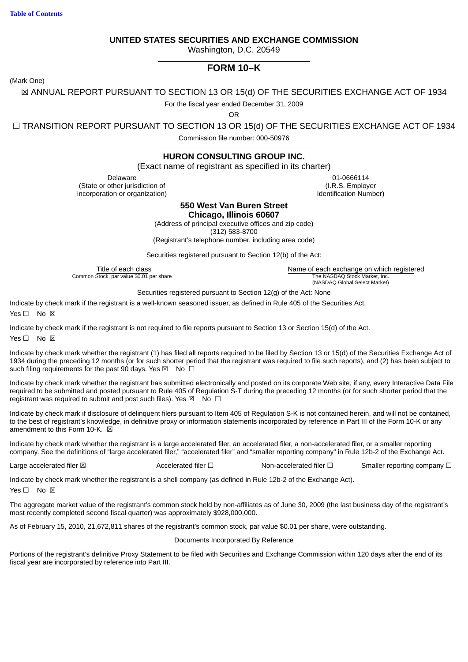# **UNITED STATES SECURITIES AND EXCHANGE COMMISSION**

Washington, D.C. 20549

# **FORM 10–K**

(Mark One)

☒ ANNUAL REPORT PURSUANT TO SECTION 13 OR 15(d) OF THE SECURITIES EXCHANGE ACT OF 1934

For the fiscal year ended December 31, 2009

OR

☐ TRANSITION REPORT PURSUANT TO SECTION 13 OR 15(d) OF THE SECURITIES EXCHANGE ACT OF 1934

Commission file number: 000-50976

**HURON CONSULTING GROUP INC.**

(Exact name of registrant as specified in its charter)

Delaware 01-0666114 (State or other jurisdiction of incorporation or organization)

(I.R.S. Employer Identification Number)

# **550 West Van Buren Street**

**Chicago, Illinois 60607**

(Address of principal executive offices and zip code) (312) 583-8700

(Registrant's telephone number, including area code)

Securities registered pursuant to Section 12(b) of the Act:

Title of each class Name of each exchange on which registered Common Stock, par value \$0.01 per share The NASDAQ Stock Market, Inc. (NASDAQ Global Select Market)

Securities registered pursuant to Section 12(g) of the Act: None

Indicate by check mark if the registrant is a well-known seasoned issuer, as defined in Rule 405 of the Securities Act.

Yes □ No ⊠

Indicate by check mark if the registrant is not required to file reports pursuant to Section 13 or Section 15(d) of the Act.

Yes □ No ⊠

Indicate by check mark whether the registrant (1) has filed all reports required to be filed by Section 13 or 15(d) of the Securities Exchange Act of 1934 during the preceding 12 months (or for such shorter period that the registrant was required to file such reports), and (2) has been subject to such filing requirements for the past 90 days. Yes  $\boxtimes$  No  $\Box$ 

Indicate by check mark whether the registrant has submitted electronically and posted on its corporate Web site, if any, every Interactive Data File required to be submitted and posted pursuant to Rule 405 of Regulation S-T during the preceding 12 months (or for such shorter period that the registrant was required to submit and post such files). Yes  $\boxtimes$  No  $\Box$ 

Indicate by check mark if disclosure of delinquent filers pursuant to Item 405 of Regulation S-K is not contained herein, and will not be contained, to the best of registrant's knowledge, in definitive proxy or information statements incorporated by reference in Part III of the Form 10-K or any amendment to this Form 10-K.  $\boxtimes$ 

Indicate by check mark whether the registrant is a large accelerated filer, an accelerated filer, a non-accelerated filer, or a smaller reporting company. See the definitions of "large accelerated filer," "accelerated filer" and "smaller reporting company" in Rule 12b-2 of the Exchange Act.

Large accelerated filer ⊠ Accelerated filer □ Non-accelerated filer □ Smaller reporting company □

Indicate by check mark whether the registrant is a shell company (as defined in Rule 12b-2 of the Exchange Act).

Yes □ No ⊠

The aggregate market value of the registrant's common stock held by non-affiliates as of June 30, 2009 (the last business day of the registrant's most recently completed second fiscal quarter) was approximately \$928,000,000.

As of February 15, 2010, 21,672,811 shares of the registrant's common stock, par value \$0.01 per share, were outstanding.

# Documents Incorporated By Reference

Portions of the registrant's definitive Proxy Statement to be filed with Securities and Exchange Commission within 120 days after the end of its fiscal year are incorporated by reference into Part III.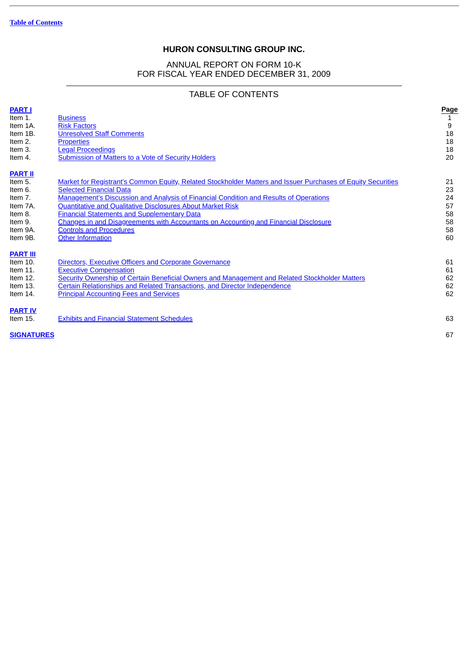# **HURON CONSULTING GROUP INC.**

# ANNUAL REPORT ON FORM 10-K FOR FISCAL YEAR ENDED DECEMBER 31, 2009

<span id="page-1-0"></span>

|                                                                                                           | <b>TABLE OF CONTENTS</b>                                                                                                                                                                                                                                                                                                                                                                                                                                                                                                 |                                               |
|-----------------------------------------------------------------------------------------------------------|--------------------------------------------------------------------------------------------------------------------------------------------------------------------------------------------------------------------------------------------------------------------------------------------------------------------------------------------------------------------------------------------------------------------------------------------------------------------------------------------------------------------------|-----------------------------------------------|
| <b>PART I</b><br>Item $1$ .<br>Item 1A.<br>Item 1B.<br>Item 2.<br>Item 3.<br>Item 4.                      | <b>Business</b><br><b>Risk Factors</b><br><b>Unresolved Staff Comments</b><br><b>Properties</b><br><b>Legal Proceedings</b><br>Submission of Matters to a Vote of Security Holders                                                                                                                                                                                                                                                                                                                                       | <b>Page</b><br>1<br>9<br>18<br>18<br>18<br>20 |
| <b>PART II</b><br>Item 5.<br>Item 6.<br>Item 7.<br>Item 7A.<br>Item 8.<br>Item 9.<br>Item 9A.<br>Item 9B. | Market for Registrant's Common Equity, Related Stockholder Matters and Issuer Purchases of Equity Securities<br><b>Selected Financial Data</b><br>Management's Discussion and Analysis of Financial Condition and Results of Operations<br><b>Quantitative and Qualitative Disclosures About Market Risk</b><br><b>Financial Statements and Supplementary Data</b><br>Changes in and Disagreements with Accountants on Accounting and Financial Disclosure<br><b>Controls and Procedures</b><br><b>Other Information</b> | 21<br>23<br>24<br>57<br>58<br>58<br>58<br>60  |
| <b>PART III</b><br>Item $10.$<br>Item $11$ .<br>Item $12$ .<br>Item $13.$<br>Item $14.$                   | <b>Directors, Executive Officers and Corporate Governance</b><br><b>Executive Compensation</b><br>Security Ownership of Certain Beneficial Owners and Management and Related Stockholder Matters<br>Certain Relationships and Related Transactions, and Director Independence<br><b>Principal Accounting Fees and Services</b>                                                                                                                                                                                           | 61<br>61<br>62<br>62<br>62                    |
| <b>PART IV</b><br>Item 15.<br><b>SIGNATURES</b>                                                           | <b>Exhibits and Financial Statement Schedules</b>                                                                                                                                                                                                                                                                                                                                                                                                                                                                        | 63<br>67                                      |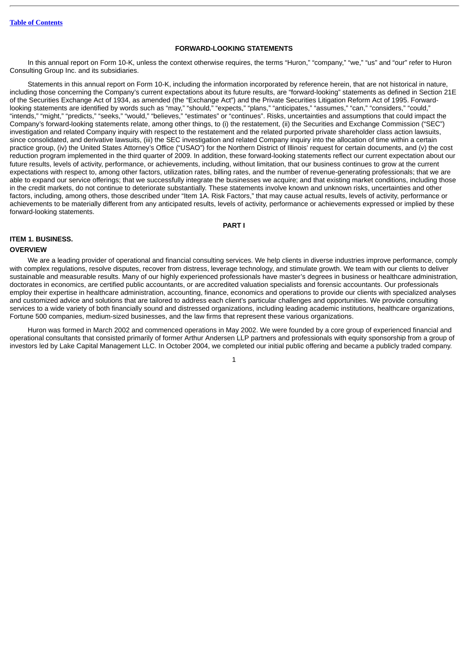### **FORWARD-LOOKING STATEMENTS**

In this annual report on Form 10-K, unless the context otherwise requires, the terms "Huron," "company," "we," "us" and "our" refer to Huron Consulting Group Inc. and its subsidiaries.

Statements in this annual report on Form 10-K, including the information incorporated by reference herein, that are not historical in nature, including those concerning the Company's current expectations about its future results, are "forward-looking" statements as defined in Section 21E of the Securities Exchange Act of 1934, as amended (the "Exchange Act") and the Private Securities Litigation Reform Act of 1995. Forwardlooking statements are identified by words such as "may," "should," "expects," "plans," "anticipates," "assumes," "can," "considers," "could," "intends," "might," "predicts," "seeks," "would," "believes," "estimates" or "continues". Risks, uncertainties and assumptions that could impact the Company's forward-looking statements relate, among other things, to (i) the restatement, (ii) the Securities and Exchange Commission ("SEC") investigation and related Company inquiry with respect to the restatement and the related purported private shareholder class action lawsuits, since consolidated, and derivative lawsuits, (iii) the SEC investigation and related Company inquiry into the allocation of time within a certain practice group, (iv) the United States Attorney's Office ("USAO") for the Northern District of Illinois' request for certain documents, and (v) the cost reduction program implemented in the third quarter of 2009. In addition, these forward-looking statements reflect our current expectation about our future results, levels of activity, performance, or achievements, including, without limitation, that our business continues to grow at the current expectations with respect to, among other factors, utilization rates, billing rates, and the number of revenue-generating professionals; that we are able to expand our service offerings; that we successfully integrate the businesses we acquire; and that existing market conditions, including those in the credit markets, do not continue to deteriorate substantially. These statements involve known and unknown risks, uncertainties and other factors, including, among others, those described under "Item 1A. Risk Factors," that may cause actual results, levels of activity, performance or achievements to be materially different from any anticipated results, levels of activity, performance or achievements expressed or implied by these forward-looking statements.

#### **PART I**

# <span id="page-2-1"></span><span id="page-2-0"></span>**ITEM 1. BUSINESS.**

# **OVERVIEW**

We are a leading provider of operational and financial consulting services. We help clients in diverse industries improve performance, comply with complex regulations, resolve disputes, recover from distress, leverage technology, and stimulate growth. We team with our clients to deliver sustainable and measurable results. Many of our highly experienced professionals have master's degrees in business or healthcare administration, doctorates in economics, are certified public accountants, or are accredited valuation specialists and forensic accountants. Our professionals employ their expertise in healthcare administration, accounting, finance, economics and operations to provide our clients with specialized analyses and customized advice and solutions that are tailored to address each client's particular challenges and opportunities. We provide consulting services to a wide variety of both financially sound and distressed organizations, including leading academic institutions, healthcare organizations, Fortune 500 companies, medium-sized businesses, and the law firms that represent these various organizations.

Huron was formed in March 2002 and commenced operations in May 2002. We were founded by a core group of experienced financial and operational consultants that consisted primarily of former Arthur Andersen LLP partners and professionals with equity sponsorship from a group of investors led by Lake Capital Management LLC. In October 2004, we completed our initial public offering and became a publicly traded company.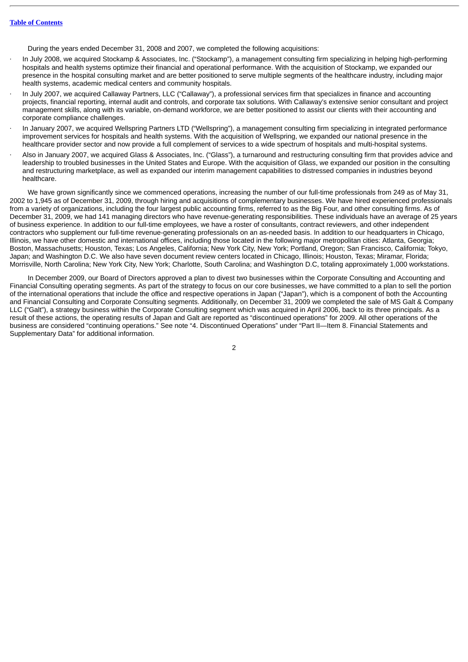#### **Table of [Contents](#page-1-0)**

During the years ended December 31, 2008 and 2007, we completed the following acquisitions:

- · In July 2008, we acquired Stockamp & Associates, Inc. ("Stockamp"), a management consulting firm specializing in helping high-performing hospitals and health systems optimize their financial and operational performance. With the acquisition of Stockamp, we expanded our presence in the hospital consulting market and are better positioned to serve multiple segments of the healthcare industry, including major health systems, academic medical centers and community hospitals.
- · In July 2007, we acquired Callaway Partners, LLC ("Callaway"), a professional services firm that specializes in finance and accounting projects, financial reporting, internal audit and controls, and corporate tax solutions. With Callaway's extensive senior consultant and project management skills, along with its variable, on-demand workforce, we are better positioned to assist our clients with their accounting and corporate compliance challenges.
- · In January 2007, we acquired Wellspring Partners LTD ("Wellspring"), a management consulting firm specializing in integrated performance improvement services for hospitals and health systems. With the acquisition of Wellspring, we expanded our national presence in the healthcare provider sector and now provide a full complement of services to a wide spectrum of hospitals and multi-hospital systems.
- · Also in January 2007, we acquired Glass & Associates, Inc. ("Glass"), a turnaround and restructuring consulting firm that provides advice and leadership to troubled businesses in the United States and Europe. With the acquisition of Glass, we expanded our position in the consulting and restructuring marketplace, as well as expanded our interim management capabilities to distressed companies in industries beyond healthcare.

We have grown significantly since we commenced operations, increasing the number of our full-time professionals from 249 as of May 31, 2002 to 1,945 as of December 31, 2009, through hiring and acquisitions of complementary businesses. We have hired experienced professionals from a variety of organizations, including the four largest public accounting firms, referred to as the Big Four, and other consulting firms. As of December 31, 2009, we had 141 managing directors who have revenue-generating responsibilities. These individuals have an average of 25 years of business experience. In addition to our full-time employees, we have a roster of consultants, contract reviewers, and other independent contractors who supplement our full-time revenue-generating professionals on an as-needed basis. In addition to our headquarters in Chicago, Illinois, we have other domestic and international offices, including those located in the following major metropolitan cities: Atlanta, Georgia; Boston, Massachusetts; Houston, Texas; Los Angeles, California; New York City, New York; Portland, Oregon; San Francisco, California; Tokyo, Japan; and Washington D.C. We also have seven document review centers located in Chicago, Illinois; Houston, Texas; Miramar, Florida; Morrisville, North Carolina; New York City, New York; Charlotte, South Carolina; and Washington D.C, totaling approximately 1,000 workstations.

In December 2009, our Board of Directors approved a plan to divest two businesses within the Corporate Consulting and Accounting and Financial Consulting operating segments. As part of the strategy to focus on our core businesses, we have committed to a plan to sell the portion of the international operations that include the office and respective operations in Japan ("Japan"), which is a component of both the Accounting and Financial Consulting and Corporate Consulting segments. Additionally, on December 31, 2009 we completed the sale of MS Galt & Company LLC ("Galt"), a strategy business within the Corporate Consulting segment which was acquired in April 2006, back to its three principals. As a result of these actions, the operating results of Japan and Galt are reported as "discontinued operations" for 2009. All other operations of the business are considered "continuing operations." See note "4. Discontinued Operations" under "Part II—Item 8. Financial Statements and Supplementary Data" for additional information.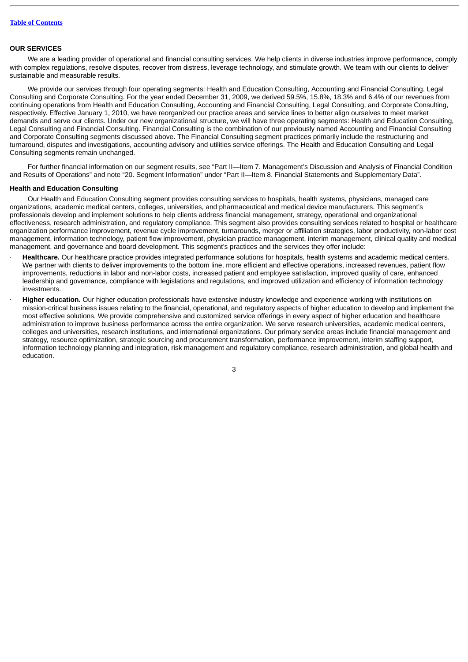#### **OUR SERVICES**

We are a leading provider of operational and financial consulting services. We help clients in diverse industries improve performance, comply with complex regulations, resolve disputes, recover from distress, leverage technology, and stimulate growth. We team with our clients to deliver sustainable and measurable results.

We provide our services through four operating segments: Health and Education Consulting, Accounting and Financial Consulting, Legal Consulting and Corporate Consulting. For the year ended December 31, 2009, we derived 59.5%, 15.8%, 18.3% and 6.4% of our revenues from continuing operations from Health and Education Consulting, Accounting and Financial Consulting, Legal Consulting, and Corporate Consulting, respectively. Effective January 1, 2010, we have reorganized our practice areas and service lines to better align ourselves to meet market demands and serve our clients. Under our new organizational structure, we will have three operating segments: Health and Education Consulting, Legal Consulting and Financial Consulting. Financial Consulting is the combination of our previously named Accounting and Financial Consulting and Corporate Consulting segments discussed above. The Financial Consulting segment practices primarily include the restructuring and turnaround, disputes and investigations, accounting advisory and utilities service offerings. The Health and Education Consulting and Legal Consulting segments remain unchanged.

For further financial information on our segment results, see "Part II—Item 7. Management's Discussion and Analysis of Financial Condition and Results of Operations" and note "20. Segment Information" under "Part II—Item 8. Financial Statements and Supplementary Data".

# **Health and Education Consulting**

Our Health and Education Consulting segment provides consulting services to hospitals, health systems, physicians, managed care organizations, academic medical centers, colleges, universities, and pharmaceutical and medical device manufacturers. This segment's professionals develop and implement solutions to help clients address financial management, strategy, operational and organizational effectiveness, research administration, and regulatory compliance. This segment also provides consulting services related to hospital or healthcare organization performance improvement, revenue cycle improvement, turnarounds, merger or affiliation strategies, labor productivity, non-labor cost management, information technology, patient flow improvement, physician practice management, interim management, clinical quality and medical management, and governance and board development. This segment's practices and the services they offer include:

- · **Healthcare.** Our healthcare practice provides integrated performance solutions for hospitals, health systems and academic medical centers. We partner with clients to deliver improvements to the bottom line, more efficient and effective operations, increased revenues, patient flow improvements, reductions in labor and non-labor costs, increased patient and employee satisfaction, improved quality of care, enhanced leadership and governance, compliance with legislations and regulations, and improved utilization and efficiency of information technology investments.
- · **Higher education.** Our higher education professionals have extensive industry knowledge and experience working with institutions on mission-critical business issues relating to the financial, operational, and regulatory aspects of higher education to develop and implement the most effective solutions. We provide comprehensive and customized service offerings in every aspect of higher education and healthcare administration to improve business performance across the entire organization. We serve research universities, academic medical centers, colleges and universities, research institutions, and international organizations. Our primary service areas include financial management and strategy, resource optimization, strategic sourcing and procurement transformation, performance improvement, interim staffing support, information technology planning and integration, risk management and regulatory compliance, research administration, and global health and education.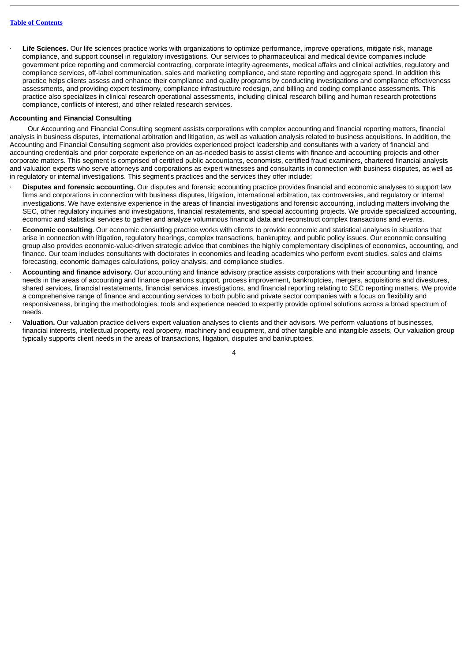Life Sciences. Our life sciences practice works with organizations to optimize performance, improve operations, mitigate risk, manage compliance, and support counsel in regulatory investigations. Our services to pharmaceutical and medical device companies include government price reporting and commercial contracting, corporate integrity agreements, medical affairs and clinical activities, regulatory and compliance services, off-label communication, sales and marketing compliance, and state reporting and aggregate spend. In addition this practice helps clients assess and enhance their compliance and quality programs by conducting investigations and compliance effectiveness assessments, and providing expert testimony, compliance infrastructure redesign, and billing and coding compliance assessments. This practice also specializes in clinical research operational assessments, including clinical research billing and human research protections compliance, conflicts of interest, and other related research services.

# **Accounting and Financial Consulting**

Our Accounting and Financial Consulting segment assists corporations with complex accounting and financial reporting matters, financial analysis in business disputes, international arbitration and litigation, as well as valuation analysis related to business acquisitions. In addition, the Accounting and Financial Consulting segment also provides experienced project leadership and consultants with a variety of financial and accounting credentials and prior corporate experience on an as-needed basis to assist clients with finance and accounting projects and other corporate matters. This segment is comprised of certified public accountants, economists, certified fraud examiners, chartered financial analysts and valuation experts who serve attorneys and corporations as expert witnesses and consultants in connection with business disputes, as well as in regulatory or internal investigations. This segment's practices and the services they offer include:

- · **Disputes and forensic accounting.** Our disputes and forensic accounting practice provides financial and economic analyses to support law firms and corporations in connection with business disputes, litigation, international arbitration, tax controversies, and regulatory or internal investigations. We have extensive experience in the areas of financial investigations and forensic accounting, including matters involving the SEC, other regulatory inquiries and investigations, financial restatements, and special accounting projects. We provide specialized accounting, economic and statistical services to gather and analyze voluminous financial data and reconstruct complex transactions and events.
- **Economic consulting**. Our economic consulting practice works with clients to provide economic and statistical analyses in situations that arise in connection with litigation, regulatory hearings, complex transactions, bankruptcy, and public policy issues. Our economic consulting group also provides economic-value-driven strategic advice that combines the highly complementary disciplines of economics, accounting, and finance. Our team includes consultants with doctorates in economics and leading academics who perform event studies, sales and claims forecasting, economic damages calculations, policy analysis, and compliance studies.
- Accounting and finance advisory. Our accounting and finance advisory practice assists corporations with their accounting and finance needs in the areas of accounting and finance operations support, process improvement, bankruptcies, mergers, acquisitions and divestures, shared services, financial restatements, financial services, investigations, and financial reporting relating to SEC reporting matters. We provide a comprehensive range of finance and accounting services to both public and private sector companies with a focus on flexibility and responsiveness, bringing the methodologies, tools and experience needed to expertly provide optimal solutions across a broad spectrum of needs.
- · **Valuation.** Our valuation practice delivers expert valuation analyses to clients and their advisors. We perform valuations of businesses, financial interests, intellectual property, real property, machinery and equipment, and other tangible and intangible assets. Our valuation group typically supports client needs in the areas of transactions, litigation, disputes and bankruptcies.

 $\Lambda$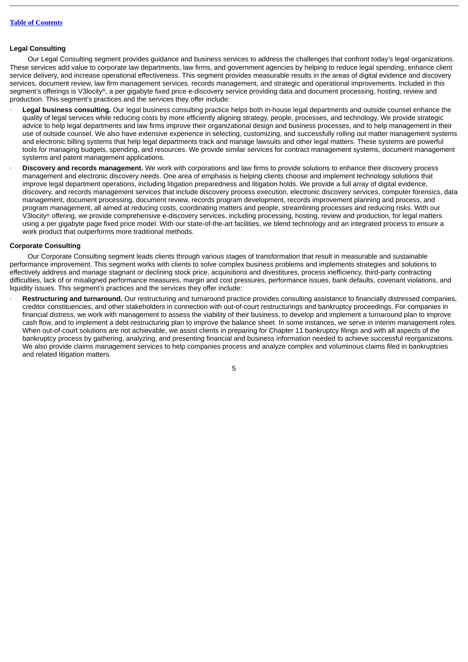# **Legal Consulting**

Our Legal Consulting segment provides guidance and business services to address the challenges that confront today's legal organizations. These services add value to corporate law departments, law firms, and government agencies by helping to reduce legal spending, enhance client service delivery, and increase operational effectiveness. This segment provides measurable results in the areas of digital evidence and discovery services, document review, law firm management services, records management, and strategic and operational improvements. Included in this segment's offerings is V3locity®, a per gigabyte fixed price e-discovery service providing data and document processing, hosting, review and production. This segment's practices and the services they offer include:

- Legal business consulting. Our legal business consulting practice helps both in-house legal departments and outside counsel enhance the quality of legal services while reducing costs by more efficiently aligning strategy, people, processes, and technology. We provide strategic advice to help legal departments and law firms improve their organizational design and business processes, and to help management in their use of outside counsel. We also have extensive experience in selecting, customizing, and successfully rolling out matter management systems and electronic billing systems that help legal departments track and manage lawsuits and other legal matters. These systems are powerful tools for managing budgets, spending, and resources. We provide similar services for contract management systems, document management systems and patent management applications.
- · **Discovery and records management.** We work with corporations and law firms to provide solutions to enhance their discovery process management and electronic discovery needs. One area of emphasis is helping clients choose and implement technology solutions that improve legal department operations, including litigation preparedness and litigation holds. We provide a full array of digital evidence, discovery, and records management services that include discovery process execution, electronic discovery services, computer forensics, data management, document processing, document review, records program development, records improvement planning and process, and program management, all aimed at reducing costs, coordinating matters and people, streamlining processes and reducing risks. With our V3locity® offering, we provide comprehensive e-discovery services, including processing, hosting, review and production, for legal matters using a per gigabyte page fixed price model. With our state-of-the-art facilities, we blend technology and an integrated process to ensure a work product that outperforms more traditional methods.

# **Corporate Consulting**

Our Corporate Consulting segment leads clients through various stages of transformation that result in measurable and sustainable performance improvement. This segment works with clients to solve complex business problems and implements strategies and solutions to effectively address and manage stagnant or declining stock price, acquisitions and divestitures, process inefficiency, third-party contracting difficulties, lack of or misaligned performance measures, margin and cost pressures, performance issues, bank defaults, covenant violations, and liquidity issues. This segment's practices and the services they offer include:

**Restructuring and turnaround.** Our restructuring and turnaround practice provides consulting assistance to financially distressed companies. creditor constituencies, and other stakeholders in connection with out-of-court restructurings and bankruptcy proceedings. For companies in financial distress, we work with management to assess the viability of their business, to develop and implement a turnaround plan to improve cash flow, and to implement a debt-restructuring plan to improve the balance sheet. In some instances, we serve in interim management roles. When out-of-court solutions are not achievable, we assist clients in preparing for Chapter 11 bankruptcy filings and with all aspects of the bankruptcy process by gathering, analyzing, and presenting financial and business information needed to achieve successful reorganizations. We also provide claims management services to help companies process and analyze complex and voluminous claims filed in bankruptcies and related litigation matters.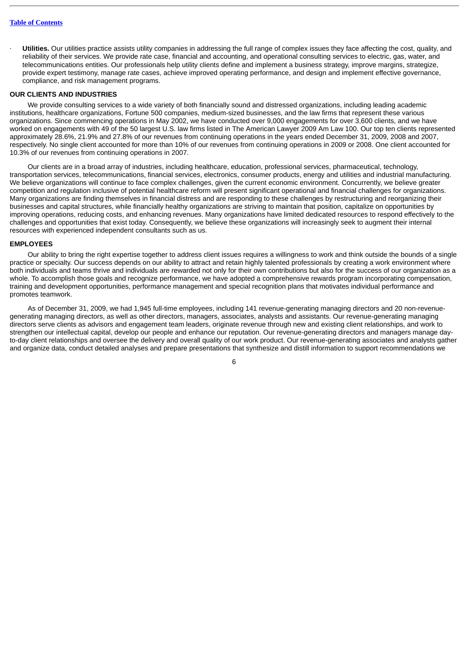#### **Table of [Contents](#page-1-0)**

· **Utilities.** Our utilities practice assists utility companies in addressing the full range of complex issues they face affecting the cost, quality, and reliability of their services. We provide rate case, financial and accounting, and operational consulting services to electric, gas, water, and telecommunications entities. Our professionals help utility clients define and implement a business strategy, improve margins, strategize, provide expert testimony, manage rate cases, achieve improved operating performance, and design and implement effective governance, compliance, and risk management programs.

#### **OUR CLIENTS AND INDUSTRIES**

We provide consulting services to a wide variety of both financially sound and distressed organizations, including leading academic institutions, healthcare organizations, Fortune 500 companies, medium-sized businesses, and the law firms that represent these various organizations. Since commencing operations in May 2002, we have conducted over 9,000 engagements for over 3,600 clients, and we have worked on engagements with 49 of the 50 largest U.S. law firms listed in The American Lawyer 2009 Am Law 100. Our top ten clients represented approximately 28.6%, 21.9% and 27.8% of our revenues from continuing operations in the years ended December 31, 2009, 2008 and 2007, respectively. No single client accounted for more than 10% of our revenues from continuing operations in 2009 or 2008. One client accounted for 10.3% of our revenues from continuing operations in 2007.

Our clients are in a broad array of industries, including healthcare, education, professional services, pharmaceutical, technology, transportation services, telecommunications, financial services, electronics, consumer products, energy and utilities and industrial manufacturing. We believe organizations will continue to face complex challenges, given the current economic environment. Concurrently, we believe greater competition and regulation inclusive of potential healthcare reform will present significant operational and financial challenges for organizations. Many organizations are finding themselves in financial distress and are responding to these challenges by restructuring and reorganizing their businesses and capital structures, while financially healthy organizations are striving to maintain that position, capitalize on opportunities by improving operations, reducing costs, and enhancing revenues. Many organizations have limited dedicated resources to respond effectively to the challenges and opportunities that exist today. Consequently, we believe these organizations will increasingly seek to augment their internal resources with experienced independent consultants such as us.

### **EMPLOYEES**

Our ability to bring the right expertise together to address client issues requires a willingness to work and think outside the bounds of a single practice or specialty. Our success depends on our ability to attract and retain highly talented professionals by creating a work environment where both individuals and teams thrive and individuals are rewarded not only for their own contributions but also for the success of our organization as a whole. To accomplish those goals and recognize performance, we have adopted a comprehensive rewards program incorporating compensation, training and development opportunities, performance management and special recognition plans that motivates individual performance and promotes teamwork.

As of December 31, 2009, we had 1,945 full-time employees, including 141 revenue-generating managing directors and 20 non-revenuegenerating managing directors, as well as other directors, managers, associates, analysts and assistants. Our revenue-generating managing directors serve clients as advisors and engagement team leaders, originate revenue through new and existing client relationships, and work to strengthen our intellectual capital, develop our people and enhance our reputation. Our revenue-generating directors and managers manage dayto-day client relationships and oversee the delivery and overall quality of our work product. Our revenue-generating associates and analysts gather and organize data, conduct detailed analyses and prepare presentations that synthesize and distill information to support recommendations we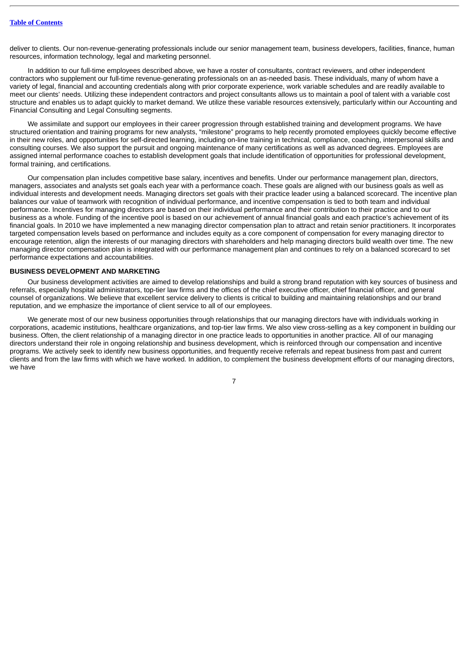deliver to clients. Our non-revenue-generating professionals include our senior management team, business developers, facilities, finance, human resources, information technology, legal and marketing personnel.

In addition to our full-time employees described above, we have a roster of consultants, contract reviewers, and other independent contractors who supplement our full-time revenue-generating professionals on an as-needed basis. These individuals, many of whom have a variety of legal, financial and accounting credentials along with prior corporate experience, work variable schedules and are readily available to meet our clients' needs. Utilizing these independent contractors and project consultants allows us to maintain a pool of talent with a variable cost structure and enables us to adapt quickly to market demand. We utilize these variable resources extensively, particularly within our Accounting and Financial Consulting and Legal Consulting segments.

We assimilate and support our employees in their career progression through established training and development programs. We have structured orientation and training programs for new analysts, "milestone" programs to help recently promoted employees quickly become effective in their new roles, and opportunities for self-directed learning, including on-line training in technical, compliance, coaching, interpersonal skills and consulting courses. We also support the pursuit and ongoing maintenance of many certifications as well as advanced degrees. Employees are assigned internal performance coaches to establish development goals that include identification of opportunities for professional development, formal training, and certifications.

Our compensation plan includes competitive base salary, incentives and benefits. Under our performance management plan, directors, managers, associates and analysts set goals each year with a performance coach. These goals are aligned with our business goals as well as individual interests and development needs. Managing directors set goals with their practice leader using a balanced scorecard. The incentive plan balances our value of teamwork with recognition of individual performance, and incentive compensation is tied to both team and individual performance. Incentives for managing directors are based on their individual performance and their contribution to their practice and to our business as a whole. Funding of the incentive pool is based on our achievement of annual financial goals and each practice's achievement of its financial goals. In 2010 we have implemented a new managing director compensation plan to attract and retain senior practitioners. It incorporates targeted compensation levels based on performance and includes equity as a core component of compensation for every managing director to encourage retention, align the interests of our managing directors with shareholders and help managing directors build wealth over time. The new managing director compensation plan is integrated with our performance management plan and continues to rely on a balanced scorecard to set performance expectations and accountabilities.

### **BUSINESS DEVELOPMENT AND MARKETING**

Our business development activities are aimed to develop relationships and build a strong brand reputation with key sources of business and referrals, especially hospital administrators, top-tier law firms and the offices of the chief executive officer, chief financial officer, and general counsel of organizations. We believe that excellent service delivery to clients is critical to building and maintaining relationships and our brand reputation, and we emphasize the importance of client service to all of our employees.

We generate most of our new business opportunities through relationships that our managing directors have with individuals working in corporations, academic institutions, healthcare organizations, and top-tier law firms. We also view cross-selling as a key component in building our business. Often, the client relationship of a managing director in one practice leads to opportunities in another practice. All of our managing directors understand their role in ongoing relationship and business development, which is reinforced through our compensation and incentive programs. We actively seek to identify new business opportunities, and frequently receive referrals and repeat business from past and current clients and from the law firms with which we have worked. In addition, to complement the business development efforts of our managing directors, we have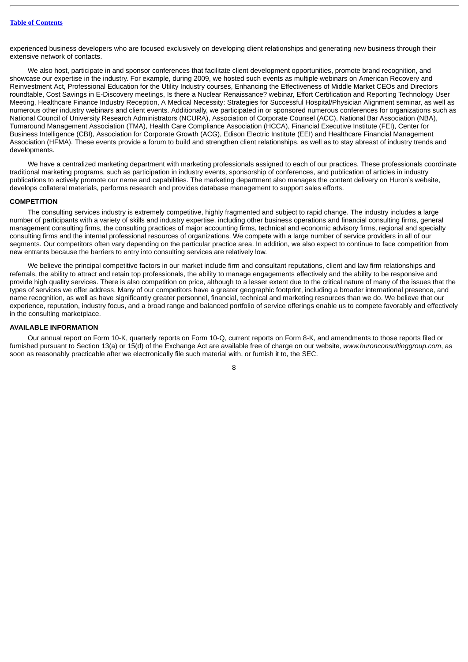experienced business developers who are focused exclusively on developing client relationships and generating new business through their extensive network of contacts.

We also host, participate in and sponsor conferences that facilitate client development opportunities, promote brand recognition, and showcase our expertise in the industry. For example, during 2009, we hosted such events as multiple webinars on American Recovery and Reinvestment Act, Professional Education for the Utility Industry courses, Enhancing the Effectiveness of Middle Market CEOs and Directors roundtable, Cost Savings in E-Discovery meetings, Is there a Nuclear Renaissance? webinar, Effort Certification and Reporting Technology User Meeting, Healthcare Finance Industry Reception, A Medical Necessity: Strategies for Successful Hospital/Physician Alignment seminar, as well as numerous other industry webinars and client events. Additionally, we participated in or sponsored numerous conferences for organizations such as National Council of University Research Administrators (NCURA), Association of Corporate Counsel (ACC), National Bar Association (NBA), Turnaround Management Association (TMA), Health Care Compliance Association (HCCA), Financial Executive Institute (FEI), Center for Business Intelligence (CBI), Association for Corporate Growth (ACG), Edison Electric Institute (EEI) and Healthcare Financial Management Association (HFMA). These events provide a forum to build and strengthen client relationships, as well as to stay abreast of industry trends and developments.

We have a centralized marketing department with marketing professionals assigned to each of our practices. These professionals coordinate traditional marketing programs, such as participation in industry events, sponsorship of conferences, and publication of articles in industry publications to actively promote our name and capabilities. The marketing department also manages the content delivery on Huron's website, develops collateral materials, performs research and provides database management to support sales efforts.

# **COMPETITION**

The consulting services industry is extremely competitive, highly fragmented and subject to rapid change. The industry includes a large number of participants with a variety of skills and industry expertise, including other business operations and financial consulting firms, general management consulting firms, the consulting practices of major accounting firms, technical and economic advisory firms, regional and specialty consulting firms and the internal professional resources of organizations. We compete with a large number of service providers in all of our segments. Our competitors often vary depending on the particular practice area. In addition, we also expect to continue to face competition from new entrants because the barriers to entry into consulting services are relatively low.

We believe the principal competitive factors in our market include firm and consultant reputations, client and law firm relationships and referrals, the ability to attract and retain top professionals, the ability to manage engagements effectively and the ability to be responsive and provide high quality services. There is also competition on price, although to a lesser extent due to the critical nature of many of the issues that the types of services we offer address. Many of our competitors have a greater geographic footprint, including a broader international presence, and name recognition, as well as have significantly greater personnel, financial, technical and marketing resources than we do. We believe that our experience, reputation, industry focus, and a broad range and balanced portfolio of service offerings enable us to compete favorably and effectively in the consulting marketplace.

# **AVAILABLE INFORMATION**

Our annual report on Form 10-K, quarterly reports on Form 10-Q, current reports on Form 8-K, and amendments to those reports filed or furnished pursuant to Section 13(a) or 15(d) of the Exchange Act are available free of charge on our website, *www.huronconsultinggroup.com*, as soon as reasonably practicable after we electronically file such material with, or furnish it to, the SEC.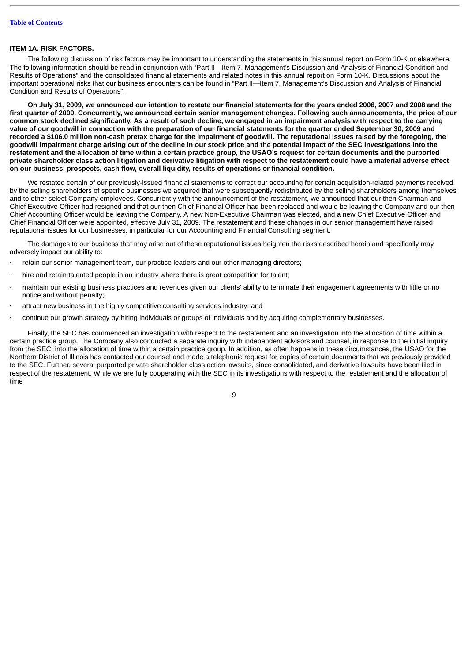# <span id="page-10-0"></span>**ITEM 1A. RISK FACTORS.**

The following discussion of risk factors may be important to understanding the statements in this annual report on Form 10-K or elsewhere. The following information should be read in conjunction with "Part II—Item 7. Management's Discussion and Analysis of Financial Condition and Results of Operations" and the consolidated financial statements and related notes in this annual report on Form 10-K. Discussions about the important operational risks that our business encounters can be found in "Part II—Item 7. Management's Discussion and Analysis of Financial Condition and Results of Operations".

**On July 31, 2009, we announced our intention to restate our financial statements for the years ended 2006, 2007 and 2008 and the first quarter of 2009. Concurrently, we announced certain senior management changes. Following such announcements, the price of our common stock declined significantly. As a result of such decline, we engaged in an impairment analysis with respect to the carrying value of our goodwill in connection with the preparation of our financial statements for the quarter ended September 30, 2009 and recorded a \$106.0 million non-cash pretax charge for the impairment of goodwill. The reputational issues raised by the foregoing, the goodwill impairment charge arising out of the decline in our stock price and the potential impact of the SEC investigations into the restatement and the allocation of time within a certain practice group, the USAO's request for certain documents and the purported private shareholder class action litigation and derivative litigation with respect to the restatement could have a material adverse effect on our business, prospects, cash flow, overall liquidity, results of operations or financial condition.**

We restated certain of our previously-issued financial statements to correct our accounting for certain acquisition-related payments received by the selling shareholders of specific businesses we acquired that were subsequently redistributed by the selling shareholders among themselves and to other select Company employees. Concurrently with the announcement of the restatement, we announced that our then Chairman and Chief Executive Officer had resigned and that our then Chief Financial Officer had been replaced and would be leaving the Company and our then Chief Accounting Officer would be leaving the Company. A new Non-Executive Chairman was elected, and a new Chief Executive Officer and Chief Financial Officer were appointed, effective July 31, 2009. The restatement and these changes in our senior management have raised reputational issues for our businesses, in particular for our Accounting and Financial Consulting segment.

The damages to our business that may arise out of these reputational issues heighten the risks described herein and specifically may adversely impact our ability to:

- · retain our senior management team, our practice leaders and our other managing directors;
- hire and retain talented people in an industry where there is great competition for talent:
- · maintain our existing business practices and revenues given our clients' ability to terminate their engagement agreements with little or no notice and without penalty;
- attract new business in the highly competitive consulting services industry; and
- · continue our growth strategy by hiring individuals or groups of individuals and by acquiring complementary businesses.

Finally, the SEC has commenced an investigation with respect to the restatement and an investigation into the allocation of time within a certain practice group. The Company also conducted a separate inquiry with independent advisors and counsel, in response to the initial inquiry from the SEC, into the allocation of time within a certain practice group. In addition, as often happens in these circumstances, the USAO for the Northern District of Illinois has contacted our counsel and made a telephonic request for copies of certain documents that we previously provided to the SEC. Further, several purported private shareholder class action lawsuits, since consolidated, and derivative lawsuits have been filed in respect of the restatement. While we are fully cooperating with the SEC in its investigations with respect to the restatement and the allocation of time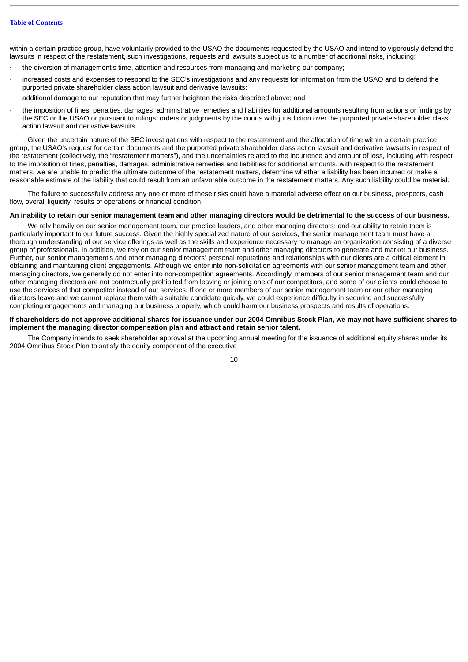within a certain practice group, have voluntarily provided to the USAO the documents requested by the USAO and intend to vigorously defend the lawsuits in respect of the restatement, such investigations, requests and lawsuits subject us to a number of additional risks, including:

- · the diversion of management's time, attention and resources from managing and marketing our company;
- increased costs and expenses to respond to the SEC's investigations and any requests for information from the USAO and to defend the purported private shareholder class action lawsuit and derivative lawsuits;
- · additional damage to our reputation that may further heighten the risks described above; and
- · the imposition of fines, penalties, damages, administrative remedies and liabilities for additional amounts resulting from actions or findings by the SEC or the USAO or pursuant to rulings, orders or judgments by the courts with jurisdiction over the purported private shareholder class action lawsuit and derivative lawsuits.

Given the uncertain nature of the SEC investigations with respect to the restatement and the allocation of time within a certain practice group, the USAO's request for certain documents and the purported private shareholder class action lawsuit and derivative lawsuits in respect of the restatement (collectively, the "restatement matters"), and the uncertainties related to the incurrence and amount of loss, including with respect to the imposition of fines, penalties, damages, administrative remedies and liabilities for additional amounts, with respect to the restatement matters, we are unable to predict the ultimate outcome of the restatement matters, determine whether a liability has been incurred or make a reasonable estimate of the liability that could result from an unfavorable outcome in the restatement matters. Any such liability could be material.

The failure to successfully address any one or more of these risks could have a material adverse effect on our business, prospects, cash flow, overall liquidity, results of operations or financial condition.

### **An inability to retain our senior management team and other managing directors would be detrimental to the success of our business.**

We rely heavily on our senior management team, our practice leaders, and other managing directors; and our ability to retain them is particularly important to our future success. Given the highly specialized nature of our services, the senior management team must have a thorough understanding of our service offerings as well as the skills and experience necessary to manage an organization consisting of a diverse group of professionals. In addition, we rely on our senior management team and other managing directors to generate and market our business. Further, our senior management's and other managing directors' personal reputations and relationships with our clients are a critical element in obtaining and maintaining client engagements. Although we enter into non-solicitation agreements with our senior management team and other managing directors, we generally do not enter into non-competition agreements. Accordingly, members of our senior management team and our other managing directors are not contractually prohibited from leaving or joining one of our competitors, and some of our clients could choose to use the services of that competitor instead of our services. If one or more members of our senior management team or our other managing directors leave and we cannot replace them with a suitable candidate quickly, we could experience difficulty in securing and successfully completing engagements and managing our business properly, which could harm our business prospects and results of operations.

# **If shareholders do not approve additional shares for issuance under our 2004 Omnibus Stock Plan, we may not have sufficient shares to implement the managing director compensation plan and attract and retain senior talent.**

The Company intends to seek shareholder approval at the upcoming annual meeting for the issuance of additional equity shares under its 2004 Omnibus Stock Plan to satisfy the equity component of the executive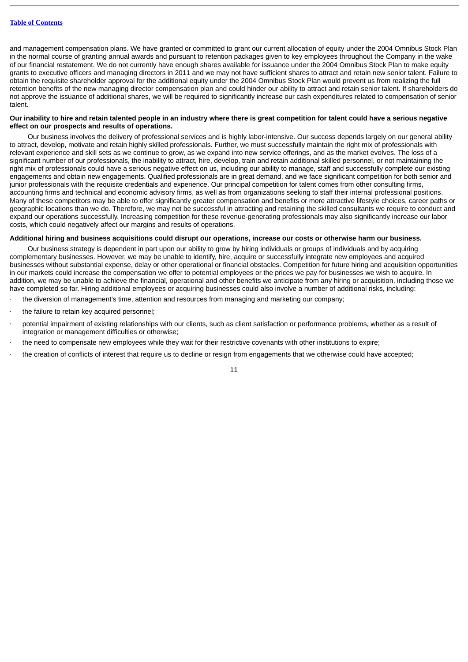and management compensation plans. We have granted or committed to grant our current allocation of equity under the 2004 Omnibus Stock Plan in the normal course of granting annual awards and pursuant to retention packages given to key employees throughout the Company in the wake of our financial restatement. We do not currently have enough shares available for issuance under the 2004 Omnibus Stock Plan to make equity grants to executive officers and managing directors in 2011 and we may not have sufficient shares to attract and retain new senior talent. Failure to obtain the requisite shareholder approval for the additional equity under the 2004 Omnibus Stock Plan would prevent us from realizing the full retention benefits of the new managing director compensation plan and could hinder our ability to attract and retain senior talent. If shareholders do not approve the issuance of additional shares, we will be required to significantly increase our cash expenditures related to compensation of senior talent.

# **Our inability to hire and retain talented people in an industry where there is great competition for talent could have a serious negative effect on our prospects and results of operations.**

Our business involves the delivery of professional services and is highly labor-intensive. Our success depends largely on our general ability to attract, develop, motivate and retain highly skilled professionals. Further, we must successfully maintain the right mix of professionals with relevant experience and skill sets as we continue to grow, as we expand into new service offerings, and as the market evolves. The loss of a significant number of our professionals, the inability to attract, hire, develop, train and retain additional skilled personnel, or not maintaining the right mix of professionals could have a serious negative effect on us, including our ability to manage, staff and successfully complete our existing engagements and obtain new engagements. Qualified professionals are in great demand, and we face significant competition for both senior and junior professionals with the requisite credentials and experience. Our principal competition for talent comes from other consulting firms, accounting firms and technical and economic advisory firms, as well as from organizations seeking to staff their internal professional positions. Many of these competitors may be able to offer significantly greater compensation and benefits or more attractive lifestyle choices, career paths or geographic locations than we do. Therefore, we may not be successful in attracting and retaining the skilled consultants we require to conduct and expand our operations successfully. Increasing competition for these revenue-generating professionals may also significantly increase our labor costs, which could negatively affect our margins and results of operations.

# **Additional hiring and business acquisitions could disrupt our operations, increase our costs or otherwise harm our business.**

Our business strategy is dependent in part upon our ability to grow by hiring individuals or groups of individuals and by acquiring complementary businesses. However, we may be unable to identify, hire, acquire or successfully integrate new employees and acquired businesses without substantial expense, delay or other operational or financial obstacles. Competition for future hiring and acquisition opportunities in our markets could increase the compensation we offer to potential employees or the prices we pay for businesses we wish to acquire. In addition, we may be unable to achieve the financial, operational and other benefits we anticipate from any hiring or acquisition, including those we have completed so far. Hiring additional employees or acquiring businesses could also involve a number of additional risks, including:

- · the diversion of management's time, attention and resources from managing and marketing our company;
- the failure to retain key acquired personnel;
- · potential impairment of existing relationships with our clients, such as client satisfaction or performance problems, whether as a result of integration or management difficulties or otherwise;
- · the need to compensate new employees while they wait for their restrictive covenants with other institutions to expire;
- · the creation of conflicts of interest that require us to decline or resign from engagements that we otherwise could have accepted;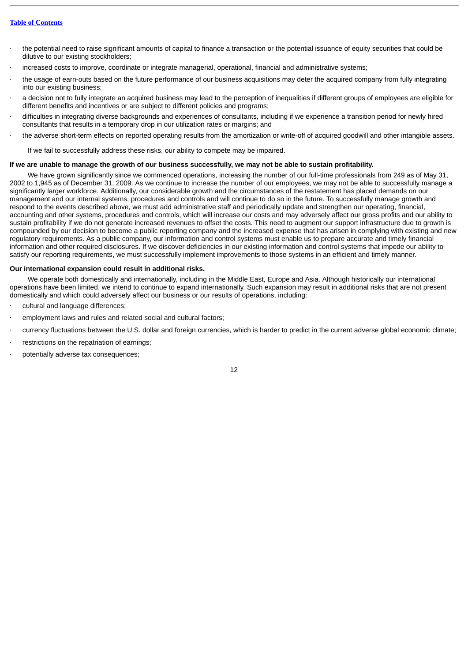- · the potential need to raise significant amounts of capital to finance a transaction or the potential issuance of equity securities that could be dilutive to our existing stockholders;
- · increased costs to improve, coordinate or integrate managerial, operational, financial and administrative systems;
- · the usage of earn-outs based on the future performance of our business acquisitions may deter the acquired company from fully integrating into our existing business;
- a decision not to fully integrate an acquired business may lead to the perception of inequalities if different groups of employees are eligible for different benefits and incentives or are subject to different policies and programs;
- · difficulties in integrating diverse backgrounds and experiences of consultants, including if we experience a transition period for newly hired consultants that results in a temporary drop in our utilization rates or margins; and
- · the adverse short-term effects on reported operating results from the amortization or write-off of acquired goodwill and other intangible assets.

If we fail to successfully address these risks, our ability to compete may be impaired.

## **If we are unable to manage the growth of our business successfully, we may not be able to sustain profitability.**

We have grown significantly since we commenced operations, increasing the number of our full-time professionals from 249 as of May 31, 2002 to 1,945 as of December 31, 2009. As we continue to increase the number of our employees, we may not be able to successfully manage a significantly larger workforce. Additionally, our considerable growth and the circumstances of the restatement has placed demands on our management and our internal systems, procedures and controls and will continue to do so in the future. To successfully manage growth and respond to the events described above, we must add administrative staff and periodically update and strengthen our operating, financial, accounting and other systems, procedures and controls, which will increase our costs and may adversely affect our gross profits and our ability to sustain profitability if we do not generate increased revenues to offset the costs. This need to augment our support infrastructure due to growth is compounded by our decision to become a public reporting company and the increased expense that has arisen in complying with existing and new requiatory requirements. As a public company, our information and control systems must enable us to prepare accurate and timely financial information and other required disclosures. If we discover deficiencies in our existing information and control systems that impede our ability to satisfy our reporting requirements, we must successfully implement improvements to those systems in an efficient and timely manner.

# **Our international expansion could result in additional risks.**

We operate both domestically and internationally, including in the Middle East, Europe and Asia. Although historically our international operations have been limited, we intend to continue to expand internationally. Such expansion may result in additional risks that are not present domestically and which could adversely affect our business or our results of operations, including:

- cultural and language differences;
- employment laws and rules and related social and cultural factors:
- · currency fluctuations between the U.S. dollar and foreign currencies, which is harder to predict in the current adverse global economic climate;
- restrictions on the repatriation of earnings;
- potentially adverse tax consequences;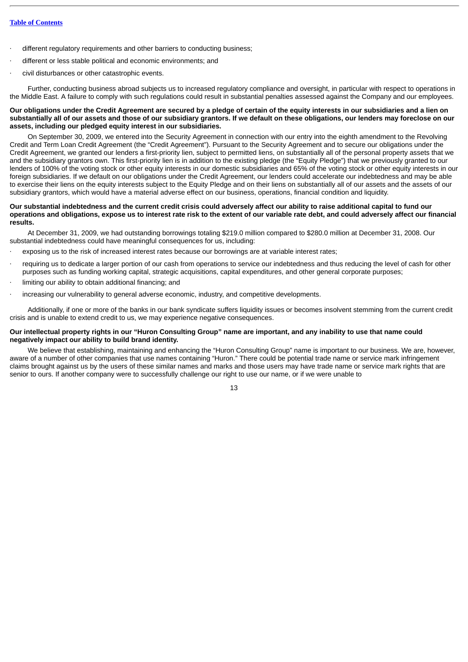- · different regulatory requirements and other barriers to conducting business;
- different or less stable political and economic environments; and
- civil disturbances or other catastrophic events.

Further, conducting business abroad subjects us to increased regulatory compliance and oversight, in particular with respect to operations in the Middle East. A failure to comply with such regulations could result in substantial penalties assessed against the Company and our employees.

# **Our obligations under the Credit Agreement are secured by a pledge of certain of the equity interests in our subsidiaries and a lien on substantially all of our assets and those of our subsidiary grantors. If we default on these obligations, our lenders may foreclose on our assets, including our pledged equity interest in our subsidiaries.**

On September 30, 2009, we entered into the Security Agreement in connection with our entry into the eighth amendment to the Revolving Credit and Term Loan Credit Agreement (the "Credit Agreement"). Pursuant to the Security Agreement and to secure our obligations under the Credit Agreement, we granted our lenders a first-priority lien, subject to permitted liens, on substantially all of the personal property assets that we and the subsidiary grantors own. This first-priority lien is in addition to the existing pledge (the "Equity Pledge") that we previously granted to our lenders of 100% of the voting stock or other equity interests in our domestic subsidiaries and 65% of the voting stock or other equity interests in our domestic subsidiaries and 65% of the voting stock or other equity inte foreign subsidiaries. If we default on our obligations under the Credit Agreement, our lenders could accelerate our indebtedness and may be able to exercise their liens on the equity interests subject to the Equity Pledge and on their liens on substantially all of our assets and the assets of our subsidiary grantors, which would have a material adverse effect on our business, operations, financial condition and liquidity.

### **Our substantial indebtedness and the current credit crisis could adversely affect our ability to raise additional capital to fund our operations and obligations, expose us to interest rate risk to the extent of our variable rate debt, and could adversely affect our financial results.**

At December 31, 2009, we had outstanding borrowings totaling \$219.0 million compared to \$280.0 million at December 31, 2008. Our substantial indebtedness could have meaningful consequences for us, including:

- exposing us to the risk of increased interest rates because our borrowings are at variable interest rates;
- · requiring us to dedicate a larger portion of our cash from operations to service our indebtedness and thus reducing the level of cash for other purposes such as funding working capital, strategic acquisitions, capital expenditures, and other general corporate purposes;
- limiting our ability to obtain additional financing; and
- increasing our vulnerability to general adverse economic, industry, and competitive developments.

Additionally, if one or more of the banks in our bank syndicate suffers liquidity issues or becomes insolvent stemming from the current credit crisis and is unable to extend credit to us, we may experience negative consequences.

# **Our intellectual property rights in our "Huron Consulting Group" name are important, and any inability to use that name could negatively impact our ability to build brand identity.**

We believe that establishing, maintaining and enhancing the "Huron Consulting Group" name is important to our business. We are, however, aware of a number of other companies that use names containing "Huron." There could be potential trade name or service mark infringement claims brought against us by the users of these similar names and marks and those users may have trade name or service mark rights that are senior to ours. If another company were to successfully challenge our right to use our name, or if we were unable to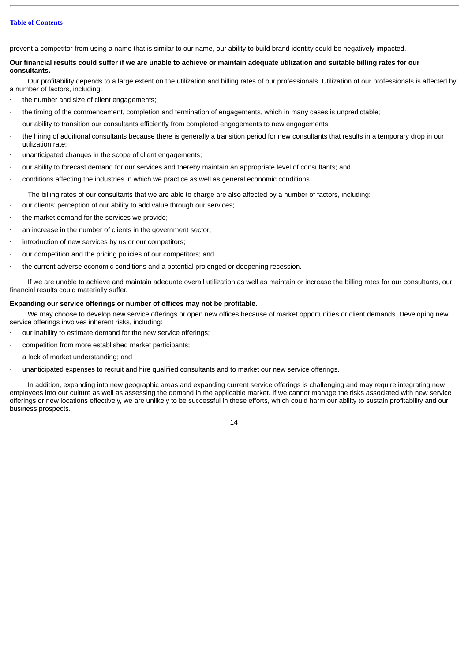# **Table of [Contents](#page-1-0)**

prevent a competitor from using a name that is similar to our name, our ability to build brand identity could be negatively impacted.

# **Our financial results could suffer if we are unable to achieve or maintain adequate utilization and suitable billing rates for our consultants.**

Our profitability depends to a large extent on the utilization and billing rates of our professionals. Utilization of our professionals is affected by a number of factors, including:

- the number and size of client engagements;
- · the timing of the commencement, completion and termination of engagements, which in many cases is unpredictable;
- our ability to transition our consultants efficiently from completed engagements to new engagements;
- · the hiring of additional consultants because there is generally a transition period for new consultants that results in a temporary drop in our utilization rate;
- unanticipated changes in the scope of client engagements;
- our ability to forecast demand for our services and thereby maintain an appropriate level of consultants; and
- · conditions affecting the industries in which we practice as well as general economic conditions.

The billing rates of our consultants that we are able to charge are also affected by a number of factors, including:

- our clients' perception of our ability to add value through our services;
- the market demand for the services we provide;
- an increase in the number of clients in the government sector;
- introduction of new services by us or our competitors;
- our competition and the pricing policies of our competitors; and
- · the current adverse economic conditions and a potential prolonged or deepening recession.

If we are unable to achieve and maintain adequate overall utilization as well as maintain or increase the billing rates for our consultants, our financial results could materially suffer.

# **Expanding our service offerings or number of offices may not be profitable.**

We may choose to develop new service offerings or open new offices because of market opportunities or client demands. Developing new service offerings involves inherent risks, including:

- our inability to estimate demand for the new service offerings;
- · competition from more established market participants;
- a lack of market understanding; and
- · unanticipated expenses to recruit and hire qualified consultants and to market our new service offerings.

In addition, expanding into new geographic areas and expanding current service offerings is challenging and may require integrating new employees into our culture as well as assessing the demand in the applicable market. If we cannot manage the risks associated with new service offerings or new locations effectively, we are unlikely to be successful in these efforts, which could harm our ability to sustain profitability and our business prospects.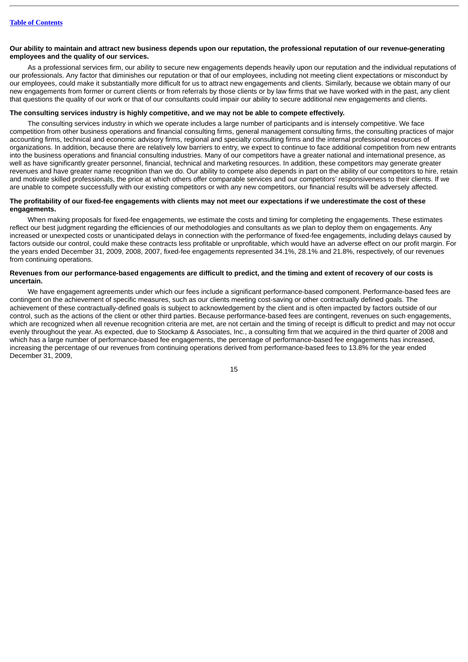# **Our ability to maintain and attract new business depends upon our reputation, the professional reputation of our revenue-generating employees and the quality of our services.**

As a professional services firm, our ability to secure new engagements depends heavily upon our reputation and the individual reputations of our professionals. Any factor that diminishes our reputation or that of our employees, including not meeting client expectations or misconduct by our employees, could make it substantially more difficult for us to attract new engagements and clients. Similarly, because we obtain many of our new engagements from former or current clients or from referrals by those clients or by law firms that we have worked with in the past, any client that questions the quality of our work or that of our consultants could impair our ability to secure additional new engagements and clients.

# **The consulting services industry is highly competitive, and we may not be able to compete effectively.**

The consulting services industry in which we operate includes a large number of participants and is intensely competitive. We face competition from other business operations and financial consulting firms, general management consulting firms, the consulting practices of major accounting firms, technical and economic advisory firms, regional and specialty consulting firms and the internal professional resources of organizations. In addition, because there are relatively low barriers to entry, we expect to continue to face additional competition from new entrants into the business operations and financial consulting industries. Many of our competitors have a greater national and international presence, as well as have significantly greater personnel, financial, technical and marketing resources. In addition, these competitors may generate greater revenues and have greater name recognition than we do. Our ability to compete also depends in part on the ability of our competitors to hire, retain and motivate skilled professionals, the price at which others offer comparable services and our competitors' responsiveness to their clients. If we are unable to compete successfully with our existing competitors or with any new competitors, our financial results will be adversely affected.

# **The profitability of our fixed-fee engagements with clients may not meet our expectations if we underestimate the cost of these engagements.**

When making proposals for fixed-fee engagements, we estimate the costs and timing for completing the engagements. These estimates reflect our best judgment regarding the efficiencies of our methodologies and consultants as we plan to deploy them on engagements. Any increased or unexpected costs or unanticipated delays in connection with the performance of fixed-fee engagements, including delays caused by factors outside our control, could make these contracts less profitable or unprofitable, which would have an adverse effect on our profit margin. For the years ended December 31, 2009, 2008, 2007, fixed-fee engagements represented 34.1%, 28.1% and 21.8%, respectively, of our revenues from continuing operations.

#### **Revenues from our performance-based engagements are difficult to predict, and the timing and extent of recovery of our costs is uncertain.**

We have engagement agreements under which our fees include a significant performance-based component. Performance-based fees are contingent on the achievement of specific measures, such as our clients meeting cost-saving or other contractually defined goals. The achievement of these contractually-defined goals is subject to acknowledgement by the client and is often impacted by factors outside of our control, such as the actions of the client or other third parties. Because performance-based fees are contingent, revenues on such engagements, which are recognized when all revenue recognition criteria are met, are not certain and the timing of receipt is difficult to predict and may not occur evenly throughout the year. As expected, due to Stockamp & Associates, Inc., a consulting firm that we acquired in the third quarter of 2008 and which has a large number of performance-based fee engagements, the percentage of performance-based fee engagements has increased, increasing the percentage of our revenues from continuing operations derived from performance-based fees to 13.8% for the year ended December 31, 2009,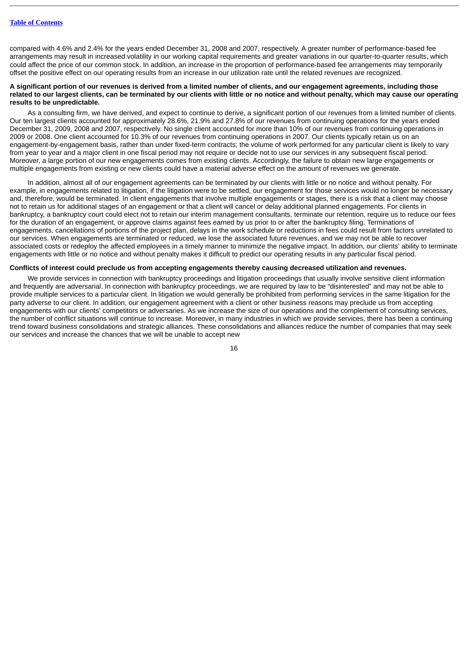compared with 4.6% and 2.4% for the years ended December 31, 2008 and 2007, respectively. A greater number of performance-based fee arrangements may result in increased volatility in our working capital requirements and greater variations in our quarter-to-quarter results, which could affect the price of our common stock. In addition, an increase in the proportion of performance-based fee arrangements may temporarily offset the positive effect on our operating results from an increase in our utilization rate until the related revenues are recognized.

## **A significant portion of our revenues is derived from a limited number of clients, and our engagement agreements, including those related to our largest clients, can be terminated by our clients with little or no notice and without penalty, which may cause our operating results to be unpredictable.**

As a consulting firm, we have derived, and expect to continue to derive, a significant portion of our revenues from a limited number of clients. Our ten largest clients accounted for approximately 28.6%, 21.9% and 27.8% of our revenues from continuing operations for the years ended December 31, 2009, 2008 and 2007, respectively. No single client accounted for more than 10% of our revenues from continuing operations in 2009 or 2008. One client accounted for 10.3% of our revenues from continuing operations in 2007. Our clients typically retain us on an engagement-by-engagement basis, rather than under fixed-term contracts; the volume of work performed for any particular client is likely to vary from year to year and a major client in one fiscal period may not require or decide not to use our services in any subsequent fiscal period. Moreover, a large portion of our new engagements comes from existing clients. Accordingly, the failure to obtain new large engagements or multiple engagements from existing or new clients could have a material adverse effect on the amount of revenues we generate.

In addition, almost all of our engagement agreements can be terminated by our clients with little or no notice and without penalty. For example, in engagements related to litigation, if the litigation were to be settled, our engagement for those services would no longer be necessary and, therefore, would be terminated. In client engagements that involve multiple engagements or stages, there is a risk that a client may choose not to retain us for additional stages of an engagement or that a client will cancel or delay additional planned engagements. For clients in bankruptcy, a bankruptcy court could elect not to retain our interim management consultants, terminate our retention, require us to reduce our fees for the duration of an engagement, or approve claims against fees earned by us prior to or after the bankruptcy filing. Terminations of engagements, cancellations of portions of the project plan, delays in the work schedule or reductions in fees could result from factors unrelated to our services. When engagements are terminated or reduced, we lose the associated future revenues, and we may not be able to recover associated costs or redeploy the affected employees in a timely manner to minimize the negative impact. In addition, our clients' ability to terminate engagements with little or no notice and without penalty makes it difficult to predict our operating results in any particular fiscal period.

#### **Conflicts of interest could preclude us from accepting engagements thereby causing decreased utilization and revenues.**

We provide services in connection with bankruptcy proceedings and litigation proceedings that usually involve sensitive client information and frequently are adversarial. In connection with bankruptcy proceedings, we are required by law to be "disinterested" and may not be able to provide multiple services to a particular client. In litigation we would generally be prohibited from performing services in the same litigation for the party adverse to our client. In addition, our engagement agreement with a client or other business reasons may preclude us from accepting engagements with our clients' competitors or adversaries. As we increase the size of our operations and the complement of consulting services, the number of conflict situations will continue to increase. Moreover, in many industries in which we provide services, there has been a continuing trend toward business consolidations and strategic alliances. These consolidations and alliances reduce the number of companies that may seek our services and increase the chances that we will be unable to accept new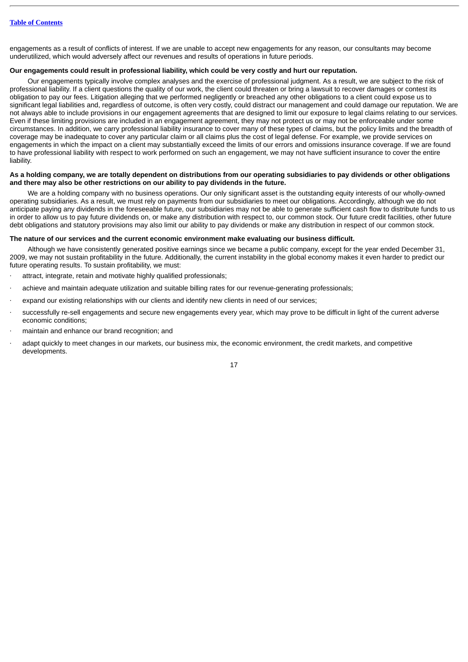engagements as a result of conflicts of interest. If we are unable to accept new engagements for any reason, our consultants may become underutilized, which would adversely affect our revenues and results of operations in future periods.

# **Our engagements could result in professional liability, which could be very costly and hurt our reputation.**

Our engagements typically involve complex analyses and the exercise of professional judgment. As a result, we are subject to the risk of professional liability. If a client questions the quality of our work, the client could threaten or bring a lawsuit to recover damages or contest its obligation to pay our fees. Litigation alleging that we performed negligently or breached any other obligations to a client could expose us to significant legal liabilities and, regardless of outcome, is often very costly, could distract our management and could damage our reputation. We are not always able to include provisions in our engagement agreements that are designed to limit our exposure to legal claims relating to our services. Even if these limiting provisions are included in an engagement agreement, they may not protect us or may not be enforceable under some circumstances. In addition, we carry professional liability insurance to cover many of these types of claims, but the policy limits and the breadth of coverage may be inadequate to cover any particular claim or all claims plus the cost of legal defense. For example, we provide services on engagements in which the impact on a client may substantially exceed the limits of our errors and omissions insurance coverage. If we are found to have professional liability with respect to work performed on such an engagement, we may not have sufficient insurance to cover the entire liability.

# **As a holding company, we are totally dependent on distributions from our operating subsidiaries to pay dividends or other obligations and there may also be other restrictions on our ability to pay dividends in the future.**

We are a holding company with no business operations. Our only significant asset is the outstanding equity interests of our wholly-owned operating subsidiaries. As a result, we must rely on payments from our subsidiaries to meet our obligations. Accordingly, although we do not anticipate paying any dividends in the foreseeable future, our subsidiaries may not be able to generate sufficient cash flow to distribute funds to us in order to allow us to pay future dividends on, or make any distribution with respect to, our common stock. Our future credit facilities, other future debt obligations and statutory provisions may also limit our ability to pay dividends or make any distribution in respect of our common stock.

#### **The nature of our services and the current economic environment make evaluating our business difficult.**

Although we have consistently generated positive earnings since we became a public company, except for the year ended December 31, 2009, we may not sustain profitability in the future. Additionally, the current instability in the global economy makes it even harder to predict our future operating results. To sustain profitability, we must:

- attract, integrate, retain and motivate highly qualified professionals;
- achieve and maintain adequate utilization and suitable billing rates for our revenue-generating professionals;
- expand our existing relationships with our clients and identify new clients in need of our services;
- successfully re-sell engagements and secure new engagements every year, which may prove to be difficult in light of the current adverse economic conditions;
- maintain and enhance our brand recognition; and
- adapt quickly to meet changes in our markets, our business mix, the economic environment, the credit markets, and competitive developments.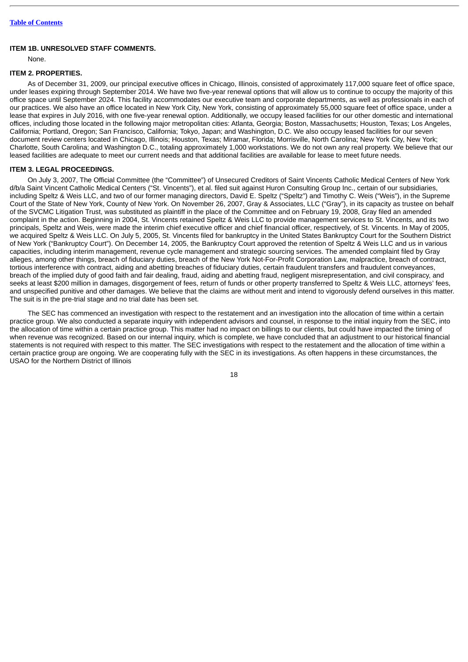# <span id="page-19-0"></span>**ITEM 1B. UNRESOLVED STAFF COMMENTS.**

None.

#### <span id="page-19-1"></span>**ITEM 2. PROPERTIES.**

As of December 31, 2009, our principal executive offices in Chicago, Illinois, consisted of approximately 117,000 square feet of office space, under leases expiring through September 2014. We have two five-year renewal options that will allow us to continue to occupy the majority of this office space until September 2024. This facility accommodates our executive team and corporate departments, as well as professionals in each of our practices. We also have an office located in New York City, New York, consisting of approximately 55,000 square feet of office space, under a lease that expires in July 2016, with one five-year renewal option. Additionally, we occupy leased facilities for our other domestic and international offices, including those located in the following major metropolitan cities: Atlanta, Georgia; Boston, Massachusetts; Houston, Texas; Los Angeles, California; Portland, Oregon; San Francisco, California; Tokyo, Japan; and Washington, D.C. We also occupy leased facilities for our seven document review centers located in Chicago, Illinois; Houston, Texas; Miramar, Florida; Morrisville, North Carolina; New York City, New York; Charlotte, South Carolina; and Washington D.C., totaling approximately 1,000 workstations. We do not own any real property. We believe that our leased facilities are adequate to meet our current needs and that additional facilities are available for lease to meet future needs.

# <span id="page-19-2"></span>**ITEM 3. LEGAL PROCEEDINGS.**

On July 3, 2007, The Official Committee (the "Committee") of Unsecured Creditors of Saint Vincents Catholic Medical Centers of New York d/b/a Saint Vincent Catholic Medical Centers ("St. Vincents"), et al. filed suit against Huron Consulting Group Inc., certain of our subsidiaries, including Speltz & Weis LLC, and two of our former managing directors, David E. Speltz ("Speltz") and Timothy C. Weis ("Weis"), in the Supreme Court of the State of New York, County of New York. On November 26, 2007, Gray & Associates, LLC ("Gray"), in its capacity as trustee on behalf of the SVCMC Litigation Trust, was substituted as plaintiff in the place of the Committee and on February 19, 2008, Gray filed an amended complaint in the action. Beginning in 2004, St. Vincents retained Speltz & Weis LLC to provide management services to St. Vincents, and its two principals, Speltz and Weis, were made the interim chief executive officer and chief financial officer, respectively, of St. Vincents. In May of 2005, we acquired Speltz & Weis LLC. On July 5, 2005, St. Vincents filed for bankruptcy in the United States Bankruptcy Court for the Southern District of New York ("Bankruptcy Court"). On December 14, 2005, the Bankruptcy Court approved the retention of Speltz & Weis LLC and us in various capacities, including interim management, revenue cycle management and strategic sourcing services. The amended complaint filed by Gray alleges, among other things, breach of fiduciary duties, breach of the New York Not-For-Profit Corporation Law, malpractice, breach of contract, tortious interference with contract, aiding and abetting breaches of fiduciary duties, certain fraudulent transfers and fraudulent conveyances, breach of the implied duty of good faith and fair dealing, fraud, aiding and abetting fraud, negligent misrepresentation, and civil conspiracy, and seeks at least \$200 million in damages, disgorgement of fees, return of funds or other property transferred to Speltz & Weis LLC, attorneys' fees, and unspecified punitive and other damages. We believe that the claims are without merit and intend to vigorously defend ourselves in this matter. The suit is in the pre-trial stage and no trial date has been set.

The SEC has commenced an investigation with respect to the restatement and an investigation into the allocation of time within a certain practice group. We also conducted a separate inquiry with independent advisors and counsel, in response to the initial inquiry from the SEC, into the allocation of time within a certain practice group. This matter had no impact on billings to our clients, but could have impacted the timing of when revenue was recognized. Based on our internal inquiry, which is complete, we have concluded that an adjustment to our historical financial statements is not required with respect to this matter. The SEC investigations with respect to the restatement and the allocation of time within a certain practice group are ongoing. We are cooperating fully with the SEC in its investigations. As often happens in these circumstances, the USAO for the Northern District of Illinois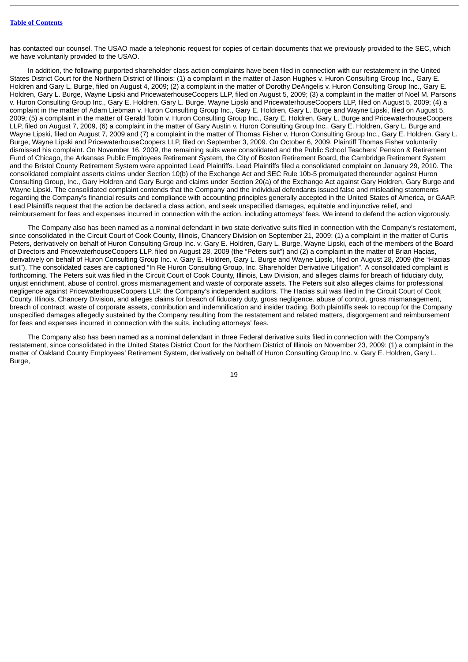has contacted our counsel. The USAO made a telephonic request for copies of certain documents that we previously provided to the SEC, which we have voluntarily provided to the USAO.

In addition, the following purported shareholder class action complaints have been filed in connection with our restatement in the United States District Court for the Northern District of Illinois: (1) a complaint in the matter of Jason Hughes v. Huron Consulting Group Inc., Gary E. Holdren and Gary L. Burge, filed on August 4, 2009; (2) a complaint in the matter of Dorothy DeAngelis v. Huron Consulting Group Inc., Gary E. Holdren, Gary L. Burge, Wayne Lipski and PricewaterhouseCoopers LLP, filed on August 5, 2009; (3) a complaint in the matter of Noel M. Parsons v. Huron Consulting Group Inc., Gary E. Holdren, Gary L. Burge, Wayne Lipski and PricewaterhouseCoopers LLP, filed on August 5, 2009; (4) a complaint in the matter of Adam Liebman v. Huron Consulting Group Inc., Gary E. Holdren, Gary L. Burge and Wayne Lipski, filed on August 5, 2009; (5) a complaint in the matter of Gerald Tobin v. Huron Consulting Group Inc., Gary E. Holdren, Gary L. Burge and PricewaterhouseCoopers LLP, filed on August 7, 2009, (6) a complaint in the matter of Gary Austin v. Huron Consulting Group Inc., Gary E. Holdren, Gary L. Burge and Wayne Lipski, filed on August 7, 2009 and (7) a complaint in the matter of Thomas Fisher v. Huron Consulting Group Inc., Gary E. Holdren, Gary L. Burge, Wayne Lipski and PricewaterhouseCoopers LLP, filed on September 3, 2009. On October 6, 2009, Plaintiff Thomas Fisher voluntarily dismissed his complaint. On November 16, 2009, the remaining suits were consolidated and the Public School Teachers' Pension & Retirement Fund of Chicago, the Arkansas Public Employees Retirement System, the City of Boston Retirement Board, the Cambridge Retirement System and the Bristol County Retirement System were appointed Lead Plaintiffs. Lead Plaintiffs filed a consolidated complaint on January 29, 2010. The consolidated complaint asserts claims under Section 10(b) of the Exchange Act and SEC Rule 10b-5 promulgated thereunder against Huron Consulting Group, Inc., Gary Holdren and Gary Burge and claims under Section 20(a) of the Exchange Act against Gary Holdren, Gary Burge and Wayne Lipski. The consolidated complaint contends that the Company and the individual defendants issued false and misleading statements regarding the Company's financial results and compliance with accounting principles generally accepted in the United States of America, or GAAP. Lead Plaintiffs request that the action be declared a class action, and seek unspecified damages, equitable and injunctive relief, and reimbursement for fees and expenses incurred in connection with the action, including attorneys' fees. We intend to defend the action vigorously.

The Company also has been named as a nominal defendant in two state derivative suits filed in connection with the Company's restatement, since consolidated in the Circuit Court of Cook County, Illinois, Chancery Division on September 21, 2009: (1) a complaint in the matter of Curtis Peters, derivatively on behalf of Huron Consulting Group Inc. v. Gary E. Holdren, Gary L. Burge, Wayne Lipski, each of the members of the Board of Directors and PricewaterhouseCoopers LLP, filed on August 28, 2009 (the "Peters suit") and (2) a complaint in the matter of Brian Hacias, derivatively on behalf of Huron Consulting Group Inc. v. Gary E. Holdren, Gary L. Burge and Wayne Lipski, filed on August 28, 2009 (the "Hacias suit"). The consolidated cases are captioned "In Re Huron Consulting Group, Inc. Shareholder Derivative Litigation". A consolidated complaint is forthcoming. The Peters suit was filed in the Circuit Court of Cook County, Illinois, Law Division, and alleges claims for breach of fiduciary duty, unjust enrichment, abuse of control, gross mismanagement and waste of corporate assets. The Peters suit also alleges claims for professional negligence against PricewaterhouseCoopers LLP, the Company's independent auditors. The Hacias suit was filed in the Circuit Court of Cook County, Illinois, Chancery Division, and alleges claims for breach of fiduciary duty, gross negligence, abuse of control, gross mismanagement, breach of contract, waste of corporate assets, contribution and indemnification and insider trading. Both plaintiffs seek to recoup for the Company unspecified damages allegedly sustained by the Company resulting from the restatement and related matters, disgorgement and reimbursement for fees and expenses incurred in connection with the suits, including attorneys' fees.

The Company also has been named as a nominal defendant in three Federal derivative suits filed in connection with the Company's restatement, since consolidated in the United States District Court for the Northern District of Illinois on November 23, 2009: (1) a complaint in the matter of Oakland County Employees' Retirement System, derivatively on behalf of Huron Consulting Group Inc. v. Gary E. Holdren, Gary L. Burge,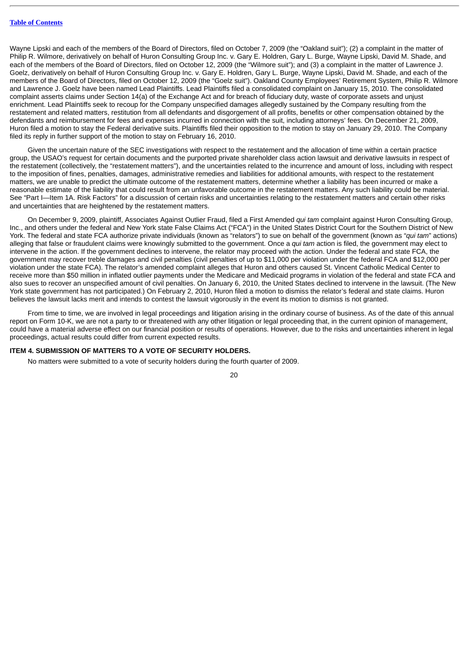Wayne Lipski and each of the members of the Board of Directors, filed on October 7, 2009 (the "Oakland suit"); (2) a complaint in the matter of Philip R. Wilmore, derivatively on behalf of Huron Consulting Group Inc. v. Gary E. Holdren, Gary L. Burge, Wayne Lipski, David M. Shade, and each of the members of the Board of Directors, filed on October 12, 2009 (the "Wilmore suit"); and (3) a complaint in the matter of Lawrence J. Goelz, derivatively on behalf of Huron Consulting Group Inc. v. Gary E. Holdren, Gary L. Burge, Wayne Lipski, David M. Shade, and each of the members of the Board of Directors, filed on October 12, 2009 (the "Goelz suit"). Oakland County Employees' Retirement System, Philip R. Wilmore and Lawrence J. Goelz have been named Lead Plaintiffs. Lead Plaintiffs filed a consolidated complaint on January 15, 2010. The consolidated complaint asserts claims under Section 14(a) of the Exchange Act and for breach of fiduciary duty, waste of corporate assets and unjust enrichment. Lead Plaintiffs seek to recoup for the Company unspecified damages allegedly sustained by the Company resulting from the restatement and related matters, restitution from all defendants and disgorgement of all profits, benefits or other compensation obtained by the defendants and reimbursement for fees and expenses incurred in connection with the suit, including attorneys' fees. On December 21, 2009, Huron filed a motion to stay the Federal derivative suits. Plaintiffs filed their opposition to the motion to stay on January 29, 2010. The Company filed its reply in further support of the motion to stay on February 16, 2010.

Given the uncertain nature of the SEC investigations with respect to the restatement and the allocation of time within a certain practice group, the USAO's request for certain documents and the purported private shareholder class action lawsuit and derivative lawsuits in respect of the restatement (collectively, the "restatement matters"), and the uncertainties related to the incurrence and amount of loss, including with respect to the imposition of fines, penalties, damages, administrative remedies and liabilities for additional amounts, with respect to the restatement matters, we are unable to predict the ultimate outcome of the restatement matters, determine whether a liability has been incurred or make a reasonable estimate of the liability that could result from an unfavorable outcome in the restatement matters. Any such liability could be material. See "Part I—Item 1A. Risk Factors" for a discussion of certain risks and uncertainties relating to the restatement matters and certain other risks and uncertainties that are heightened by the restatement matters.

On December 9, 2009, plaintiff, Associates Against Outlier Fraud, filed a First Amended *qui tam* complaint against Huron Consulting Group, Inc., and others under the federal and New York state False Claims Act ("FCA") in the United States District Court for the Southern District of New York. The federal and state FCA authorize private individuals (known as "relators") to sue on behalf of the government (known as "*qui tam*" actions) alleging that false or fraudulent claims were knowingly submitted to the government. Once a *qui tam* action is filed, the government may elect to intervene in the action. If the government declines to intervene, the relator may proceed with the action. Under the federal and state FCA, the government may recover treble damages and civil penalties (civil penalties of up to \$11,000 per violation under the federal FCA and \$12,000 per violation under the state FCA). The relator's amended complaint alleges that Huron and others caused St. Vincent Catholic Medical Center to receive more than \$50 million in inflated outlier payments under the Medicare and Medicaid programs in violation of the federal and state FCA and also sues to recover an unspecified amount of civil penalties. On January 6, 2010, the United States declined to intervene in the lawsuit. (The New York state government has not participated.) On February 2, 2010, Huron filed a motion to dismiss the relator's federal and state claims. Huron believes the lawsuit lacks merit and intends to contest the lawsuit vigorously in the event its motion to dismiss is not granted.

From time to time, we are involved in legal proceedings and litigation arising in the ordinary course of business. As of the date of this annual report on Form 10-K, we are not a party to or threatened with any other litigation or legal proceeding that, in the current opinion of management, could have a material adverse effect on our financial position or results of operations. However, due to the risks and uncertainties inherent in legal proceedings, actual results could differ from current expected results.

# <span id="page-21-0"></span>**ITEM 4. SUBMISSION OF MATTERS TO A VOTE OF SECURITY HOLDERS.**

No matters were submitted to a vote of security holders during the fourth quarter of 2009.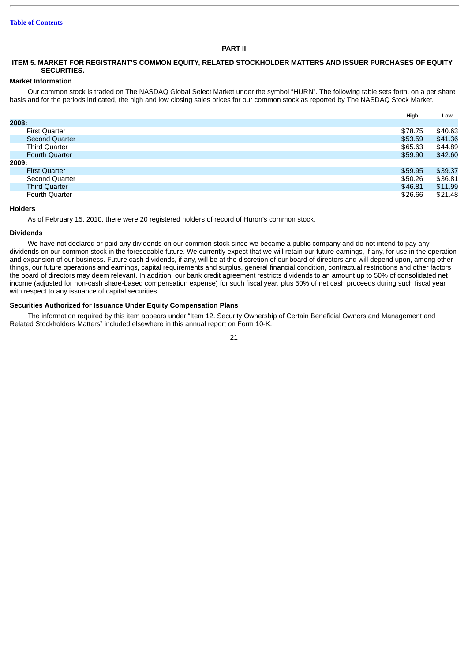# **PART II**

# <span id="page-22-1"></span><span id="page-22-0"></span>**ITEM 5. MARKET FOR REGISTRANT'S COMMON EQUITY, RELATED STOCKHOLDER MATTERS AND ISSUER PURCHASES OF EQUITY SECURITIES.**

### **Market Information**

Our common stock is traded on The NASDAQ Global Select Market under the symbol "HURN". The following table sets forth, on a per share basis and for the periods indicated, the high and low closing sales prices for our common stock as reported by The NASDAQ Stock Market.

|                       | High    | Low     |
|-----------------------|---------|---------|
| 2008:                 |         |         |
| <b>First Quarter</b>  | \$78.75 | \$40.63 |
| <b>Second Quarter</b> | \$53.59 | \$41.36 |
| Third Quarter         | \$65.63 | \$44.89 |
| Fourth Quarter        | \$59.90 | \$42.60 |
| 2009:                 |         |         |
| <b>First Quarter</b>  | \$59.95 | \$39.37 |
| Second Quarter        | \$50.26 | \$36.81 |
| <b>Third Quarter</b>  | \$46.81 | \$11.99 |
| Fourth Quarter        | \$26.66 | \$21.48 |

#### **Holders**

As of February 15, 2010, there were 20 registered holders of record of Huron's common stock.

#### **Dividends**

We have not declared or paid any dividends on our common stock since we became a public company and do not intend to pay any dividends on our common stock in the foreseeable future. We currently expect that we will retain our future earnings, if any, for use in the operation and expansion of our business. Future cash dividends, if any, will be at the discretion of our board of directors and will depend upon, among other things, our future operations and earnings, capital requirements and surplus, general financial condition, contractual restrictions and other factors the board of directors may deem relevant. In addition, our bank credit agreement restricts dividends to an amount up to 50% of consolidated net income (adjusted for non-cash share-based compensation expense) for such fiscal year, plus 50% of net cash proceeds during such fiscal year with respect to any issuance of capital securities.

# **Securities Authorized for Issuance Under Equity Compensation Plans**

The information required by this item appears under "Item 12. Security Ownership of Certain Beneficial Owners and Management and Related Stockholders Matters" included elsewhere in this annual report on Form 10-K.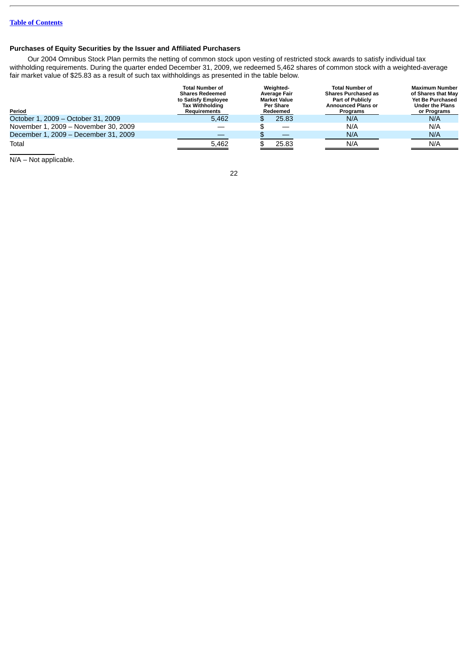# **Purchases of Equity Securities by the Issuer and Affiliated Purchasers**

Our 2004 Omnibus Stock Plan permits the netting of common stock upon vesting of restricted stock awards to satisfy individual tax withholding requirements. During the quarter ended December 31, 2009, we redeemed 5,462 shares of common stock with a weighted-average fair market value of \$25.83 as a result of such tax withholdings as presented in the table below.

| Period                               | <b>Total Number of</b><br><b>Shares Redeemed</b><br>to Satisfy Employee<br><b>Tax Withholding</b><br>Requirements | Weighted-<br>Average Fair<br><b>Market Value</b><br><b>Per Share</b><br>Redeemed | <b>Total Number of</b><br><b>Shares Purchased as</b><br><b>Part of Publicly</b><br><b>Announced Plans or</b><br>Programs | <b>Maximum Number</b><br>of Shares that May<br><b>Yet Be Purchased</b><br><b>Under the Plans</b><br>or Programs |
|--------------------------------------|-------------------------------------------------------------------------------------------------------------------|----------------------------------------------------------------------------------|--------------------------------------------------------------------------------------------------------------------------|-----------------------------------------------------------------------------------------------------------------|
| October 1, 2009 - October 31, 2009   | 5.462                                                                                                             | 25.83                                                                            | N/A                                                                                                                      | N/A                                                                                                             |
| November 1, 2009 - November 30, 2009 |                                                                                                                   |                                                                                  | N/A                                                                                                                      | N/A                                                                                                             |
| December 1, 2009 - December 31, 2009 |                                                                                                                   |                                                                                  | N/A                                                                                                                      | N/A                                                                                                             |
| Total                                | 5.462                                                                                                             | 25.83                                                                            | N/A                                                                                                                      | N/A                                                                                                             |

N/A – Not applicable.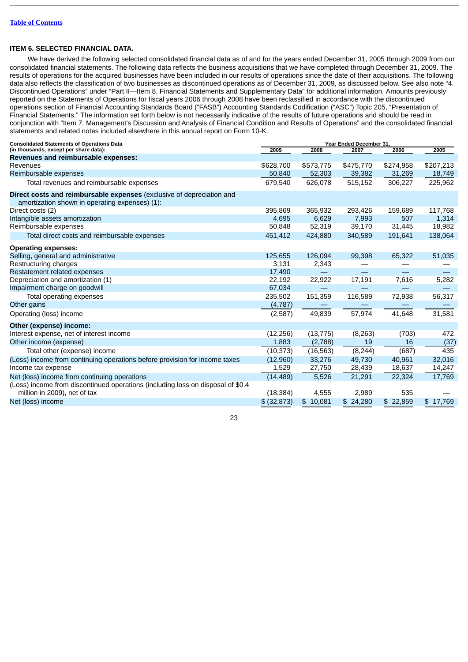# <span id="page-24-0"></span>**ITEM 6. SELECTED FINANCIAL DATA.**

We have derived the following selected consolidated financial data as of and for the years ended December 31, 2005 through 2009 from our consolidated financial statements. The following data reflects the business acquisitions that we have completed through December 31, 2009. The results of operations for the acquired businesses have been included in our results of operations since the date of their acquisitions. The following data also reflects the classification of two businesses as discontinued operations as of December 31, 2009, as discussed below. See also note "4. Discontinued Operations" under "Part II—Item 8. Financial Statements and Supplementary Data" for additional information. Amounts previously reported on the Statements of Operations for fiscal years 2006 through 2008 have been reclassified in accordance with the discontinued operations section of Financial Accounting Standards Board ("FASB") Accounting Standards Codification ("ASC") Topic 205, "Presentation of Financial Statements." The information set forth below is not necessarily indicative of the results of future operations and should be read in conjunction with "Item 7. Management's Discussion and Analysis of Financial Condition and Results of Operations" and the consolidated financial statements and related notes included elsewhere in this annual report on Form 10-K.

| <b>Consolidated Statements of Operations Data</b>                                                                       | Year Ended December 31, |           |           |           |           |  |  |  |  |
|-------------------------------------------------------------------------------------------------------------------------|-------------------------|-----------|-----------|-----------|-----------|--|--|--|--|
| (in thousands, except per share data):                                                                                  | 2009                    | 2008      | 2007      | 2006      | 2005      |  |  |  |  |
| Revenues and reimbursable expenses:                                                                                     |                         |           |           |           |           |  |  |  |  |
| Revenues                                                                                                                | \$628,700               | \$573,775 | \$475,770 | \$274,958 | \$207,213 |  |  |  |  |
| Reimbursable expenses                                                                                                   | 50,840                  | 52,303    | 39,382    | 31,269    | 18,749    |  |  |  |  |
| Total revenues and reimbursable expenses                                                                                | 679.540                 | 626.078   | 515.152   | 306.227   | 225,962   |  |  |  |  |
| Direct costs and reimbursable expenses (exclusive of depreciation and<br>amortization shown in operating expenses) (1): |                         |           |           |           |           |  |  |  |  |
| Direct costs (2)                                                                                                        | 395,869                 | 365,932   | 293,426   | 159,689   | 117,768   |  |  |  |  |
| Intangible assets amortization                                                                                          | 4.695                   | 6.629     | 7.993     | 507       | 1.314     |  |  |  |  |
| Reimbursable expenses                                                                                                   | 50,848                  | 52,319    | 39,170    | 31,445    | 18,982    |  |  |  |  |
| Total direct costs and reimbursable expenses                                                                            | 451,412                 | 424,880   | 340,589   | 191,641   | 138,064   |  |  |  |  |
| <b>Operating expenses:</b>                                                                                              |                         |           |           |           |           |  |  |  |  |
| Selling, general and administrative                                                                                     | 125,655                 | 126,094   | 99.398    | 65,322    | 51,035    |  |  |  |  |
| Restructuring charges                                                                                                   | 3,131                   | 2,343     |           |           |           |  |  |  |  |
| Restatement related expenses                                                                                            | 17,490                  |           |           |           |           |  |  |  |  |
| Depreciation and amortization (1)                                                                                       | 22,192                  | 22,922    | 17,191    | 7,616     | 5,282     |  |  |  |  |
| Impairment charge on goodwill                                                                                           | 67,034                  |           |           |           |           |  |  |  |  |
| Total operating expenses                                                                                                | 235,502                 | 151,359   | 116,589   | 72,938    | 56,317    |  |  |  |  |
| Other gains                                                                                                             | (4, 787)                |           |           |           |           |  |  |  |  |
| Operating (loss) income                                                                                                 | (2,587)                 | 49,839    | 57,974    | 41.648    | 31,581    |  |  |  |  |
| Other (expense) income:                                                                                                 |                         |           |           |           |           |  |  |  |  |
| Interest expense, net of interest income                                                                                | (12, 256)               | (13, 775) | (8, 263)  | (703)     | 472       |  |  |  |  |
| Other income (expense)                                                                                                  | 1,883                   | (2,788)   | 19        | 16        | (37)      |  |  |  |  |
| Total other (expense) income                                                                                            | (10, 373)               | (16, 563) | (8, 244)  | (687)     | 435       |  |  |  |  |
| (Loss) income from continuing operations before provision for income taxes                                              | (12,960)                | 33,276    | 49,730    | 40,961    | 32,016    |  |  |  |  |
| Income tax expense                                                                                                      | 1,529                   | 27,750    | 28,439    | 18,637    | 14,247    |  |  |  |  |
| Net (loss) income from continuing operations                                                                            | (14, 489)               | 5,526     | 21,291    | 22,324    | 17,769    |  |  |  |  |
| (Loss) income from discontinued operations (including loss on disposal of \$0.4                                         |                         |           |           |           |           |  |  |  |  |
| million in 2009), net of tax                                                                                            | (18, 384)               | 4,555     | 2,989     | 535       |           |  |  |  |  |
| Net (loss) income                                                                                                       | \$ (32, 873)            | \$10,081  | \$24,280  | \$22,859  | \$17,769  |  |  |  |  |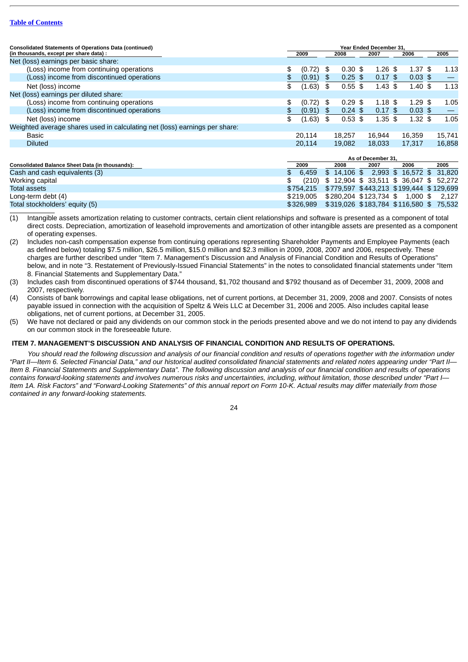#### **Table of [Contents](#page-1-0)**

| <b>Consolidated Statements of Operations Data (continued)</b>              |    |        |     |           | <b>Year Ended December 31.</b> |    |                    |                   |
|----------------------------------------------------------------------------|----|--------|-----|-----------|--------------------------------|----|--------------------|-------------------|
| (in thousands, except per share data) :                                    |    | 2009   |     | 2008      | 2007                           |    | 2006               | 2005              |
| Net (loss) earnings per basic share:                                       |    |        |     |           |                                |    |                    |                   |
| (Loss) income from continuing operations                                   | \$ | (0.72) | \$  | $0.30$ \$ | 1.26                           | -S | $1.37$ \$          | 1.13              |
| (Loss) income from discontinued operations                                 | \$ | (0.91) | \$  | $0.25$ \$ | $0.17$ \$                      |    | $0.03$ \$          |                   |
| Net (loss) income                                                          | \$ | (1.63) | \$  | $0.55$ \$ | $1.43 \text{ }$ \$             |    | $1.40 \text{ }$ \$ | 1.13              |
| Net (loss) earnings per diluted share:                                     |    |        |     |           |                                |    |                    |                   |
| (Loss) income from continuing operations                                   | \$ | (0.72) | \$  | $0.29$ \$ | $1.18$ \$                      |    | $1.29$ \$          | 1.05              |
| (Loss) income from discontinued operations                                 | \$ | (0.91) | \$. | $0.24$ \$ | $0.17$ \$                      |    | $0.03$ \$          | $\hspace{0.05cm}$ |
| Net (loss) income                                                          | \$ | (1.63) | \$. | 0.53      | \$<br>1.35                     | \$ | $1.32$ \$          | 1.05              |
| Weighted average shares used in calculating net (loss) earnings per share: |    |        |     |           |                                |    |                    |                   |
| <b>Basic</b>                                                               |    | 20.114 |     | 18.257    | 16.944                         |    | 16.359             | 15.741            |
| <b>Diluted</b>                                                             |    | 20.114 |     | 19.082    | 18.033                         |    | 17.317             | 16.858            |
|                                                                            |    |        |     |           |                                |    |                    |                   |

|                                                        | As of December 31. |      |      |  |                                                    |  |      |  |      |
|--------------------------------------------------------|--------------------|------|------|--|----------------------------------------------------|--|------|--|------|
| <b>Consolidated Balance Sheet Data (in thousands):</b> |                    | 2009 | 2008 |  | 2007                                               |  | 2006 |  | 2005 |
| Cash and cash equivalents (3)                          |                    |      |      |  | 6.459 \$14.106 \$2.993 \$16.572 \$31.820           |  |      |  |      |
| Working capital                                        |                    |      |      |  | $(210)$ \$ 12,904 \$ 33,511 \$ 36,047 \$ 52,272    |  |      |  |      |
| Total assets                                           |                    |      |      |  | \$754,215 \$779,597 \$443,213 \$199,444 \$129,699  |  |      |  |      |
| Long-term debt (4)                                     |                    |      |      |  | $$219,005$ $$280,204$ $$123,734$ $$1,000$ $$2,127$ |  |      |  |      |
| Total stockholders' equity (5)                         |                    |      |      |  | \$326,989 \$319,026 \$183,784 \$116,580 \$75,532   |  |      |  |      |

(1) Intangible assets amortization relating to customer contracts, certain client relationships and software is presented as a component of total direct costs. Depreciation, amortization of leasehold improvements and amortization of other intangible assets are presented as a component of operating expenses.

- (2) Includes non-cash compensation expense from continuing operations representing Shareholder Payments and Employee Payments (each as defined below) totaling \$7.5 million, \$26.5 million, \$15.0 million and \$2.3 million in 2009, 2008, 2007 and 2006, respectively. These charges are further described under "Item 7. Management's Discussion and Analysis of Financial Condition and Results of Operations" below, and in note "3. Restatement of Previously-Issued Financial Statements" in the notes to consolidated financial statements under "Item 8. Financial Statements and Supplementary Data."
- (3) Includes cash from discontinued operations of \$744 thousand, \$1,702 thousand and \$792 thousand as of December 31, 2009, 2008 and 2007, respectively.

(4) Consists of bank borrowings and capital lease obligations, net of current portions, at December 31, 2009, 2008 and 2007. Consists of notes payable issued in connection with the acquisition of Speltz & Weis LLC at December 31, 2006 and 2005. Also includes capital lease obligations, net of current portions, at December 31, 2005.

(5) We have not declared or paid any dividends on our common stock in the periods presented above and we do not intend to pay any dividends on our common stock in the foreseeable future.

# <span id="page-25-0"></span>**ITEM 7. MANAGEMENT'S DISCUSSION AND ANALYSIS OF FINANCIAL CONDITION AND RESULTS OF OPERATIONS.**

*You should read the following discussion and analysis of our financial condition and results of operations together with the information under "Part II—Item 6. Selected Financial Data," and our historical audited consolidated financial statements and related notes appearing under "Part II— Item 8. Financial Statements and Supplementary Data". The following discussion and analysis of our financial condition and results of operations contains forward-looking statements and involves numerous risks and uncertainties, including, without limitation, those described under "Part I— Item 1A. Risk Factors" and "Forward-Looking Statements" of this annual report on Form 10-K. Actual results may differ materially from those contained in any forward-looking statements.*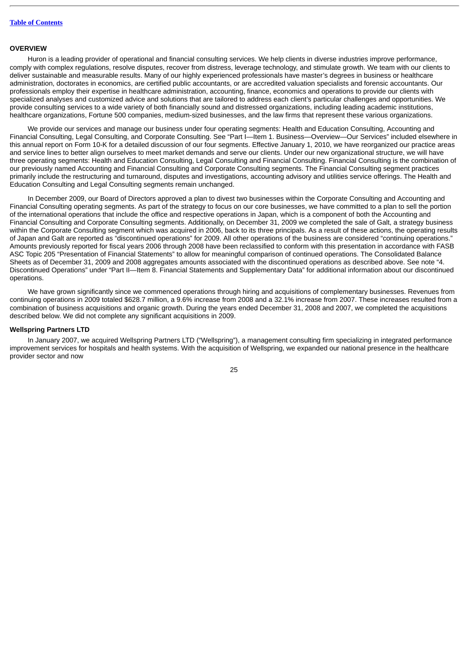#### **OVERVIEW**

Huron is a leading provider of operational and financial consulting services. We help clients in diverse industries improve performance, comply with complex regulations, resolve disputes, recover from distress, leverage technology, and stimulate growth. We team with our clients to deliver sustainable and measurable results. Many of our highly experienced professionals have master's degrees in business or healthcare administration, doctorates in economics, are certified public accountants, or are accredited valuation specialists and forensic accountants. Our professionals employ their expertise in healthcare administration, accounting, finance, economics and operations to provide our clients with specialized analyses and customized advice and solutions that are tailored to address each client's particular challenges and opportunities. We provide consulting services to a wide variety of both financially sound and distressed organizations, including leading academic institutions, healthcare organizations, Fortune 500 companies, medium-sized businesses, and the law firms that represent these various organizations.

We provide our services and manage our business under four operating segments: Health and Education Consulting, Accounting and Financial Consulting, Legal Consulting, and Corporate Consulting. See "Part I—Item 1. Business—Overview—Our Services" included elsewhere in this annual report on Form 10-K for a detailed discussion of our four segments. Effective January 1, 2010, we have reorganized our practice areas and service lines to better align ourselves to meet market demands and serve our clients. Under our new organizational structure, we will have three operating segments: Health and Education Consulting, Legal Consulting and Financial Consulting. Financial Consulting is the combination of our previously named Accounting and Financial Consulting and Corporate Consulting segments. The Financial Consulting segment practices primarily include the restructuring and turnaround, disputes and investigations, accounting advisory and utilities service offerings. The Health and Education Consulting and Legal Consulting segments remain unchanged.

In December 2009, our Board of Directors approved a plan to divest two businesses within the Corporate Consulting and Accounting and Financial Consulting operating segments. As part of the strategy to focus on our core businesses, we have committed to a plan to sell the portion of the international operations that include the office and respective operations in Japan, which is a component of both the Accounting and Financial Consulting and Corporate Consulting segments. Additionally, on December 31, 2009 we completed the sale of Galt, a strategy business within the Corporate Consulting segment which was acquired in 2006, back to its three principals. As a result of these actions, the operating results of Japan and Galt are reported as "discontinued operations" for 2009. All other operations of the business are considered "continuing operations." Amounts previously reported for fiscal years 2006 through 2008 have been reclassified to conform with this presentation in accordance with FASB ASC Topic 205 "Presentation of Financial Statements" to allow for meaningful comparison of continued operations. The Consolidated Balance Sheets as of December 31, 2009 and 2008 aggregates amounts associated with the discontinued operations as described above. See note "4. Discontinued Operations" under "Part II—Item 8. Financial Statements and Supplementary Data" for additional information about our discontinued operations.

We have grown significantly since we commenced operations through hiring and acquisitions of complementary businesses. Revenues from continuing operations in 2009 totaled \$628.7 million, a 9.6% increase from 2008 and a 32.1% increase from 2007. These increases resulted from a combination of business acquisitions and organic growth. During the years ended December 31, 2008 and 2007, we completed the acquisitions described below. We did not complete any significant acquisitions in 2009.

#### **Wellspring Partners LTD**

In January 2007, we acquired Wellspring Partners LTD ("Wellspring"), a management consulting firm specializing in integrated performance improvement services for hospitals and health systems. With the acquisition of Wellspring, we expanded our national presence in the healthcare provider sector and now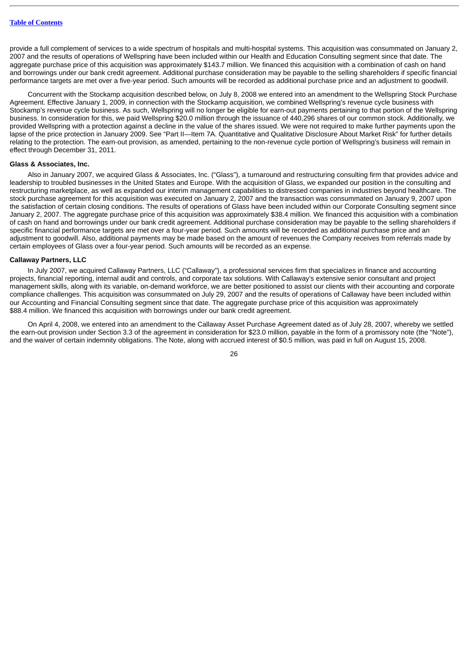provide a full complement of services to a wide spectrum of hospitals and multi-hospital systems. This acquisition was consummated on January 2, 2007 and the results of operations of Wellspring have been included within our Health and Education Consulting segment since that date. The aggregate purchase price of this acquisition was approximately \$143.7 million. We financed this acquisition with a combination of cash on hand and borrowings under our bank credit agreement. Additional purchase consideration may be payable to the selling shareholders if specific financial performance targets are met over a five-year period. Such amounts will be recorded as additional purchase price and an adjustment to goodwill.

Concurrent with the Stockamp acquisition described below, on July 8, 2008 we entered into an amendment to the Wellspring Stock Purchase Agreement. Effective January 1, 2009, in connection with the Stockamp acquisition, we combined Wellspring's revenue cycle business with Stockamp's revenue cycle business. As such, Wellspring will no longer be eligible for earn-out payments pertaining to that portion of the Wellspring business. In consideration for this, we paid Wellspring \$20.0 million through the issuance of 440,296 shares of our common stock. Additionally, we provided Wellspring with a protection against a decline in the value of the shares issued. We were not required to make further payments upon the lapse of the price protection in January 2009. See "Part II—Item 7A. Quantitative and Qualitative Disclosure About Market Risk" for further details relating to the protection. The earn-out provision, as amended, pertaining to the non-revenue cycle portion of Wellspring's business will remain in effect through December 31, 2011.

#### **Glass & Associates, Inc.**

Also in January 2007, we acquired Glass & Associates, Inc. ("Glass"), a turnaround and restructuring consulting firm that provides advice and leadership to troubled businesses in the United States and Europe. With the acquisition of Glass, we expanded our position in the consulting and restructuring marketplace, as well as expanded our interim management capabilities to distressed companies in industries beyond healthcare. The stock purchase agreement for this acquisition was executed on January 2, 2007 and the transaction was consummated on January 9, 2007 upon the satisfaction of certain closing conditions. The results of operations of Glass have been included within our Corporate Consulting segment since January 2, 2007. The aggregate purchase price of this acquisition was approximately \$38.4 million. We financed this acquisition with a combination of cash on hand and borrowings under our bank credit agreement. Additional purchase consideration may be payable to the selling shareholders if specific financial performance targets are met over a four-year period. Such amounts will be recorded as additional purchase price and an adjustment to goodwill. Also, additional payments may be made based on the amount of revenues the Company receives from referrals made by certain employees of Glass over a four-year period. Such amounts will be recorded as an expense.

#### **Callaway Partners, LLC**

In July 2007, we acquired Callaway Partners, LLC ("Callaway"), a professional services firm that specializes in finance and accounting projects, financial reporting, internal audit and controls, and corporate tax solutions. With Callaway's extensive senior consultant and project management skills, along with its variable, on-demand workforce, we are better positioned to assist our clients with their accounting and corporate compliance challenges. This acquisition was consummated on July 29, 2007 and the results of operations of Callaway have been included within our Accounting and Financial Consulting segment since that date. The aggregate purchase price of this acquisition was approximately \$88.4 million. We financed this acquisition with borrowings under our bank credit agreement.

On April 4, 2008, we entered into an amendment to the Callaway Asset Purchase Agreement dated as of July 28, 2007, whereby we settled the earn-out provision under Section 3.3 of the agreement in consideration for \$23.0 million, payable in the form of a promissory note (the "Note"), and the waiver of certain indemnity obligations. The Note, along with accrued interest of \$0.5 million, was paid in full on August 15, 2008.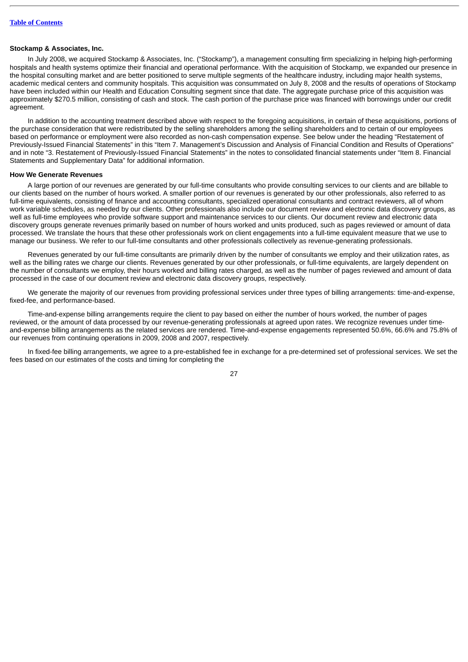# **Stockamp & Associates, Inc.**

In July 2008, we acquired Stockamp & Associates, Inc. ("Stockamp"), a management consulting firm specializing in helping high-performing hospitals and health systems optimize their financial and operational performance. With the acquisition of Stockamp, we expanded our presence in the hospital consulting market and are better positioned to serve multiple segments of the healthcare industry, including major health systems, academic medical centers and community hospitals. This acquisition was consummated on July 8, 2008 and the results of operations of Stockamp have been included within our Health and Education Consulting segment since that date. The aggregate purchase price of this acquisition was approximately \$270.5 million, consisting of cash and stock. The cash portion of the purchase price was financed with borrowings under our credit agreement.

In addition to the accounting treatment described above with respect to the foregoing acquisitions, in certain of these acquisitions, portions of the purchase consideration that were redistributed by the selling shareholders among the selling shareholders and to certain of our employees based on performance or employment were also recorded as non-cash compensation expense. See below under the heading "Restatement of Previously-Issued Financial Statements" in this "Item 7. Management's Discussion and Analysis of Financial Condition and Results of Operations" and in note "3. Restatement of Previously-Issued Financial Statements" in the notes to consolidated financial statements under "Item 8. Financial Statements and Supplementary Data" for additional information.

#### **How We Generate Revenues**

A large portion of our revenues are generated by our full-time consultants who provide consulting services to our clients and are billable to our clients based on the number of hours worked. A smaller portion of our revenues is generated by our other professionals, also referred to as full-time equivalents, consisting of finance and accounting consultants, specialized operational consultants and contract reviewers, all of whom work variable schedules, as needed by our clients. Other professionals also include our document review and electronic data discovery groups, as well as full-time employees who provide software support and maintenance services to our clients. Our document review and electronic data discovery groups generate revenues primarily based on number of hours worked and units produced, such as pages reviewed or amount of data processed. We translate the hours that these other professionals work on client engagements into a full-time equivalent measure that we use to manage our business. We refer to our full-time consultants and other professionals collectively as revenue-generating professionals.

Revenues generated by our full-time consultants are primarily driven by the number of consultants we employ and their utilization rates, as well as the billing rates we charge our clients. Revenues generated by our other professionals, or full-time equivalents, are largely dependent on the number of consultants we employ, their hours worked and billing rates charged, as well as the number of pages reviewed and amount of data processed in the case of our document review and electronic data discovery groups, respectively.

We generate the majority of our revenues from providing professional services under three types of billing arrangements: time-and-expense, fixed-fee, and performance-based.

Time-and-expense billing arrangements require the client to pay based on either the number of hours worked, the number of pages reviewed, or the amount of data processed by our revenue-generating professionals at agreed upon rates. We recognize revenues under timeand-expense billing arrangements as the related services are rendered. Time-and-expense engagements represented 50.6%, 66.6% and 75.8% of our revenues from continuing operations in 2009, 2008 and 2007, respectively.

In fixed-fee billing arrangements, we agree to a pre-established fee in exchange for a pre-determined set of professional services. We set the fees based on our estimates of the costs and timing for completing the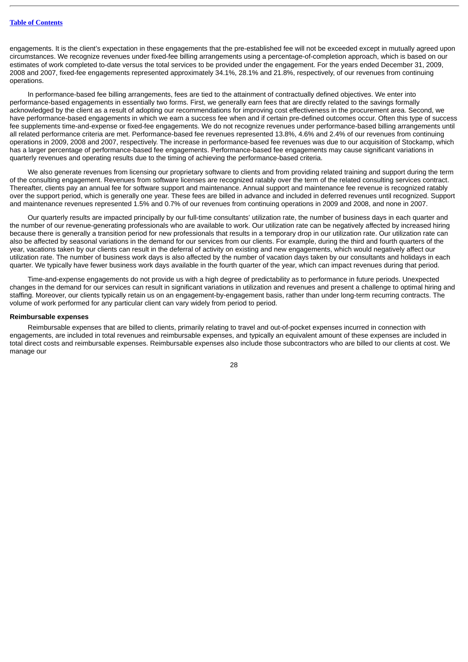engagements. It is the client's expectation in these engagements that the pre-established fee will not be exceeded except in mutually agreed upon circumstances. We recognize revenues under fixed-fee billing arrangements using a percentage-of-completion approach, which is based on our estimates of work completed to-date versus the total services to be provided under the engagement. For the years ended December 31, 2009, 2008 and 2007, fixed-fee engagements represented approximately 34.1%, 28.1% and 21.8%, respectively, of our revenues from continuing operations.

In performance-based fee billing arrangements, fees are tied to the attainment of contractually defined objectives. We enter into performance-based engagements in essentially two forms. First, we generally earn fees that are directly related to the savings formally acknowledged by the client as a result of adopting our recommendations for improving cost effectiveness in the procurement area. Second, we have performance-based engagements in which we earn a success fee when and if certain pre-defined outcomes occur. Often this type of success fee supplements time-and-expense or fixed-fee engagements. We do not recognize revenues under performance-based billing arrangements until all related performance criteria are met. Performance-based fee revenues represented 13.8%, 4.6% and 2.4% of our revenues from continuing operations in 2009, 2008 and 2007, respectively. The increase in performance-based fee revenues was due to our acquisition of Stockamp, which has a larger percentage of performance-based fee engagements. Performance-based fee engagements may cause significant variations in quarterly revenues and operating results due to the timing of achieving the performance-based criteria.

We also generate revenues from licensing our proprietary software to clients and from providing related training and support during the term of the consulting engagement. Revenues from software licenses are recognized ratably over the term of the related consulting services contract. Thereafter, clients pay an annual fee for software support and maintenance. Annual support and maintenance fee revenue is recognized ratably over the support period, which is generally one year. These fees are billed in advance and included in deferred revenues until recognized. Support and maintenance revenues represented 1.5% and 0.7% of our revenues from continuing operations in 2009 and 2008, and none in 2007.

Our quarterly results are impacted principally by our full-time consultants' utilization rate, the number of business days in each quarter and the number of our revenue-generating professionals who are available to work. Our utilization rate can be negatively affected by increased hiring because there is generally a transition period for new professionals that results in a temporary drop in our utilization rate. Our utilization rate can also be affected by seasonal variations in the demand for our services from our clients. For example, during the third and fourth quarters of the year, vacations taken by our clients can result in the deferral of activity on existing and new engagements, which would negatively affect our utilization rate. The number of business work days is also affected by the number of vacation days taken by our consultants and holidays in each quarter. We typically have fewer business work days available in the fourth quarter of the year, which can impact revenues during that period.

Time-and-expense engagements do not provide us with a high degree of predictability as to performance in future periods. Unexpected changes in the demand for our services can result in significant variations in utilization and revenues and present a challenge to optimal hiring and staffing. Moreover, our clients typically retain us on an engagement-by-engagement basis, rather than under long-term recurring contracts. The volume of work performed for any particular client can vary widely from period to period.

#### **Reimbursable expenses**

Reimbursable expenses that are billed to clients, primarily relating to travel and out-of-pocket expenses incurred in connection with engagements, are included in total revenues and reimbursable expenses, and typically an equivalent amount of these expenses are included in total direct costs and reimbursable expenses. Reimbursable expenses also include those subcontractors who are billed to our clients at cost. We manage our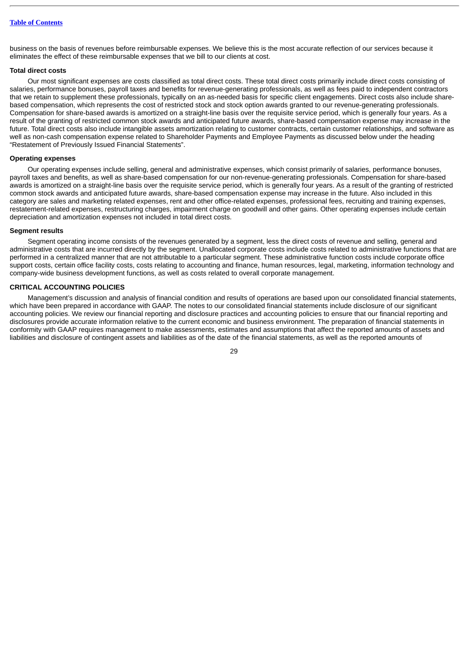business on the basis of revenues before reimbursable expenses. We believe this is the most accurate reflection of our services because it eliminates the effect of these reimbursable expenses that we bill to our clients at cost.

#### **Total direct costs**

Our most significant expenses are costs classified as total direct costs. These total direct costs primarily include direct costs consisting of salaries, performance bonuses, payroll taxes and benefits for revenue-generating professionals, as well as fees paid to independent contractors that we retain to supplement these professionals, typically on an as-needed basis for specific client engagements. Direct costs also include sharebased compensation, which represents the cost of restricted stock and stock option awards granted to our revenue-generating professionals. Compensation for share-based awards is amortized on a straight-line basis over the requisite service period, which is generally four years. As a result of the granting of restricted common stock awards and anticipated future awards, share-based compensation expense may increase in the future. Total direct costs also include intangible assets amortization relating to customer contracts, certain customer relationships, and software as well as non-cash compensation expense related to Shareholder Payments and Employee Payments as discussed below under the heading "Restatement of Previously Issued Financial Statements".

# **Operating expenses**

Our operating expenses include selling, general and administrative expenses, which consist primarily of salaries, performance bonuses, payroll taxes and benefits, as well as share-based compensation for our non-revenue-generating professionals. Compensation for share-based awards is amortized on a straight-line basis over the requisite service period, which is generally four years. As a result of the granting of restricted common stock awards and anticipated future awards, share-based compensation expense may increase in the future. Also included in this category are sales and marketing related expenses, rent and other office-related expenses, professional fees, recruiting and training expenses, restatement-related expenses, restructuring charges, impairment charge on goodwill and other gains. Other operating expenses include certain depreciation and amortization expenses not included in total direct costs.

#### **Segment results**

Segment operating income consists of the revenues generated by a segment, less the direct costs of revenue and selling, general and administrative costs that are incurred directly by the segment. Unallocated corporate costs include costs related to administrative functions that are performed in a centralized manner that are not attributable to a particular segment. These administrative function costs include corporate office support costs, certain office facility costs, costs relating to accounting and finance, human resources, legal, marketing, information technology and company-wide business development functions, as well as costs related to overall corporate management.

# **CRITICAL ACCOUNTING POLICIES**

Management's discussion and analysis of financial condition and results of operations are based upon our consolidated financial statements, which have been prepared in accordance with GAAP. The notes to our consolidated financial statements include disclosure of our significant accounting policies. We review our financial reporting and disclosure practices and accounting policies to ensure that our financial reporting and disclosures provide accurate information relative to the current economic and business environment. The preparation of financial statements in conformity with GAAP requires management to make assessments, estimates and assumptions that affect the reported amounts of assets and liabilities and disclosure of contingent assets and liabilities as of the date of the financial statements, as well as the reported amounts of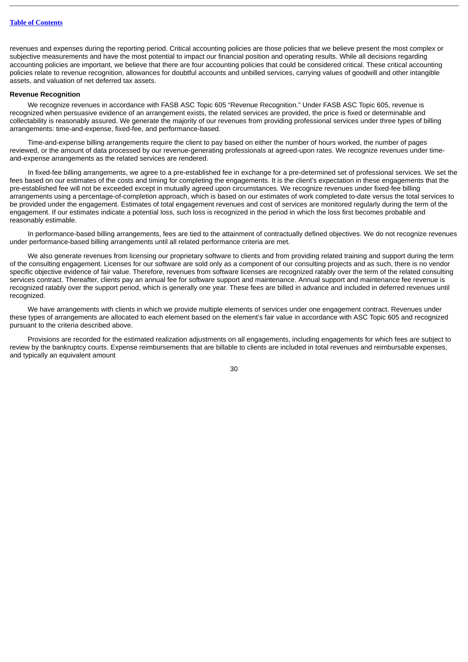revenues and expenses during the reporting period. Critical accounting policies are those policies that we believe present the most complex or subjective measurements and have the most potential to impact our financial position and operating results. While all decisions regarding accounting policies are important, we believe that there are four accounting policies that could be considered critical. These critical accounting policies relate to revenue recognition, allowances for doubtful accounts and unbilled services, carrying values of goodwill and other intangible assets, and valuation of net deferred tax assets.

#### **Revenue Recognition**

We recognize revenues in accordance with FASB ASC Topic 605 "Revenue Recognition." Under FASB ASC Topic 605, revenue is recognized when persuasive evidence of an arrangement exists, the related services are provided, the price is fixed or determinable and collectability is reasonably assured. We generate the majority of our revenues from providing professional services under three types of billing arrangements: time-and-expense, fixed-fee, and performance-based.

Time-and-expense billing arrangements require the client to pay based on either the number of hours worked, the number of pages reviewed, or the amount of data processed by our revenue-generating professionals at agreed-upon rates. We recognize revenues under timeand-expense arrangements as the related services are rendered.

In fixed-fee billing arrangements, we agree to a pre-established fee in exchange for a pre-determined set of professional services. We set the fees based on our estimates of the costs and timing for completing the engagements. It is the client's expectation in these engagements that the pre-established fee will not be exceeded except in mutually agreed upon circumstances. We recognize revenues under fixed-fee billing arrangements using a percentage-of-completion approach, which is based on our estimates of work completed to-date versus the total services to be provided under the engagement. Estimates of total engagement revenues and cost of services are monitored regularly during the term of the engagement. If our estimates indicate a potential loss, such loss is recognized in the period in which the loss first becomes probable and reasonably estimable.

In performance-based billing arrangements, fees are tied to the attainment of contractually defined objectives. We do not recognize revenues under performance-based billing arrangements until all related performance criteria are met.

We also generate revenues from licensing our proprietary software to clients and from providing related training and support during the term of the consulting engagement. Licenses for our software are sold only as a component of our consulting projects and as such, there is no vendor specific objective evidence of fair value. Therefore, revenues from software licenses are recognized ratably over the term of the related consulting services contract. Thereafter, clients pay an annual fee for software support and maintenance. Annual support and maintenance fee revenue is recognized ratably over the support period, which is generally one year. These fees are billed in advance and included in deferred revenues until recognized.

We have arrangements with clients in which we provide multiple elements of services under one engagement contract. Revenues under these types of arrangements are allocated to each element based on the element's fair value in accordance with ASC Topic 605 and recognized pursuant to the criteria described above.

Provisions are recorded for the estimated realization adjustments on all engagements, including engagements for which fees are subject to review by the bankruptcy courts. Expense reimbursements that are billable to clients are included in total revenues and reimbursable expenses, and typically an equivalent amount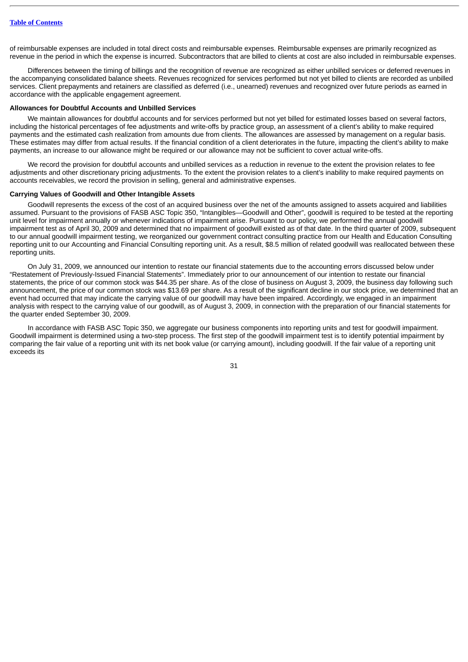of reimbursable expenses are included in total direct costs and reimbursable expenses. Reimbursable expenses are primarily recognized as revenue in the period in which the expense is incurred. Subcontractors that are billed to clients at cost are also included in reimbursable expenses.

Differences between the timing of billings and the recognition of revenue are recognized as either unbilled services or deferred revenues in the accompanying consolidated balance sheets. Revenues recognized for services performed but not yet billed to clients are recorded as unbilled services. Client prepayments and retainers are classified as deferred (i.e., unearned) revenues and recognized over future periods as earned in accordance with the applicable engagement agreement.

### **Allowances for Doubtful Accounts and Unbilled Services**

We maintain allowances for doubtful accounts and for services performed but not yet billed for estimated losses based on several factors, including the historical percentages of fee adjustments and write-offs by practice group, an assessment of a client's ability to make required payments and the estimated cash realization from amounts due from clients. The allowances are assessed by management on a regular basis. These estimates may differ from actual results. If the financial condition of a client deteriorates in the future, impacting the client's ability to make payments, an increase to our allowance might be required or our allowance may not be sufficient to cover actual write-offs.

We record the provision for doubtful accounts and unbilled services as a reduction in revenue to the extent the provision relates to fee adjustments and other discretionary pricing adjustments. To the extent the provision relates to a client's inability to make required payments on accounts receivables, we record the provision in selling, general and administrative expenses.

### **Carrying Values of Goodwill and Other Intangible Assets**

Goodwill represents the excess of the cost of an acquired business over the net of the amounts assigned to assets acquired and liabilities assumed. Pursuant to the provisions of FASB ASC Topic 350, "Intangibles—Goodwill and Other", goodwill is required to be tested at the reporting unit level for impairment annually or whenever indications of impairment arise. Pursuant to our policy, we performed the annual goodwill impairment test as of April 30, 2009 and determined that no impairment of goodwill existed as of that date. In the third quarter of 2009, subsequent to our annual goodwill impairment testing, we reorganized our government contract consulting practice from our Health and Education Consulting reporting unit to our Accounting and Financial Consulting reporting unit. As a result, \$8.5 million of related goodwill was reallocated between these reporting units.

On July 31, 2009, we announced our intention to restate our financial statements due to the accounting errors discussed below under "Restatement of Previously-Issued Financial Statements". Immediately prior to our announcement of our intention to restate our financial statements, the price of our common stock was \$44.35 per share. As of the close of business on August 3, 2009, the business day following such announcement, the price of our common stock was \$13.69 per share. As a result of the significant decline in our stock price, we determined that an event had occurred that may indicate the carrying value of our goodwill may have been impaired. Accordingly, we engaged in an impairment analysis with respect to the carrying value of our goodwill, as of August 3, 2009, in connection with the preparation of our financial statements for the quarter ended September 30, 2009.

In accordance with FASB ASC Topic 350, we aggregate our business components into reporting units and test for goodwill impairment. Goodwill impairment is determined using a two-step process. The first step of the goodwill impairment test is to identify potential impairment by comparing the fair value of a reporting unit with its net book value (or carrying amount), including goodwill. If the fair value of a reporting unit exceeds its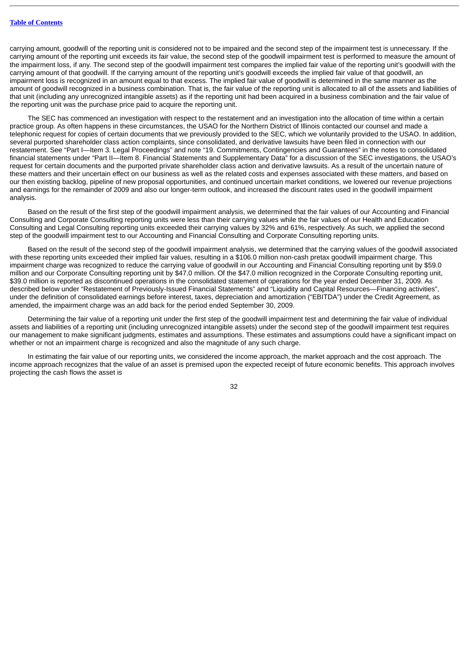carrying amount, goodwill of the reporting unit is considered not to be impaired and the second step of the impairment test is unnecessary. If the carrying amount of the reporting unit exceeds its fair value, the second step of the goodwill impairment test is performed to measure the amount of the impairment loss, if any. The second step of the goodwill impairment test compares the implied fair value of the reporting unit's goodwill with the carrying amount of that goodwill. If the carrying amount of the reporting unit's goodwill exceeds the implied fair value of that goodwill, an impairment loss is recognized in an amount equal to that excess. The implied fair value of goodwill is determined in the same manner as the amount of goodwill recognized in a business combination. That is, the fair value of the reporting unit is allocated to all of the assets and liabilities of that unit (including any unrecognized intangible assets) as if the reporting unit had been acquired in a business combination and the fair value of the reporting unit was the purchase price paid to acquire the reporting unit.

The SEC has commenced an investigation with respect to the restatement and an investigation into the allocation of time within a certain practice group. As often happens in these circumstances, the USAO for the Northern District of Illinois contacted our counsel and made a telephonic request for copies of certain documents that we previously provided to the SEC, which we voluntarily provided to the USAO. In addition, several purported shareholder class action complaints, since consolidated, and derivative lawsuits have been filed in connection with our restatement. See "Part I—Item 3. Legal Proceedings" and note "19. Commitments, Contingencies and Guarantees" in the notes to consolidated financial statements under "Part II—Item 8. Financial Statements and Supplementary Data" for a discussion of the SEC investigations, the USAO's request for certain documents and the purported private shareholder class action and derivative lawsuits. As a result of the uncertain nature of these matters and their uncertain effect on our business as well as the related costs and expenses associated with these matters, and based on our then existing backlog, pipeline of new proposal opportunities, and continued uncertain market conditions, we lowered our revenue projections and earnings for the remainder of 2009 and also our longer-term outlook, and increased the discount rates used in the goodwill impairment analysis.

Based on the result of the first step of the goodwill impairment analysis, we determined that the fair values of our Accounting and Financial Consulting and Corporate Consulting reporting units were less than their carrying values while the fair values of our Health and Education Consulting and Legal Consulting reporting units exceeded their carrying values by 32% and 61%, respectively. As such, we applied the second step of the goodwill impairment test to our Accounting and Financial Consulting and Corporate Consulting reporting units.

Based on the result of the second step of the goodwill impairment analysis, we determined that the carrying values of the goodwill associated with these reporting units exceeded their implied fair values, resulting in a \$106.0 million non-cash pretax goodwill impairment charge. This impairment charge was recognized to reduce the carrying value of goodwill in our Accounting and Financial Consulting reporting unit by \$59.0 million and our Corporate Consulting reporting unit by \$47.0 million. Of the \$47.0 million recognized in the Corporate Consulting reporting unit, \$39.0 million is reported as discontinued operations in the consolidated statement of operations for the year ended December 31, 2009. As described below under "Restatement of Previously-Issued Financial Statements" and "Liquidity and Capital Resources—Financing activities", under the definition of consolidated earnings before interest, taxes, depreciation and amortization ("EBITDA") under the Credit Agreement, as amended, the impairment charge was an add back for the period ended September 30, 2009.

Determining the fair value of a reporting unit under the first step of the goodwill impairment test and determining the fair value of individual assets and liabilities of a reporting unit (including unrecognized intangible assets) under the second step of the goodwill impairment test requires our management to make significant judgments, estimates and assumptions. These estimates and assumptions could have a significant impact on whether or not an impairment charge is recognized and also the magnitude of any such charge.

In estimating the fair value of our reporting units, we considered the income approach, the market approach and the cost approach. The income approach recognizes that the value of an asset is premised upon the expected receipt of future economic benefits. This approach involves projecting the cash flows the asset is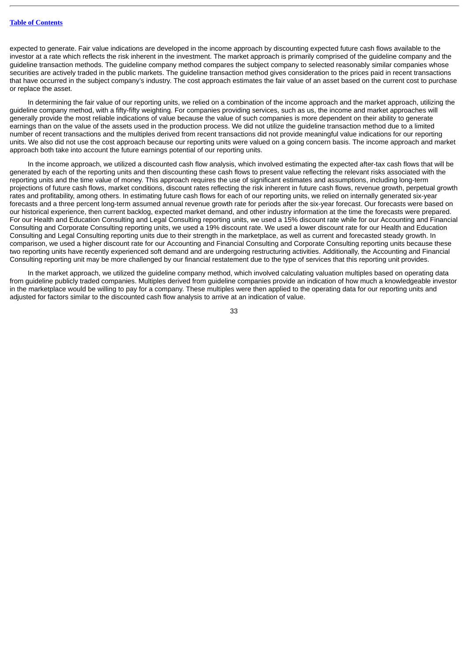expected to generate. Fair value indications are developed in the income approach by discounting expected future cash flows available to the investor at a rate which reflects the risk inherent in the investment. The market approach is primarily comprised of the guideline company and the guideline transaction methods. The guideline company method compares the subject company to selected reasonably similar companies whose securities are actively traded in the public markets. The guideline transaction method gives consideration to the prices paid in recent transactions that have occurred in the subject company's industry. The cost approach estimates the fair value of an asset based on the current cost to purchase or replace the asset.

In determining the fair value of our reporting units, we relied on a combination of the income approach and the market approach, utilizing the guideline company method, with a fifty-fifty weighting. For companies providing services, such as us, the income and market approaches will generally provide the most reliable indications of value because the value of such companies is more dependent on their ability to generate earnings than on the value of the assets used in the production process. We did not utilize the guideline transaction method due to a limited number of recent transactions and the multiples derived from recent transactions did not provide meaningful value indications for our reporting units. We also did not use the cost approach because our reporting units were valued on a going concern basis. The income approach and market approach both take into account the future earnings potential of our reporting units.

In the income approach, we utilized a discounted cash flow analysis, which involved estimating the expected after-tax cash flows that will be generated by each of the reporting units and then discounting these cash flows to present value reflecting the relevant risks associated with the reporting units and the time value of money. This approach requires the use of significant estimates and assumptions, including long-term projections of future cash flows, market conditions, discount rates reflecting the risk inherent in future cash flows, revenue growth, perpetual growth rates and profitability, among others. In estimating future cash flows for each of our reporting units, we relied on internally generated six-year forecasts and a three percent long-term assumed annual revenue growth rate for periods after the six-year forecast. Our forecasts were based on our historical experience, then current backlog, expected market demand, and other industry information at the time the forecasts were prepared. For our Health and Education Consulting and Legal Consulting reporting units, we used a 15% discount rate while for our Accounting and Financial Consulting and Corporate Consulting reporting units, we used a 19% discount rate. We used a lower discount rate for our Health and Education Consulting and Legal Consulting reporting units due to their strength in the marketplace, as well as current and forecasted steady growth. In comparison, we used a higher discount rate for our Accounting and Financial Consulting and Corporate Consulting reporting units because these two reporting units have recently experienced soft demand and are undergoing restructuring activities. Additionally, the Accounting and Financial Consulting reporting unit may be more challenged by our financial restatement due to the type of services that this reporting unit provides.

In the market approach, we utilized the guideline company method, which involved calculating valuation multiples based on operating data from guideline publicly traded companies. Multiples derived from guideline companies provide an indication of how much a knowledgeable investor in the marketplace would be willing to pay for a company. These multiples were then applied to the operating data for our reporting units and adjusted for factors similar to the discounted cash flow analysis to arrive at an indication of value.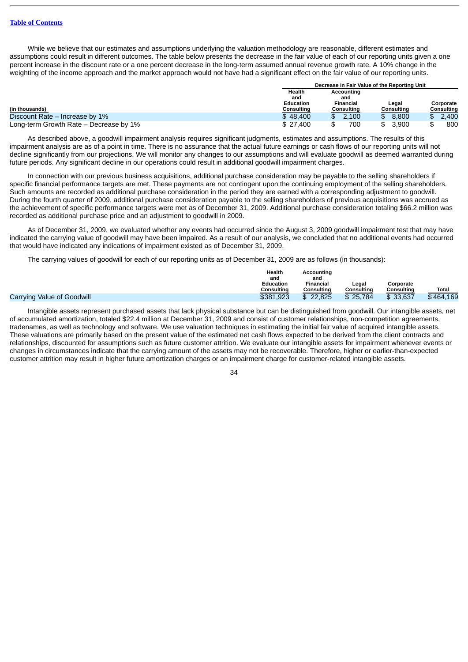#### **Table of [Contents](#page-1-0)**

While we believe that our estimates and assumptions underlying the valuation methodology are reasonable, different estimates and assumptions could result in different outcomes. The table below presents the decrease in the fair value of each of our reporting units given a one percent increase in the discount rate or a one percent decrease in the long-term assumed annual revenue growth rate. A 10% change in the weighting of the income approach and the market approach would not have had a significant effect on the fair value of our reporting units.

|                                          |                                          | Decrease in Fair Value of the Reporting Unit |            |            |  |  |  |  |
|------------------------------------------|------------------------------------------|----------------------------------------------|------------|------------|--|--|--|--|
|                                          | <b>Health</b><br>and<br><b>Education</b> | Accountina<br>and<br><b>Financial</b>        | Leaal      | Corporate  |  |  |  |  |
| (in thousands)                           | Consulting                               | Consultina                                   | Consulting | Consulting |  |  |  |  |
| Discount Rate $-$ Increase by 1%         | \$48,400                                 | 2.100                                        | 8.800      | 2.400      |  |  |  |  |
| Long-term Growth Rate $-$ Decrease by 1% | \$27.400                                 | 700                                          | 3.900      | 800        |  |  |  |  |

As described above, a goodwill impairment analysis requires significant judgments, estimates and assumptions. The results of this impairment analysis are as of a point in time. There is no assurance that the actual future earnings or cash flows of our reporting units will not decline significantly from our projections. We will monitor any changes to our assumptions and will evaluate goodwill as deemed warranted during future periods. Any significant decline in our operations could result in additional goodwill impairment charges.

In connection with our previous business acquisitions, additional purchase consideration may be payable to the selling shareholders if specific financial performance targets are met. These payments are not contingent upon the continuing employment of the selling shareholders. Such amounts are recorded as additional purchase consideration in the period they are earned with a corresponding adjustment to goodwill. During the fourth quarter of 2009, additional purchase consideration payable to the selling shareholders of previous acquisitions was accrued as the achievement of specific performance targets were met as of December 31, 2009. Additional purchase consideration totaling \$66.2 million was recorded as additional purchase price and an adjustment to goodwill in 2009.

As of December 31, 2009, we evaluated whether any events had occurred since the August 3, 2009 goodwill impairment test that may have indicated the carrying value of goodwill may have been impaired. As a result of our analysis, we concluded that no additional events had occurred that would have indicated any indications of impairment existed as of December 31, 2009.

The carrying values of goodwill for each of our reporting units as of December 31, 2009 are as follows (in thousands):

|                            | <b>Health</b><br>and | <b>Accounting</b><br>and |            |            |              |
|----------------------------|----------------------|--------------------------|------------|------------|--------------|
|                            | <b>Education</b>     | <b>Financial</b>         | Legal      | Corporate  |              |
|                            | Consultina           | Consultina               | Consultina | Consultina | <b>Total</b> |
| Carrying Value of Goodwill | \$381.923            | 22.825<br>$\sim$         | \$25.784   | \$33.637   | \$464.169    |

Intangible assets represent purchased assets that lack physical substance but can be distinguished from goodwill. Our intangible assets, net of accumulated amortization, totaled \$22.4 million at December 31, 2009 and consist of customer relationships, non-competition agreements, tradenames, as well as technology and software. We use valuation techniques in estimating the initial fair value of acquired intangible assets. These valuations are primarily based on the present value of the estimated net cash flows expected to be derived from the client contracts and relationships, discounted for assumptions such as future customer attrition. We evaluate our intangible assets for impairment whenever events or changes in circumstances indicate that the carrying amount of the assets may not be recoverable. Therefore, higher or earlier-than-expected customer attrition may result in higher future amortization charges or an impairment charge for customer-related intangible assets.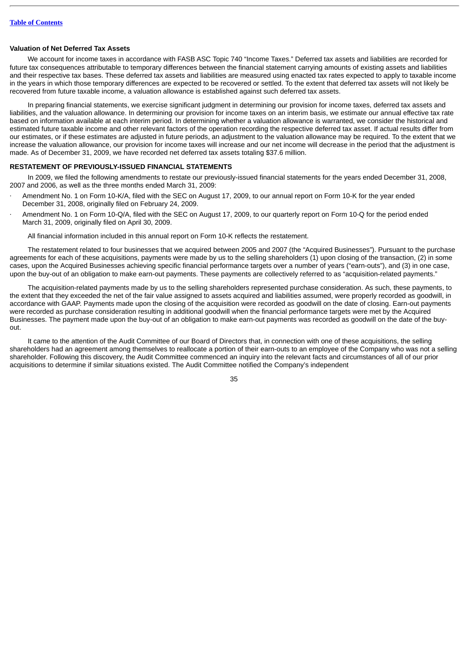### **Valuation of Net Deferred Tax Assets**

We account for income taxes in accordance with FASB ASC Topic 740 "Income Taxes." Deferred tax assets and liabilities are recorded for future tax consequences attributable to temporary differences between the financial statement carrying amounts of existing assets and liabilities and their respective tax bases. These deferred tax assets and liabilities are measured using enacted tax rates expected to apply to taxable income in the years in which those temporary differences are expected to be recovered or settled. To the extent that deferred tax assets will not likely be recovered from future taxable income, a valuation allowance is established against such deferred tax assets.

In preparing financial statements, we exercise significant judgment in determining our provision for income taxes, deferred tax assets and liabilities, and the valuation allowance. In determining our provision for income taxes on an interim basis, we estimate our annual effective tax rate based on information available at each interim period. In determining whether a valuation allowance is warranted, we consider the historical and estimated future taxable income and other relevant factors of the operation recording the respective deferred tax asset. If actual results differ from our estimates, or if these estimates are adjusted in future periods, an adjustment to the valuation allowance may be required. To the extent that we increase the valuation allowance, our provision for income taxes will increase and our net income will decrease in the period that the adjustment is made. As of December 31, 2009, we have recorded net deferred tax assets totaling \$37.6 million.

#### **RESTATEMENT OF PREVIOUSLY-ISSUED FINANCIAL STATEMENTS**

In 2009, we filed the following amendments to restate our previously-issued financial statements for the years ended December 31, 2008, 2007 and 2006, as well as the three months ended March 31, 2009:

- Amendment No. 1 on Form 10-K/A, filed with the SEC on August 17, 2009, to our annual report on Form 10-K for the year ended December 31, 2008, originally filed on February 24, 2009.
- Amendment No. 1 on Form 10-Q/A, filed with the SEC on August 17, 2009, to our quarterly report on Form 10-Q for the period ended March 31, 2009, originally filed on April 30, 2009.

All financial information included in this annual report on Form 10-K reflects the restatement.

The restatement related to four businesses that we acquired between 2005 and 2007 (the "Acquired Businesses"). Pursuant to the purchase agreements for each of these acquisitions, payments were made by us to the selling shareholders (1) upon closing of the transaction, (2) in some cases, upon the Acquired Businesses achieving specific financial performance targets over a number of years ("earn-outs"), and (3) in one case, upon the buy-out of an obligation to make earn-out payments. These payments are collectively referred to as "acquisition-related payments."

The acquisition-related payments made by us to the selling shareholders represented purchase consideration. As such, these payments, to the extent that they exceeded the net of the fair value assigned to assets acquired and liabilities assumed, were properly recorded as goodwill, in accordance with GAAP. Payments made upon the closing of the acquisition were recorded as goodwill on the date of closing. Earn-out payments were recorded as purchase consideration resulting in additional goodwill when the financial performance targets were met by the Acquired Businesses. The payment made upon the buy-out of an obligation to make earn-out payments was recorded as goodwill on the date of the buyout.

It came to the attention of the Audit Committee of our Board of Directors that, in connection with one of these acquisitions, the selling shareholders had an agreement among themselves to reallocate a portion of their earn-outs to an employee of the Company who was not a selling shareholder. Following this discovery, the Audit Committee commenced an inquiry into the relevant facts and circumstances of all of our prior acquisitions to determine if similar situations existed. The Audit Committee notified the Company's independent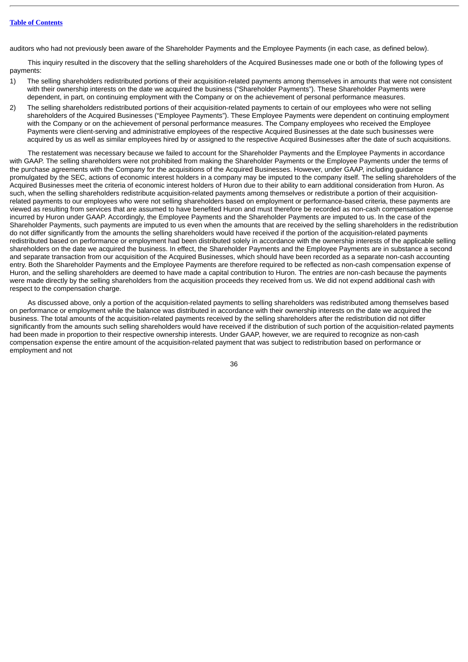auditors who had not previously been aware of the Shareholder Payments and the Employee Payments (in each case, as defined below).

This inquiry resulted in the discovery that the selling shareholders of the Acquired Businesses made one or both of the following types of payments:

- 1) The selling shareholders redistributed portions of their acquisition-related payments among themselves in amounts that were not consistent with their ownership interests on the date we acquired the business ("Shareholder Payments"). These Shareholder Payments were dependent, in part, on continuing employment with the Company or on the achievement of personal performance measures.
- 2) The selling shareholders redistributed portions of their acquisition-related payments to certain of our employees who were not selling shareholders of the Acquired Businesses ("Employee Payments"). These Employee Payments were dependent on continuing employment with the Company or on the achievement of personal performance measures. The Company employees who received the Employee Payments were client-serving and administrative employees of the respective Acquired Businesses at the date such businesses were acquired by us as well as similar employees hired by or assigned to the respective Acquired Businesses after the date of such acquisitions.

The restatement was necessary because we failed to account for the Shareholder Payments and the Employee Payments in accordance with GAAP. The selling shareholders were not prohibited from making the Shareholder Payments or the Employee Payments under the terms of the purchase agreements with the Company for the acquisitions of the Acquired Businesses. However, under GAAP, including guidance promulgated by the SEC, actions of economic interest holders in a company may be imputed to the company itself. The selling shareholders of the Acquired Businesses meet the criteria of economic interest holders of Huron due to their ability to earn additional consideration from Huron. As such, when the selling shareholders redistribute acquisition-related payments among themselves or redistribute a portion of their acquisitionrelated payments to our employees who were not selling shareholders based on employment or performance-based criteria, these payments are viewed as resulting from services that are assumed to have benefited Huron and must therefore be recorded as non-cash compensation expense incurred by Huron under GAAP. Accordingly, the Employee Payments and the Shareholder Payments are imputed to us. In the case of the Shareholder Payments, such payments are imputed to us even when the amounts that are received by the selling shareholders in the redistribution do not differ significantly from the amounts the selling shareholders would have received if the portion of the acquisition-related payments redistributed based on performance or employment had been distributed solely in accordance with the ownership interests of the applicable selling shareholders on the date we acquired the business. In effect, the Shareholder Payments and the Employee Payments are in substance a second and separate transaction from our acquisition of the Acquired Businesses, which should have been recorded as a separate non-cash accounting entry. Both the Shareholder Payments and the Employee Payments are therefore required to be reflected as non-cash compensation expense of Huron, and the selling shareholders are deemed to have made a capital contribution to Huron. The entries are non-cash because the payments were made directly by the selling shareholders from the acquisition proceeds they received from us. We did not expend additional cash with respect to the compensation charge.

As discussed above, only a portion of the acquisition-related payments to selling shareholders was redistributed among themselves based on performance or employment while the balance was distributed in accordance with their ownership interests on the date we acquired the business. The total amounts of the acquisition-related payments received by the selling shareholders after the redistribution did not differ significantly from the amounts such selling shareholders would have received if the distribution of such portion of the acquisition-related payments had been made in proportion to their respective ownership interests. Under GAAP, however, we are required to recognize as non-cash compensation expense the entire amount of the acquisition-related payment that was subject to redistribution based on performance or employment and not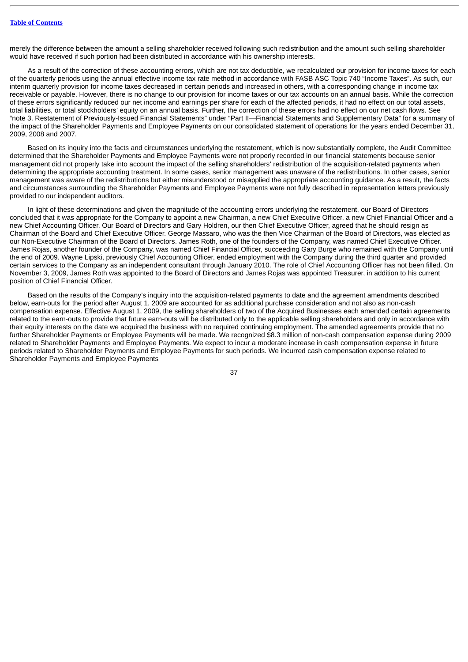merely the difference between the amount a selling shareholder received following such redistribution and the amount such selling shareholder would have received if such portion had been distributed in accordance with his ownership interests.

As a result of the correction of these accounting errors, which are not tax deductible, we recalculated our provision for income taxes for each of the quarterly periods using the annual effective income tax rate method in accordance with FASB ASC Topic 740 "Income Taxes". As such, our interim quarterly provision for income taxes decreased in certain periods and increased in others, with a corresponding change in income tax receivable or payable. However, there is no change to our provision for income taxes or our tax accounts on an annual basis. While the correction of these errors significantly reduced our net income and earnings per share for each of the affected periods, it had no effect on our total assets, total liabilities, or total stockholders' equity on an annual basis. Further, the correction of these errors had no effect on our net cash flows. See "note 3. Restatement of Previously-Issued Financial Statements" under "Part II—Financial Statements and Supplementary Data" for a summary of the impact of the Shareholder Payments and Employee Payments on our consolidated statement of operations for the years ended December 31, 2009, 2008 and 2007.

Based on its inquiry into the facts and circumstances underlying the restatement, which is now substantially complete, the Audit Committee determined that the Shareholder Payments and Employee Payments were not properly recorded in our financial statements because senior management did not properly take into account the impact of the selling shareholders' redistribution of the acquisition-related payments when determining the appropriate accounting treatment. In some cases, senior management was unaware of the redistributions. In other cases, senior management was aware of the redistributions but either misunderstood or misapplied the appropriate accounting guidance. As a result, the facts and circumstances surrounding the Shareholder Payments and Employee Payments were not fully described in representation letters previously provided to our independent auditors.

In light of these determinations and given the magnitude of the accounting errors underlying the restatement, our Board of Directors concluded that it was appropriate for the Company to appoint a new Chairman, a new Chief Executive Officer, a new Chief Financial Officer and a new Chief Accounting Officer. Our Board of Directors and Gary Holdren, our then Chief Executive Officer, agreed that he should resign as Chairman of the Board and Chief Executive Officer. George Massaro, who was the then Vice Chairman of the Board of Directors, was elected as our Non-Executive Chairman of the Board of Directors. James Roth, one of the founders of the Company, was named Chief Executive Officer. James Rojas, another founder of the Company, was named Chief Financial Officer, succeeding Gary Burge who remained with the Company until the end of 2009. Wayne Lipski, previously Chief Accounting Officer, ended employment with the Company during the third quarter and provided certain services to the Company as an independent consultant through January 2010. The role of Chief Accounting Officer has not been filled. On November 3, 2009, James Roth was appointed to the Board of Directors and James Rojas was appointed Treasurer, in addition to his current position of Chief Financial Officer.

Based on the results of the Company's inquiry into the acquisition-related payments to date and the agreement amendments described below, earn-outs for the period after August 1, 2009 are accounted for as additional purchase consideration and not also as non-cash compensation expense. Effective August 1, 2009, the selling shareholders of two of the Acquired Businesses each amended certain agreements related to the earn-outs to provide that future earn-outs will be distributed only to the applicable selling shareholders and only in accordance with their equity interests on the date we acquired the business with no required continuing employment. The amended agreements provide that no further Shareholder Payments or Employee Payments will be made. We recognized \$8.3 million of non-cash compensation expense during 2009 related to Shareholder Payments and Employee Payments. We expect to incur a moderate increase in cash compensation expense in future periods related to Shareholder Payments and Employee Payments for such periods. We incurred cash compensation expense related to Shareholder Payments and Employee Payments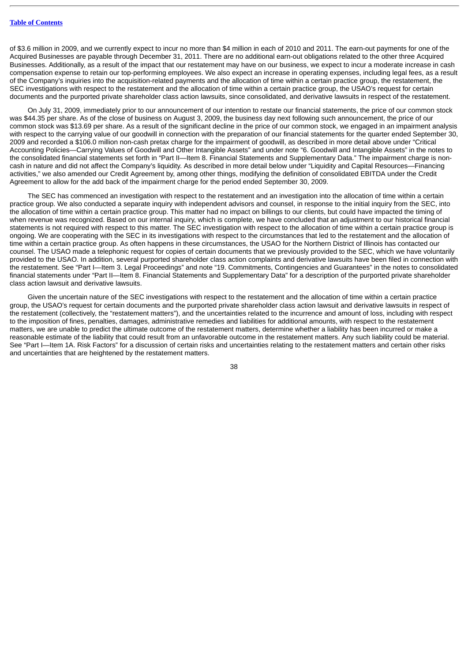of \$3.6 million in 2009, and we currently expect to incur no more than \$4 million in each of 2010 and 2011. The earn-out payments for one of the Acquired Businesses are payable through December 31, 2011. There are no additional earn-out obligations related to the other three Acquired Businesses. Additionally, as a result of the impact that our restatement may have on our business, we expect to incur a moderate increase in cash compensation expense to retain our top-performing employees. We also expect an increase in operating expenses, including legal fees, as a result of the Company's inquiries into the acquisition-related payments and the allocation of time within a certain practice group, the restatement, the SEC investigations with respect to the restatement and the allocation of time within a certain practice group, the USAO's request for certain documents and the purported private shareholder class action lawsuits, since consolidated, and derivative lawsuits in respect of the restatement.

On July 31, 2009, immediately prior to our announcement of our intention to restate our financial statements, the price of our common stock was \$44.35 per share. As of the close of business on August 3, 2009, the business day next following such announcement, the price of our common stock was \$13.69 per share. As a result of the significant decline in the price of our common stock, we engaged in an impairment analysis with respect to the carrying value of our goodwill in connection with the preparation of our financial statements for the quarter ended September 30, 2009 and recorded a \$106.0 million non-cash pretax charge for the impairment of goodwill, as described in more detail above under "Critical Accounting Policies—Carrying Values of Goodwill and Other Intangible Assets" and under note "6. Goodwill and Intangible Assets" in the notes to the consolidated financial statements set forth in "Part II—Item 8. Financial Statements and Supplementary Data." The impairment charge is noncash in nature and did not affect the Company's liquidity. As described in more detail below under "Liquidity and Capital Resources—Financing activities," we also amended our Credit Agreement by, among other things, modifying the definition of consolidated EBITDA under the Credit Agreement to allow for the add back of the impairment charge for the period ended September 30, 2009.

The SEC has commenced an investigation with respect to the restatement and an investigation into the allocation of time within a certain practice group. We also conducted a separate inquiry with independent advisors and counsel, in response to the initial inquiry from the SEC, into the allocation of time within a certain practice group. This matter had no impact on billings to our clients, but could have impacted the timing of when revenue was recognized. Based on our internal inquiry, which is complete, we have concluded that an adjustment to our historical financial statements is not required with respect to this matter. The SEC investigation with respect to the allocation of time within a certain practice group is ongoing. We are cooperating with the SEC in its investigations with respect to the circumstances that led to the restatement and the allocation of time within a certain practice group. As often happens in these circumstances, the USAO for the Northern District of Illinois has contacted our counsel. The USAO made a telephonic request for copies of certain documents that we previously provided to the SEC, which we have voluntarily provided to the USAO. In addition, several purported shareholder class action complaints and derivative lawsuits have been filed in connection with the restatement. See "Part I—Item 3. Legal Proceedings" and note "19. Commitments, Contingencies and Guarantees" in the notes to consolidated financial statements under "Part II—Item 8. Financial Statements and Supplementary Data" for a description of the purported private shareholder class action lawsuit and derivative lawsuits.

Given the uncertain nature of the SEC investigations with respect to the restatement and the allocation of time within a certain practice group, the USAO's request for certain documents and the purported private shareholder class action lawsuit and derivative lawsuits in respect of the restatement (collectively, the "restatement matters"), and the uncertainties related to the incurrence and amount of loss, including with respect to the imposition of fines, penalties, damages, administrative remedies and liabilities for additional amounts, with respect to the restatement matters, we are unable to predict the ultimate outcome of the restatement matters, determine whether a liability has been incurred or make a reasonable estimate of the liability that could result from an unfavorable outcome in the restatement matters. Any such liability could be material. See "Part I—Item 1A. Risk Factors" for a discussion of certain risks and uncertainties relating to the restatement matters and certain other risks and uncertainties that are heightened by the restatement matters.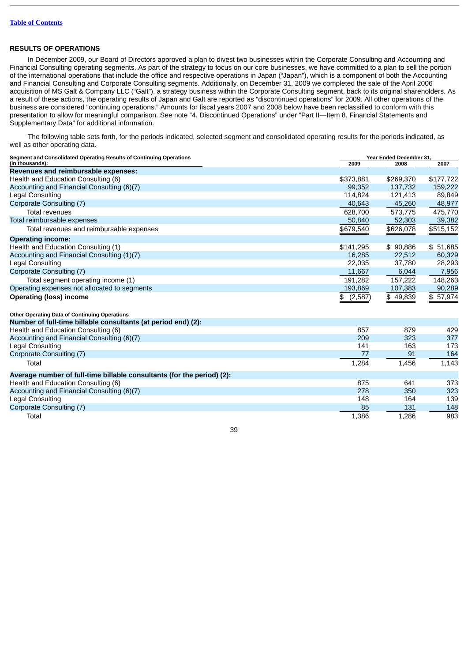## **RESULTS OF OPERATIONS**

In December 2009, our Board of Directors approved a plan to divest two businesses within the Corporate Consulting and Accounting and Financial Consulting operating segments. As part of the strategy to focus on our core businesses, we have committed to a plan to sell the portion of the international operations that include the office and respective operations in Japan ("Japan"), which is a component of both the Accounting and Financial Consulting and Corporate Consulting segments. Additionally, on December 31, 2009 we completed the sale of the April 2006 acquisition of MS Galt & Company LLC ("Galt"), a strategy business within the Corporate Consulting segment, back to its original shareholders. As a result of these actions, the operating results of Japan and Galt are reported as "discontinued operations" for 2009. All other operations of the business are considered "continuing operations." Amounts for fiscal years 2007 and 2008 below have been reclassified to conform with this presentation to allow for meaningful comparison. See note "4. Discontinued Operations" under "Part II—Item 8. Financial Statements and Supplementary Data" for additional information.

The following table sets forth, for the periods indicated, selected segment and consolidated operating results for the periods indicated, as well as other operating data.

| Segment and Consolidated Operating Results of Continuing Operations    |               | Year Ended December 31, |           |  |  |  |
|------------------------------------------------------------------------|---------------|-------------------------|-----------|--|--|--|
| (in thousands):                                                        | 2009          | 2008                    | 2007      |  |  |  |
| Revenues and reimbursable expenses:                                    |               |                         |           |  |  |  |
| Health and Education Consulting (6)                                    | \$373,881     | \$269,370               | \$177,722 |  |  |  |
| Accounting and Financial Consulting (6)(7)                             | 99,352        | 137,732                 | 159,222   |  |  |  |
| Legal Consulting                                                       | 114.824       | 121,413                 | 89,849    |  |  |  |
| Corporate Consulting (7)                                               | 40,643        | 45,260                  | 48,977    |  |  |  |
| <b>Total revenues</b>                                                  | 628.700       | 573,775                 | 475,770   |  |  |  |
| Total reimbursable expenses                                            | 50,840        | 52,303                  | 39,382    |  |  |  |
| Total revenues and reimbursable expenses                               | \$679,540     | \$626,078               | \$515,152 |  |  |  |
| <b>Operating income:</b>                                               |               |                         |           |  |  |  |
| Health and Education Consulting (1)                                    | \$141,295     | \$90,886                | \$51,685  |  |  |  |
| Accounting and Financial Consulting (1)(7)                             | 16,285        | 22,512                  | 60,329    |  |  |  |
| Legal Consulting                                                       | 22,035        | 37,780                  | 28,293    |  |  |  |
| Corporate Consulting (7)                                               | 11,667        | 6,044                   | 7,956     |  |  |  |
| Total segment operating income (1)                                     | 191,282       | 157,222                 | 148,263   |  |  |  |
| Operating expenses not allocated to segments                           | 193,869       | 107,383                 | 90,289    |  |  |  |
| <b>Operating (loss) income</b>                                         | (2,587)<br>\$ | \$49,839                | \$57,974  |  |  |  |
| <b>Other Operating Data of Continuing Operations</b>                   |               |                         |           |  |  |  |
| Number of full-time billable consultants (at period end) (2):          |               |                         |           |  |  |  |
| Health and Education Consulting (6)                                    | 857           | 879                     | 429       |  |  |  |
| Accounting and Financial Consulting (6)(7)                             | 209           | 323                     | 377       |  |  |  |
| Legal Consulting                                                       | 141           | 163                     | 173       |  |  |  |
| Corporate Consulting (7)                                               | 77            | 91                      | 164       |  |  |  |
| Total                                                                  | 1,284         | 1,456                   | 1,143     |  |  |  |
| Average number of full-time billable consultants (for the period) (2): |               |                         |           |  |  |  |
| Health and Education Consulting (6)                                    | 875           | 641                     | 373       |  |  |  |
| Accounting and Financial Consulting (6)(7)                             | 278           | 350                     | 323       |  |  |  |
| Legal Consulting                                                       | 148           | 164                     | 139       |  |  |  |
| Corporate Consulting (7)                                               | 85            | 131                     | 148       |  |  |  |
| <b>Total</b>                                                           | 1,386         | 1,286                   | 983       |  |  |  |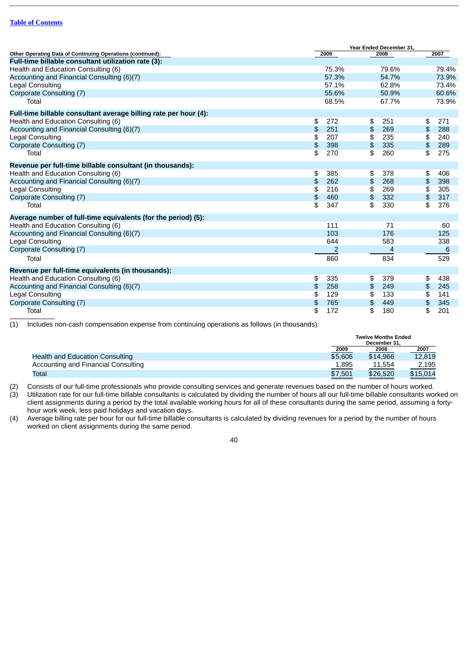|                                                                  | Year Ended December 31, |    |       |                |       |
|------------------------------------------------------------------|-------------------------|----|-------|----------------|-------|
| Other Operating Data of Continuing Operations (continued):       | 2009                    |    | 2008  |                | 2007  |
| Full-time billable consultant utilization rate (3):              |                         |    |       |                |       |
| Health and Education Consulting (6)                              | 75.3%                   |    | 79.6% |                | 79.4% |
| Accounting and Financial Consulting (6)(7)                       | 57.3%                   |    | 54.7% |                | 73.9% |
| Legal Consulting                                                 | 57.1%                   |    | 62.8% |                | 73.4% |
| Corporate Consulting (7)                                         | 55.6%                   |    | 50.9% |                | 60.6% |
| Total                                                            | 68.5%                   |    | 67.7% |                | 73.9% |
| Full-time billable consultant average billing rate per hour (4): |                         |    |       |                |       |
| Health and Education Consulting (6)                              | \$<br>272               | \$ | 251   | \$             | 271   |
| Accounting and Financial Consulting (6)(7)                       | \$<br>251               | \$ | 269   | $\mathfrak{L}$ | 288   |
| Legal Consulting                                                 | \$<br>207               | \$ | 235   | \$             | 240   |
| Corporate Consulting (7)                                         | \$<br>398               | \$ | 335   | \$             | 289   |
| Total                                                            | \$<br>270               | \$ | 260   | \$             | 275   |
| Revenue per full-time billable consultant (in thousands):        |                         |    |       |                |       |
| Health and Education Consulting (6)                              | \$<br>385               | \$ | 378   | \$             | 406   |
| Accounting and Financial Consulting (6)(7)                       | \$<br>262               | \$ | 268   | \$             | 398   |
| Legal Consulting                                                 | \$<br>216               | \$ | 269   | \$             | 305   |
| Corporate Consulting (7)                                         | \$<br>460               | \$ | 332   | \$             | 317   |
| <b>Total</b>                                                     | \$<br>347               | \$ | 330   | \$             | 376   |
| Average number of full-time equivalents (for the period) (5):    |                         |    |       |                |       |
| Health and Education Consulting (6)                              | 111                     |    | 71    |                | 60    |
| Accounting and Financial Consulting (6)(7)                       | 103                     |    | 176   |                | 125   |
| Legal Consulting                                                 | 644                     |    | 583   |                | 338   |
| Corporate Consulting (7)                                         | $\overline{2}$          |    | 4     |                | 6     |
| Total                                                            | 860                     |    | 834   |                | 529   |
| Revenue per full-time equivalents (in thousands):                |                         |    |       |                |       |
| Health and Education Consulting (6)                              | \$<br>335               | \$ | 379   | \$             | 438   |
| Accounting and Financial Consulting (6)(7)                       | \$<br>258               | \$ | 249   | \$             | 245   |
| Legal Consulting                                                 | \$<br>129               | \$ | 133   | \$             | 141   |
| Corporate Consulting (7)                                         | \$<br>765               | \$ | 449   | \$             | 345   |
| Total                                                            | \$<br>172               | \$ | 180   | \$             | 201   |

(1) Includes non-cash compensation expense from continuing operations as follows (in thousands):

|                                     |         | <b>Twelve Months Ended</b><br>December 31. |          |
|-------------------------------------|---------|--------------------------------------------|----------|
|                                     | 2009    | 2008                                       | 2007     |
| Health and Education Consulting     | \$5,606 | \$14,966                                   | 12,819   |
| Accounting and Financial Consulting | 1,895   | 11.554                                     | 2.195    |
| Total                               | \$7,501 | \$26,520                                   | \$15,014 |

(2) Consists of our full-time professionals who provide consulting services and generate revenues based on the number of hours worked.<br>(3) Utilization rate for our full-time billable consultants is calculated by dividing t

Utilization rate for our full-time billable consultants is calculated by dividing the number of hours all our full-time billable consultants worked on client assignments during a period by the total available working hours for all of these consultants during the same period, assuming a fortyhour work week, less paid holidays and vacation days.

(4) Average billing rate per hour for our full-time billable consultants is calculated by dividing revenues for a period by the number of hours worked on client assignments during the same period.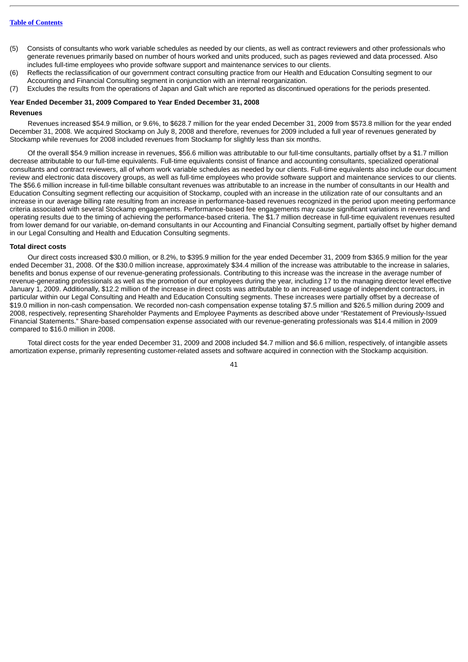- (5) Consists of consultants who work variable schedules as needed by our clients, as well as contract reviewers and other professionals who generate revenues primarily based on number of hours worked and units produced, such as pages reviewed and data processed. Also includes full-time employees who provide software support and maintenance services to our clients.
- (6) Reflects the reclassification of our government contract consulting practice from our Health and Education Consulting segment to our Accounting and Financial Consulting segment in conjunction with an internal reorganization.
- (7) Excludes the results from the operations of Japan and Galt which are reported as discontinued operations for the periods presented.

#### **Year Ended December 31, 2009 Compared to Year Ended December 31, 2008**

#### **Revenues**

Revenues increased \$54.9 million, or 9.6%, to \$628.7 million for the year ended December 31, 2009 from \$573.8 million for the year ended December 31, 2008. We acquired Stockamp on July 8, 2008 and therefore, revenues for 2009 included a full year of revenues generated by Stockamp while revenues for 2008 included revenues from Stockamp for slightly less than six months.

Of the overall \$54.9 million increase in revenues, \$56.6 million was attributable to our full-time consultants, partially offset by a \$1.7 million decrease attributable to our full-time equivalents. Full-time equivalents consist of finance and accounting consultants, specialized operational consultants and contract reviewers, all of whom work variable schedules as needed by our clients. Full-time equivalents also include our document review and electronic data discovery groups, as well as full-time employees who provide software support and maintenance services to our clients. The \$56.6 million increase in full-time billable consultant revenues was attributable to an increase in the number of consultants in our Health and Education Consulting segment reflecting our acquisition of Stockamp, coupled with an increase in the utilization rate of our consultants and an increase in our average billing rate resulting from an increase in performance-based revenues recognized in the period upon meeting performance criteria associated with several Stockamp engagements. Performance-based fee engagements may cause significant variations in revenues and operating results due to the timing of achieving the performance-based criteria. The \$1.7 million decrease in full-time equivalent revenues resulted from lower demand for our variable, on-demand consultants in our Accounting and Financial Consulting segment, partially offset by higher demand in our Legal Consulting and Health and Education Consulting segments.

#### **Total direct costs**

Our direct costs increased \$30.0 million, or 8.2%, to \$395.9 million for the year ended December 31, 2009 from \$365.9 million for the year ended December 31, 2008. Of the \$30.0 million increase, approximately \$34.4 million of the increase was attributable to the increase in salaries. benefits and bonus expense of our revenue-generating professionals. Contributing to this increase was the increase in the average number of revenue-generating professionals as well as the promotion of our employees during the year, including 17 to the managing director level effective January 1, 2009. Additionally, \$12.2 million of the increase in direct costs was attributable to an increased usage of independent contractors, in particular within our Legal Consulting and Health and Education Consulting segments. These increases were partially offset by a decrease of \$19.0 million in non-cash compensation. We recorded non-cash compensation expense totaling \$7.5 million and \$26.5 million during 2009 and 2008, respectively, representing Shareholder Payments and Employee Payments as described above under "Restatement of Previously-Issued Financial Statements." Share-based compensation expense associated with our revenue-generating professionals was \$14.4 million in 2009 compared to \$16.0 million in 2008.

Total direct costs for the year ended December 31, 2009 and 2008 included \$4.7 million and \$6.6 million, respectively, of intangible assets amortization expense, primarily representing customer-related assets and software acquired in connection with the Stockamp acquisition.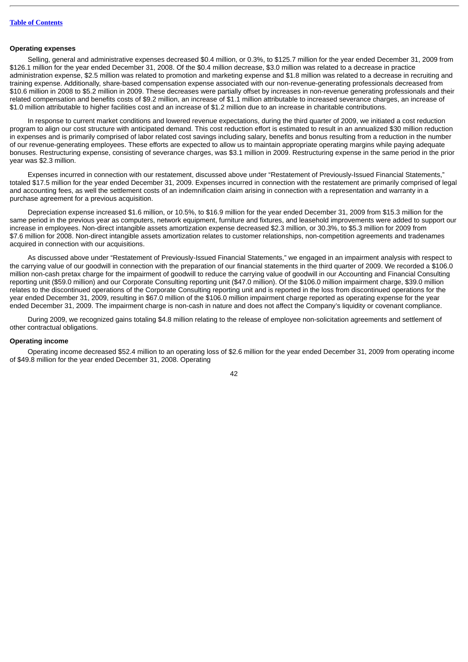#### **Operating expenses**

Selling, general and administrative expenses decreased \$0.4 million, or 0.3%, to \$125.7 million for the year ended December 31, 2009 from \$126.1 million for the year ended December 31, 2008. Of the \$0.4 million decrease, \$3.0 million was related to a decrease in practice administration expense, \$2.5 million was related to promotion and marketing expense and \$1.8 million was related to a decrease in recruiting and training expense. Additionally, share-based compensation expense associated with our non-revenue-generating professionals decreased from \$10.6 million in 2008 to \$5.2 million in 2009. These decreases were partially offset by increases in non-revenue generating professionals and their related compensation and benefits costs of \$9.2 million, an increase of \$1.1 million attributable to increased severance charges, an increase of \$1.0 million attributable to higher facilities cost and an increase of \$1.2 million due to an increase in charitable contributions.

In response to current market conditions and lowered revenue expectations, during the third quarter of 2009, we initiated a cost reduction program to align our cost structure with anticipated demand. This cost reduction effort is estimated to result in an annualized \$30 million reduction in expenses and is primarily comprised of labor related cost savings including salary, benefits and bonus resulting from a reduction in the number of our revenue-generating employees. These efforts are expected to allow us to maintain appropriate operating margins while paying adequate bonuses. Restructuring expense, consisting of severance charges, was \$3.1 million in 2009. Restructuring expense in the same period in the prior year was \$2.3 million.

Expenses incurred in connection with our restatement, discussed above under "Restatement of Previously-Issued Financial Statements," totaled \$17.5 million for the year ended December 31, 2009. Expenses incurred in connection with the restatement are primarily comprised of legal and accounting fees, as well the settlement costs of an indemnification claim arising in connection with a representation and warranty in a purchase agreement for a previous acquisition.

Depreciation expense increased \$1.6 million, or 10.5%, to \$16.9 million for the year ended December 31, 2009 from \$15.3 million for the same period in the previous year as computers, network equipment, furniture and fixtures, and leasehold improvements were added to support our increase in employees. Non-direct intangible assets amortization expense decreased \$2.3 million, or 30.3%, to \$5.3 million for 2009 from \$7.6 million for 2008. Non-direct intangible assets amortization relates to customer relationships, non-competition agreements and tradenames acquired in connection with our acquisitions.

As discussed above under "Restatement of Previously-Issued Financial Statements," we engaged in an impairment analysis with respect to the carrying value of our goodwill in connection with the preparation of our financial statements in the third quarter of 2009. We recorded a \$106.0 million non-cash pretax charge for the impairment of goodwill to reduce the carrying value of goodwill in our Accounting and Financial Consulting reporting unit (\$59.0 million) and our Corporate Consulting reporting unit (\$47.0 million). Of the \$106.0 million impairment charge, \$39.0 million relates to the discontinued operations of the Corporate Consulting reporting unit and is reported in the loss from discontinued operations for the year ended December 31, 2009, resulting in \$67.0 million of the \$106.0 million impairment charge reported as operating expense for the year ended December 31, 2009. The impairment charge is non-cash in nature and does not affect the Company's liquidity or covenant compliance.

During 2009, we recognized gains totaling \$4.8 million relating to the release of employee non-solicitation agreements and settlement of other contractual obligations.

### **Operating income**

Operating income decreased \$52.4 million to an operating loss of \$2.6 million for the year ended December 31, 2009 from operating income of \$49.8 million for the year ended December 31, 2008. Operating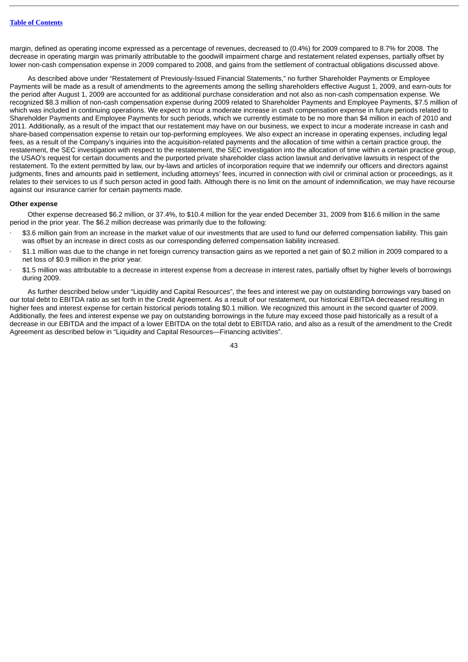margin, defined as operating income expressed as a percentage of revenues, decreased to (0.4%) for 2009 compared to 8.7% for 2008. The decrease in operating margin was primarily attributable to the goodwill impairment charge and restatement related expenses, partially offset by lower non-cash compensation expense in 2009 compared to 2008, and gains from the settlement of contractual obligations discussed above.

As described above under "Restatement of Previously-Issued Financial Statements," no further Shareholder Payments or Employee Payments will be made as a result of amendments to the agreements among the selling shareholders effective August 1, 2009, and earn-outs for the period after August 1, 2009 are accounted for as additional purchase consideration and not also as non-cash compensation expense. We recognized \$8.3 million of non-cash compensation expense during 2009 related to Shareholder Payments and Employee Payments, \$7.5 million of which was included in continuing operations. We expect to incur a moderate increase in cash compensation expense in future periods related to Shareholder Payments and Employee Payments for such periods, which we currently estimate to be no more than \$4 million in each of 2010 and 2011. Additionally, as a result of the impact that our restatement may have on our business, we expect to incur a moderate increase in cash and share-based compensation expense to retain our top-performing employees. We also expect an increase in operating expenses, including legal fees, as a result of the Company's inquiries into the acquisition-related payments and the allocation of time within a certain practice group, the restatement, the SEC investigation with respect to the restatement, the SEC investigation into the allocation of time within a certain practice group, the USAO's request for certain documents and the purported private shareholder class action lawsuit and derivative lawsuits in respect of the restatement. To the extent permitted by law, our by-laws and articles of incorporation require that we indemnify our officers and directors against judgments, fines and amounts paid in settlement, including attorneys' fees, incurred in connection with civil or criminal action or proceedings, as it relates to their services to us if such person acted in good faith. Although there is no limit on the amount of indemnification, we may have recourse against our insurance carrier for certain payments made.

#### **Other expense**

Other expense decreased \$6.2 million, or 37.4%, to \$10.4 million for the year ended December 31, 2009 from \$16.6 million in the same period in the prior year. The \$6.2 million decrease was primarily due to the following:

- · \$3.6 million gain from an increase in the market value of our investments that are used to fund our deferred compensation liability. This gain was offset by an increase in direct costs as our corresponding deferred compensation liability increased.
- · \$1.1 million was due to the change in net foreign currency transaction gains as we reported a net gain of \$0.2 million in 2009 compared to a net loss of \$0.9 million in the prior year.
- · \$1.5 million was attributable to a decrease in interest expense from a decrease in interest rates, partially offset by higher levels of borrowings during 2009.

As further described below under "Liquidity and Capital Resources", the fees and interest we pay on outstanding borrowings vary based on our total debt to EBITDA ratio as set forth in the Credit Agreement. As a result of our restatement, our historical EBITDA decreased resulting in higher fees and interest expense for certain historical periods totaling \$0.1 million. We recognized this amount in the second quarter of 2009. Additionally, the fees and interest expense we pay on outstanding borrowings in the future may exceed those paid historically as a result of a decrease in our EBITDA and the impact of a lower EBITDA on the total debt to EBITDA ratio, and also as a result of the amendment to the Credit Agreement as described below in "Liquidity and Capital Resources—Financing activities".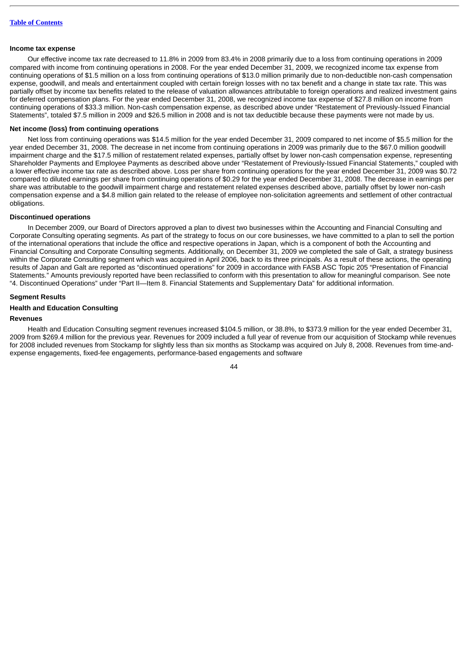### **Income tax expense**

Our effective income tax rate decreased to 11.8% in 2009 from 83.4% in 2008 primarily due to a loss from continuing operations in 2009 compared with income from continuing operations in 2008. For the year ended December 31, 2009, we recognized income tax expense from continuing operations of \$1.5 million on a loss from continuing operations of \$13.0 million primarily due to non-deductible non-cash compensation expense, goodwill, and meals and entertainment coupled with certain foreign losses with no tax benefit and a change in state tax rate. This was partially offset by income tax benefits related to the release of valuation allowances attributable to foreign operations and realized investment gains for deferred compensation plans. For the year ended December 31, 2008, we recognized income tax expense of \$27.8 million on income from continuing operations of \$33.3 million. Non-cash compensation expense, as described above under "Restatement of Previously-Issued Financial Statements", totaled \$7.5 million in 2009 and \$26.5 million in 2008 and is not tax deductible because these payments were not made by us.

#### **Net income (loss) from continuing operations**

Net loss from continuing operations was \$14.5 million for the year ended December 31, 2009 compared to net income of \$5.5 million for the year ended December 31, 2008. The decrease in net income from continuing operations in 2009 was primarily due to the \$67.0 million goodwill impairment charge and the \$17.5 million of restatement related expenses, partially offset by lower non-cash compensation expense, representing Shareholder Payments and Employee Payments as described above under "Restatement of Previously-Issued Financial Statements," coupled with a lower effective income tax rate as described above. Loss per share from continuing operations for the year ended December 31, 2009 was \$0.72 compared to diluted earnings per share from continuing operations of \$0.29 for the year ended December 31, 2008. The decrease in earnings per share was attributable to the goodwill impairment charge and restatement related expenses described above, partially offset by lower non-cash compensation expense and a \$4.8 million gain related to the release of employee non-solicitation agreements and settlement of other contractual obligations.

#### **Discontinued operations**

In December 2009, our Board of Directors approved a plan to divest two businesses within the Accounting and Financial Consulting and Corporate Consulting operating segments. As part of the strategy to focus on our core businesses, we have committed to a plan to sell the portion of the international operations that include the office and respective operations in Japan, which is a component of both the Accounting and Financial Consulting and Corporate Consulting segments. Additionally, on December 31, 2009 we completed the sale of Galt, a strategy business within the Corporate Consulting segment which was acquired in April 2006, back to its three principals. As a result of these actions, the operating results of Japan and Galt are reported as "discontinued operations" for 2009 in accordance with FASB ASC Topic 205 "Presentation of Financial Statements." Amounts previously reported have been reclassified to conform with this presentation to allow for meaningful comparison. See note "4. Discontinued Operations" under "Part II—Item 8. Financial Statements and Supplementary Data" for additional information.

#### **Segment Results**

### **Health and Education Consulting**

#### **Revenues**

Health and Education Consulting segment revenues increased \$104.5 million, or 38.8%, to \$373.9 million for the year ended December 31, 2009 from \$269.4 million for the previous year. Revenues for 2009 included a full year of revenue from our acquisition of Stockamp while revenues for 2008 included revenues from Stockamp for slightly less than six months as Stockamp was acquired on July 8, 2008. Revenues from time-andexpense engagements, fixed-fee engagements, performance-based engagements and software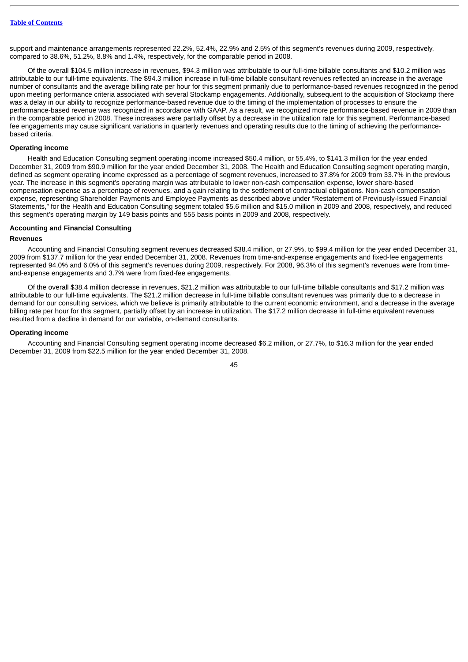support and maintenance arrangements represented 22.2%, 52.4%, 22.9% and 2.5% of this segment's revenues during 2009, respectively, compared to 38.6%, 51.2%, 8.8% and 1.4%, respectively, for the comparable period in 2008.

Of the overall \$104.5 million increase in revenues, \$94.3 million was attributable to our full-time billable consultants and \$10.2 million was attributable to our full-time equivalents. The \$94.3 million increase in full-time billable consultant revenues reflected an increase in the average number of consultants and the average billing rate per hour for this segment primarily due to performance-based revenues recognized in the period upon meeting performance criteria associated with several Stockamp engagements. Additionally, subsequent to the acquisition of Stockamp there was a delay in our ability to recognize performance-based revenue due to the timing of the implementation of processes to ensure the performance-based revenue was recognized in accordance with GAAP. As a result, we recognized more performance-based revenue in 2009 than in the comparable period in 2008. These increases were partially offset by a decrease in the utilization rate for this segment. Performance-based fee engagements may cause significant variations in quarterly revenues and operating results due to the timing of achieving the performancebased criteria.

### **Operating income**

Health and Education Consulting segment operating income increased \$50.4 million, or 55.4%, to \$141.3 million for the year ended December 31, 2009 from \$90.9 million for the year ended December 31, 2008. The Health and Education Consulting segment operating margin, defined as segment operating income expressed as a percentage of segment revenues, increased to 37.8% for 2009 from 33.7% in the previous year. The increase in this segment's operating margin was attributable to lower non-cash compensation expense, lower share-based compensation expense as a percentage of revenues, and a gain relating to the settlement of contractual obligations. Non-cash compensation expense, representing Shareholder Payments and Employee Payments as described above under "Restatement of Previously-Issued Financial Statements," for the Health and Education Consulting segment totaled \$5.6 million and \$15.0 million in 2009 and 2008, respectively, and reduced this segment's operating margin by 149 basis points and 555 basis points in 2009 and 2008, respectively.

### **Accounting and Financial Consulting**

#### **Revenues**

Accounting and Financial Consulting segment revenues decreased \$38.4 million, or 27.9%, to \$99.4 million for the year ended December 31, 2009 from \$137.7 million for the year ended December 31, 2008. Revenues from time-and-expense engagements and fixed-fee engagements represented 94.0% and 6.0% of this segment's revenues during 2009, respectively. For 2008, 96.3% of this segment's revenues were from timeand-expense engagements and 3.7% were from fixed-fee engagements.

Of the overall \$38.4 million decrease in revenues, \$21.2 million was attributable to our full-time billable consultants and \$17.2 million was attributable to our full-time equivalents. The \$21.2 million decrease in full-time billable consultant revenues was primarily due to a decrease in demand for our consulting services, which we believe is primarily attributable to the current economic environment, and a decrease in the average billing rate per hour for this segment, partially offset by an increase in utilization. The \$17.2 million decrease in full-time equivalent revenues resulted from a decline in demand for our variable, on-demand consultants.

#### **Operating income**

Accounting and Financial Consulting segment operating income decreased \$6.2 million, or 27.7%, to \$16.3 million for the year ended December 31, 2009 from \$22.5 million for the year ended December 31, 2008.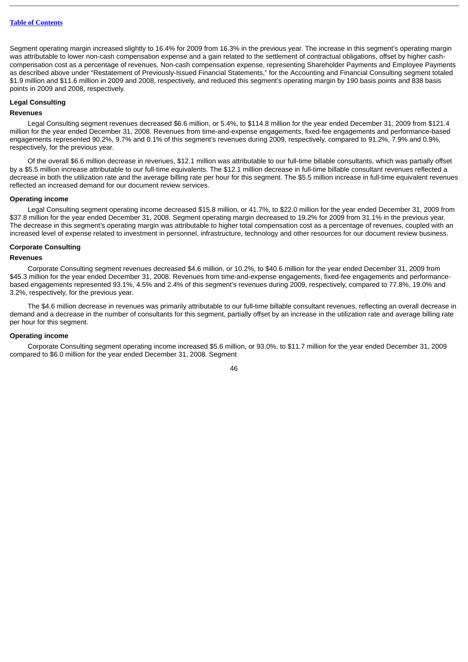Segment operating margin increased slightly to 16.4% for 2009 from 16.3% in the previous year. The increase in this segment's operating margin was attributable to lower non-cash compensation expense and a gain related to the settlement of contractual obligations, offset by higher cashcompensation cost as a percentage of revenues. Non-cash compensation expense, representing Shareholder Payments and Employee Payments as described above under "Restatement of Previously-Issued Financial Statements," for the Accounting and Financial Consulting segment totaled \$1.9 million and \$11.6 million in 2009 and 2008, respectively, and reduced this segment's operating margin by 190 basis points and 838 basis points in 2009 and 2008, respectively.

### **Legal Consulting**

### **Revenues**

Legal Consulting segment revenues decreased \$6.6 million, or 5.4%, to \$114.8 million for the year ended December 31, 2009 from \$121.4 million for the year ended December 31, 2008. Revenues from time-and-expense engagements, fixed-fee engagements and performance-based engagements represented 90.2%, 9.7% and 0.1% of this segment's revenues during 2009, respectively, compared to 91.2%, 7.9% and 0.9%, respectively, for the previous year.

Of the overall \$6.6 million decrease in revenues, \$12.1 million was attributable to our full-time billable consultants, which was partially offset by a \$5.5 million increase attributable to our full-time equivalents. The \$12.1 million decrease in full-time billable consultant revenues reflected a decrease in both the utilization rate and the average billing rate per hour for this segment. The \$5.5 million increase in full-time equivalent revenues reflected an increased demand for our document review services.

#### **Operating income**

Legal Consulting segment operating income decreased \$15.8 million, or 41.7%, to \$22.0 million for the year ended December 31, 2009 from \$37.8 million for the year ended December 31, 2008. Segment operating margin decreased to 19.2% for 2009 from 31.1% in the previous year. The decrease in this segment's operating margin was attributable to higher total compensation cost as a percentage of revenues, coupled with an increased level of expense related to investment in personnel, infrastructure, technology and other resources for our document review business.

### **Corporate Consulting**

#### **Revenues**

Corporate Consulting segment revenues decreased \$4.6 million, or 10.2%, to \$40.6 million for the year ended December 31, 2009 from \$45.3 million for the year ended December 31, 2008. Revenues from time-and-expense engagements, fixed-fee engagements and performancebased engagements represented 93.1%, 4.5% and 2.4% of this segment's revenues during 2009, respectively, compared to 77.8%, 19.0% and 3.2%, respectively, for the previous year.

The \$4.6 million decrease in revenues was primarily attributable to our full-time billable consultant revenues, reflecting an overall decrease in demand and a decrease in the number of consultants for this segment, partially offset by an increase in the utilization rate and average billing rate per hour for this segment.

### **Operating income**

Corporate Consulting segment operating income increased \$5.6 million, or 93.0%, to \$11.7 million for the year ended December 31, 2009 compared to \$6.0 million for the year ended December 31, 2008. Segment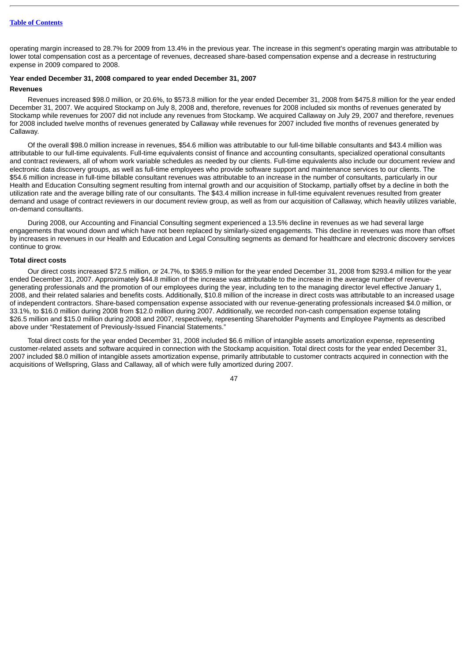operating margin increased to 28.7% for 2009 from 13.4% in the previous year. The increase in this segment's operating margin was attributable to lower total compensation cost as a percentage of revenues, decreased share-based compensation expense and a decrease in restructuring expense in 2009 compared to 2008.

## **Year ended December 31, 2008 compared to year ended December 31, 2007**

#### **Revenues**

Revenues increased \$98.0 million, or 20.6%, to \$573.8 million for the year ended December 31, 2008 from \$475.8 million for the year ended December 31, 2007. We acquired Stockamp on July 8, 2008 and, therefore, revenues for 2008 included six months of revenues generated by Stockamp while revenues for 2007 did not include any revenues from Stockamp. We acquired Callaway on July 29, 2007 and therefore, revenues for 2008 included twelve months of revenues generated by Callaway while revenues for 2007 included five months of revenues generated by Callaway.

Of the overall \$98.0 million increase in revenues, \$54.6 million was attributable to our full-time billable consultants and \$43.4 million was attributable to our full-time equivalents. Full-time equivalents consist of finance and accounting consultants, specialized operational consultants and contract reviewers, all of whom work variable schedules as needed by our clients. Full-time equivalents also include our document review and electronic data discovery groups, as well as full-time employees who provide software support and maintenance services to our clients. The \$54.6 million increase in full-time billable consultant revenues was attributable to an increase in the number of consultants, particularly in our Health and Education Consulting segment resulting from internal growth and our acquisition of Stockamp, partially offset by a decline in both the utilization rate and the average billing rate of our consultants. The \$43.4 million increase in full-time equivalent revenues resulted from greater demand and usage of contract reviewers in our document review group, as well as from our acquisition of Callaway, which heavily utilizes variable, on-demand consultants.

During 2008, our Accounting and Financial Consulting segment experienced a 13.5% decline in revenues as we had several large engagements that wound down and which have not been replaced by similarly-sized engagements. This decline in revenues was more than offset by increases in revenues in our Health and Education and Legal Consulting segments as demand for healthcare and electronic discovery services continue to grow.

#### **Total direct costs**

Our direct costs increased \$72.5 million, or 24.7%, to \$365.9 million for the year ended December 31, 2008 from \$293.4 million for the year ended December 31, 2007. Approximately \$44.8 million of the increase was attributable to the increase in the average number of revenuegenerating professionals and the promotion of our employees during the year, including ten to the managing director level effective January 1, 2008, and their related salaries and benefits costs. Additionally, \$10.8 million of the increase in direct costs was attributable to an increased usage of independent contractors. Share-based compensation expense associated with our revenue-generating professionals increased \$4.0 million, or 33.1%, to \$16.0 million during 2008 from \$12.0 million during 2007. Additionally, we recorded non-cash compensation expense totaling \$26.5 million and \$15.0 million during 2008 and 2007, respectively, representing Shareholder Payments and Employee Payments as described above under "Restatement of Previously-Issued Financial Statements."

Total direct costs for the year ended December 31, 2008 included \$6.6 million of intangible assets amortization expense, representing customer-related assets and software acquired in connection with the Stockamp acquisition. Total direct costs for the year ended December 31, 2007 included \$8.0 million of intangible assets amortization expense, primarily attributable to customer contracts acquired in connection with the acquisitions of Wellspring, Glass and Callaway, all of which were fully amortized during 2007.

 $\overline{A}$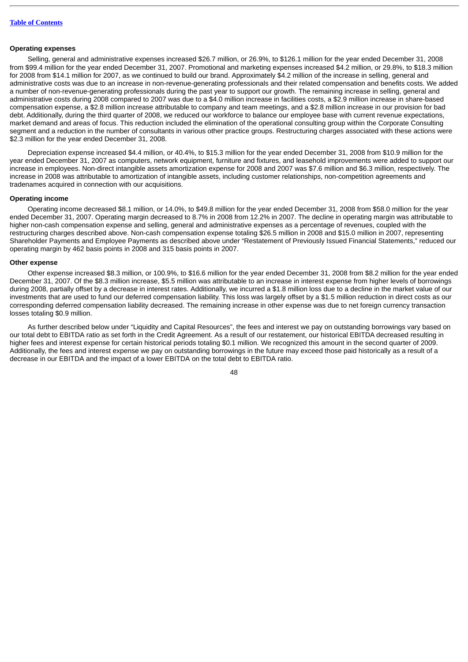#### **Operating expenses**

Selling, general and administrative expenses increased \$26.7 million, or 26.9%, to \$126.1 million for the year ended December 31, 2008 from \$99.4 million for the year ended December 31, 2007. Promotional and marketing expenses increased \$4.2 million, or 29.8%, to \$18.3 million for 2008 from \$14.1 million for 2007, as we continued to build our brand. Approximately \$4.2 million of the increase in selling, general and administrative costs was due to an increase in non-revenue-generating professionals and their related compensation and benefits costs. We added a number of non-revenue-generating professionals during the past year to support our growth. The remaining increase in selling, general and administrative costs during 2008 compared to 2007 was due to a \$4.0 million increase in facilities costs, a \$2.9 million increase in share-based compensation expense, a \$2.8 million increase attributable to company and team meetings, and a \$2.8 million increase in our provision for bad debt. Additionally, during the third quarter of 2008, we reduced our workforce to balance our employee base with current revenue expectations, market demand and areas of focus. This reduction included the elimination of the operational consulting group within the Corporate Consulting segment and a reduction in the number of consultants in various other practice groups. Restructuring charges associated with these actions were \$2.3 million for the year ended December 31, 2008.

Depreciation expense increased \$4.4 million, or 40.4%, to \$15.3 million for the year ended December 31, 2008 from \$10.9 million for the year ended December 31, 2007 as computers, network equipment, furniture and fixtures, and leasehold improvements were added to support our increase in employees. Non-direct intangible assets amortization expense for 2008 and 2007 was \$7.6 million and \$6.3 million, respectively. The increase in 2008 was attributable to amortization of intangible assets, including customer relationships, non-competition agreements and tradenames acquired in connection with our acquisitions.

#### **Operating income**

Operating income decreased \$8.1 million, or 14.0%, to \$49.8 million for the year ended December 31, 2008 from \$58.0 million for the year ended December 31, 2007. Operating margin decreased to 8.7% in 2008 from 12.2% in 2007. The decline in operating margin was attributable to higher non-cash compensation expense and selling, general and administrative expenses as a percentage of revenues, coupled with the restructuring charges described above. Non-cash compensation expense totaling \$26.5 million in 2008 and \$15.0 million in 2007, representing Shareholder Payments and Employee Payments as described above under "Restatement of Previously Issued Financial Statements," reduced our operating margin by 462 basis points in 2008 and 315 basis points in 2007.

#### **Other expense**

Other expense increased \$8.3 million, or 100.9%, to \$16.6 million for the year ended December 31, 2008 from \$8.2 million for the year ended December 31, 2007. Of the \$8.3 million increase, \$5.5 million was attributable to an increase in interest expense from higher levels of borrowings during 2008, partially offset by a decrease in interest rates. Additionally, we incurred a \$1.8 million loss due to a decline in the market value of our investments that are used to fund our deferred compensation liability. This loss was largely offset by a \$1.5 million reduction in direct costs as our corresponding deferred compensation liability decreased. The remaining increase in other expense was due to net foreign currency transaction losses totaling \$0.9 million.

As further described below under "Liquidity and Capital Resources", the fees and interest we pay on outstanding borrowings vary based on our total debt to EBITDA ratio as set forth in the Credit Agreement. As a result of our restatement, our historical EBITDA decreased resulting in higher fees and interest expense for certain historical periods totaling \$0.1 million. We recognized this amount in the second quarter of 2009. Additionally, the fees and interest expense we pay on outstanding borrowings in the future may exceed those paid historically as a result of a decrease in our EBITDA and the impact of a lower EBITDA on the total debt to EBITDA ratio.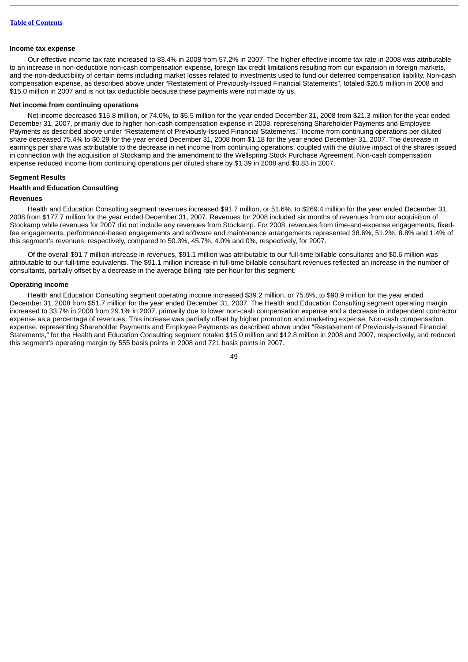### **Income tax expense**

Our effective income tax rate increased to 83.4% in 2008 from 57.2% in 2007. The higher effective income tax rate in 2008 was attributable to an increase in non-deductible non-cash compensation expense, foreign tax credit limitations resulting from our expansion in foreign markets, and the non-deductibility of certain items including market losses related to investments used to fund our deferred compensation liability. Non-cash compensation expense, as described above under "Restatement of Previously-Issued Financial Statements", totaled \$26.5 million in 2008 and \$15.0 million in 2007 and is not tax deductible because these payments were not made by us.

#### **Net income from continuing operations**

Net income decreased \$15.8 million, or 74.0%, to \$5.5 million for the year ended December 31, 2008 from \$21.3 million for the year ended December 31, 2007, primarily due to higher non-cash compensation expense in 2008, representing Shareholder Payments and Employee Payments as described above under "Restatement of Previously-Issued Financial Statements." Income from continuing operations per diluted share decreased 75.4% to \$0.29 for the year ended December 31, 2008 from \$1.18 for the year ended December 31, 2007. The decrease in earnings per share was attributable to the decrease in net income from continuing operations, coupled with the dilutive impact of the shares issued in connection with the acquisition of Stockamp and the amendment to the Wellspring Stock Purchase Agreement. Non-cash compensation expense reduced income from continuing operations per diluted share by \$1.39 in 2008 and \$0.83 in 2007.

#### **Segment Results**

### **Health and Education Consulting**

#### **Revenues**

Health and Education Consulting segment revenues increased \$91.7 million, or 51.6%, to \$269.4 million for the year ended December 31, 2008 from \$177.7 million for the year ended December 31, 2007. Revenues for 2008 included six months of revenues from our acquisition of Stockamp while revenues for 2007 did not include any revenues from Stockamp. For 2008, revenues from time-and-expense engagements, fixedfee engagements, performance-based engagements and software and maintenance arrangements represented 38.6%, 51.2%, 8.8% and 1.4% of this segment's revenues, respectively, compared to 50.3%, 45.7%, 4.0% and 0%, respectively, for 2007.

Of the overall \$91.7 million increase in revenues, \$91.1 million was attributable to our full-time billable consultants and \$0.6 million was attributable to our full-time equivalents. The \$91.1 million increase in full-time billable consultant revenues reflected an increase in the number of consultants, partially offset by a decrease in the average billing rate per hour for this segment.

#### **Operating income**

Health and Education Consulting segment operating income increased \$39.2 million, or 75.8%, to \$90.9 million for the year ended December 31, 2008 from \$51.7 million for the year ended December 31, 2007. The Health and Education Consulting segment operating margin increased to 33.7% in 2008 from 29.1% in 2007, primarily due to lower non-cash compensation expense and a decrease in independent contractor expense as a percentage of revenues. This increase was partially offset by higher promotion and marketing expense. Non-cash compensation expense, representing Shareholder Payments and Employee Payments as described above under "Restatement of Previously-Issued Financial Statements," for the Health and Education Consulting segment totaled \$15.0 million and \$12.8 million in 2008 and 2007, respectively, and reduced this segment's operating margin by 555 basis points in 2008 and 721 basis points in 2007.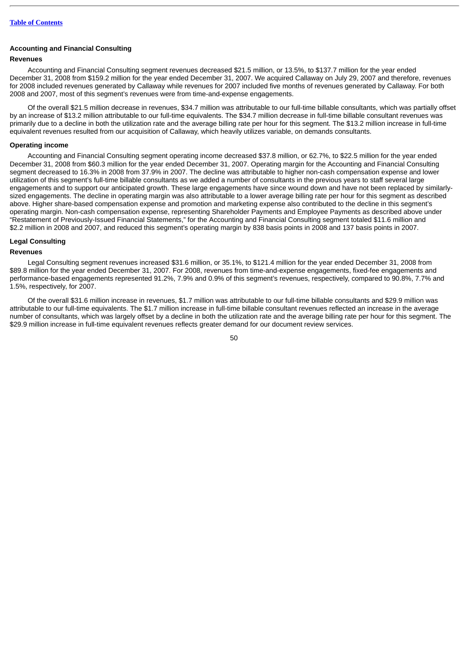## **Accounting and Financial Consulting**

### **Revenues**

Accounting and Financial Consulting segment revenues decreased \$21.5 million, or 13.5%, to \$137.7 million for the year ended December 31, 2008 from \$159.2 million for the year ended December 31, 2007. We acquired Callaway on July 29, 2007 and therefore, revenues for 2008 included revenues generated by Callaway while revenues for 2007 included five months of revenues generated by Callaway. For both 2008 and 2007, most of this segment's revenues were from time-and-expense engagements.

Of the overall \$21.5 million decrease in revenues, \$34.7 million was attributable to our full-time billable consultants, which was partially offset by an increase of \$13.2 million attributable to our full-time equivalents. The \$34.7 million decrease in full-time billable consultant revenues was primarily due to a decline in both the utilization rate and the average billing rate per hour for this segment. The \$13.2 million increase in full-time equivalent revenues resulted from our acquisition of Callaway, which heavily utilizes variable, on demands consultants.

### **Operating income**

Accounting and Financial Consulting segment operating income decreased \$37.8 million, or 62.7%, to \$22.5 million for the year ended December 31, 2008 from \$60.3 million for the year ended December 31, 2007. Operating margin for the Accounting and Financial Consulting segment decreased to 16.3% in 2008 from 37.9% in 2007. The decline was attributable to higher non-cash compensation expense and lower utilization of this segment's full-time billable consultants as we added a number of consultants in the previous years to staff several large engagements and to support our anticipated growth. These large engagements have since wound down and have not been replaced by similarlysized engagements. The decline in operating margin was also attributable to a lower average billing rate per hour for this segment as described above. Higher share-based compensation expense and promotion and marketing expense also contributed to the decline in this segment's operating margin. Non-cash compensation expense, representing Shareholder Payments and Employee Payments as described above under "Restatement of Previously-Issued Financial Statements," for the Accounting and Financial Consulting segment totaled \$11.6 million and \$2.2 million in 2008 and 2007, and reduced this segment's operating margin by 838 basis points in 2008 and 137 basis points in 2007.

#### **Legal Consulting**

### **Revenues**

Legal Consulting segment revenues increased \$31.6 million, or 35.1%, to \$121.4 million for the year ended December 31, 2008 from \$89.8 million for the year ended December 31, 2007. For 2008, revenues from time-and-expense engagements, fixed-fee engagements and performance-based engagements represented 91.2%, 7.9% and 0.9% of this segment's revenues, respectively, compared to 90.8%, 7.7% and 1.5%, respectively, for 2007.

Of the overall \$31.6 million increase in revenues, \$1.7 million was attributable to our full-time billable consultants and \$29.9 million was attributable to our full-time equivalents. The \$1.7 million increase in full-time billable consultant revenues reflected an increase in the average number of consultants, which was largely offset by a decline in both the utilization rate and the average billing rate per hour for this segment. The \$29.9 million increase in full-time equivalent revenues reflects greater demand for our document review services.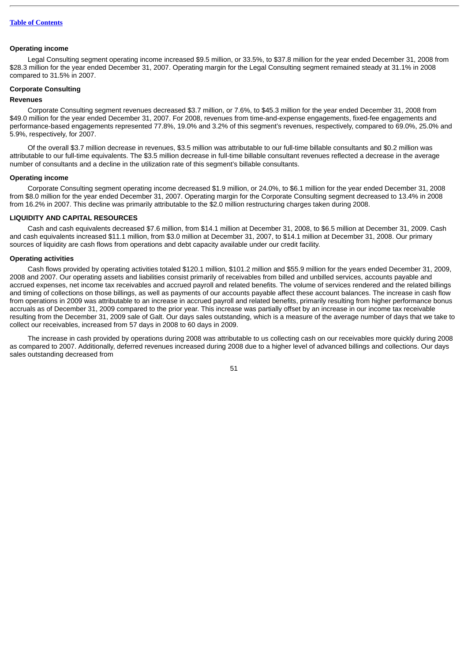#### **Operating income**

Legal Consulting segment operating income increased \$9.5 million, or 33.5%, to \$37.8 million for the year ended December 31, 2008 from \$28.3 million for the year ended December 31, 2007. Operating margin for the Legal Consulting segment remained steady at 31.1% in 2008 compared to 31.5% in 2007.

### **Corporate Consulting**

### **Revenues**

Corporate Consulting segment revenues decreased \$3.7 million, or 7.6%, to \$45.3 million for the year ended December 31, 2008 from \$49.0 million for the year ended December 31, 2007. For 2008, revenues from time-and-expense engagements, fixed-fee engagements and performance-based engagements represented 77.8%, 19.0% and 3.2% of this segment's revenues, respectively, compared to 69.0%, 25.0% and 5.9%, respectively, for 2007.

Of the overall \$3.7 million decrease in revenues, \$3.5 million was attributable to our full-time billable consultants and \$0.2 million was attributable to our full-time equivalents. The \$3.5 million decrease in full-time billable consultant revenues reflected a decrease in the average number of consultants and a decline in the utilization rate of this segment's billable consultants.

#### **Operating income**

Corporate Consulting segment operating income decreased \$1.9 million, or 24.0%, to \$6.1 million for the year ended December 31, 2008 from \$8.0 million for the year ended December 31, 2007. Operating margin for the Corporate Consulting segment decreased to 13.4% in 2008 from 16.2% in 2007. This decline was primarily attributable to the \$2.0 million restructuring charges taken during 2008.

## **LIQUIDITY AND CAPITAL RESOURCES**

Cash and cash equivalents decreased \$7.6 million, from \$14.1 million at December 31, 2008, to \$6.5 million at December 31, 2009. Cash and cash equivalents increased \$11.1 million, from \$3.0 million at December 31, 2007, to \$14.1 million at December 31, 2008. Our primary sources of liquidity are cash flows from operations and debt capacity available under our credit facility.

#### **Operating activities**

Cash flows provided by operating activities totaled \$120.1 million, \$101.2 million and \$55.9 million for the years ended December 31, 2009, 2008 and 2007. Our operating assets and liabilities consist primarily of receivables from billed and unbilled services, accounts payable and accrued expenses, net income tax receivables and accrued payroll and related benefits. The volume of services rendered and the related billings and timing of collections on those billings, as well as payments of our accounts payable affect these account balances. The increase in cash flow from operations in 2009 was attributable to an increase in accrued payroll and related benefits, primarily resulting from higher performance bonus accruals as of December 31, 2009 compared to the prior year. This increase was partially offset by an increase in our income tax receivable resulting from the December 31, 2009 sale of Galt. Our days sales outstanding, which is a measure of the average number of days that we take to collect our receivables, increased from 57 days in 2008 to 60 days in 2009.

The increase in cash provided by operations during 2008 was attributable to us collecting cash on our receivables more quickly during 2008 as compared to 2007. Additionally, deferred revenues increased during 2008 due to a higher level of advanced billings and collections. Our days sales outstanding decreased from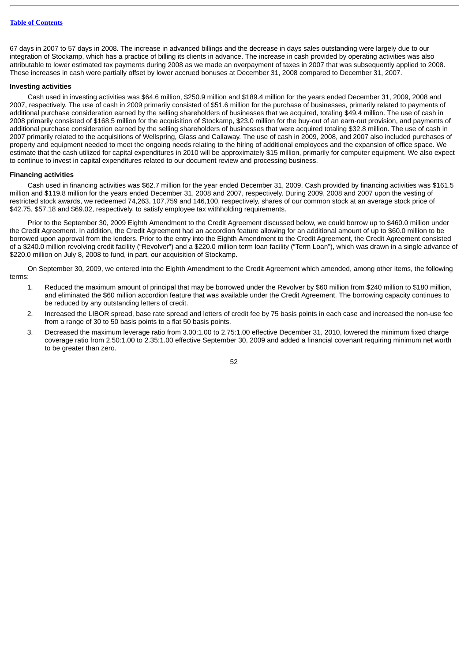67 days in 2007 to 57 days in 2008. The increase in advanced billings and the decrease in days sales outstanding were largely due to our integration of Stockamp, which has a practice of billing its clients in advance. The increase in cash provided by operating activities was also attributable to lower estimated tax payments during 2008 as we made an overpayment of taxes in 2007 that was subsequently applied to 2008. These increases in cash were partially offset by lower accrued bonuses at December 31, 2008 compared to December 31, 2007.

#### **Investing activities**

Cash used in investing activities was \$64.6 million, \$250.9 million and \$189.4 million for the years ended December 31, 2009, 2008 and 2007, respectively. The use of cash in 2009 primarily consisted of \$51.6 million for the purchase of businesses, primarily related to payments of additional purchase consideration earned by the selling shareholders of businesses that we acquired, totaling \$49.4 million. The use of cash in 2008 primarily consisted of \$168.5 million for the acquisition of Stockamp, \$23.0 million for the buy-out of an earn-out provision, and payments of additional purchase consideration earned by the selling shareholders of businesses that were acquired totaling \$32.8 million. The use of cash in 2007 primarily related to the acquisitions of Wellspring, Glass and Callaway. The use of cash in 2009, 2008, and 2007 also included purchases of property and equipment needed to meet the ongoing needs relating to the hiring of additional employees and the expansion of office space. We estimate that the cash utilized for capital expenditures in 2010 will be approximately \$15 million, primarily for computer equipment. We also expect to continue to invest in capital expenditures related to our document review and processing business.

#### **Financing activities**

Cash used in financing activities was \$62.7 million for the year ended December 31, 2009. Cash provided by financing activities was \$161.5 million and \$119.8 million for the years ended December 31, 2008 and 2007, respectively. During 2009, 2008 and 2007 upon the vesting of restricted stock awards, we redeemed 74,263, 107,759 and 146,100, respectively, shares of our common stock at an average stock price of \$42.75, \$57.18 and \$69.02, respectively, to satisfy employee tax withholding requirements.

Prior to the September 30, 2009 Eighth Amendment to the Credit Agreement discussed below, we could borrow up to \$460.0 million under the Credit Agreement. In addition, the Credit Agreement had an accordion feature allowing for an additional amount of up to \$60.0 million to be borrowed upon approval from the lenders. Prior to the entry into the Eighth Amendment to the Credit Agreement, the Credit Agreement consisted of a \$240.0 million revolving credit facility ("Revolver") and a \$220.0 million term loan facility ("Term Loan"), which was drawn in a single advance of \$220.0 million on July 8, 2008 to fund, in part, our acquisition of Stockamp.

On September 30, 2009, we entered into the Eighth Amendment to the Credit Agreement which amended, among other items, the following terms:

- 1. Reduced the maximum amount of principal that may be borrowed under the Revolver by \$60 million from \$240 million to \$180 million, and eliminated the \$60 million accordion feature that was available under the Credit Agreement. The borrowing capacity continues to be reduced by any outstanding letters of credit.
- 2. Increased the LIBOR spread, base rate spread and letters of credit fee by 75 basis points in each case and increased the non-use fee from a range of 30 to 50 basis points to a flat 50 basis points.
- 3. Decreased the maximum leverage ratio from 3.00:1.00 to 2.75:1.00 effective December 31, 2010, lowered the minimum fixed charge coverage ratio from 2.50:1.00 to 2.35:1.00 effective September 30, 2009 and added a financial covenant requiring minimum net worth to be greater than zero.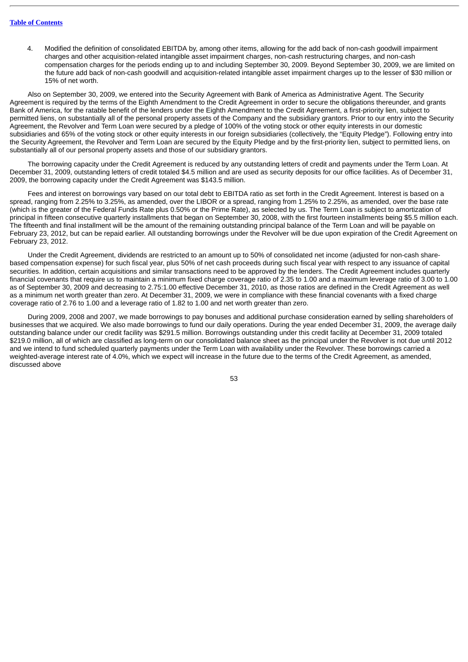4. Modified the definition of consolidated EBITDA by, among other items, allowing for the add back of non-cash goodwill impairment charges and other acquisition-related intangible asset impairment charges, non-cash restructuring charges, and non-cash compensation charges for the periods ending up to and including September 30, 2009. Beyond September 30, 2009, we are limited on the future add back of non-cash goodwill and acquisition-related intangible asset impairment charges up to the lesser of \$30 million or 15% of net worth.

Also on September 30, 2009, we entered into the Security Agreement with Bank of America as Administrative Agent. The Security Agreement is required by the terms of the Eighth Amendment to the Credit Agreement in order to secure the obligations thereunder, and grants Bank of America, for the ratable benefit of the lenders under the Eighth Amendment to the Credit Agreement, a first-priority lien, subject to permitted liens, on substantially all of the personal property assets of the Company and the subsidiary grantors. Prior to our entry into the Security Agreement, the Revolver and Term Loan were secured by a pledge of 100% of the voting stock or other equity interests in our domestic subsidiaries and 65% of the voting stock or other equity interests in our foreign subsidiaries (collectively, the "Equity Pledge"). Following entry into the Security Agreement, the Revolver and Term Loan are secured by the Equity Pledge and by the first-priority lien, subject to permitted liens, on substantially all of our personal property assets and those of our subsidiary grantors.

The borrowing capacity under the Credit Agreement is reduced by any outstanding letters of credit and payments under the Term Loan. At December 31, 2009, outstanding letters of credit totaled \$4.5 million and are used as security deposits for our office facilities. As of December 31, 2009, the borrowing capacity under the Credit Agreement was \$143.5 million.

Fees and interest on borrowings vary based on our total debt to EBITDA ratio as set forth in the Credit Agreement. Interest is based on a spread, ranging from 2.25% to 3.25%, as amended, over the LIBOR or a spread, ranging from 1.25% to 2.25%, as amended, over the base rate (which is the greater of the Federal Funds Rate plus 0.50% or the Prime Rate), as selected by us. The Term Loan is subject to amortization of principal in fifteen consecutive quarterly installments that began on September 30, 2008, with the first fourteen installments being \$5.5 million each. The fifteenth and final installment will be the amount of the remaining outstanding principal balance of the Term Loan and will be payable on February 23, 2012, but can be repaid earlier. All outstanding borrowings under the Revolver will be due upon expiration of the Credit Agreement on February 23, 2012.

Under the Credit Agreement, dividends are restricted to an amount up to 50% of consolidated net income (adjusted for non-cash sharebased compensation expense) for such fiscal year, plus 50% of net cash proceeds during such fiscal year with respect to any issuance of capital securities. In addition, certain acquisitions and similar transactions need to be approved by the lenders. The Credit Agreement includes quarterly financial covenants that require us to maintain a minimum fixed charge coverage ratio of 2.35 to 1.00 and a maximum leverage ratio of 3.00 to 1.00 as of September 30, 2009 and decreasing to 2.75:1.00 effective December 31, 2010, as those ratios are defined in the Credit Agreement as well as a minimum net worth greater than zero. At December 31, 2009, we were in compliance with these financial covenants with a fixed charge coverage ratio of 2.76 to 1.00 and a leverage ratio of 1.82 to 1.00 and net worth greater than zero.

During 2009, 2008 and 2007, we made borrowings to pay bonuses and additional purchase consideration earned by selling shareholders of businesses that we acquired. We also made borrowings to fund our daily operations. During the year ended December 31, 2009, the average daily outstanding balance under our credit facility was \$291.5 million. Borrowings outstanding under this credit facility at December 31, 2009 totaled \$219.0 million, all of which are classified as long-term on our consolidated balance sheet as the principal under the Revolver is not due until 2012 and we intend to fund scheduled quarterly payments under the Term Loan with availability under the Revolver. These borrowings carried a weighted-average interest rate of 4.0%, which we expect will increase in the future due to the terms of the Credit Agreement, as amended, discussed above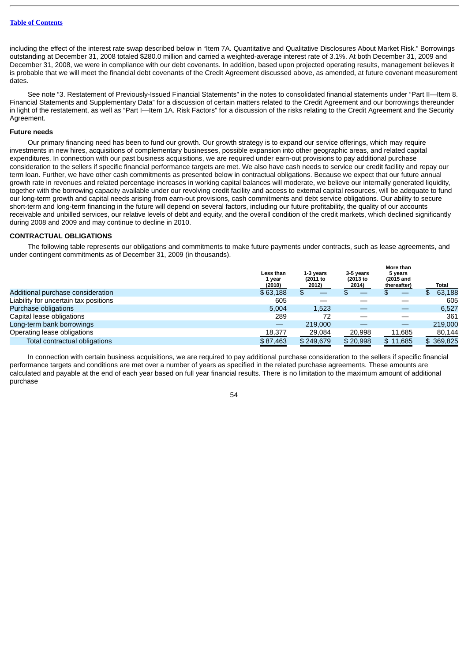including the effect of the interest rate swap described below in "Item 7A. Quantitative and Qualitative Disclosures About Market Risk." Borrowings outstanding at December 31, 2008 totaled \$280.0 million and carried a weighted-average interest rate of 3.1%. At both December 31, 2009 and December 31, 2008, we were in compliance with our debt covenants. In addition, based upon projected operating results, management believes it is probable that we will meet the financial debt covenants of the Credit Agreement discussed above, as amended, at future covenant measurement dates.

See note "3. Restatement of Previously-Issued Financial Statements" in the notes to consolidated financial statements under "Part II—Item 8. Financial Statements and Supplementary Data" for a discussion of certain matters related to the Credit Agreement and our borrowings thereunder in light of the restatement, as well as "Part I—Item 1A. Risk Factors" for a discussion of the risks relating to the Credit Agreement and the Security Agreement.

#### **Future needs**

Our primary financing need has been to fund our growth. Our growth strategy is to expand our service offerings, which may require investments in new hires, acquisitions of complementary businesses, possible expansion into other geographic areas, and related capital expenditures. In connection with our past business acquisitions, we are required under earn-out provisions to pay additional purchase consideration to the sellers if specific financial performance targets are met. We also have cash needs to service our credit facility and repay our term loan. Further, we have other cash commitments as presented below in contractual obligations. Because we expect that our future annual growth rate in revenues and related percentage increases in working capital balances will moderate, we believe our internally generated liquidity, together with the borrowing capacity available under our revolving credit facility and access to external capital resources, will be adequate to fund our long-term growth and capital needs arising from earn-out provisions, cash commitments and debt service obligations. Our ability to secure short-term and long-term financing in the future will depend on several factors, including our future profitability, the quality of our accounts receivable and unbilled services, our relative levels of debt and equity, and the overall condition of the credit markets, which declined significantly during 2008 and 2009 and may continue to decline in 2010.

### **CONTRACTUAL OBLIGATIONS**

The following table represents our obligations and commitments to make future payments under contracts, such as lease agreements, and under contingent commitments as of December 31, 2009 (in thousands).

|                                       | <b>Less than</b><br>1 year<br>(2010) | 1-3 years<br>(2011 to<br>2012) | 3-5 years<br>(2013 to<br>2014) | More than<br>5 years<br>(2015 and<br>thereafter) | Total     |
|---------------------------------------|--------------------------------------|--------------------------------|--------------------------------|--------------------------------------------------|-----------|
| Additional purchase consideration     | \$63,188                             | Ъ                              |                                |                                                  | 63,188    |
| Liability for uncertain tax positions | 605                                  |                                |                                |                                                  | 605       |
| <b>Purchase obligations</b>           | 5.004                                | 1,523                          |                                |                                                  | 6,527     |
| Capital lease obligations             | 289                                  | 72                             |                                |                                                  | 361       |
| Long-term bank borrowings             |                                      | 219,000                        |                                |                                                  | 219,000   |
| Operating lease obligations           | 18,377                               | 29,084                         | 20,998                         | 11,685                                           | 80,144    |
| Total contractual obligations         | \$87,463                             | \$249,679                      | \$20,998                       | \$11,685                                         | \$369,825 |
|                                       |                                      |                                |                                |                                                  |           |

In connection with certain business acquisitions, we are required to pay additional purchase consideration to the sellers if specific financial performance targets and conditions are met over a number of years as specified in the related purchase agreements. These amounts are calculated and payable at the end of each year based on full year financial results. There is no limitation to the maximum amount of additional purchase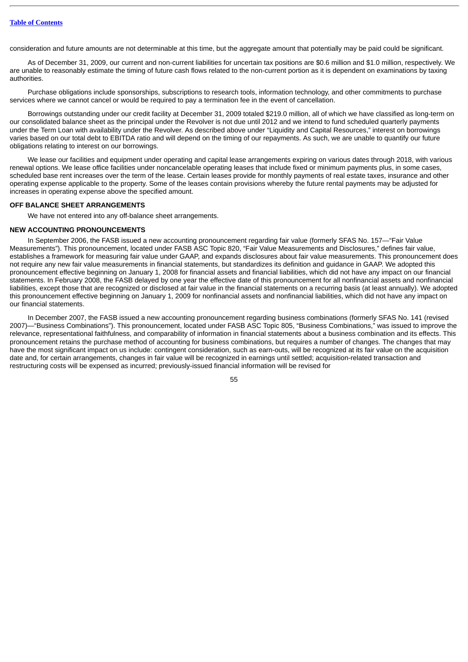consideration and future amounts are not determinable at this time, but the aggregate amount that potentially may be paid could be significant.

As of December 31, 2009, our current and non-current liabilities for uncertain tax positions are \$0.6 million and \$1.0 million, respectively. We are unable to reasonably estimate the timing of future cash flows related to the non-current portion as it is dependent on examinations by taxing authorities.

Purchase obligations include sponsorships, subscriptions to research tools, information technology, and other commitments to purchase services where we cannot cancel or would be required to pay a termination fee in the event of cancellation.

Borrowings outstanding under our credit facility at December 31, 2009 totaled \$219.0 million, all of which we have classified as long-term on our consolidated balance sheet as the principal under the Revolver is not due until 2012 and we intend to fund scheduled quarterly payments under the Term Loan with availability under the Revolver. As described above under "Liquidity and Capital Resources," interest on borrowings varies based on our total debt to EBITDA ratio and will depend on the timing of our repayments. As such, we are unable to quantify our future obligations relating to interest on our borrowings.

We lease our facilities and equipment under operating and capital lease arrangements expiring on various dates through 2018, with various renewal options. We lease office facilities under noncancelable operating leases that include fixed or minimum payments plus, in some cases, scheduled base rent increases over the term of the lease. Certain leases provide for monthly payments of real estate taxes, insurance and other operating expense applicable to the property. Some of the leases contain provisions whereby the future rental payments may be adjusted for increases in operating expense above the specified amount.

### **OFF BALANCE SHEET ARRANGEMENTS**

We have not entered into any off-balance sheet arrangements.

### **NEW ACCOUNTING PRONOUNCEMENTS**

In September 2006, the FASB issued a new accounting pronouncement regarding fair value (formerly SFAS No. 157—"Fair Value Measurements"). This pronouncement, located under FASB ASC Topic 820, "Fair Value Measurements and Disclosures," defines fair value, establishes a framework for measuring fair value under GAAP, and expands disclosures about fair value measurements. This pronouncement does not require any new fair value measurements in financial statements, but standardizes its definition and guidance in GAAP. We adopted this pronouncement effective beginning on January 1, 2008 for financial assets and financial liabilities, which did not have any impact on our financial statements. In February 2008, the FASB delayed by one year the effective date of this pronouncement for all nonfinancial assets and nonfinancial liabilities, except those that are recognized or disclosed at fair value in the financial statements on a recurring basis (at least annually). We adopted this pronouncement effective beginning on January 1, 2009 for nonfinancial assets and nonfinancial liabilities, which did not have any impact on our financial statements.

In December 2007, the FASB issued a new accounting pronouncement regarding business combinations (formerly SFAS No. 141 (revised 2007)—"Business Combinations"). This pronouncement, located under FASB ASC Topic 805, "Business Combinations," was issued to improve the relevance, representational faithfulness, and comparability of information in financial statements about a business combination and its effects. This pronouncement retains the purchase method of accounting for business combinations, but requires a number of changes. The changes that may have the most significant impact on us include: contingent consideration, such as earn-outs, will be recognized at its fair value on the acquisition date and, for certain arrangements, changes in fair value will be recognized in earnings until settled; acquisition-related transaction and restructuring costs will be expensed as incurred; previously-issued financial information will be revised for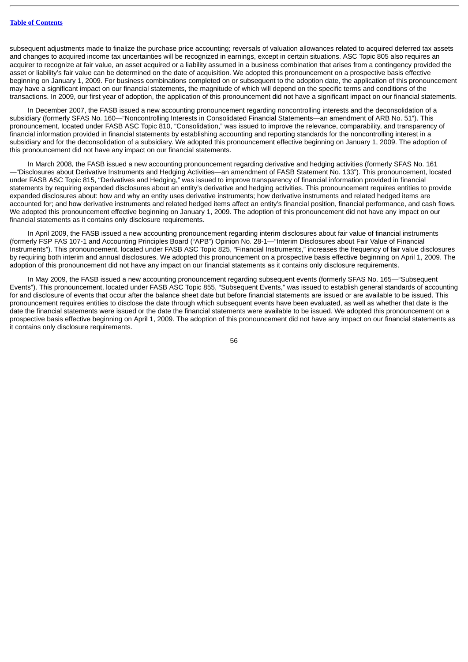subsequent adjustments made to finalize the purchase price accounting; reversals of valuation allowances related to acquired deferred tax assets and changes to acquired income tax uncertainties will be recognized in earnings, except in certain situations. ASC Topic 805 also requires an acquirer to recognize at fair value, an asset acquired or a liability assumed in a business combination that arises from a contingency provided the asset or liability's fair value can be determined on the date of acquisition. We adopted this pronouncement on a prospective basis effective beginning on January 1, 2009. For business combinations completed on or subsequent to the adoption date, the application of this pronouncement may have a significant impact on our financial statements, the magnitude of which will depend on the specific terms and conditions of the transactions. In 2009, our first year of adoption, the application of this pronouncement did not have a significant impact on our financial statements.

In December 2007, the FASB issued a new accounting pronouncement regarding noncontrolling interests and the deconsolidation of a subsidiary (formerly SFAS No. 160—"Noncontrolling Interests in Consolidated Financial Statements—an amendment of ARB No. 51"). This pronouncement, located under FASB ASC Topic 810, "Consolidation," was issued to improve the relevance, comparability, and transparency of financial information provided in financial statements by establishing accounting and reporting standards for the noncontrolling interest in a subsidiary and for the deconsolidation of a subsidiary. We adopted this pronouncement effective beginning on January 1, 2009. The adoption of this pronouncement did not have any impact on our financial statements.

In March 2008, the FASB issued a new accounting pronouncement regarding derivative and hedging activities (formerly SFAS No. 161 —"Disclosures about Derivative Instruments and Hedging Activities—an amendment of FASB Statement No. 133"). This pronouncement, located under FASB ASC Topic 815, "Derivatives and Hedging," was issued to improve transparency of financial information provided in financial statements by requiring expanded disclosures about an entity's derivative and hedging activities. This pronouncement requires entities to provide expanded disclosures about: how and why an entity uses derivative instruments; how derivative instruments and related hedged items are accounted for; and how derivative instruments and related hedged items affect an entity's financial position, financial performance, and cash flows. We adopted this pronouncement effective beginning on January 1, 2009. The adoption of this pronouncement did not have any impact on our financial statements as it contains only disclosure requirements.

In April 2009, the FASB issued a new accounting pronouncement regarding interim disclosures about fair value of financial instruments (formerly FSP FAS 107-1 and Accounting Principles Board ("APB") Opinion No. 28-1—"Interim Disclosures about Fair Value of Financial Instruments"). This pronouncement, located under FASB ASC Topic 825, "Financial Instruments," increases the frequency of fair value disclosures by requiring both interim and annual disclosures. We adopted this pronouncement on a prospective basis effective beginning on April 1, 2009. The adoption of this pronouncement did not have any impact on our financial statements as it contains only disclosure requirements.

In May 2009, the FASB issued a new accounting pronouncement regarding subsequent events (formerly SFAS No. 165—"Subsequent Events"). This pronouncement, located under FASB ASC Topic 855, "Subsequent Events," was issued to establish general standards of accounting for and disclosure of events that occur after the balance sheet date but before financial statements are issued or are available to be issued. This pronouncement requires entities to disclose the date through which subsequent events have been evaluated, as well as whether that date is the date the financial statements were issued or the date the financial statements were available to be issued. We adopted this pronouncement on a prospective basis effective beginning on April 1, 2009. The adoption of this pronouncement did not have any impact on our financial statements as it contains only disclosure requirements.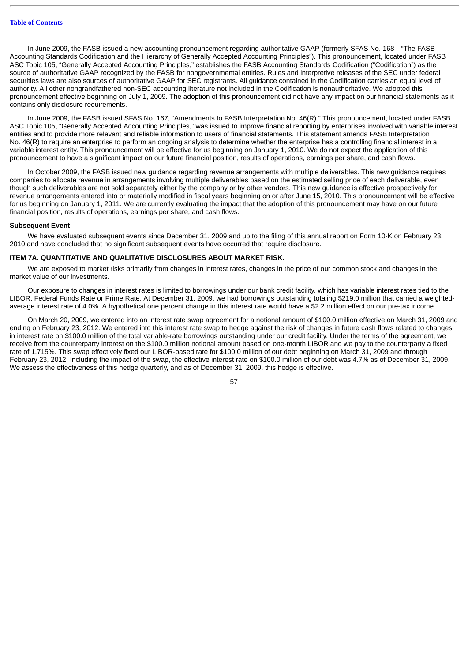In June 2009, the FASB issued a new accounting pronouncement regarding authoritative GAAP (formerly SFAS No. 168—"The FASB Accounting Standards Codification and the Hierarchy of Generally Accepted Accounting Principles"). This pronouncement, located under FASB ASC Topic 105, "Generally Accepted Accounting Principles," establishes the FASB Accounting Standards Codification ("Codification") as the source of authoritative GAAP recognized by the FASB for nongovernmental entities. Rules and interpretive releases of the SEC under federal securities laws are also sources of authoritative GAAP for SEC registrants. All guidance contained in the Codification carries an equal level of authority. All other nongrandfathered non-SEC accounting literature not included in the Codification is nonauthoritative. We adopted this pronouncement effective beginning on July 1, 2009. The adoption of this pronouncement did not have any impact on our financial statements as it contains only disclosure requirements.

In June 2009, the FASB issued SFAS No. 167, "Amendments to FASB Interpretation No. 46(R)." This pronouncement, located under FASB ASC Topic 105, "Generally Accepted Accounting Principles," was issued to improve financial reporting by enterprises involved with variable interest entities and to provide more relevant and reliable information to users of financial statements. This statement amends FASB Interpretation No. 46(R) to require an enterprise to perform an ongoing analysis to determine whether the enterprise has a controlling financial interest in a variable interest entity. This pronouncement will be effective for us beginning on January 1, 2010. We do not expect the application of this pronouncement to have a significant impact on our future financial position, results of operations, earnings per share, and cash flows.

In October 2009, the FASB issued new guidance regarding revenue arrangements with multiple deliverables. This new guidance requires companies to allocate revenue in arrangements involving multiple deliverables based on the estimated selling price of each deliverable, even though such deliverables are not sold separately either by the company or by other vendors. This new guidance is effective prospectively for revenue arrangements entered into or materially modified in fiscal years beginning on or after June 15, 2010. This pronouncement will be effective for us beginning on January 1, 2011. We are currently evaluating the impact that the adoption of this pronouncement may have on our future financial position, results of operations, earnings per share, and cash flows.

#### **Subsequent Event**

We have evaluated subsequent events since December 31, 2009 and up to the filing of this annual report on Form 10-K on February 23, 2010 and have concluded that no significant subsequent events have occurred that require disclosure.

#### **ITEM 7A. QUANTITATIVE AND QUALITATIVE DISCLOSURES ABOUT MARKET RISK.**

We are exposed to market risks primarily from changes in interest rates, changes in the price of our common stock and changes in the market value of our investments.

Our exposure to changes in interest rates is limited to borrowings under our bank credit facility, which has variable interest rates tied to the LIBOR, Federal Funds Rate or Prime Rate. At December 31, 2009, we had borrowings outstanding totaling \$219.0 million that carried a weightedaverage interest rate of 4.0%. A hypothetical one percent change in this interest rate would have a \$2.2 million effect on our pre-tax income.

On March 20, 2009, we entered into an interest rate swap agreement for a notional amount of \$100.0 million effective on March 31, 2009 and ending on February 23, 2012. We entered into this interest rate swap to hedge against the risk of changes in future cash flows related to changes in interest rate on \$100.0 million of the total variable-rate borrowings outstanding under our credit facility. Under the terms of the agreement, we receive from the counterparty interest on the \$100.0 million notional amount based on one-month LIBOR and we pay to the counterparty a fixed rate of 1.715%. This swap effectively fixed our LIBOR-based rate for \$100.0 million of our debt beginning on March 31, 2009 and through February 23, 2012. Including the impact of the swap, the effective interest rate on \$100.0 million of our debt was 4.7% as of December 31, 2009. We assess the effectiveness of this hedge quarterly, and as of December 31, 2009, this hedge is effective.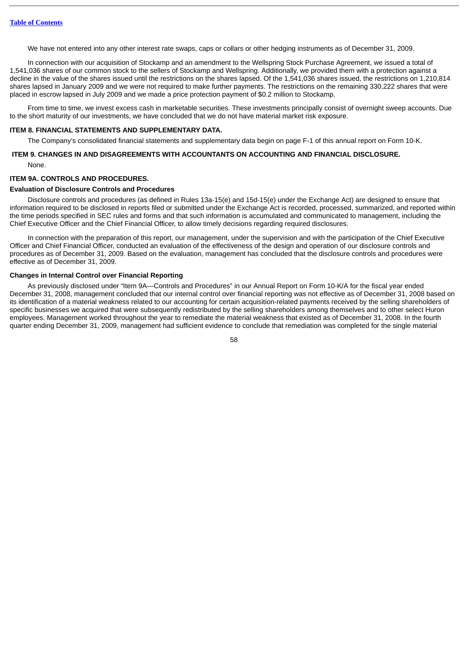We have not entered into any other interest rate swaps, caps or collars or other hedging instruments as of December 31, 2009.

In connection with our acquisition of Stockamp and an amendment to the Wellspring Stock Purchase Agreement, we issued a total of 1,541,036 shares of our common stock to the sellers of Stockamp and Wellspring. Additionally, we provided them with a protection against a decline in the value of the shares issued until the restrictions on the shares lapsed. Of the 1,541,036 shares issued, the restrictions on 1,210,814 shares lapsed in January 2009 and we were not required to make further payments. The restrictions on the remaining 330,222 shares that were placed in escrow lapsed in July 2009 and we made a price protection payment of \$0.2 million to Stockamp.

From time to time, we invest excess cash in marketable securities. These investments principally consist of overnight sweep accounts. Due to the short maturity of our investments, we have concluded that we do not have material market risk exposure.

#### **ITEM 8. FINANCIAL STATEMENTS AND SUPPLEMENTARY DATA.**

The Company's consolidated financial statements and supplementary data begin on page F-1 of this annual report on Form 10-K.

## **ITEM 9. CHANGES IN AND DISAGREEMENTS WITH ACCOUNTANTS ON ACCOUNTING AND FINANCIAL DISCLOSURE.**

None.

#### **ITEM 9A. CONTROLS AND PROCEDURES.**

#### **Evaluation of Disclosure Controls and Procedures**

Disclosure controls and procedures (as defined in Rules 13a-15(e) and 15d-15(e) under the Exchange Act) are designed to ensure that information required to be disclosed in reports filed or submitted under the Exchange Act is recorded, processed, summarized, and reported within the time periods specified in SEC rules and forms and that such information is accumulated and communicated to management, including the Chief Executive Officer and the Chief Financial Officer, to allow timely decisions regarding required disclosures.

In connection with the preparation of this report, our management, under the supervision and with the participation of the Chief Executive Officer and Chief Financial Officer, conducted an evaluation of the effectiveness of the design and operation of our disclosure controls and procedures as of December 31, 2009. Based on the evaluation, management has concluded that the disclosure controls and procedures were effective as of December 31, 2009.

#### **Changes in Internal Control over Financial Reporting**

As previously disclosed under "Item 9A—Controls and Procedures" in our Annual Report on Form 10-K/A for the fiscal year ended December 31, 2008, management concluded that our internal control over financial reporting was not effective as of December 31, 2008 based on its identification of a material weakness related to our accounting for certain acquisition-related payments received by the selling shareholders of specific businesses we acquired that were subsequently redistributed by the selling shareholders among themselves and to other select Huron employees. Management worked throughout the year to remediate the material weakness that existed as of December 31, 2008. In the fourth quarter ending December 31, 2009, management had sufficient evidence to conclude that remediation was completed for the single material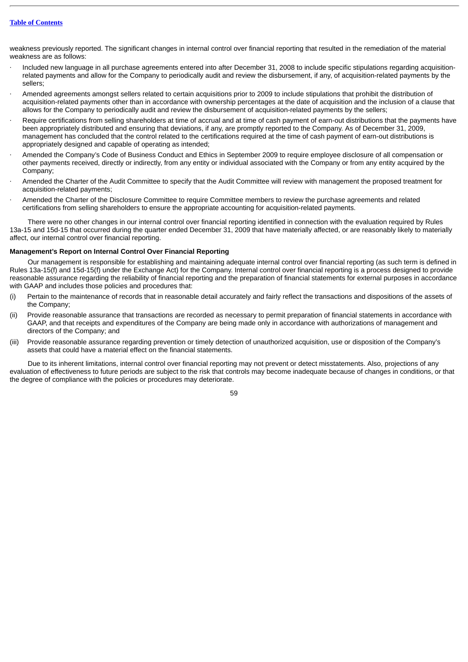weakness previously reported. The significant changes in internal control over financial reporting that resulted in the remediation of the material weakness are as follows:

- · Included new language in all purchase agreements entered into after December 31, 2008 to include specific stipulations regarding acquisitionrelated payments and allow for the Company to periodically audit and review the disbursement, if any, of acquisition-related payments by the sellers;
- · Amended agreements amongst sellers related to certain acquisitions prior to 2009 to include stipulations that prohibit the distribution of acquisition-related payments other than in accordance with ownership percentages at the date of acquisition and the inclusion of a clause that allows for the Company to periodically audit and review the disbursement of acquisition-related payments by the sellers;
- Require certifications from selling shareholders at time of accrual and at time of cash payment of earn-out distributions that the payments have been appropriately distributed and ensuring that deviations, if any, are promptly reported to the Company. As of December 31, 2009, management has concluded that the control related to the certifications required at the time of cash payment of earn-out distributions is appropriately designed and capable of operating as intended;
- · Amended the Company's Code of Business Conduct and Ethics in September 2009 to require employee disclosure of all compensation or other payments received, directly or indirectly, from any entity or individual associated with the Company or from any entity acquired by the Company:
- · Amended the Charter of the Audit Committee to specify that the Audit Committee will review with management the proposed treatment for acquisition-related payments;
- · Amended the Charter of the Disclosure Committee to require Committee members to review the purchase agreements and related certifications from selling shareholders to ensure the appropriate accounting for acquisition-related payments.

There were no other changes in our internal control over financial reporting identified in connection with the evaluation required by Rules 13a-15 and 15d-15 that occurred during the quarter ended December 31, 2009 that have materially affected, or are reasonably likely to materially affect, our internal control over financial reporting.

## **Management's Report on Internal Control Over Financial Reporting**

Our management is responsible for establishing and maintaining adequate internal control over financial reporting (as such term is defined in Rules 13a-15(f) and 15d-15(f) under the Exchange Act) for the Company. Internal control over financial reporting is a process designed to provide reasonable assurance regarding the reliability of financial reporting and the preparation of financial statements for external purposes in accordance with GAAP and includes those policies and procedures that:

- (i) Pertain to the maintenance of records that in reasonable detail accurately and fairly reflect the transactions and dispositions of the assets of the Company;
- Provide reasonable assurance that transactions are recorded as necessary to permit preparation of financial statements in accordance with GAAP, and that receipts and expenditures of the Company are being made only in accordance with authorizations of management and directors of the Company; and
- (iii) Provide reasonable assurance regarding prevention or timely detection of unauthorized acquisition, use or disposition of the Company's assets that could have a material effect on the financial statements.

Due to its inherent limitations, internal control over financial reporting may not prevent or detect misstatements. Also, projections of any evaluation of effectiveness to future periods are subject to the risk that controls may become inadequate because of changes in conditions, or that the degree of compliance with the policies or procedures may deteriorate.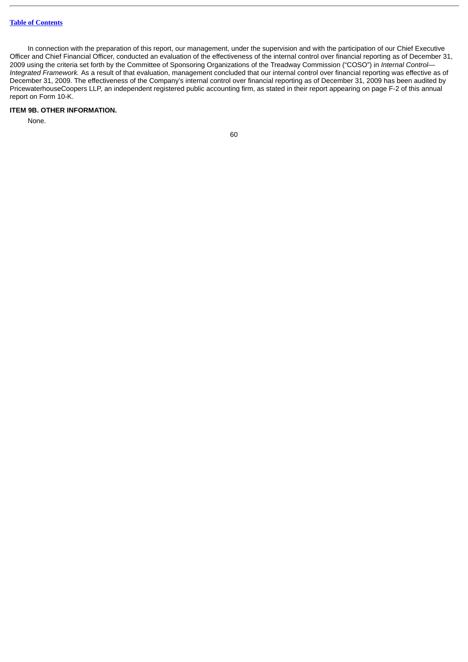In connection with the preparation of this report, our management, under the supervision and with the participation of our Chief Executive Officer and Chief Financial Officer, conducted an evaluation of the effectiveness of the internal control over financial reporting as of December 31, 2009 using the criteria set forth by the Committee of Sponsoring Organizations of the Treadway Commission ("COSO") in *Internal Control— Integrated Framework.* As a result of that evaluation, management concluded that our internal control over financial reporting was effective as of December 31, 2009. The effectiveness of the Company's internal control over financial reporting as of December 31, 2009 has been audited by PricewaterhouseCoopers LLP, an independent registered public accounting firm, as stated in their report appearing on page F-2 of this annual report on Form 10-K.

## **ITEM 9B. OTHER INFORMATION.**

None.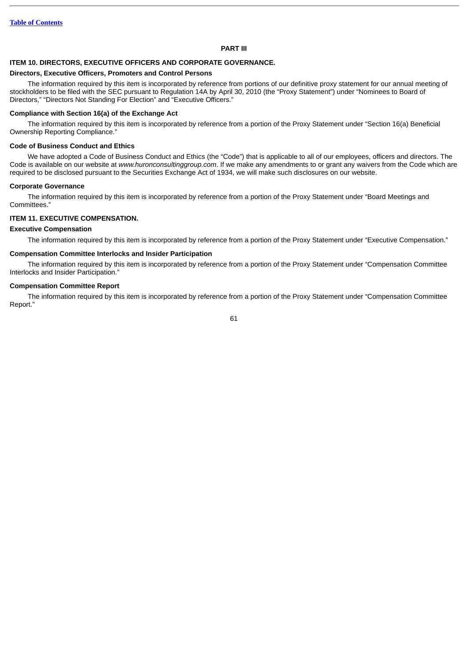### **PART III**

## **ITEM 10. DIRECTORS, EXECUTIVE OFFICERS AND CORPORATE GOVERNANCE.**

## **Directors, Executive Officers, Promoters and Control Persons**

The information required by this item is incorporated by reference from portions of our definitive proxy statement for our annual meeting of stockholders to be filed with the SEC pursuant to Regulation 14A by April 30, 2010 (the "Proxy Statement") under "Nominees to Board of Directors," "Directors Not Standing For Election" and "Executive Officers."

## **Compliance with Section 16(a) of the Exchange Act**

The information required by this item is incorporated by reference from a portion of the Proxy Statement under "Section 16(a) Beneficial Ownership Reporting Compliance."

## **Code of Business Conduct and Ethics**

We have adopted a Code of Business Conduct and Ethics (the "Code") that is applicable to all of our employees, officers and directors. The Code is available on our website at *www.huronconsultinggroup.com*. If we make any amendments to or grant any waivers from the Code which are required to be disclosed pursuant to the Securities Exchange Act of 1934, we will make such disclosures on our website.

## **Corporate Governance**

The information required by this item is incorporated by reference from a portion of the Proxy Statement under "Board Meetings and Committees."

## **ITEM 11. EXECUTIVE COMPENSATION.**

## **Executive Compensation**

The information required by this item is incorporated by reference from a portion of the Proxy Statement under "Executive Compensation."

## **Compensation Committee Interlocks and Insider Participation**

The information required by this item is incorporated by reference from a portion of the Proxy Statement under "Compensation Committee Interlocks and Insider Participation."

## **Compensation Committee Report**

The information required by this item is incorporated by reference from a portion of the Proxy Statement under "Compensation Committee Report."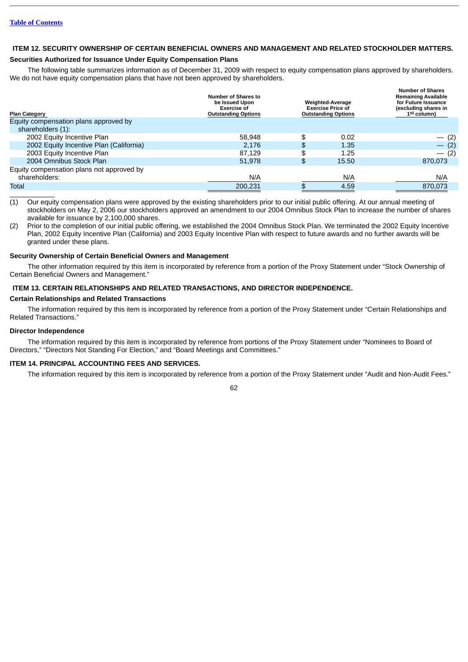## **ITEM 12. SECURITY OWNERSHIP OF CERTAIN BENEFICIAL OWNERS AND MANAGEMENT AND RELATED STOCKHOLDER MATTERS.**

## **Securities Authorized for Issuance Under Equity Compensation Plans**

The following table summarizes information as of December 31, 2009 with respect to equity compensation plans approved by shareholders. We do not have equity compensation plans that have not been approved by shareholders.

| <b>Plan Category</b>                      | Number of Shares to<br>be Issued Upon<br><b>Exercise of</b><br><b>Outstanding Options</b> | <b>Weighted-Average</b><br><b>Exercise Price of</b><br><b>Outstanding Options</b> | <b>Number of Shares</b><br><b>Remaining Available</b><br>for Future Issuance<br>(excluding shares in<br>1 <sup>st</sup> column) |
|-------------------------------------------|-------------------------------------------------------------------------------------------|-----------------------------------------------------------------------------------|---------------------------------------------------------------------------------------------------------------------------------|
| Equity compensation plans approved by     |                                                                                           |                                                                                   |                                                                                                                                 |
| shareholders (1):                         |                                                                                           |                                                                                   |                                                                                                                                 |
| 2002 Equity Incentive Plan                | 58.948                                                                                    | \$<br>0.02                                                                        | $-$ (2)                                                                                                                         |
| 2002 Equity Incentive Plan (California)   | 2.176                                                                                     | \$<br>1.35                                                                        | $-$ (2)                                                                                                                         |
| 2003 Equity Incentive Plan                | 87.129                                                                                    | \$<br>1.25                                                                        | $-$ (2)                                                                                                                         |
| 2004 Omnibus Stock Plan                   | 51,978                                                                                    | \$<br>15.50                                                                       | 870.073                                                                                                                         |
| Equity compensation plans not approved by |                                                                                           |                                                                                   |                                                                                                                                 |
| shareholders:                             | N/A                                                                                       | N/A                                                                               | N/A                                                                                                                             |
| <b>Total</b>                              | 200,231                                                                                   | 4.59                                                                              | 870,073                                                                                                                         |
|                                           |                                                                                           |                                                                                   |                                                                                                                                 |

(1) Our equity compensation plans were approved by the existing shareholders prior to our initial public offering. At our annual meeting of stockholders on May 2, 2006 our stockholders approved an amendment to our 2004 Omnibus Stock Plan to increase the number of shares available for issuance by 2,100,000 shares.

(2) Prior to the completion of our initial public offering, we established the 2004 Omnibus Stock Plan. We terminated the 2002 Equity Incentive Plan, 2002 Equity Incentive Plan (California) and 2003 Equity Incentive Plan with respect to future awards and no further awards will be granted under these plans.

### **Security Ownership of Certain Beneficial Owners and Management**

The other information required by this item is incorporated by reference from a portion of the Proxy Statement under "Stock Ownership of Certain Beneficial Owners and Management."

## **ITEM 13. CERTAIN RELATIONSHIPS AND RELATED TRANSACTIONS, AND DIRECTOR INDEPENDENCE.**

## **Certain Relationships and Related Transactions**

The information required by this item is incorporated by reference from a portion of the Proxy Statement under "Certain Relationships and Related Transactions."

## **Director Independence**

The information required by this item is incorporated by reference from portions of the Proxy Statement under "Nominees to Board of Directors," "Directors Not Standing For Election," and "Board Meetings and Committees."

### **ITEM 14. PRINCIPAL ACCOUNTING FEES AND SERVICES.**

The information required by this item is incorporated by reference from a portion of the Proxy Statement under "Audit and Non-Audit Fees."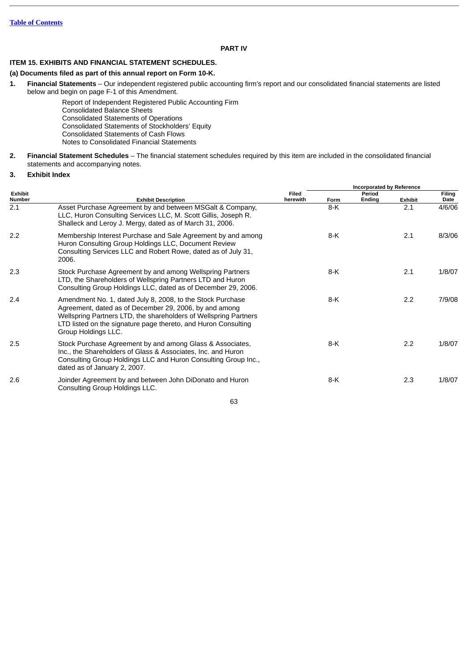## **PART IV**

## **ITEM 15. EXHIBITS AND FINANCIAL STATEMENT SCHEDULES.**

## **(a) Documents filed as part of this annual report on Form 10-K.**

**1. Financial Statements** – Our independent registered public accounting firm's report and our consolidated financial statements are listed below and begin on page F-1 of this Amendment.

> Report of Independent Registered Public Accounting Firm Consolidated Balance Sheets Consolidated Statements of Operations Consolidated Statements of Stockholders' Equity Consolidated Statements of Cash Flows Notes to Consolidated Financial Statements

**2. Financial Statement Schedules** – The financial statement schedules required by this item are included in the consolidated financial statements and accompanying notes.

### **3. Exhibit Index**

|                                 |                                                                                                                                                                                                                                                                                   |                   | <b>Incorporated by Reference</b> |                  |                |                |
|---------------------------------|-----------------------------------------------------------------------------------------------------------------------------------------------------------------------------------------------------------------------------------------------------------------------------------|-------------------|----------------------------------|------------------|----------------|----------------|
| <b>Exhibit</b><br><b>Number</b> | <b>Exhibit Description</b>                                                                                                                                                                                                                                                        | Filed<br>herewith | Form                             | Period<br>Ending | <b>Exhibit</b> | Filing<br>Date |
| 2.1                             | Asset Purchase Agreement by and between MSGalt & Company,<br>LLC, Huron Consulting Services LLC, M. Scott Gillis, Joseph R.<br>Shalleck and Leroy J. Mergy, dated as of March 31, 2006.                                                                                           |                   | $8-K$                            |                  | 2.1            | 4/6/06         |
| 2.2                             | Membership Interest Purchase and Sale Agreement by and among<br>Huron Consulting Group Holdings LLC, Document Review<br>Consulting Services LLC and Robert Rowe, dated as of July 31,<br>2006.                                                                                    |                   | $8-K$                            |                  | 2.1            | 8/3/06         |
| 2.3                             | Stock Purchase Agreement by and among Wellspring Partners<br>LTD, the Shareholders of Wellspring Partners LTD and Huron<br>Consulting Group Holdings LLC, dated as of December 29, 2006.                                                                                          |                   | $8-K$                            |                  | 2.1            | 1/8/07         |
| 2.4                             | Amendment No. 1, dated July 8, 2008, to the Stock Purchase<br>Agreement, dated as of December 29, 2006, by and among<br>Wellspring Partners LTD, the shareholders of Wellspring Partners<br>LTD listed on the signature page thereto, and Huron Consulting<br>Group Holdings LLC. |                   | 8-K                              |                  | 2.2            | 7/9/08         |
| 2.5                             | Stock Purchase Agreement by and among Glass & Associates,<br>Inc., the Shareholders of Glass & Associates, Inc. and Huron<br>Consulting Group Holdings LLC and Huron Consulting Group Inc.,<br>dated as of January 2, 2007.                                                       |                   | $8-K$                            |                  | 2.2            | 1/8/07         |
| 2.6                             | Joinder Agreement by and between John DiDonato and Huron<br>Consulting Group Holdings LLC.                                                                                                                                                                                        |                   | $8-K$                            |                  | 2.3            | 1/8/07         |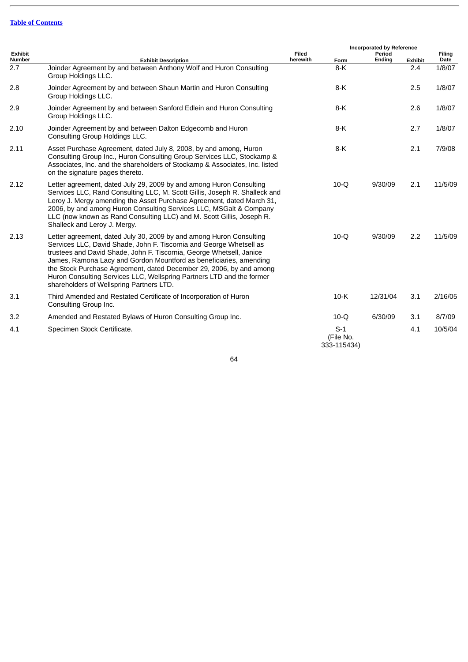L.

|                                 |                                                                                                                                                                                                                                                                                                                                                                                                                                                                                      |                   | <b>Incorporated by Reference</b>  |                  |                |                       |
|---------------------------------|--------------------------------------------------------------------------------------------------------------------------------------------------------------------------------------------------------------------------------------------------------------------------------------------------------------------------------------------------------------------------------------------------------------------------------------------------------------------------------------|-------------------|-----------------------------------|------------------|----------------|-----------------------|
| <b>Exhibit</b><br><b>Number</b> | <b>Exhibit Description</b>                                                                                                                                                                                                                                                                                                                                                                                                                                                           | Filed<br>herewith | Form                              | Period<br>Ending | <b>Exhibit</b> | <b>Filing</b><br>Date |
| 2.7                             | Joinder Agreement by and between Anthony Wolf and Huron Consulting<br>Group Holdings LLC.                                                                                                                                                                                                                                                                                                                                                                                            |                   | $8-K$                             |                  | 2.4            | 1/8/07                |
| 2.8                             | Joinder Agreement by and between Shaun Martin and Huron Consulting<br>Group Holdings LLC.                                                                                                                                                                                                                                                                                                                                                                                            |                   | $8-K$                             |                  | 2.5            | 1/8/07                |
| 2.9                             | Joinder Agreement by and between Sanford Edlein and Huron Consulting<br>Group Holdings LLC.                                                                                                                                                                                                                                                                                                                                                                                          |                   | $8-K$                             |                  | 2.6            | 1/8/07                |
| 2.10                            | Joinder Agreement by and between Dalton Edgecomb and Huron<br>Consulting Group Holdings LLC.                                                                                                                                                                                                                                                                                                                                                                                         |                   | $8-K$                             |                  | 2.7            | 1/8/07                |
| 2.11                            | Asset Purchase Agreement, dated July 8, 2008, by and among, Huron<br>Consulting Group Inc., Huron Consulting Group Services LLC, Stockamp &<br>Associates, Inc. and the shareholders of Stockamp & Associates, Inc. listed<br>on the signature pages thereto.                                                                                                                                                                                                                        |                   | $8-K$                             |                  | 2.1            | 7/9/08                |
| 2.12                            | Letter agreement, dated July 29, 2009 by and among Huron Consulting<br>Services LLC, Rand Consulting LLC, M. Scott Gillis, Joseph R. Shalleck and<br>Leroy J. Mergy amending the Asset Purchase Agreement, dated March 31,<br>2006, by and among Huron Consulting Services LLC, MSGalt & Company<br>LLC (now known as Rand Consulting LLC) and M. Scott Gillis, Joseph R.<br>Shalleck and Leroy J. Mergy.                                                                            |                   | $10-Q$                            | 9/30/09          | 2.1            | 11/5/09               |
| 2.13                            | Letter agreement, dated July 30, 2009 by and among Huron Consulting<br>Services LLC, David Shade, John F. Tiscornia and George Whetsell as<br>trustees and David Shade, John F. Tiscornia, George Whetsell, Janice<br>James, Ramona Lacy and Gordon Mountford as beneficiaries, amending<br>the Stock Purchase Agreement, dated December 29, 2006, by and among<br>Huron Consulting Services LLC, Wellspring Partners LTD and the former<br>shareholders of Wellspring Partners LTD. |                   | $10-Q$                            | 9/30/09          | 2.2            | 11/5/09               |
| 3.1                             | Third Amended and Restated Certificate of Incorporation of Huron<br>Consulting Group Inc.                                                                                                                                                                                                                                                                                                                                                                                            |                   | $10-K$                            | 12/31/04         | 3.1            | 2/16/05               |
| 3.2                             | Amended and Restated Bylaws of Huron Consulting Group Inc.                                                                                                                                                                                                                                                                                                                                                                                                                           |                   | $10-Q$                            | 6/30/09          | 3.1            | 8/7/09                |
| 4.1                             | Specimen Stock Certificate.                                                                                                                                                                                                                                                                                                                                                                                                                                                          |                   | $S-1$<br>(File No.<br>333-115434) |                  | 4.1            | 10/5/04               |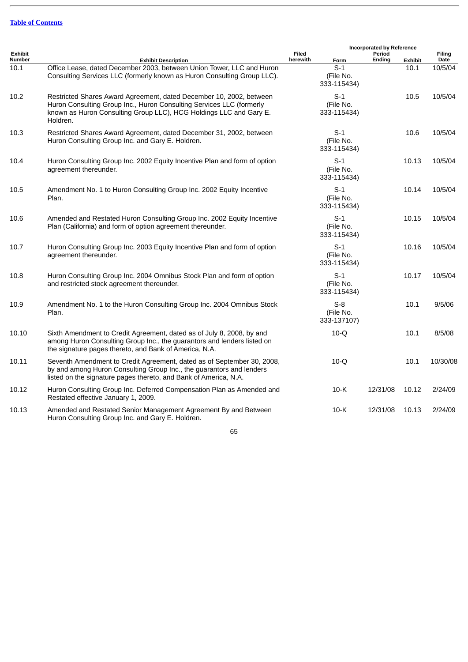|                          |                                                                                                                                                                                                                               |                   | <b>Incorporated by Reference</b>  |                  |         |                       |
|--------------------------|-------------------------------------------------------------------------------------------------------------------------------------------------------------------------------------------------------------------------------|-------------------|-----------------------------------|------------------|---------|-----------------------|
| <b>Exhibit</b><br>Number | <b>Exhibit Description</b>                                                                                                                                                                                                    | Filed<br>herewith | Form                              | Period<br>Ending | Exhibit | <b>Filing</b><br>Date |
| 10.1                     | Office Lease, dated December 2003, between Union Tower, LLC and Huron<br>Consulting Services LLC (formerly known as Huron Consulting Group LLC).                                                                              |                   | $S-1$<br>(File No.<br>333-115434) |                  | 10.1    | 10/5/04               |
| 10.2                     | Restricted Shares Award Agreement, dated December 10, 2002, between<br>Huron Consulting Group Inc., Huron Consulting Services LLC (formerly<br>known as Huron Consulting Group LLC), HCG Holdings LLC and Gary E.<br>Holdren. |                   | $S-1$<br>(File No.<br>333-115434) |                  | 10.5    | 10/5/04               |
| 10.3                     | Restricted Shares Award Agreement, dated December 31, 2002, between<br>Huron Consulting Group Inc. and Gary E. Holdren.                                                                                                       |                   | $S-1$<br>(File No.<br>333-115434) |                  | 10.6    | 10/5/04               |
| 10.4                     | Huron Consulting Group Inc. 2002 Equity Incentive Plan and form of option<br>agreement thereunder.                                                                                                                            |                   | $S-1$<br>(File No.<br>333-115434) |                  | 10.13   | 10/5/04               |
| 10.5                     | Amendment No. 1 to Huron Consulting Group Inc. 2002 Equity Incentive<br>Plan.                                                                                                                                                 |                   | $S-1$<br>(File No.<br>333-115434) |                  | 10.14   | 10/5/04               |
| 10.6                     | Amended and Restated Huron Consulting Group Inc. 2002 Equity Incentive<br>Plan (California) and form of option agreement thereunder.                                                                                          |                   | $S-1$<br>(File No.<br>333-115434) |                  | 10.15   | 10/5/04               |
| 10.7                     | Huron Consulting Group Inc. 2003 Equity Incentive Plan and form of option<br>agreement thereunder.                                                                                                                            |                   | $S-1$<br>(File No.<br>333-115434) |                  | 10.16   | 10/5/04               |
| 10.8                     | Huron Consulting Group Inc. 2004 Omnibus Stock Plan and form of option<br>and restricted stock agreement thereunder.                                                                                                          |                   | $S-1$<br>(File No.<br>333-115434) |                  | 10.17   | 10/5/04               |
| 10.9                     | Amendment No. 1 to the Huron Consulting Group Inc. 2004 Omnibus Stock<br>Plan.                                                                                                                                                |                   | $S-8$<br>(File No.<br>333-137107) |                  | 10.1    | 9/5/06                |
| 10.10                    | Sixth Amendment to Credit Agreement, dated as of July 8, 2008, by and<br>among Huron Consulting Group Inc., the guarantors and lenders listed on<br>the signature pages thereto, and Bank of America, N.A.                    |                   | $10-Q$                            |                  | 10.1    | 8/5/08                |
| 10.11                    | Seventh Amendment to Credit Agreement, dated as of September 30, 2008,<br>by and among Huron Consulting Group Inc., the guarantors and lenders<br>listed on the signature pages thereto, and Bank of America, N.A.            |                   | $10-Q$                            |                  | 10.1    | 10/30/08              |
| 10.12                    | Huron Consulting Group Inc. Deferred Compensation Plan as Amended and<br>Restated effective January 1, 2009.                                                                                                                  |                   | $10-K$                            | 12/31/08         | 10.12   | 2/24/09               |
| 10.13                    | Amended and Restated Senior Management Agreement By and Between<br>Huron Consulting Group Inc. and Gary E. Holdren.                                                                                                           |                   | $10-K$                            | 12/31/08         | 10.13   | 2/24/09               |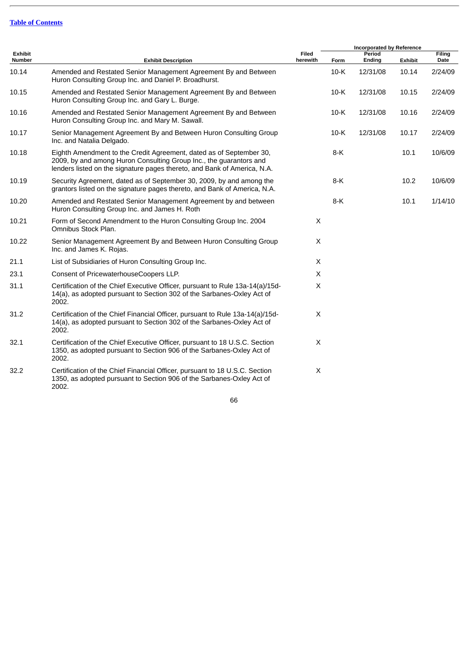J.

|                                 |                                                                                                                                                                                                                       |                   | <b>Incorporated by Reference</b> |                  |                |                |
|---------------------------------|-----------------------------------------------------------------------------------------------------------------------------------------------------------------------------------------------------------------------|-------------------|----------------------------------|------------------|----------------|----------------|
| <b>Exhibit</b><br><b>Number</b> | <b>Exhibit Description</b>                                                                                                                                                                                            | Filed<br>herewith | Form                             | Period<br>Ending | <b>Exhibit</b> | Filing<br>Date |
| 10.14                           | Amended and Restated Senior Management Agreement By and Between<br>Huron Consulting Group Inc. and Daniel P. Broadhurst.                                                                                              |                   | $10-K$                           | 12/31/08         | 10.14          | 2/24/09        |
| 10.15                           | Amended and Restated Senior Management Agreement By and Between<br>Huron Consulting Group Inc. and Gary L. Burge.                                                                                                     |                   | $10-K$                           | 12/31/08         | 10.15          | 2/24/09        |
| 10.16                           | Amended and Restated Senior Management Agreement By and Between<br>Huron Consulting Group Inc. and Mary M. Sawall.                                                                                                    |                   | $10-K$                           | 12/31/08         | 10.16          | 2/24/09        |
| 10.17                           | Senior Management Agreement By and Between Huron Consulting Group<br>Inc. and Natalia Delgado.                                                                                                                        |                   | 10-K                             | 12/31/08         | 10.17          | 2/24/09        |
| 10.18                           | Eighth Amendment to the Credit Agreement, dated as of September 30,<br>2009, by and among Huron Consulting Group Inc., the guarantors and<br>lenders listed on the signature pages thereto, and Bank of America, N.A. |                   | $8-K$                            |                  | 10.1           | 10/6/09        |
| 10.19                           | Security Agreement, dated as of September 30, 2009, by and among the<br>grantors listed on the signature pages thereto, and Bank of America, N.A.                                                                     |                   | $8-K$                            |                  | 10.2           | 10/6/09        |
| 10.20                           | Amended and Restated Senior Management Agreement by and between<br>Huron Consulting Group Inc. and James H. Roth                                                                                                      |                   | $8-K$                            |                  | 10.1           | 1/14/10        |
| 10.21                           | Form of Second Amendment to the Huron Consulting Group Inc. 2004<br>Omnibus Stock Plan.                                                                                                                               | X                 |                                  |                  |                |                |
| 10.22                           | Senior Management Agreement By and Between Huron Consulting Group<br>Inc. and James K. Rojas.                                                                                                                         | X                 |                                  |                  |                |                |
| 21.1                            | List of Subsidiaries of Huron Consulting Group Inc.                                                                                                                                                                   | X                 |                                  |                  |                |                |
| 23.1                            | Consent of PricewaterhouseCoopers LLP.                                                                                                                                                                                | X                 |                                  |                  |                |                |
| 31.1                            | Certification of the Chief Executive Officer, pursuant to Rule 13a-14(a)/15d-<br>14(a), as adopted pursuant to Section 302 of the Sarbanes-Oxley Act of<br>2002.                                                      | X                 |                                  |                  |                |                |
| 31.2                            | Certification of the Chief Financial Officer, pursuant to Rule 13a-14(a)/15d-<br>14(a), as adopted pursuant to Section 302 of the Sarbanes-Oxley Act of<br>2002.                                                      | $\pmb{\times}$    |                                  |                  |                |                |
| 32.1                            | Certification of the Chief Executive Officer, pursuant to 18 U.S.C. Section<br>1350, as adopted pursuant to Section 906 of the Sarbanes-Oxley Act of<br>2002.                                                         | X                 |                                  |                  |                |                |
| 32.2                            | Certification of the Chief Financial Officer, pursuant to 18 U.S.C. Section<br>1350, as adopted pursuant to Section 906 of the Sarbanes-Oxley Act of<br>2002.                                                         | X                 |                                  |                  |                |                |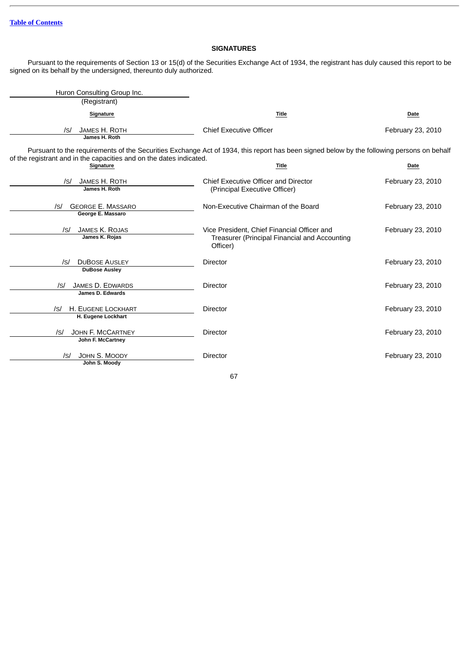## **SIGNATURES**

Pursuant to the requirements of Section 13 or 15(d) of the Securities Exchange Act of 1934, the registrant has duly caused this report to be signed on its behalf by the undersigned, thereunto duly authorized.

| Huron Consulting Group Inc.<br>(Registrant)                         |                                                                                                                                           |                   |
|---------------------------------------------------------------------|-------------------------------------------------------------------------------------------------------------------------------------------|-------------------|
| Signature                                                           | Title                                                                                                                                     | Date              |
| JAMES H. ROTH<br>/s/<br>James H. Roth                               | <b>Chief Executive Officer</b>                                                                                                            | February 23, 2010 |
| of the registrant and in the capacities and on the dates indicated. | Pursuant to the requirements of the Securities Exchange Act of 1934, this report has been signed below by the following persons on behalf |                   |
| Signature                                                           | <b>Title</b>                                                                                                                              | Date              |
| JAMES H. ROTH<br>/s/<br>James H. Roth                               | Chief Executive Officer and Director<br>(Principal Executive Officer)                                                                     | February 23, 2010 |
| <b>GEORGE E. MASSARO</b><br>/s/<br>George E. Massaro                | Non-Executive Chairman of the Board                                                                                                       | February 23, 2010 |
| JAMES K. ROJAS<br>/s/<br>James K. Rojas                             | Vice President, Chief Financial Officer and<br>Treasurer (Principal Financial and Accounting<br>Officer)                                  | February 23, 2010 |
| <b>DUBOSE AUSLEY</b><br>/s/<br><b>DuBose Ausley</b>                 | <b>Director</b>                                                                                                                           | February 23, 2010 |
| JAMES D. EDWARDS<br>/s/<br><b>James D. Edwards</b>                  | <b>Director</b>                                                                                                                           | February 23, 2010 |
| H. EUGENE LOCKHART<br>/s/<br>H. Eugene Lockhart                     | Director                                                                                                                                  | February 23, 2010 |
| JOHN F. MCCARTNEY<br>/s/<br>John F. McCartney                       | <b>Director</b>                                                                                                                           | February 23, 2010 |
| JOHN S. MOODY<br>/s/<br>John S. Moody                               | <b>Director</b>                                                                                                                           | February 23, 2010 |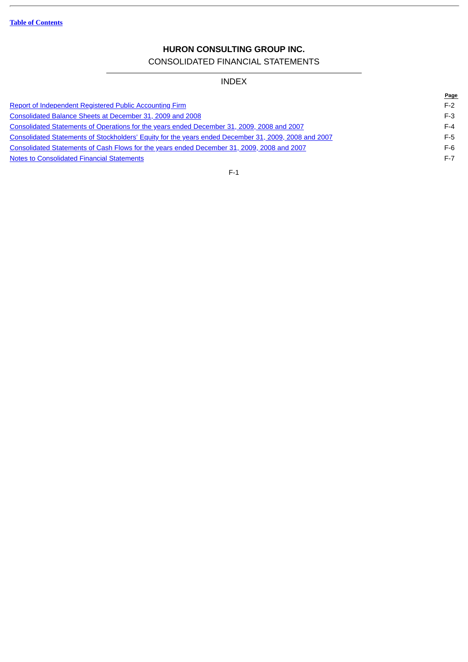# **HURON CONSULTING GROUP INC.** CONSOLIDATED FINANCIAL STATEMENTS

## INDEX

|                                                                                                      | Page  |
|------------------------------------------------------------------------------------------------------|-------|
| <b>Report of Independent Registered Public Accounting Firm</b>                                       | $F-2$ |
| Consolidated Balance Sheets at December 31, 2009 and 2008                                            | $F-3$ |
| Consolidated Statements of Operations for the years ended December 31, 2009, 2008 and 2007           | F-4   |
| Consolidated Statements of Stockholders' Equity for the years ended December 31, 2009, 2008 and 2007 | F-5   |
| Consolidated Statements of Cash Flows for the years ended December 31, 2009, 2008 and 2007           | F-6   |
| <b>Notes to Consolidated Financial Statements</b>                                                    | F-7   |

F-1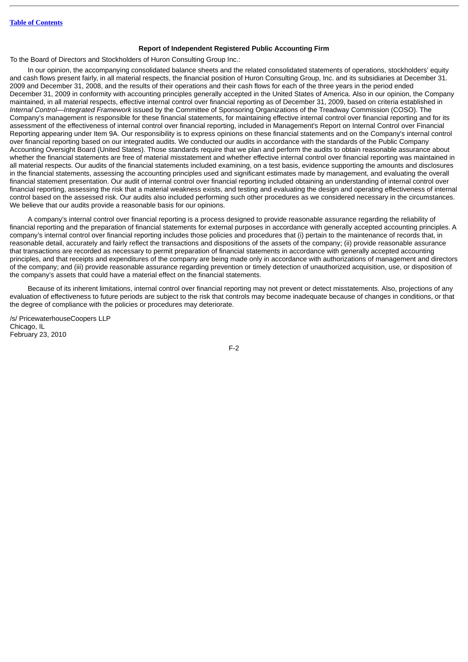#### **Report of Independent Registered Public Accounting Firm**

<span id="page-70-0"></span>To the Board of Directors and Stockholders of Huron Consulting Group Inc.:

In our opinion, the accompanying consolidated balance sheets and the related consolidated statements of operations, stockholders' equity and cash flows present fairly, in all material respects, the financial position of Huron Consulting Group, Inc. and its subsidiaries at December 31. 2009 and December 31, 2008, and the results of their operations and their cash flows for each of the three years in the period ended December 31, 2009 in conformity with accounting principles generally accepted in the United States of America. Also in our opinion, the Company maintained, in all material respects, effective internal control over financial reporting as of December 31, 2009, based on criteria established in *Internal Control—Integrated Framework* issued by the Committee of Sponsoring Organizations of the Treadway Commission (COSO). The Company's management is responsible for these financial statements, for maintaining effective internal control over financial reporting and for its assessment of the effectiveness of internal control over financial reporting, included in Management's Report on Internal Control over Financial Reporting appearing under Item 9A. Our responsibility is to express opinions on these financial statements and on the Company's internal control over financial reporting based on our integrated audits. We conducted our audits in accordance with the standards of the Public Company Accounting Oversight Board (United States). Those standards require that we plan and perform the audits to obtain reasonable assurance about whether the financial statements are free of material misstatement and whether effective internal control over financial reporting was maintained in all material respects. Our audits of the financial statements included examining, on a test basis, evidence supporting the amounts and disclosures in the financial statements, assessing the accounting principles used and significant estimates made by management, and evaluating the overall financial statement presentation. Our audit of internal control over financial reporting included obtaining an understanding of internal control over financial reporting, assessing the risk that a material weakness exists, and testing and evaluating the design and operating effectiveness of internal control based on the assessed risk. Our audits also included performing such other procedures as we considered necessary in the circumstances. We believe that our audits provide a reasonable basis for our opinions.

A company's internal control over financial reporting is a process designed to provide reasonable assurance regarding the reliability of financial reporting and the preparation of financial statements for external purposes in accordance with generally accepted accounting principles. A company's internal control over financial reporting includes those policies and procedures that (i) pertain to the maintenance of records that, in reasonable detail, accurately and fairly reflect the transactions and dispositions of the assets of the company; (ii) provide reasonable assurance that transactions are recorded as necessary to permit preparation of financial statements in accordance with generally accepted accounting principles, and that receipts and expenditures of the company are being made only in accordance with authorizations of management and directors of the company; and (iii) provide reasonable assurance regarding prevention or timely detection of unauthorized acquisition, use, or disposition of the company's assets that could have a material effect on the financial statements.

Because of its inherent limitations, internal control over financial reporting may not prevent or detect misstatements. Also, projections of any evaluation of effectiveness to future periods are subject to the risk that controls may become inadequate because of changes in conditions, or that the degree of compliance with the policies or procedures may deteriorate.

/s/ PricewaterhouseCoopers LLP Chicago, IL February 23, 2010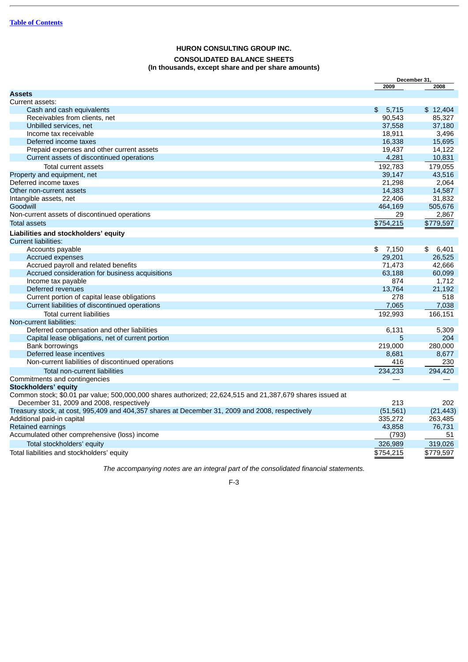## **HURON CONSULTING GROUP INC. CONSOLIDATED BALANCE SHEETS (In thousands, except share and per share amounts)**

<span id="page-71-0"></span>

|                                                                                                                                                       | December 31, |             |
|-------------------------------------------------------------------------------------------------------------------------------------------------------|--------------|-------------|
| <b>Assets</b>                                                                                                                                         | 2009         | 2008        |
| Current assets:                                                                                                                                       |              |             |
| Cash and cash equivalents                                                                                                                             | 5,715<br>\$  | \$12,404    |
| Receivables from clients, net                                                                                                                         | 90,543       | 85,327      |
| Unbilled services, net                                                                                                                                | 37,558       | 37,180      |
| Income tax receivable                                                                                                                                 | 18,911       | 3,496       |
| Deferred income taxes                                                                                                                                 | 16,338       | 15,695      |
| Prepaid expenses and other current assets                                                                                                             | 19.437       | 14,122      |
| Current assets of discontinued operations                                                                                                             | 4,281        | 10,831      |
| Total current assets                                                                                                                                  | 192,783      | 179,055     |
| Property and equipment, net                                                                                                                           | 39,147       | 43,516      |
| Deferred income taxes                                                                                                                                 | 21,298       | 2,064       |
| Other non-current assets                                                                                                                              | 14,383       | 14.587      |
| Intangible assets, net                                                                                                                                | 22.406       | 31,832      |
| Goodwill                                                                                                                                              | 464,169      | 505,676     |
| Non-current assets of discontinued operations                                                                                                         | 29           | 2,867       |
| <b>Total assets</b>                                                                                                                                   | \$754,215    | \$779,597   |
| Liabilities and stockholders' equity                                                                                                                  |              |             |
| <b>Current liabilities:</b>                                                                                                                           |              |             |
| Accounts payable                                                                                                                                      | \$7,150      | \$<br>6,401 |
| Accrued expenses                                                                                                                                      | 29,201       | 26.525      |
| Accrued payroll and related benefits                                                                                                                  | 71,473       | 42,666      |
| Accrued consideration for business acquisitions                                                                                                       | 63.188       | 60,099      |
| Income tax payable                                                                                                                                    | 874          | 1,712       |
| Deferred revenues                                                                                                                                     | 13,764       | 21,192      |
| Current portion of capital lease obligations                                                                                                          | 278          | 518         |
| Current liabilities of discontinued operations                                                                                                        | 7,065        | 7,038       |
| <b>Total current liabilities</b>                                                                                                                      | 192,993      | 166,151     |
| Non-current liabilities:                                                                                                                              |              |             |
| Deferred compensation and other liabilities                                                                                                           | 6,131        | 5,309       |
| Capital lease obligations, net of current portion                                                                                                     | 5            | 204         |
| <b>Bank borrowings</b>                                                                                                                                | 219,000      | 280,000     |
| Deferred lease incentives                                                                                                                             | 8,681        | 8,677       |
| Non-current liabilities of discontinued operations                                                                                                    | 416          | 230         |
| <b>Total non-current liabilities</b>                                                                                                                  | 234,233      | 294,420     |
| Commitments and contingencies                                                                                                                         |              |             |
| <b>Stockholders' equity</b>                                                                                                                           |              |             |
| Common stock; \$0.01 par value; 500,000,000 shares authorized; 22,624,515 and 21,387,679 shares issued at<br>December 31, 2009 and 2008, respectively | 213          | 202         |
| Treasury stock, at cost, 995,409 and 404,357 shares at December 31, 2009 and 2008, respectively                                                       | (51, 561)    | (21, 443)   |
| Additional paid-in capital                                                                                                                            | 335,272      | 263,485     |
| <b>Retained earnings</b>                                                                                                                              | 43,858       | 76,731      |
| Accumulated other comprehensive (loss) income                                                                                                         | (793)        | 51          |
| Total stockholders' equity                                                                                                                            | 326,989      | 319,026     |
| Total liabilities and stockholders' equity                                                                                                            | \$754,215    | \$779,597   |

*The accompanying notes are an integral part of the consolidated financial statements.*

## F-3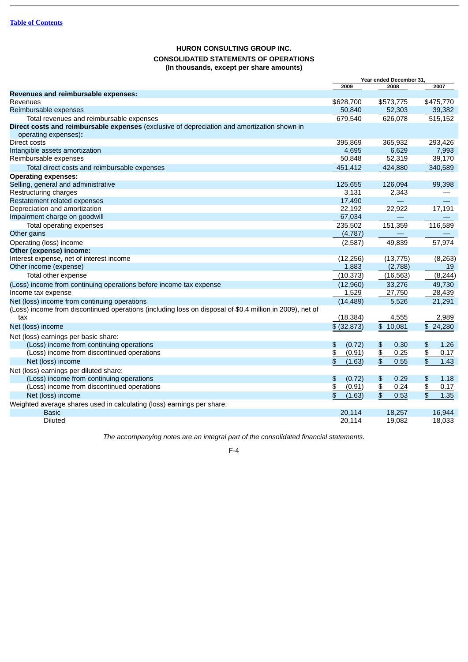# **HURON CONSULTING GROUP INC. CONSOLIDATED STATEMENTS OF OPERATIONS (In thousands, except per share amounts)**

|                                                                                                          | Year ended December 31,           |                    |            |
|----------------------------------------------------------------------------------------------------------|-----------------------------------|--------------------|------------|
|                                                                                                          | 2009                              | 2008               | 2007       |
| Revenues and reimbursable expenses:                                                                      |                                   |                    |            |
| Revenues                                                                                                 | \$628,700                         | \$573,775          | \$475,770  |
| Reimbursable expenses                                                                                    | 50,840                            | 52,303             | 39,382     |
| Total revenues and reimbursable expenses                                                                 | 679,540                           | 626,078            | 515,152    |
| Direct costs and reimbursable expenses (exclusive of depreciation and amortization shown in              |                                   |                    |            |
| operating expenses):                                                                                     |                                   |                    |            |
| Direct costs                                                                                             | 395,869                           | 365,932            | 293,426    |
| Intangible assets amortization                                                                           | 4,695                             | 6,629              | 7,993      |
| Reimbursable expenses                                                                                    | 50,848                            | 52,319             | 39,170     |
| Total direct costs and reimbursable expenses                                                             | 451.412                           | 424,880            | 340,589    |
| <b>Operating expenses:</b>                                                                               |                                   |                    |            |
| Selling, general and administrative                                                                      | 125,655                           | 126,094            | 99,398     |
| Restructuring charges                                                                                    | 3,131                             | 2,343              |            |
| Restatement related expenses                                                                             | 17,490                            |                    |            |
| Depreciation and amortization                                                                            | 22,192                            | 22,922             | 17,191     |
| Impairment charge on goodwill                                                                            | 67,034                            |                    |            |
| Total operating expenses                                                                                 | 235,502                           | 151,359            | 116,589    |
| Other gains                                                                                              | (4,787)                           |                    |            |
| Operating (loss) income                                                                                  | (2,587)                           | 49,839             | 57,974     |
| Other (expense) income:                                                                                  |                                   |                    |            |
| Interest expense, net of interest income                                                                 | (12, 256)                         | (13, 775)          | (8, 263)   |
| Other income (expense)                                                                                   | 1,883                             | (2,788)            | 19         |
| Total other expense                                                                                      | (10, 373)                         | (16, 563)          | (8, 244)   |
| (Loss) income from continuing operations before income tax expense                                       | (12,960)                          | 33,276             | 49,730     |
| Income tax expense                                                                                       | 1,529                             | 27,750             | 28,439     |
| Net (loss) income from continuing operations                                                             | (14, 489)                         | 5,526              | 21,291     |
| (Loss) income from discontinued operations (including loss on disposal of \$0.4 million in 2009), net of |                                   |                    |            |
| tax                                                                                                      | (18, 384)                         | 4,555              | 2,989      |
| Net (loss) income                                                                                        | \$ (32, 873)                      | \$10,081           | \$24,280   |
|                                                                                                          |                                   |                    |            |
| Net (loss) earnings per basic share:                                                                     |                                   |                    |            |
| (Loss) income from continuing operations                                                                 | \$<br>(0.72)<br>\$                | 0.30<br>\$         | \$<br>1.26 |
| (Loss) income from discontinued operations                                                               | (0.91)                            | \$<br>0.25         | \$<br>0.17 |
| Net (loss) income                                                                                        | \$<br>(1.63)                      | \$<br>0.55         | \$<br>1.43 |
| Net (loss) earnings per diluted share:                                                                   |                                   |                    |            |
| (Loss) income from continuing operations                                                                 | \$<br>(0.72)                      | $\pmb{\$}$<br>0.29 | \$<br>1.18 |
| (Loss) income from discontinued operations                                                               | \$<br>(0.91)                      | \$<br>0.24         | \$<br>0.17 |
| Net (loss) income                                                                                        | $\overline{\mathbf{B}}$<br>(1.63) | \$<br>0.53         | \$<br>1.35 |
| Weighted average shares used in calculating (loss) earnings per share:                                   |                                   |                    |            |
| <b>Basic</b>                                                                                             | 20,114                            | 18,257             | 16,944     |
| <b>Diluted</b>                                                                                           | 20,114                            | 19,082             | 18,033     |

*The accompanying notes are an integral part of the consolidated financial statements.*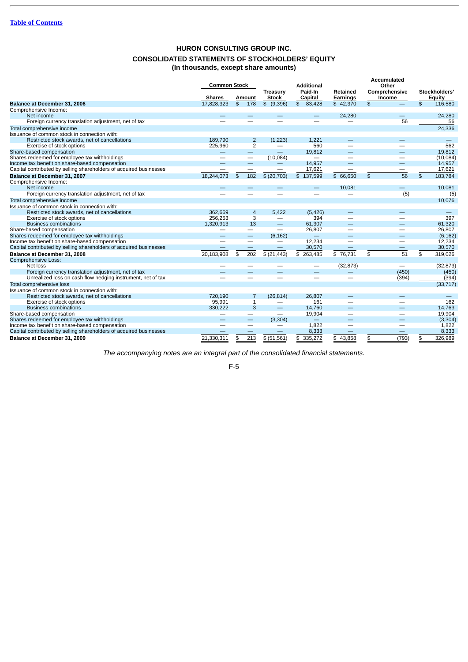# **HURON CONSULTING GROUP INC. CONSOLIDATED STATEMENTS OF STOCKHOLDERS' EQUITY (In thousands, except share amounts)**

|                                                                    | <b>Common Stock</b> |                |                          | <b>Additional</b>               |                          | <b>Accumulated</b><br>Other |    |                          |    |                         |
|--------------------------------------------------------------------|---------------------|----------------|--------------------------|---------------------------------|--------------------------|-----------------------------|----|--------------------------|----|-------------------------|
|                                                                    | <b>Shares</b>       |                | Amount                   | <b>Treasury</b><br><b>Stock</b> | Paid-In<br>Capital       | Retained<br>Earnings        |    | Comprehensive<br>Income  |    | Stockholders'<br>Equity |
| Balance at December 31, 2006                                       | 17.828.323          | \$             | 178                      | (9, 396)<br>\$                  | 83,428<br>\$             | \$42,370                    | \$ |                          | \$ | 116,580                 |
| Comprehensive Income:                                              |                     |                |                          |                                 |                          |                             |    |                          |    |                         |
| Net income                                                         |                     |                |                          |                                 |                          | 24,280                      |    |                          |    | 24.280                  |
| Foreign currency translation adjustment, net of tax                |                     |                |                          |                                 |                          |                             |    | 56                       |    | 56                      |
| Total comprehensive income                                         |                     |                |                          |                                 |                          |                             |    |                          |    | 24,336                  |
| Issuance of common stock in connection with:                       |                     |                |                          |                                 |                          |                             |    |                          |    |                         |
| Restricted stock awards, net of cancellations                      | 189.790             |                | $\overline{2}$           | (1, 223)                        | 1.221                    |                             |    |                          |    | —                       |
| Exercise of stock options                                          | 225,960             |                | 2                        | $\overline{\phantom{0}}$        | 560                      |                             |    |                          |    | 562                     |
| Share-based compensation                                           | -                   |                | $\overline{\phantom{0}}$ | $\equiv$                        | 19.812                   |                             |    |                          |    | 19.812                  |
| Shares redeemed for employee tax withholdings                      |                     |                | $\overline{\phantom{0}}$ | (10,084)                        | $\overline{\phantom{0}}$ |                             |    |                          |    | (10,084)                |
| Income tax benefit on share-based compensation                     |                     |                | $\overline{\phantom{a}}$ | $\overline{\phantom{0}}$        | 14.957                   |                             |    | ═                        |    | 14,957                  |
| Capital contributed by selling shareholders of acquired businesses |                     |                | $\overline{\phantom{0}}$ | —                               | 17,621                   |                             |    |                          |    | 17,621                  |
| Balance at December 31, 2007                                       | 18,244,073          | $\mathfrak{S}$ | 182                      | \$ (20, 703)                    | \$137,599                | \$66.650                    | \$ | 56                       | \$ | 183,784                 |
| Comprehensive Income:                                              |                     |                |                          |                                 |                          |                             |    |                          |    |                         |
| Net income                                                         |                     |                |                          |                                 |                          | 10,081                      |    | $\overline{\phantom{0}}$ |    | 10.081                  |
| Foreign currency translation adjustment, net of tax                |                     |                |                          |                                 |                          |                             |    | (5)                      |    | (5)                     |
| Total comprehensive income                                         |                     |                |                          |                                 |                          |                             |    |                          |    | 10.076                  |
| Issuance of common stock in connection with:                       |                     |                |                          |                                 |                          |                             |    |                          |    |                         |
| Restricted stock awards, net of cancellations                      | 362,669             |                | 4                        | 5,422                           | (5, 426)                 |                             |    | —                        |    |                         |
| Exercise of stock options                                          | 256.253             |                | 3                        | $\overline{\phantom{0}}$        | 394                      |                             |    |                          |    | 397                     |
| <b>Business combinations</b>                                       | 1,320,913           |                | 13                       | $\qquad \qquad -$               | 61,307                   |                             |    | - 1                      |    | 61.320                  |
| Share-based compensation                                           | —                   |                | $\qquad \qquad$          | $\equiv$                        | 26,807                   |                             |    | $\overline{\phantom{0}}$ |    | 26.807                  |
| Shares redeemed for employee tax withholdings                      |                     |                | $\frac{1}{2}$            | (6, 162)                        | $\equiv$                 |                             |    |                          |    | (6, 162)                |
| Income tax benefit on share-based compensation                     |                     |                | $\overline{\phantom{0}}$ | $\overline{\phantom{0}}$        | 12.234                   |                             |    |                          |    | 12,234                  |
| Capital contributed by selling shareholders of acquired businesses |                     |                | $\overline{\phantom{0}}$ | $\qquad \qquad -$               | 30,570                   |                             |    |                          |    | 30,570                  |
| Balance at December 31, 2008                                       | 20,183,908          | \$             | 202                      | \$(21, 443)                     | \$ 263,485               | \$76.731                    | \$ | 51                       | \$ | 319,026                 |
| <b>Comprehensive Loss:</b>                                         |                     |                |                          |                                 |                          |                             |    |                          |    |                         |
| Net loss                                                           |                     |                |                          |                                 |                          | (32, 873)                   |    | $\overline{\phantom{0}}$ |    | (32, 873)               |
| Foreign currency translation adjustment, net of tax                |                     |                |                          |                                 |                          |                             |    | (450)                    |    | (450)                   |
| Unrealized loss on cash flow hedging instrument, net of tax        |                     |                |                          |                                 |                          |                             |    | (394)                    |    | (394)                   |
| <b>Total comprehensive loss</b>                                    |                     |                |                          |                                 |                          |                             |    |                          |    | (33, 717)               |
| Issuance of common stock in connection with:                       |                     |                |                          |                                 |                          |                             |    |                          |    |                         |
| Restricted stock awards, net of cancellations                      | 720.190             |                | $\overline{7}$           | (26, 814)                       | 26.807                   |                             |    |                          |    |                         |
| Exercise of stock options                                          | 95,991              |                | $\mathbf{1}$             | $\overline{\phantom{0}}$        | 161                      |                             |    |                          |    | 162                     |
| <b>Business combinations</b>                                       | 330,222             |                | 3                        |                                 | 14,760                   |                             |    |                          |    | 14,763                  |
| Share-based compensation                                           | $\equiv$            |                | $\overline{\phantom{0}}$ | $\equiv$                        | 19.904                   |                             |    | $\overline{\phantom{0}}$ |    | 19.904                  |
| Shares redeemed for employee tax withholdings                      |                     |                | $\overline{\phantom{0}}$ | (3, 304)                        | $\qquad \qquad -$        | <b>STATE</b>                |    |                          |    | (3, 304)                |
| Income tax benefit on share-based compensation                     |                     |                |                          | —                               | 1,822                    |                             |    |                          |    | 1,822                   |
| Capital contributed by selling shareholders of acquired businesses |                     |                | $\equiv$                 | $\equiv$                        | 8,333                    | $\overline{\phantom{0}}$    |    |                          |    | 8,333                   |
| Balance at December 31, 2009                                       | 21,330,311          | \$             | 213                      | \$ (51, 561)                    | 335,272<br>\$            | 43,858                      |    | (793)                    | \$ | 326,989                 |

*The accompanying notes are an integral part of the consolidated financial statements.*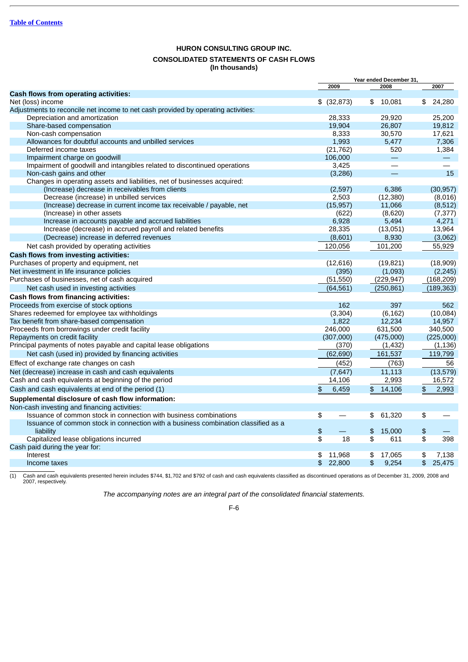# **HURON CONSULTING GROUP INC. CONSOLIDATED STATEMENTS OF CASH FLOWS (In thousands)**

|                                                                                    |                                | <b>Year ended December 31.</b> |                                    |
|------------------------------------------------------------------------------------|--------------------------------|--------------------------------|------------------------------------|
|                                                                                    | 2009                           | 2008                           | 2007                               |
| Cash flows from operating activities:                                              |                                |                                |                                    |
| Net (loss) income                                                                  | \$ (32, 873)                   | 10,081<br>\$                   | \$<br>24,280                       |
| Adjustments to reconcile net income to net cash provided by operating activities:  |                                |                                |                                    |
| Depreciation and amortization                                                      | 28,333                         | 29,920                         | 25.200                             |
| Share-based compensation                                                           | 19,904                         | 26,807                         | 19,812                             |
| Non-cash compensation                                                              | 8,333                          | 30,570                         | 17,621                             |
| Allowances for doubtful accounts and unbilled services                             | 1,993                          | 5,477                          | 7,306                              |
| Deferred income taxes                                                              | (21, 762)                      | 520                            | 1,384                              |
| Impairment charge on goodwill                                                      | 106,000                        |                                |                                    |
| Impairment of goodwill and intangibles related to discontinued operations          | 3,425                          |                                |                                    |
| Non-cash gains and other                                                           | (3,286)                        |                                | 15                                 |
| Changes in operating assets and liabilities, net of businesses acquired:           |                                |                                |                                    |
| (Increase) decrease in receivables from clients                                    | (2,597)                        | 6,386                          | (30, 957)                          |
| Decrease (increase) in unbilled services                                           | 2,503                          | (12, 380)                      | (8,016)                            |
| (Increase) decrease in current income tax receivable / payable, net                | (15, 957)                      | 11,066                         | (8,512)                            |
| (Increase) in other assets                                                         | (622)                          | (8,620)                        | (7, 377)                           |
| Increase in accounts payable and accrued liabilities                               | 6,928                          | 5,494                          | 4,271                              |
| Increase (decrease) in accrued payroll and related benefits                        | 28,335                         | (13,051)                       | 13,964                             |
| (Decrease) increase in deferred revenues                                           | (8,601)                        | 8,930                          | (3,062)                            |
| Net cash provided by operating activities                                          | 120,056                        | 101,200                        | 55,929                             |
| Cash flows from investing activities:                                              |                                |                                |                                    |
| Purchases of property and equipment, net                                           | (12,616)                       | (19, 821)                      | (18,909)                           |
| Net investment in life insurance policies                                          | (395)                          | (1,093)                        | (2, 245)                           |
| Purchases of businesses, net of cash acquired                                      | (51, 550)                      | (229, 947)                     | (168, 209)                         |
| Net cash used in investing activities                                              | (64,561)                       | (250, 861)                     | (189, 363)                         |
| Cash flows from financing activities:                                              |                                |                                |                                    |
| Proceeds from exercise of stock options                                            | 162                            | 397                            | 562                                |
| Shares redeemed for employee tax withholdings                                      | (3, 304)                       | (6, 162)                       | (10,084)                           |
| Tax benefit from share-based compensation                                          | 1,822                          | 12,234                         | 14,957                             |
| Proceeds from borrowings under credit facility                                     | 246,000                        | 631,500                        | 340,500                            |
| Repayments on credit facility                                                      | (307,000)                      | (475,000)                      | (225,000)                          |
| Principal payments of notes payable and capital lease obligations                  | (370)                          | (1, 432)                       | (1, 136)                           |
|                                                                                    |                                |                                |                                    |
| Net cash (used in) provided by financing activities                                | (62, 690)                      | 161,537                        | 119,799                            |
| Effect of exchange rate changes on cash                                            | (452)                          | (763)                          | 56                                 |
| Net (decrease) increase in cash and cash equivalents                               | (7,647)                        | 11,113                         | (13, 579)                          |
| Cash and cash equivalents at beginning of the period                               | 14,106                         | 2,993                          | 16,572                             |
| Cash and cash equivalents at end of the period (1)                                 | $\mathfrak{D}$<br>6,459        | \$14,106                       | $\boldsymbol{\hat{\tau}}$<br>2,993 |
| Supplemental disclosure of cash flow information:                                  |                                |                                |                                    |
| Non-cash investing and financing activities:                                       |                                |                                |                                    |
| Issuance of common stock in connection with business combinations                  | \$<br>$\overline{\phantom{0}}$ | \$<br>61,320                   | \$                                 |
| Issuance of common stock in connection with a business combination classified as a |                                |                                |                                    |
| liability                                                                          | \$                             | 15,000<br>\$                   | \$                                 |
| Capitalized lease obligations incurred                                             | \$<br>18                       | 611<br>\$                      | \$<br>398                          |
| Cash paid during the year for:                                                     |                                |                                |                                    |
| Interest                                                                           | \$<br>11,968                   | 17,065<br>\$                   | \$<br>7,138                        |
| Income taxes                                                                       | $\mathfrak{D}$<br>22,800       | $\mathfrak{D}$<br>9.254        | \$<br>25.475                       |
|                                                                                    |                                |                                |                                    |

(1) Cash and cash equivalents presented herein includes \$744, \$1,702 and \$792 of cash and cash equivalents classified as discontinued operations as of December 31, 2009, 2008 and 2007, respectively.

*The accompanying notes are an integral part of the consolidated financial statements.*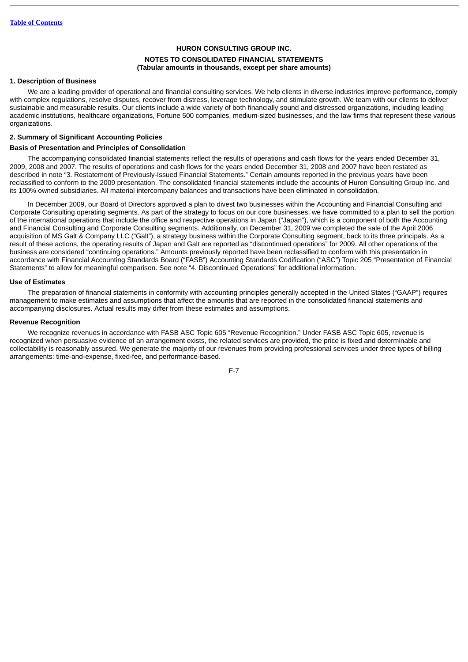# **HURON CONSULTING GROUP INC. NOTES TO CONSOLIDATED FINANCIAL STATEMENTS (Tabular amounts in thousands, except per share amounts)**

## **1. Description of Business**

We are a leading provider of operational and financial consulting services. We help clients in diverse industries improve performance, comply with complex regulations, resolve disputes, recover from distress, leverage technology, and stimulate growth. We team with our clients to deliver sustainable and measurable results. Our clients include a wide variety of both financially sound and distressed organizations, including leading academic institutions, healthcare organizations, Fortune 500 companies, medium-sized businesses, and the law firms that represent these various organizations.

# **2. Summary of Significant Accounting Policies**

### **Basis of Presentation and Principles of Consolidation**

The accompanying consolidated financial statements reflect the results of operations and cash flows for the years ended December 31, 2009, 2008 and 2007. The results of operations and cash flows for the years ended December 31, 2008 and 2007 have been restated as described in note "3. Restatement of Previously-Issued Financial Statements." Certain amounts reported in the previous years have been reclassified to conform to the 2009 presentation. The consolidated financial statements include the accounts of Huron Consulting Group Inc. and its 100% owned subsidiaries. All material intercompany balances and transactions have been eliminated in consolidation.

In December 2009, our Board of Directors approved a plan to divest two businesses within the Accounting and Financial Consulting and Corporate Consulting operating segments. As part of the strategy to focus on our core businesses, we have committed to a plan to sell the portion of the international operations that include the office and respective operations in Japan ("Japan"), which is a component of both the Accounting and Financial Consulting and Corporate Consulting segments. Additionally, on December 31, 2009 we completed the sale of the April 2006 acquisition of MS Galt & Company LLC ("Galt"), a strategy business within the Corporate Consulting segment, back to its three principals. As a result of these actions, the operating results of Japan and Galt are reported as "discontinued operations" for 2009. All other operations of the business are considered "continuing operations." Amounts previously reported have been reclassified to conform with this presentation in accordance with Financial Accounting Standards Board ("FASB") Accounting Standards Codification ("ASC") Topic 205 "Presentation of Financial Statements" to allow for meaningful comparison. See note "4. Discontinued Operations" for additional information.

### **Use of Estimates**

The preparation of financial statements in conformity with accounting principles generally accepted in the United States ("GAAP") requires management to make estimates and assumptions that affect the amounts that are reported in the consolidated financial statements and accompanying disclosures. Actual results may differ from these estimates and assumptions.

## **Revenue Recognition**

We recognize revenues in accordance with FASB ASC Topic 605 "Revenue Recognition." Under FASB ASC Topic 605, revenue is recognized when persuasive evidence of an arrangement exists, the related services are provided, the price is fixed and determinable and collectability is reasonably assured. We generate the majority of our revenues from providing professional services under three types of billing arrangements: time-and-expense, fixed-fee, and performance-based.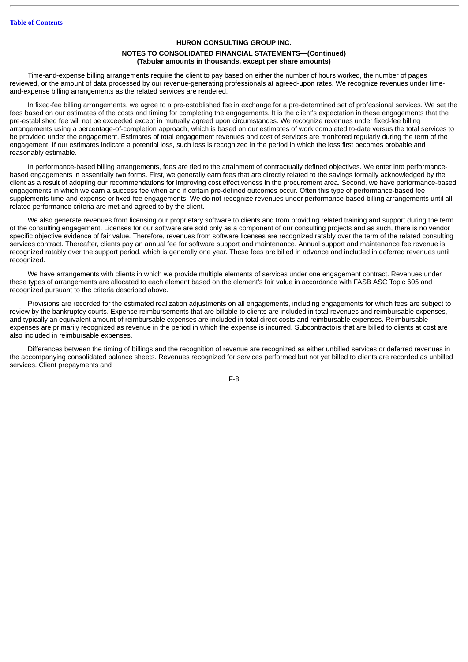# **HURON CONSULTING GROUP INC. NOTES TO CONSOLIDATED FINANCIAL STATEMENTS—(Continued) (Tabular amounts in thousands, except per share amounts)**

Time-and-expense billing arrangements require the client to pay based on either the number of hours worked, the number of pages reviewed, or the amount of data processed by our revenue-generating professionals at agreed-upon rates. We recognize revenues under timeand-expense billing arrangements as the related services are rendered.

In fixed-fee billing arrangements, we agree to a pre-established fee in exchange for a pre-determined set of professional services. We set the fees based on our estimates of the costs and timing for completing the engagements. It is the client's expectation in these engagements that the pre-established fee will not be exceeded except in mutually agreed upon circumstances. We recognize revenues under fixed-fee billing arrangements using a percentage-of-completion approach, which is based on our estimates of work completed to-date versus the total services to be provided under the engagement. Estimates of total engagement revenues and cost of services are monitored regularly during the term of the engagement. If our estimates indicate a potential loss, such loss is recognized in the period in which the loss first becomes probable and reasonably estimable.

In performance-based billing arrangements, fees are tied to the attainment of contractually defined objectives. We enter into performancebased engagements in essentially two forms. First, we generally earn fees that are directly related to the savings formally acknowledged by the client as a result of adopting our recommendations for improving cost effectiveness in the procurement area. Second, we have performance-based engagements in which we earn a success fee when and if certain pre-defined outcomes occur. Often this type of performance-based fee supplements time-and-expense or fixed-fee engagements. We do not recognize revenues under performance-based billing arrangements until all related performance criteria are met and agreed to by the client.

We also generate revenues from licensing our proprietary software to clients and from providing related training and support during the term of the consulting engagement. Licenses for our software are sold only as a component of our consulting projects and as such, there is no vendor specific objective evidence of fair value. Therefore, revenues from software licenses are recognized ratably over the term of the related consulting services contract. Thereafter, clients pay an annual fee for software support and maintenance. Annual support and maintenance fee revenue is recognized ratably over the support period, which is generally one year. These fees are billed in advance and included in deferred revenues until recognized.

We have arrangements with clients in which we provide multiple elements of services under one engagement contract. Revenues under these types of arrangements are allocated to each element based on the element's fair value in accordance with FASB ASC Topic 605 and recognized pursuant to the criteria described above.

Provisions are recorded for the estimated realization adjustments on all engagements, including engagements for which fees are subject to review by the bankruptcy courts. Expense reimbursements that are billable to clients are included in total revenues and reimbursable expenses, and typically an equivalent amount of reimbursable expenses are included in total direct costs and reimbursable expenses. Reimbursable expenses are primarily recognized as revenue in the period in which the expense is incurred. Subcontractors that are billed to clients at cost are also included in reimbursable expenses.

Differences between the timing of billings and the recognition of revenue are recognized as either unbilled services or deferred revenues in the accompanying consolidated balance sheets. Revenues recognized for services performed but not yet billed to clients are recorded as unbilled services. Client prepayments and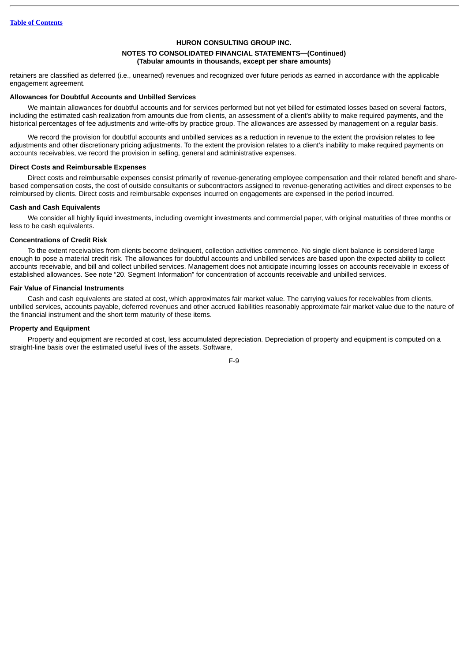# **NOTES TO CONSOLIDATED FINANCIAL STATEMENTS—(Continued) (Tabular amounts in thousands, except per share amounts)**

retainers are classified as deferred (i.e., unearned) revenues and recognized over future periods as earned in accordance with the applicable engagement agreement.

## **Allowances for Doubtful Accounts and Unbilled Services**

We maintain allowances for doubtful accounts and for services performed but not yet billed for estimated losses based on several factors, including the estimated cash realization from amounts due from clients, an assessment of a client's ability to make required payments, and the historical percentages of fee adjustments and write-offs by practice group. The allowances are assessed by management on a regular basis.

We record the provision for doubtful accounts and unbilled services as a reduction in revenue to the extent the provision relates to fee adjustments and other discretionary pricing adjustments. To the extent the provision relates to a client's inability to make required payments on accounts receivables, we record the provision in selling, general and administrative expenses.

## **Direct Costs and Reimbursable Expenses**

Direct costs and reimbursable expenses consist primarily of revenue-generating employee compensation and their related benefit and sharebased compensation costs, the cost of outside consultants or subcontractors assigned to revenue-generating activities and direct expenses to be reimbursed by clients. Direct costs and reimbursable expenses incurred on engagements are expensed in the period incurred.

### **Cash and Cash Equivalents**

We consider all highly liquid investments, including overnight investments and commercial paper, with original maturities of three months or less to be cash equivalents.

#### **Concentrations of Credit Risk**

To the extent receivables from clients become delinquent, collection activities commence. No single client balance is considered large enough to pose a material credit risk. The allowances for doubtful accounts and unbilled services are based upon the expected ability to collect accounts receivable, and bill and collect unbilled services. Management does not anticipate incurring losses on accounts receivable in excess of established allowances. See note "20. Segment Information" for concentration of accounts receivable and unbilled services.

## **Fair Value of Financial Instruments**

Cash and cash equivalents are stated at cost, which approximates fair market value. The carrying values for receivables from clients, unbilled services, accounts payable, deferred revenues and other accrued liabilities reasonably approximate fair market value due to the nature of the financial instrument and the short term maturity of these items.

#### **Property and Equipment**

Property and equipment are recorded at cost, less accumulated depreciation. Depreciation of property and equipment is computed on a straight-line basis over the estimated useful lives of the assets. Software,

 $E-9$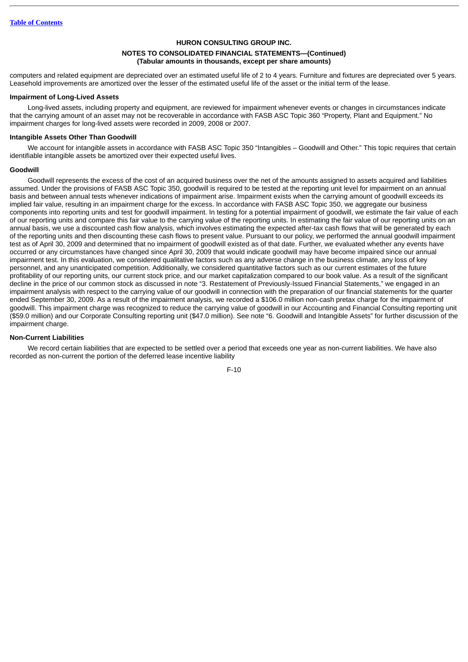# **NOTES TO CONSOLIDATED FINANCIAL STATEMENTS—(Continued) (Tabular amounts in thousands, except per share amounts)**

computers and related equipment are depreciated over an estimated useful life of 2 to 4 years. Furniture and fixtures are depreciated over 5 years. Leasehold improvements are amortized over the lesser of the estimated useful life of the asset or the initial term of the lease.

### **Impairment of Long-Lived Assets**

Long-lived assets, including property and equipment, are reviewed for impairment whenever events or changes in circumstances indicate that the carrying amount of an asset may not be recoverable in accordance with FASB ASC Topic 360 "Property, Plant and Equipment." No impairment charges for long-lived assets were recorded in 2009, 2008 or 2007.

### **Intangible Assets Other Than Goodwill**

We account for intangible assets in accordance with FASB ASC Topic 350 "Intangibles – Goodwill and Other." This topic requires that certain identifiable intangible assets be amortized over their expected useful lives.

### **Goodwill**

Goodwill represents the excess of the cost of an acquired business over the net of the amounts assigned to assets acquired and liabilities assumed. Under the provisions of FASB ASC Topic 350, goodwill is required to be tested at the reporting unit level for impairment on an annual basis and between annual tests whenever indications of impairment arise. Impairment exists when the carrying amount of goodwill exceeds its implied fair value, resulting in an impairment charge for the excess. In accordance with FASB ASC Topic 350, we aggregate our business components into reporting units and test for goodwill impairment. In testing for a potential impairment of goodwill, we estimate the fair value of each of our reporting units and compare this fair value to the carrying value of the reporting units. In estimating the fair value of our reporting units on an annual basis, we use a discounted cash flow analysis, which involves estimating the expected after-tax cash flows that will be generated by each of the reporting units and then discounting these cash flows to present value. Pursuant to our policy, we performed the annual goodwill impairment test as of April 30, 2009 and determined that no impairment of goodwill existed as of that date. Further, we evaluated whether any events have occurred or any circumstances have changed since April 30, 2009 that would indicate goodwill may have become impaired since our annual impairment test. In this evaluation, we considered qualitative factors such as any adverse change in the business climate, any loss of key personnel, and any unanticipated competition. Additionally, we considered quantitative factors such as our current estimates of the future profitability of our reporting units, our current stock price, and our market capitalization compared to our book value. As a result of the significant decline in the price of our common stock as discussed in note "3. Restatement of Previously-Issued Financial Statements," we engaged in an impairment analysis with respect to the carrying value of our goodwill in connection with the preparation of our financial statements for the quarter ended September 30, 2009. As a result of the impairment analysis, we recorded a \$106.0 million non-cash pretax charge for the impairment of goodwill. This impairment charge was recognized to reduce the carrying value of goodwill in our Accounting and Financial Consulting reporting unit (\$59.0 million) and our Corporate Consulting reporting unit (\$47.0 million). See note "6. Goodwill and Intangible Assets" for further discussion of the impairment charge.

### **Non-Current Liabilities**

We record certain liabilities that are expected to be settled over a period that exceeds one year as non-current liabilities. We have also recorded as non-current the portion of the deferred lease incentive liability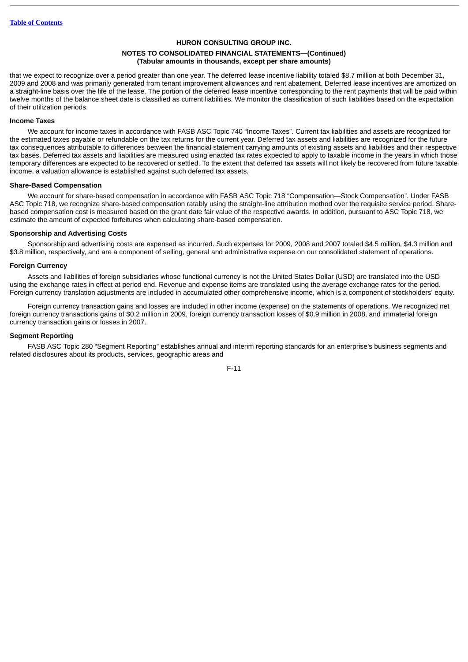# **NOTES TO CONSOLIDATED FINANCIAL STATEMENTS—(Continued) (Tabular amounts in thousands, except per share amounts)**

that we expect to recognize over a period greater than one year. The deferred lease incentive liability totaled \$8.7 million at both December 31, 2009 and 2008 and was primarily generated from tenant improvement allowances and rent abatement. Deferred lease incentives are amortized on a straight-line basis over the life of the lease. The portion of the deferred lease incentive corresponding to the rent payments that will be paid within twelve months of the balance sheet date is classified as current liabilities. We monitor the classification of such liabilities based on the expectation of their utilization periods.

### **Income Taxes**

We account for income taxes in accordance with FASB ASC Topic 740 "Income Taxes". Current tax liabilities and assets are recognized for the estimated taxes payable or refundable on the tax returns for the current year. Deferred tax assets and liabilities are recognized for the future tax consequences attributable to differences between the financial statement carrying amounts of existing assets and liabilities and their respective tax bases. Deferred tax assets and liabilities are measured using enacted tax rates expected to apply to taxable income in the years in which those temporary differences are expected to be recovered or settled. To the extent that deferred tax assets will not likely be recovered from future taxable income, a valuation allowance is established against such deferred tax assets.

### **Share-Based Compensation**

We account for share-based compensation in accordance with FASB ASC Topic 718 "Compensation—Stock Compensation". Under FASB ASC Topic 718, we recognize share-based compensation ratably using the straight-line attribution method over the requisite service period. Sharebased compensation cost is measured based on the grant date fair value of the respective awards. In addition, pursuant to ASC Topic 718, we estimate the amount of expected forfeitures when calculating share-based compensation.

### **Sponsorship and Advertising Costs**

Sponsorship and advertising costs are expensed as incurred. Such expenses for 2009, 2008 and 2007 totaled \$4.5 million, \$4.3 million and \$3.8 million, respectively, and are a component of selling, general and administrative expense on our consolidated statement of operations.

### **Foreign Currency**

Assets and liabilities of foreign subsidiaries whose functional currency is not the United States Dollar (USD) are translated into the USD using the exchange rates in effect at period end. Revenue and expense items are translated using the average exchange rates for the period. Foreign currency translation adjustments are included in accumulated other comprehensive income, which is a component of stockholders' equity.

Foreign currency transaction gains and losses are included in other income (expense) on the statements of operations. We recognized net foreign currency transactions gains of \$0.2 million in 2009, foreign currency transaction losses of \$0.9 million in 2008, and immaterial foreign currency transaction gains or losses in 2007.

### **Segment Reporting**

FASB ASC Topic 280 "Segment Reporting" establishes annual and interim reporting standards for an enterprise's business segments and related disclosures about its products, services, geographic areas and

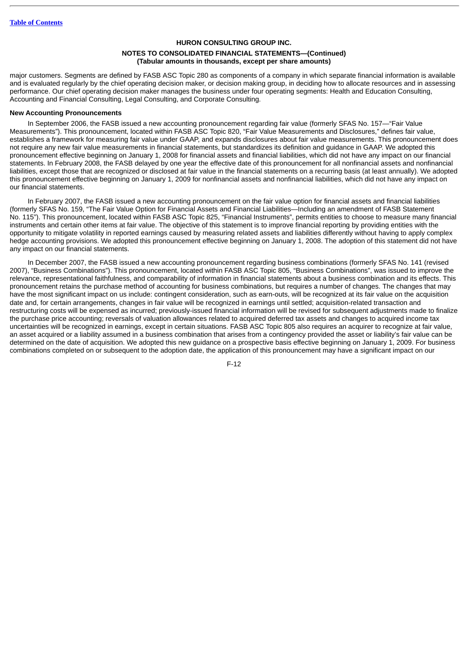# **NOTES TO CONSOLIDATED FINANCIAL STATEMENTS—(Continued) (Tabular amounts in thousands, except per share amounts)**

major customers. Segments are defined by FASB ASC Topic 280 as components of a company in which separate financial information is available and is evaluated regularly by the chief operating decision maker, or decision making group, in deciding how to allocate resources and in assessing performance. Our chief operating decision maker manages the business under four operating segments: Health and Education Consulting, Accounting and Financial Consulting, Legal Consulting, and Corporate Consulting.

### **New Accounting Pronouncements**

In September 2006, the FASB issued a new accounting pronouncement regarding fair value (formerly SFAS No. 157—"Fair Value Measurements"). This pronouncement, located within FASB ASC Topic 820, "Fair Value Measurements and Disclosures," defines fair value, establishes a framework for measuring fair value under GAAP, and expands disclosures about fair value measurements. This pronouncement does not require any new fair value measurements in financial statements, but standardizes its definition and guidance in GAAP. We adopted this pronouncement effective beginning on January 1, 2008 for financial assets and financial liabilities, which did not have any impact on our financial statements. In February 2008, the FASB delayed by one year the effective date of this pronouncement for all nonfinancial assets and nonfinancial liabilities, except those that are recognized or disclosed at fair value in the financial statements on a recurring basis (at least annually). We adopted this pronouncement effective beginning on January 1, 2009 for nonfinancial assets and nonfinancial liabilities, which did not have any impact on our financial statements.

In February 2007, the FASB issued a new accounting pronouncement on the fair value option for financial assets and financial liabilities (formerly SFAS No. 159, "The Fair Value Option for Financial Assets and Financial Liabilities—Including an amendment of FASB Statement No. 115"). This pronouncement, located within FASB ASC Topic 825, "Financial Instruments", permits entities to choose to measure many financial instruments and certain other items at fair value. The objective of this statement is to improve financial reporting by providing entities with the opportunity to mitigate volatility in reported earnings caused by measuring related assets and liabilities differently without having to apply complex hedge accounting provisions. We adopted this pronouncement effective beginning on January 1, 2008. The adoption of this statement did not have any impact on our financial statements.

In December 2007, the FASB issued a new accounting pronouncement regarding business combinations (formerly SFAS No. 141 (revised 2007), "Business Combinations"). This pronouncement, located within FASB ASC Topic 805, "Business Combinations", was issued to improve the relevance, representational faithfulness, and comparability of information in financial statements about a business combination and its effects. This pronouncement retains the purchase method of accounting for business combinations, but requires a number of changes. The changes that may have the most significant impact on us include: contingent consideration, such as earn-outs, will be recognized at its fair value on the acquisition date and, for certain arrangements, changes in fair value will be recognized in earnings until settled; acquisition-related transaction and restructuring costs will be expensed as incurred; previously-issued financial information will be revised for subsequent adjustments made to finalize the purchase price accounting; reversals of valuation allowances related to acquired deferred tax assets and changes to acquired income tax uncertainties will be recognized in earnings, except in certain situations. FASB ASC Topic 805 also requires an acquirer to recognize at fair value, an asset acquired or a liability assumed in a business combination that arises from a contingency provided the asset or liability's fair value can be determined on the date of acquisition. We adopted this new guidance on a prospective basis effective beginning on January 1, 2009. For business combinations completed on or subsequent to the adoption date, the application of this pronouncement may have a significant impact on our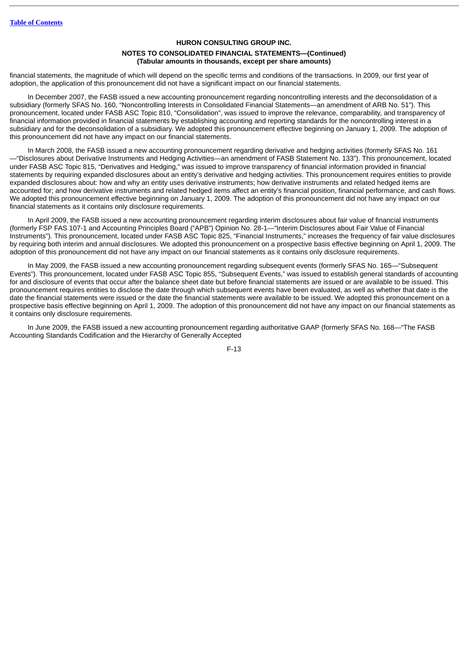# **NOTES TO CONSOLIDATED FINANCIAL STATEMENTS—(Continued) (Tabular amounts in thousands, except per share amounts)**

financial statements, the magnitude of which will depend on the specific terms and conditions of the transactions. In 2009, our first year of adoption, the application of this pronouncement did not have a significant impact on our financial statements.

In December 2007, the FASB issued a new accounting pronouncement regarding noncontrolling interests and the deconsolidation of a subsidiary (formerly SFAS No. 160, "Noncontrolling Interests in Consolidated Financial Statements—an amendment of ARB No. 51"). This pronouncement, located under FASB ASC Topic 810, "Consolidation", was issued to improve the relevance, comparability, and transparency of financial information provided in financial statements by establishing accounting and reporting standards for the noncontrolling interest in a subsidiary and for the deconsolidation of a subsidiary. We adopted this pronouncement effective beginning on January 1, 2009. The adoption of this pronouncement did not have any impact on our financial statements.

In March 2008, the FASB issued a new accounting pronouncement regarding derivative and hedging activities (formerly SFAS No. 161 —"Disclosures about Derivative Instruments and Hedging Activities—an amendment of FASB Statement No. 133"). This pronouncement, located under FASB ASC Topic 815, "Derivatives and Hedging," was issued to improve transparency of financial information provided in financial statements by requiring expanded disclosures about an entity's derivative and hedging activities. This pronouncement requires entities to provide expanded disclosures about: how and why an entity uses derivative instruments; how derivative instruments and related hedged items are accounted for; and how derivative instruments and related hedged items affect an entity's financial position, financial performance, and cash flows. We adopted this pronouncement effective beginning on January 1, 2009. The adoption of this pronouncement did not have any impact on our financial statements as it contains only disclosure requirements.

In April 2009, the FASB issued a new accounting pronouncement regarding interim disclosures about fair value of financial instruments (formerly FSP FAS 107-1 and Accounting Principles Board ("APB") Opinion No. 28-1—"Interim Disclosures about Fair Value of Financial Instruments"). This pronouncement, located under FASB ASC Topic 825, "Financial Instruments," increases the frequency of fair value disclosures by requiring both interim and annual disclosures. We adopted this pronouncement on a prospective basis effective beginning on April 1, 2009. The adoption of this pronouncement did not have any impact on our financial statements as it contains only disclosure requirements.

In May 2009, the FASB issued a new accounting pronouncement regarding subsequent events (formerly SFAS No. 165—"Subsequent Events"). This pronouncement, located under FASB ASC Topic 855, "Subsequent Events," was issued to establish general standards of accounting for and disclosure of events that occur after the balance sheet date but before financial statements are issued or are available to be issued. This pronouncement requires entities to disclose the date through which subsequent events have been evaluated, as well as whether that date is the date the financial statements were issued or the date the financial statements were available to be issued. We adopted this pronouncement on a prospective basis effective beginning on April 1, 2009. The adoption of this pronouncement did not have any impact on our financial statements as it contains only disclosure requirements.

In June 2009, the FASB issued a new accounting pronouncement regarding authoritative GAAP (formerly SFAS No. 168—"The FASB Accounting Standards Codification and the Hierarchy of Generally Accepted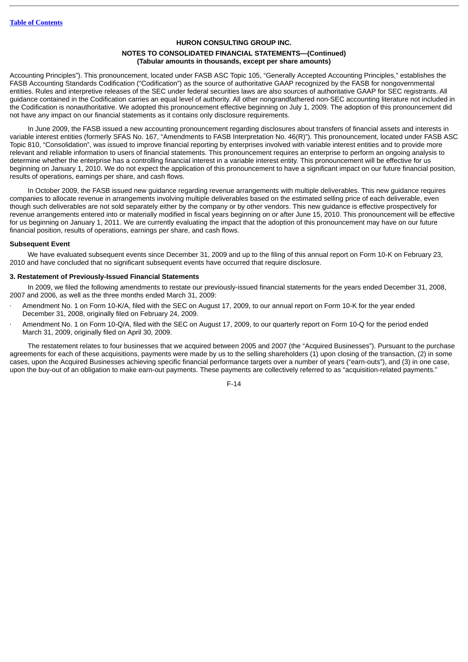# **NOTES TO CONSOLIDATED FINANCIAL STATEMENTS—(Continued) (Tabular amounts in thousands, except per share amounts)**

Accounting Principles"). This pronouncement, located under FASB ASC Topic 105, "Generally Accepted Accounting Principles," establishes the FASB Accounting Standards Codification ("Codification") as the source of authoritative GAAP recognized by the FASB for nongovernmental entities. Rules and interpretive releases of the SEC under federal securities laws are also sources of authoritative GAAP for SEC registrants. All guidance contained in the Codification carries an equal level of authority. All other nongrandfathered non-SEC accounting literature not included in the Codification is nonauthoritative. We adopted this pronouncement effective beginning on July 1, 2009. The adoption of this pronouncement did not have any impact on our financial statements as it contains only disclosure requirements.

In June 2009, the FASB issued a new accounting pronouncement regarding disclosures about transfers of financial assets and interests in variable interest entities (formerly SFAS No. 167, "Amendments to FASB Interpretation No. 46(R)"). This pronouncement, located under FASB ASC Topic 810, "Consolidation", was issued to improve financial reporting by enterprises involved with variable interest entities and to provide more relevant and reliable information to users of financial statements. This pronouncement requires an enterprise to perform an ongoing analysis to determine whether the enterprise has a controlling financial interest in a variable interest entity. This pronouncement will be effective for us beginning on January 1, 2010. We do not expect the application of this pronouncement to have a significant impact on our future financial position, results of operations, earnings per share, and cash flows.

In October 2009, the FASB issued new guidance regarding revenue arrangements with multiple deliverables. This new guidance requires companies to allocate revenue in arrangements involving multiple deliverables based on the estimated selling price of each deliverable, even though such deliverables are not sold separately either by the company or by other vendors. This new guidance is effective prospectively for revenue arrangements entered into or materially modified in fiscal years beginning on or after June 15, 2010. This pronouncement will be effective for us beginning on January 1, 2011. We are currently evaluating the impact that the adoption of this pronouncement may have on our future financial position, results of operations, earnings per share, and cash flows.

### **Subsequent Event**

We have evaluated subsequent events since December 31, 2009 and up to the filing of this annual report on Form 10-K on February 23, 2010 and have concluded that no significant subsequent events have occurred that require disclosure.

# **3. Restatement of Previously-Issued Financial Statements**

In 2009, we filed the following amendments to restate our previously-issued financial statements for the years ended December 31, 2008, 2007 and 2006, as well as the three months ended March 31, 2009:

- Amendment No. 1 on Form 10-K/A, filed with the SEC on August 17, 2009, to our annual report on Form 10-K for the year ended December 31, 2008, originally filed on February 24, 2009.
- · Amendment No. 1 on Form 10-Q/A, filed with the SEC on August 17, 2009, to our quarterly report on Form 10-Q for the period ended March 31, 2009, originally filed on April 30, 2009.

The restatement relates to four businesses that we acquired between 2005 and 2007 (the "Acquired Businesses"). Pursuant to the purchase agreements for each of these acquisitions, payments were made by us to the selling shareholders (1) upon closing of the transaction, (2) in some cases, upon the Acquired Businesses achieving specific financial performance targets over a number of years ("earn-outs"), and (3) in one case, upon the buy-out of an obligation to make earn-out payments. These payments are collectively referred to as "acquisition-related payments."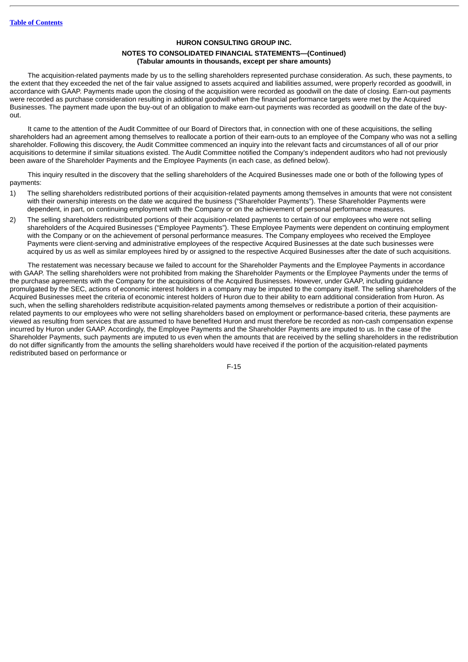# **NOTES TO CONSOLIDATED FINANCIAL STATEMENTS—(Continued) (Tabular amounts in thousands, except per share amounts)**

The acquisition-related payments made by us to the selling shareholders represented purchase consideration. As such, these payments, to the extent that they exceeded the net of the fair value assigned to assets acquired and liabilities assumed, were properly recorded as goodwill, in accordance with GAAP. Payments made upon the closing of the acquisition were recorded as goodwill on the date of closing. Earn-out payments were recorded as purchase consideration resulting in additional goodwill when the financial performance targets were met by the Acquired Businesses. The payment made upon the buy-out of an obligation to make earn-out payments was recorded as goodwill on the date of the buyout.

It came to the attention of the Audit Committee of our Board of Directors that, in connection with one of these acquisitions, the selling shareholders had an agreement among themselves to reallocate a portion of their earn-outs to an employee of the Company who was not a selling shareholder. Following this discovery, the Audit Committee commenced an inquiry into the relevant facts and circumstances of all of our prior acquisitions to determine if similar situations existed. The Audit Committee notified the Company's independent auditors who had not previously been aware of the Shareholder Payments and the Employee Payments (in each case, as defined below).

This inquiry resulted in the discovery that the selling shareholders of the Acquired Businesses made one or both of the following types of payments:

- 1) The selling shareholders redistributed portions of their acquisition-related payments among themselves in amounts that were not consistent with their ownership interests on the date we acquired the business ("Shareholder Payments"). These Shareholder Payments were dependent, in part, on continuing employment with the Company or on the achievement of personal performance measures.
- 2) The selling shareholders redistributed portions of their acquisition-related payments to certain of our employees who were not selling shareholders of the Acquired Businesses ("Employee Payments"). These Employee Payments were dependent on continuing employment with the Company or on the achievement of personal performance measures. The Company employees who received the Employee Payments were client-serving and administrative employees of the respective Acquired Businesses at the date such businesses were acquired by us as well as similar employees hired by or assigned to the respective Acquired Businesses after the date of such acquisitions.

The restatement was necessary because we failed to account for the Shareholder Payments and the Employee Payments in accordance with GAAP. The selling shareholders were not prohibited from making the Shareholder Payments or the Employee Payments under the terms of the purchase agreements with the Company for the acquisitions of the Acquired Businesses. However, under GAAP, including guidance promulgated by the SEC, actions of economic interest holders in a company may be imputed to the company itself. The selling shareholders of the Acquired Businesses meet the criteria of economic interest holders of Huron due to their ability to earn additional consideration from Huron. As such, when the selling shareholders redistribute acquisition-related payments among themselves or redistribute a portion of their acquisitionrelated payments to our employees who were not selling shareholders based on employment or performance-based criteria, these payments are viewed as resulting from services that are assumed to have benefited Huron and must therefore be recorded as non-cash compensation expense incurred by Huron under GAAP. Accordingly, the Employee Payments and the Shareholder Payments are imputed to us. In the case of the Shareholder Payments, such payments are imputed to us even when the amounts that are received by the selling shareholders in the redistribution do not differ significantly from the amounts the selling shareholders would have received if the portion of the acquisition-related payments redistributed based on performance or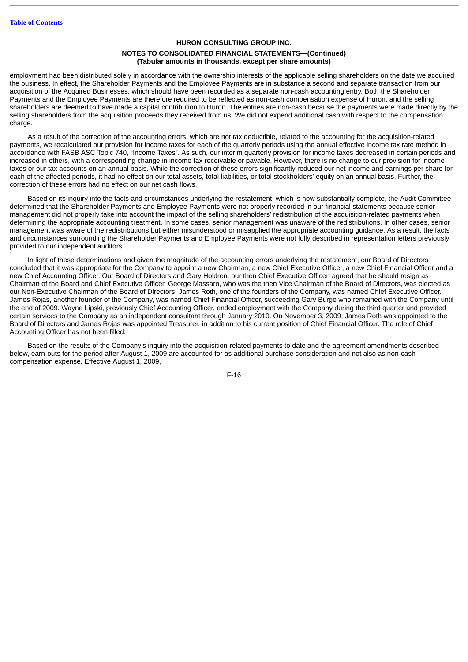# **NOTES TO CONSOLIDATED FINANCIAL STATEMENTS—(Continued) (Tabular amounts in thousands, except per share amounts)**

employment had been distributed solely in accordance with the ownership interests of the applicable selling shareholders on the date we acquired the business. In effect, the Shareholder Payments and the Employee Payments are in substance a second and separate transaction from our acquisition of the Acquired Businesses, which should have been recorded as a separate non-cash accounting entry. Both the Shareholder Payments and the Employee Payments are therefore required to be reflected as non-cash compensation expense of Huron, and the selling shareholders are deemed to have made a capital contribution to Huron. The entries are non-cash because the payments were made directly by the selling shareholders from the acquisition proceeds they received from us. We did not expend additional cash with respect to the compensation charge.

As a result of the correction of the accounting errors, which are not tax deductible, related to the accounting for the acquisition-related payments, we recalculated our provision for income taxes for each of the quarterly periods using the annual effective income tax rate method in accordance with FASB ASC Topic 740, "Income Taxes". As such, our interim quarterly provision for income taxes decreased in certain periods and increased in others, with a corresponding change in income tax receivable or payable. However, there is no change to our provision for income taxes or our tax accounts on an annual basis. While the correction of these errors significantly reduced our net income and earnings per share for each of the affected periods, it had no effect on our total assets, total liabilities, or total stockholders' equity on an annual basis. Further, the correction of these errors had no effect on our net cash flows.

Based on its inquiry into the facts and circumstances underlying the restatement, which is now substantially complete, the Audit Committee determined that the Shareholder Payments and Employee Payments were not properly recorded in our financial statements because senior management did not properly take into account the impact of the selling shareholders' redistribution of the acquisition-related payments when determining the appropriate accounting treatment. In some cases, senior management was unaware of the redistributions. In other cases, senior management was aware of the redistributions but either misunderstood or misapplied the appropriate accounting guidance. As a result, the facts and circumstances surrounding the Shareholder Payments and Employee Payments were not fully described in representation letters previously provided to our independent auditors.

In light of these determinations and given the magnitude of the accounting errors underlying the restatement, our Board of Directors concluded that it was appropriate for the Company to appoint a new Chairman, a new Chief Executive Officer, a new Chief Financial Officer and a new Chief Accounting Officer. Our Board of Directors and Gary Holdren, our then Chief Executive Officer, agreed that he should resign as Chairman of the Board and Chief Executive Officer. George Massaro, who was the then Vice Chairman of the Board of Directors, was elected as our Non-Executive Chairman of the Board of Directors. James Roth, one of the founders of the Company, was named Chief Executive Officer. James Rojas, another founder of the Company, was named Chief Financial Officer, succeeding Gary Burge who remained with the Company until the end of 2009. Wayne Lipski, previously Chief Accounting Officer, ended employment with the Company during the third quarter and provided certain services to the Company as an independent consultant through January 2010. On November 3, 2009, James Roth was appointed to the Board of Directors and James Rojas was appointed Treasurer, in addition to his current position of Chief Financial Officer. The role of Chief Accounting Officer has not been filled.

Based on the results of the Company's inquiry into the acquisition-related payments to date and the agreement amendments described below, earn-outs for the period after August 1, 2009 are accounted for as additional purchase consideration and not also as non-cash compensation expense. Effective August 1, 2009,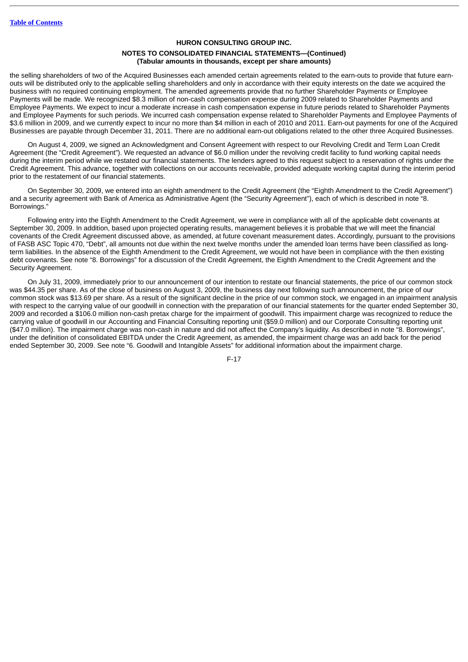## **NOTES TO CONSOLIDATED FINANCIAL STATEMENTS—(Continued) (Tabular amounts in thousands, except per share amounts)**

the selling shareholders of two of the Acquired Businesses each amended certain agreements related to the earn-outs to provide that future earnouts will be distributed only to the applicable selling shareholders and only in accordance with their equity interests on the date we acquired the business with no required continuing employment. The amended agreements provide that no further Shareholder Payments or Employee Payments will be made. We recognized \$8.3 million of non-cash compensation expense during 2009 related to Shareholder Payments and Employee Payments. We expect to incur a moderate increase in cash compensation expense in future periods related to Shareholder Payments and Employee Payments for such periods. We incurred cash compensation expense related to Shareholder Payments and Employee Payments of \$3.6 million in 2009, and we currently expect to incur no more than \$4 million in each of 2010 and 2011. Earn-out payments for one of the Acquired Businesses are payable through December 31, 2011. There are no additional earn-out obligations related to the other three Acquired Businesses.

On August 4, 2009, we signed an Acknowledgment and Consent Agreement with respect to our Revolving Credit and Term Loan Credit Agreement (the "Credit Agreement"). We requested an advance of \$6.0 million under the revolving credit facility to fund working capital needs during the interim period while we restated our financial statements. The lenders agreed to this request subject to a reservation of rights under the Credit Agreement. This advance, together with collections on our accounts receivable, provided adequate working capital during the interim period prior to the restatement of our financial statements.

On September 30, 2009, we entered into an eighth amendment to the Credit Agreement (the "Eighth Amendment to the Credit Agreement") and a security agreement with Bank of America as Administrative Agent (the "Security Agreement"), each of which is described in note "8. Borrowings."

Following entry into the Eighth Amendment to the Credit Agreement, we were in compliance with all of the applicable debt covenants at September 30, 2009. In addition, based upon projected operating results, management believes it is probable that we will meet the financial covenants of the Credit Agreement discussed above, as amended, at future covenant measurement dates. Accordingly, pursuant to the provisions of FASB ASC Topic 470, "Debt", all amounts not due within the next twelve months under the amended loan terms have been classified as longterm liabilities. In the absence of the Eighth Amendment to the Credit Agreement, we would not have been in compliance with the then existing debt covenants. See note "8. Borrowings" for a discussion of the Credit Agreement, the Eighth Amendment to the Credit Agreement and the Security Agreement.

On July 31, 2009, immediately prior to our announcement of our intention to restate our financial statements, the price of our common stock was \$44.35 per share. As of the close of business on August 3, 2009, the business day next following such announcement, the price of our common stock was \$13.69 per share. As a result of the significant decline in the price of our common stock, we engaged in an impairment analysis with respect to the carrying value of our goodwill in connection with the preparation of our financial statements for the quarter ended September 30, 2009 and recorded a \$106.0 million non-cash pretax charge for the impairment of goodwill. This impairment charge was recognized to reduce the carrying value of goodwill in our Accounting and Financial Consulting reporting unit (\$59.0 million) and our Corporate Consulting reporting unit (\$47.0 million). The impairment charge was non-cash in nature and did not affect the Company's liquidity. As described in note "8. Borrowings", under the definition of consolidated EBITDA under the Credit Agreement, as amended, the impairment charge was an add back for the period ended September 30, 2009. See note "6. Goodwill and Intangible Assets" for additional information about the impairment charge.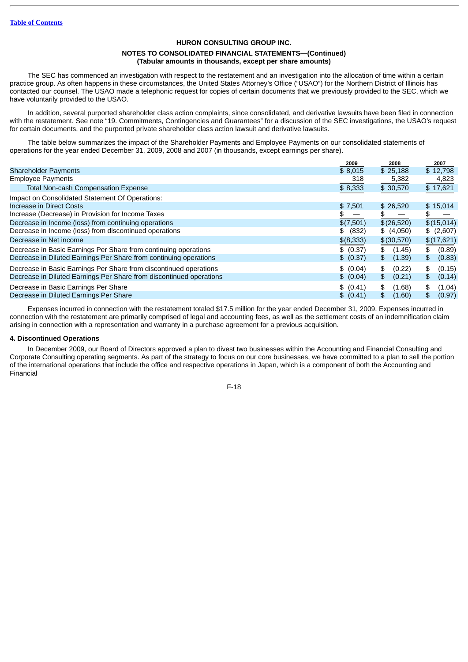# **NOTES TO CONSOLIDATED FINANCIAL STATEMENTS—(Continued) (Tabular amounts in thousands, except per share amounts)**

The SEC has commenced an investigation with respect to the restatement and an investigation into the allocation of time within a certain practice group. As often happens in these circumstances, the United States Attorney's Office ("USAO") for the Northern District of Illinois has contacted our counsel. The USAO made a telephonic request for copies of certain documents that we previously provided to the SEC, which we have voluntarily provided to the USAO.

In addition, several purported shareholder class action complaints, since consolidated, and derivative lawsuits have been filed in connection with the restatement. See note "19. Commitments, Contingencies and Guarantees" for a discussion of the SEC investigations, the USAO's request for certain documents, and the purported private shareholder class action lawsuit and derivative lawsuits.

The table below summarizes the impact of the Shareholder Payments and Employee Payments on our consolidated statements of operations for the year ended December 31, 2009, 2008 and 2007 (in thousands, except earnings per share).

|                                                                     | 2009        | 2008         | 2007         |
|---------------------------------------------------------------------|-------------|--------------|--------------|
| <b>Shareholder Payments</b>                                         | \$8.015     | \$25,188     | \$12,798     |
| <b>Employee Payments</b>                                            | 318         | 5,382        | 4,823        |
| <b>Total Non-cash Compensation Expense</b>                          | \$8,333     | \$30,570     | \$17,621     |
| Impact on Consolidated Statement Of Operations:                     |             |              |              |
| Increase in Direct Costs                                            | \$7,501     | \$26,520     | \$15,014     |
| Increase (Decrease) in Provision for Income Taxes                   | £           | \$           | \$           |
| Decrease in Income (loss) from continuing operations                | \$(7,501)   | \$(26,520)   | \$(15,014)   |
| Decrease in Income (loss) from discontinued operations              | (832)<br>\$ | \$ (4,050)   | \$(2,607)    |
| Decrease in Net income                                              | $$$ (8,333) | \$(30,570)   | \$(17,621)   |
| Decrease in Basic Earnings Per Share from continuing operations     | \$ (0.37)   | (1.45)<br>\$ | (0.89)<br>\$ |
| Decrease in Diluted Earnings Per Share from continuing operations   | \$ (0.37)   | \$<br>(1.39) | \$<br>(0.83) |
| Decrease in Basic Earnings Per Share from discontinued operations   | \$ (0.04)   | (0.22)<br>\$ | (0.15)<br>\$ |
| Decrease in Diluted Earnings Per Share from discontinued operations | \$ (0.04)   | (0.21)<br>\$ | \$<br>(0.14) |
| Decrease in Basic Earnings Per Share                                | \$ (0.41)   | \$<br>(1.68) | \$<br>(1.04) |
| Decrease in Diluted Earnings Per Share                              | \$ (0.41)   | \$<br>(1.60) | \$<br>(0.97) |

Expenses incurred in connection with the restatement totaled \$17.5 million for the year ended December 31, 2009. Expenses incurred in connection with the restatement are primarily comprised of legal and accounting fees, as well as the settlement costs of an indemnification claim arising in connection with a representation and warranty in a purchase agreement for a previous acquisition.

## **4. Discontinued Operations**

In December 2009, our Board of Directors approved a plan to divest two businesses within the Accounting and Financial Consulting and Corporate Consulting operating segments. As part of the strategy to focus on our core businesses, we have committed to a plan to sell the portion of the international operations that include the office and respective operations in Japan, which is a component of both the Accounting and Financial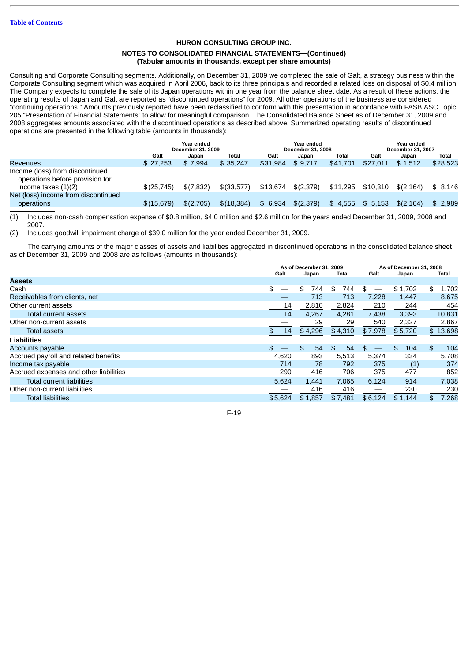# **NOTES TO CONSOLIDATED FINANCIAL STATEMENTS—(Continued) (Tabular amounts in thousands, except per share amounts)**

Consulting and Corporate Consulting segments. Additionally, on December 31, 2009 we completed the sale of Galt, a strategy business within the Corporate Consulting segment which was acquired in April 2006, back to its three principals and recorded a related loss on disposal of \$0.4 million. The Company expects to complete the sale of its Japan operations within one year from the balance sheet date. As a result of these actions, the operating results of Japan and Galt are reported as "discontinued operations" for 2009. All other operations of the business are considered "continuing operations." Amounts previously reported have been reclassified to conform with this presentation in accordance with FASB ASC Topic 205 "Presentation of Financial Statements" to allow for meaningful comparison. The Consolidated Balance Sheet as of December 31, 2009 and 2008 aggregates amounts associated with the discontinued operations as described above. Summarized operating results of discontinued operations are presented in the following table (amounts in thousands):

|                                                                    | Year ended<br>December 31, 2009 |           | Year ended<br><b>December 31, 2008</b> |          |           | Year ended<br>December 31, 2007 |          |           |          |
|--------------------------------------------------------------------|---------------------------------|-----------|----------------------------------------|----------|-----------|---------------------------------|----------|-----------|----------|
|                                                                    | Galt                            | Japan     | Total                                  | Galt     | Japan     | Total                           | Galt     | Japan     | Total    |
| <b>Revenues</b>                                                    | \$27.253                        | \$7.994   | \$35.247                               | \$31,984 | \$9.717   | \$41,701                        | \$27.011 | \$1.512   | \$28,523 |
| Income (loss) from discontinued<br>operations before provision for |                                 |           |                                        |          |           |                                 |          |           |          |
| income taxes $(1)(2)$                                              | \$(25.745)                      | \$(7.832) | $$$ (33,577)                           | \$13,674 | \$(2,379) | \$11,295                        | \$10.310 | \$(2.164) | \$ 8.146 |
| Net (loss) income from discontinued                                |                                 |           |                                        |          |           |                                 |          |           |          |
| operations                                                         | \$(15,679)                      | \$(2,705) | \$(18.384)                             | \$6,934  | \$(2,379) | \$4,555                         | \$5.153  | \$(2.164) | \$2.989  |

(1) Includes non-cash compensation expense of \$0.8 million, \$4.0 million and \$2.6 million for the years ended December 31, 2009, 2008 and 2007.

(2) Includes goodwill impairment charge of \$39.0 million for the year ended December 31, 2009.

The carrying amounts of the major classes of assets and liabilities aggregated in discontinued operations in the consolidated balance sheet as of December 31, 2009 and 2008 are as follows (amounts in thousands):

|                                        | As of December 31, 2009 |           |           |         | As of December 31, 2008 |                       |
|----------------------------------------|-------------------------|-----------|-----------|---------|-------------------------|-----------------------|
|                                        | Galt                    | Japan     | Total     | Galt    | Japan                   | Total                 |
| <b>Assets</b>                          |                         |           |           |         |                         |                       |
| Cash                                   | \$                      | \$<br>744 | 744<br>\$ | S       | \$1,702                 | 1,702<br>\$           |
| Receivables from clients, net          |                         | 713       | 713       | 7,228   | 1,447                   | 8,675                 |
| Other current assets                   | 14                      | 2,810     | 2,824     | 210     | 244                     | 454                   |
| Total current assets                   | 14                      | 4.267     | 4.281     | 7.438   | 3,393                   | 10,831                |
| Other non-current assets               |                         | 29        | 29        | 540     | 2,327                   | 2,867                 |
| <b>Total assets</b>                    | 14<br>\$                | \$4,296   | \$4,310   | \$7,978 | \$5,720                 | \$13,698              |
| <b>Liabilities</b>                     |                         |           |           |         |                         |                       |
| Accounts payable                       | \$                      | 54<br>\$  | 54<br>\$  | \$      | \$<br>104               | $\mathfrak{L}$<br>104 |
| Accrued payroll and related benefits   | 4,620                   | 893       | 5,513     | 5,374   | 334                     | 5,708                 |
| Income tax payable                     | 714                     | 78        | 792       | 375     | (1)                     | 374                   |
| Accrued expenses and other liabilities | 290                     | 416       | 706       | 375     | 477                     | 852                   |
| <b>Total current liabilities</b>       | 5.624                   | 1.441     | 7,065     | 6,124   | 914                     | 7,038                 |
| Other non-current liabilities          |                         | 416       | 416       |         | 230                     | 230                   |
| <b>Total liabilities</b>               | \$5,624                 | \$1,857   | \$7,481   | \$6,124 | \$1,144                 | 7,268<br>\$           |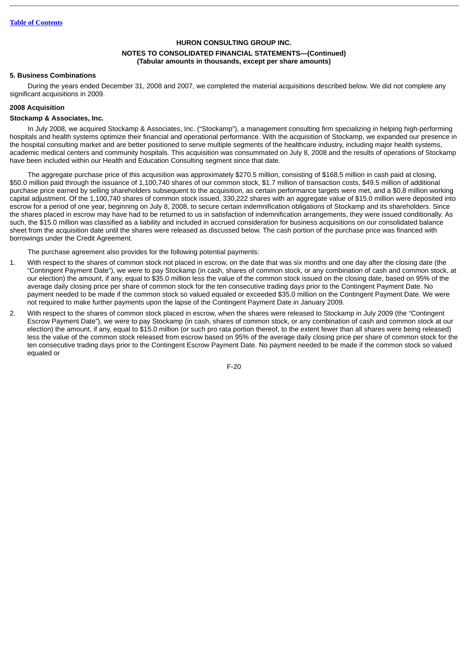# **NOTES TO CONSOLIDATED FINANCIAL STATEMENTS—(Continued) (Tabular amounts in thousands, except per share amounts)**

## **5. Business Combinations**

During the years ended December 31, 2008 and 2007, we completed the material acquisitions described below. We did not complete any significant acquisitions in 2009.

### **2008 Acquisition**

## **Stockamp & Associates, Inc.**

In July 2008, we acquired Stockamp & Associates, Inc. ("Stockamp"), a management consulting firm specializing in helping high-performing hospitals and health systems optimize their financial and operational performance. With the acquisition of Stockamp, we expanded our presence in the hospital consulting market and are better positioned to serve multiple segments of the healthcare industry, including major health systems, academic medical centers and community hospitals. This acquisition was consummated on July 8, 2008 and the results of operations of Stockamp have been included within our Health and Education Consulting segment since that date.

The aggregate purchase price of this acquisition was approximately \$270.5 million, consisting of \$168.5 million in cash paid at closing, \$50.0 million paid through the issuance of 1,100,740 shares of our common stock, \$1.7 million of transaction costs, \$49.5 million of additional purchase price earned by selling shareholders subsequent to the acquisition, as certain performance targets were met, and a \$0.8 million working capital adjustment. Of the 1,100,740 shares of common stock issued, 330,222 shares with an aggregate value of \$15.0 million were deposited into escrow for a period of one year, beginning on July 8, 2008, to secure certain indemnification obligations of Stockamp and its shareholders. Since the shares placed in escrow may have had to be returned to us in satisfaction of indemnification arrangements, they were issued conditionally. As such, the \$15.0 million was classified as a liability and included in accrued consideration for business acquisitions on our consolidated balance sheet from the acquisition date until the shares were released as discussed below. The cash portion of the purchase price was financed with borrowings under the Credit Agreement.

The purchase agreement also provides for the following potential payments:

- 1. With respect to the shares of common stock not placed in escrow, on the date that was six months and one day after the closing date (the "Contingent Payment Date"), we were to pay Stockamp (in cash, shares of common stock, or any combination of cash and common stock, at our election) the amount, if any, equal to \$35.0 million less the value of the common stock issued on the closing date, based on 95% of the average daily closing price per share of common stock for the ten consecutive trading days prior to the Contingent Payment Date. No payment needed to be made if the common stock so valued equaled or exceeded \$35.0 million on the Contingent Payment Date. We were not required to make further payments upon the lapse of the Contingent Payment Date in January 2009.
- 2. With respect to the shares of common stock placed in escrow, when the shares were released to Stockamp in July 2009 (the "Contingent Escrow Payment Date"), we were to pay Stockamp (in cash, shares of common stock, or any combination of cash and common stock at our election) the amount, if any, equal to \$15.0 million (or such pro rata portion thereof, to the extent fewer than all shares were being released) less the value of the common stock released from escrow based on 95% of the average daily closing price per share of common stock for the ten consecutive trading days prior to the Contingent Escrow Payment Date. No payment needed to be made if the common stock so valued equaled or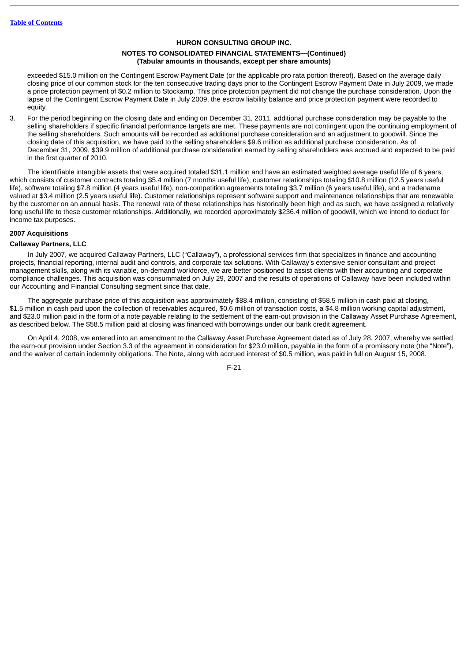# **NOTES TO CONSOLIDATED FINANCIAL STATEMENTS—(Continued) (Tabular amounts in thousands, except per share amounts)**

exceeded \$15.0 million on the Contingent Escrow Payment Date (or the applicable pro rata portion thereof). Based on the average daily closing price of our common stock for the ten consecutive trading days prior to the Contingent Escrow Payment Date in July 2009, we made a price protection payment of \$0.2 million to Stockamp. This price protection payment did not change the purchase consideration. Upon the lapse of the Contingent Escrow Payment Date in July 2009, the escrow liability balance and price protection payment were recorded to equity.

3. For the period beginning on the closing date and ending on December 31, 2011, additional purchase consideration may be payable to the selling shareholders if specific financial performance targets are met. These payments are not contingent upon the continuing employment of the selling shareholders. Such amounts will be recorded as additional purchase consideration and an adjustment to goodwill. Since the closing date of this acquisition, we have paid to the selling shareholders \$9.6 million as additional purchase consideration. As of December 31, 2009, \$39.9 million of additional purchase consideration earned by selling shareholders was accrued and expected to be paid in the first quarter of 2010.

The identifiable intangible assets that were acquired totaled \$31.1 million and have an estimated weighted average useful life of 6 years, which consists of customer contracts totaling \$5.4 million (7 months useful life), customer relationships totaling \$10.8 million (12.5 years useful life), software totaling \$7.8 million (4 years useful life), non-competition agreements totaling \$3.7 million (6 years useful life), and a tradename valued at \$3.4 million (2.5 years useful life). Customer relationships represent software support and maintenance relationships that are renewable by the customer on an annual basis. The renewal rate of these relationships has historically been high and as such, we have assigned a relatively long useful life to these customer relationships. Additionally, we recorded approximately \$236.4 million of goodwill, which we intend to deduct for income tax purposes.

### **2007 Acquisitions**

# **Callaway Partners, LLC**

In July 2007, we acquired Callaway Partners, LLC ("Callaway"), a professional services firm that specializes in finance and accounting projects, financial reporting, internal audit and controls, and corporate tax solutions. With Callaway's extensive senior consultant and project management skills, along with its variable, on-demand workforce, we are better positioned to assist clients with their accounting and corporate compliance challenges. This acquisition was consummated on July 29, 2007 and the results of operations of Callaway have been included within our Accounting and Financial Consulting segment since that date.

The aggregate purchase price of this acquisition was approximately \$88.4 million, consisting of \$58.5 million in cash paid at closing. \$1.5 million in cash paid upon the collection of receivables acquired, \$0.6 million of transaction costs, a \$4.8 million working capital adjustment, and \$23.0 million paid in the form of a note payable relating to the settlement of the earn-out provision in the Callaway Asset Purchase Agreement, as described below. The \$58.5 million paid at closing was financed with borrowings under our bank credit agreement.

On April 4, 2008, we entered into an amendment to the Callaway Asset Purchase Agreement dated as of July 28, 2007, whereby we settled the earn-out provision under Section 3.3 of the agreement in consideration for \$23.0 million, payable in the form of a promissory note (the "Note"), and the waiver of certain indemnity obligations. The Note, along with accrued interest of \$0.5 million, was paid in full on August 15, 2008.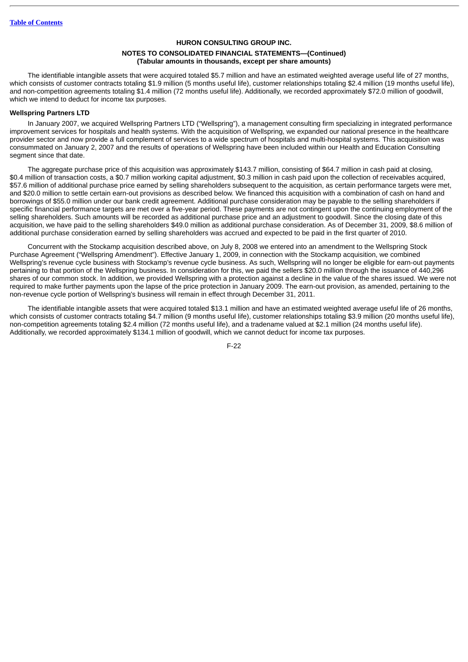# **NOTES TO CONSOLIDATED FINANCIAL STATEMENTS—(Continued) (Tabular amounts in thousands, except per share amounts)**

The identifiable intangible assets that were acquired totaled \$5.7 million and have an estimated weighted average useful life of 27 months, which consists of customer contracts totaling \$1.9 million (5 months useful life), customer relationships totaling \$2.4 million (19 months useful life), and non-competition agreements totaling \$1.4 million (72 months useful life). Additionally, we recorded approximately \$72.0 million of goodwill, which we intend to deduct for income tax purposes.

## **Wellspring Partners LTD**

In January 2007, we acquired Wellspring Partners LTD ("Wellspring"), a management consulting firm specializing in integrated performance improvement services for hospitals and health systems. With the acquisition of Wellspring, we expanded our national presence in the healthcare provider sector and now provide a full complement of services to a wide spectrum of hospitals and multi-hospital systems. This acquisition was consummated on January 2, 2007 and the results of operations of Wellspring have been included within our Health and Education Consulting segment since that date.

The aggregate purchase price of this acquisition was approximately \$143.7 million, consisting of \$64.7 million in cash paid at closing, \$0.4 million of transaction costs, a \$0.7 million working capital adjustment, \$0.3 million in cash paid upon the collection of receivables acquired, \$57.6 million of additional purchase price earned by selling shareholders subsequent to the acquisition, as certain performance targets were met, and \$20.0 million to settle certain earn-out provisions as described below. We financed this acquisition with a combination of cash on hand and borrowings of \$55.0 million under our bank credit agreement. Additional purchase consideration may be payable to the selling shareholders if specific financial performance targets are met over a five-year period. These payments are not contingent upon the continuing employment of the selling shareholders. Such amounts will be recorded as additional purchase price and an adjustment to goodwill. Since the closing date of this acquisition, we have paid to the selling shareholders \$49.0 million as additional purchase consideration. As of December 31, 2009, \$8.6 million of additional purchase consideration earned by selling shareholders was accrued and expected to be paid in the first quarter of 2010.

Concurrent with the Stockamp acquisition described above, on July 8, 2008 we entered into an amendment to the Wellspring Stock Purchase Agreement ("Wellspring Amendment"). Effective January 1, 2009, in connection with the Stockamp acquisition, we combined Wellspring's revenue cycle business with Stockamp's revenue cycle business. As such, Wellspring will no longer be eligible for earn-out payments pertaining to that portion of the Wellspring business. In consideration for this, we paid the sellers \$20.0 million through the issuance of 440,296 shares of our common stock. In addition, we provided Wellspring with a protection against a decline in the value of the shares issued. We were not required to make further payments upon the lapse of the price protection in January 2009. The earn-out provision, as amended, pertaining to the non-revenue cycle portion of Wellspring's business will remain in effect through December 31, 2011.

The identifiable intangible assets that were acquired totaled \$13.1 million and have an estimated weighted average useful life of 26 months, which consists of customer contracts totaling \$4.7 million (9 months useful life), customer relationships totaling \$3.9 million (20 months useful life), non-competition agreements totaling \$2.4 million (72 months useful life), and a tradename valued at \$2.1 million (24 months useful life). Additionally, we recorded approximately \$134.1 million of goodwill, which we cannot deduct for income tax purposes.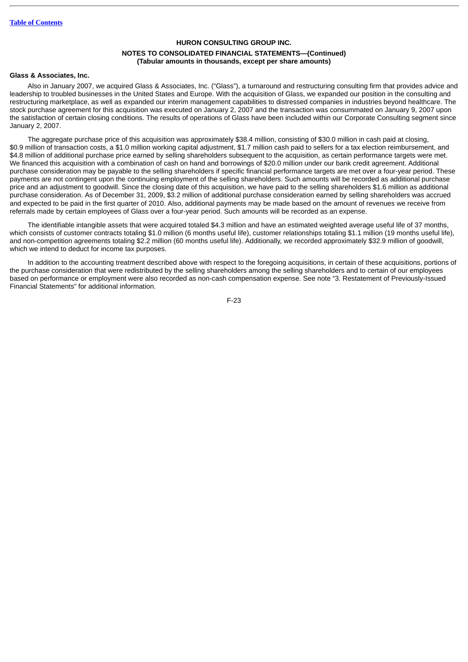# **HURON CONSULTING GROUP INC. NOTES TO CONSOLIDATED FINANCIAL STATEMENTS—(Continued) (Tabular amounts in thousands, except per share amounts)**

### **Glass & Associates, Inc.**

Also in January 2007, we acquired Glass & Associates, Inc. ("Glass"), a turnaround and restructuring consulting firm that provides advice and leadership to troubled businesses in the United States and Europe. With the acquisition of Glass, we expanded our position in the consulting and restructuring marketplace, as well as expanded our interim management capabilities to distressed companies in industries beyond healthcare. The stock purchase agreement for this acquisition was executed on January 2, 2007 and the transaction was consummated on January 9, 2007 upon the satisfaction of certain closing conditions. The results of operations of Glass have been included within our Corporate Consulting segment since January 2, 2007.

The aggregate purchase price of this acquisition was approximately \$38.4 million, consisting of \$30.0 million in cash paid at closing, \$0.9 million of transaction costs, a \$1.0 million working capital adjustment, \$1.7 million cash paid to sellers for a tax election reimbursement, and \$4.8 million of additional purchase price earned by selling shareholders subsequent to the acquisition, as certain performance targets were met. We financed this acquisition with a combination of cash on hand and borrowings of \$20.0 million under our bank credit agreement. Additional purchase consideration may be payable to the selling shareholders if specific financial performance targets are met over a four-year period. These payments are not contingent upon the continuing employment of the selling shareholders. Such amounts will be recorded as additional purchase price and an adjustment to goodwill. Since the closing date of this acquisition, we have paid to the selling shareholders \$1.6 million as additional purchase consideration. As of December 31, 2009, \$3.2 million of additional purchase consideration earned by selling shareholders was accrued and expected to be paid in the first quarter of 2010. Also, additional payments may be made based on the amount of revenues we receive from referrals made by certain employees of Glass over a four-year period. Such amounts will be recorded as an expense.

The identifiable intangible assets that were acquired totaled \$4.3 million and have an estimated weighted average useful life of 37 months, which consists of customer contracts totaling \$1.0 million (6 months useful life), customer relationships totaling \$1.1 million (19 months useful life), and non-competition agreements totaling \$2.2 million (60 months useful life). Additionally, we recorded approximately \$32.9 million of goodwill, which we intend to deduct for income tax purposes.

In addition to the accounting treatment described above with respect to the foregoing acquisitions, in certain of these acquisitions, portions of the purchase consideration that were redistributed by the selling shareholders among the selling shareholders and to certain of our employees based on performance or employment were also recorded as non-cash compensation expense. See note "3. Restatement of Previously-Issued Financial Statements" for additional information.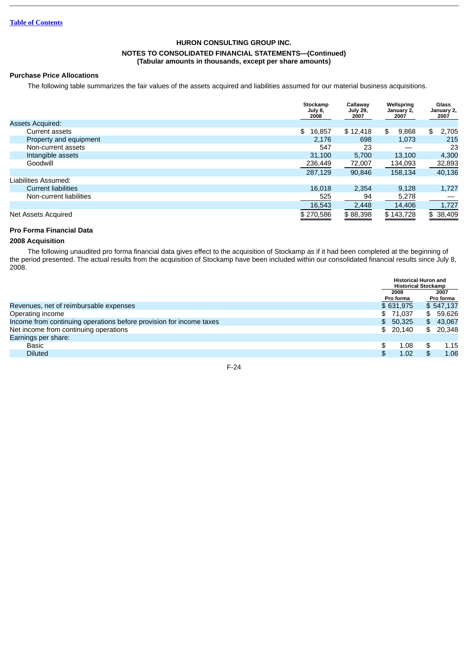# **HURON CONSULTING GROUP INC. NOTES TO CONSOLIDATED FINANCIAL STATEMENTS—(Continued) (Tabular amounts in thousands, except per share amounts)**

# **Purchase Price Allocations**

The following table summarizes the fair values of the assets acquired and liabilities assumed for our material business acquisitions.

|                            | Stockamp<br>July 8,<br>2008 | Callaway<br><b>July 29,</b><br>2007 | Wellspring<br>January 2,<br>2007 | Glass<br>January 2,<br>2007 |
|----------------------------|-----------------------------|-------------------------------------|----------------------------------|-----------------------------|
| <b>Assets Acquired:</b>    |                             |                                     |                                  |                             |
| <b>Current assets</b>      | 16,857<br>\$                | \$12.418                            | 9,868<br>\$                      | 2,705<br>\$                 |
| Property and equipment     | 2,176                       | 698                                 | 1,073                            | 215                         |
| Non-current assets         | 547                         | 23                                  |                                  | 23                          |
| Intangible assets          | 31,100                      | 5,700                               | 13,100                           | 4,300                       |
| Goodwill                   | 236,449                     | 72,007                              | 134,093                          | 32,893                      |
|                            | 287.129                     | 90.846                              | 158.134                          | 40,136                      |
| Liabilities Assumed:       |                             |                                     |                                  |                             |
| <b>Current liabilities</b> | 16.018                      | 2.354                               | 9,128                            | 1,727                       |
| Non-current liabilities    | 525                         | 94                                  | 5,278                            |                             |
|                            | 16,543                      | 2,448                               | 14,406                           | 1,727                       |
| Net Assets Acquired        | \$270,586                   | \$88,398                            | \$143,728                        | \$38,409                    |

# **Pro Forma Financial Data**

# **2008 Acquisition**

The following unaudited pro forma financial data gives effect to the acquisition of Stockamp as if it had been completed at the beginning of the period presented. The actual results from the acquisition of Stockamp have been included within our consolidated financial results since July 8, 2008.

|                                                                                                   | <b>Historical Huron and</b><br><b>Historical Stockamp</b> |
|---------------------------------------------------------------------------------------------------|-----------------------------------------------------------|
| Pro forma                                                                                         | 2008<br>2007<br>Pro forma                                 |
| Revenues, net of reimbursable expenses<br>\$631,975                                               | \$547,137                                                 |
| Operating income<br>\$71.037<br>\$.                                                               | 59,626                                                    |
| Income from continuing operations before provision for income taxes<br>\$50,325<br>$\mathfrak{L}$ | 43,067                                                    |
| Net income from continuing operations<br>\$20.140                                                 | \$20,348                                                  |
| Earnings per share:                                                                               |                                                           |
| 1.08<br><b>Basic</b><br>\$<br>\$                                                                  | 1.15                                                      |
| <b>Diluted</b><br>1.02<br>\$                                                                      | 1.06                                                      |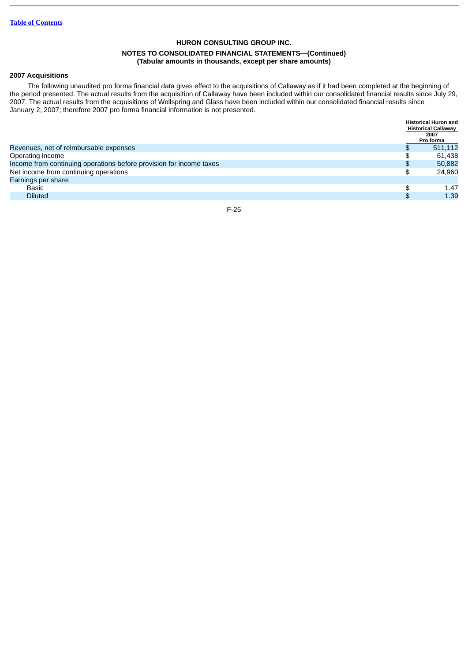# **NOTES TO CONSOLIDATED FINANCIAL STATEMENTS—(Continued) (Tabular amounts in thousands, except per share amounts)**

# **2007 Acquisitions**

The following unaudited pro forma financial data gives effect to the acquisitions of Callaway as if it had been completed at the beginning of the period presented. The actual results from the acquisition of Callaway have been included within our consolidated financial results since July 29, 2007. The actual results from the acquisitions of Wellspring and Glass have been included within our consolidated financial results since January 2, 2007; therefore 2007 pro forma financial information is not presented.

|                                                                     |     | <b>Historical Huron and</b><br><b>Historical Callaway</b> |
|---------------------------------------------------------------------|-----|-----------------------------------------------------------|
|                                                                     |     | 2007<br>Pro forma                                         |
| Revenues, net of reimbursable expenses                              |     | 511.112                                                   |
| Operating income                                                    | \$  | 61,438                                                    |
| Income from continuing operations before provision for income taxes | \$  | 50,882                                                    |
| Net income from continuing operations                               | \$  | 24,960                                                    |
| Earnings per share:                                                 |     |                                                           |
| Basic                                                               | \$. | 1.47                                                      |
| <b>Diluted</b>                                                      | \$  | 1.39                                                      |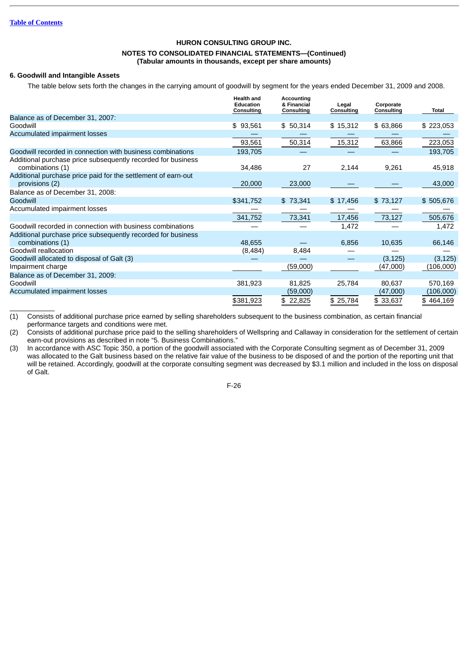# **HURON CONSULTING GROUP INC. NOTES TO CONSOLIDATED FINANCIAL STATEMENTS—(Continued) (Tabular amounts in thousands, except per share amounts)**

# **6. Goodwill and Intangible Assets**

The table below sets forth the changes in the carrying amount of goodwill by segment for the years ended December 31, 2009 and 2008.

|                                                                                  | <b>Health and</b><br><b>Education</b><br>Consulting | <b>Accounting</b><br>& Financial<br>Consulting | Legal<br>Consulting | Corporate<br>Consulting | <b>Total</b> |
|----------------------------------------------------------------------------------|-----------------------------------------------------|------------------------------------------------|---------------------|-------------------------|--------------|
| Balance as of December 31, 2007:                                                 |                                                     |                                                |                     |                         |              |
| Goodwill                                                                         | \$93,561                                            | \$50,314                                       | \$15,312            | \$63,866                | \$223,053    |
| Accumulated impairment losses                                                    |                                                     |                                                |                     |                         |              |
|                                                                                  | 93,561                                              | 50,314                                         | 15,312              | 63,866                  | 223,053      |
| Goodwill recorded in connection with business combinations                       | 193,705                                             |                                                |                     |                         | 193,705      |
| Additional purchase price subsequently recorded for business<br>combinations (1) | 34,486                                              | 27                                             | 2,144               | 9,261                   | 45,918       |
| Additional purchase price paid for the settlement of earn-out<br>provisions (2)  | 20,000                                              | 23,000                                         |                     |                         | 43,000       |
| Balance as of December 31, 2008:                                                 |                                                     |                                                |                     |                         |              |
| Goodwill                                                                         | \$341,752                                           | \$73,341                                       | \$17,456            | \$73,127                | \$505,676    |
| Accumulated impairment losses                                                    |                                                     |                                                |                     |                         |              |
|                                                                                  | 341,752                                             | 73,341                                         | 17,456              | 73,127                  | 505,676      |
| Goodwill recorded in connection with business combinations                       |                                                     |                                                | 1,472               |                         | 1,472        |
| Additional purchase price subsequently recorded for business<br>combinations (1) | 48,655                                              |                                                | 6,856               | 10,635                  | 66,146       |
| Goodwill reallocation                                                            | (8,484)                                             | 8,484                                          |                     |                         |              |
| Goodwill allocated to disposal of Galt (3)                                       |                                                     |                                                |                     | (3, 125)                | (3, 125)     |
| Impairment charge                                                                |                                                     | (59,000)                                       |                     | (47,000)                | (106,000)    |
| Balance as of December 31, 2009:                                                 |                                                     |                                                |                     |                         |              |
| Goodwill                                                                         | 381,923                                             | 81,825                                         | 25,784              | 80,637                  | 570,169      |
| Accumulated impairment losses                                                    |                                                     | (59,000)                                       |                     | (47,000)                | (106,000)    |
|                                                                                  | \$381,923                                           | 22,825<br>\$                                   | \$ 25,784           | \$33,637                | \$464,169    |

(1) Consists of additional purchase price earned by selling shareholders subsequent to the business combination, as certain financial performance targets and conditions were met.

(2) Consists of additional purchase price paid to the selling shareholders of Wellspring and Callaway in consideration for the settlement of certain earn-out provisions as described in note "5. Business Combinations."

(3) In accordance with ASC Topic 350, a portion of the goodwill associated with the Corporate Consulting segment as of December 31, 2009 was allocated to the Galt business based on the relative fair value of the business to be disposed of and the portion of the reporting unit that will be retained. Accordingly, goodwill at the corporate consulting segment was decreased by \$3.1 million and included in the loss on disposal of Galt.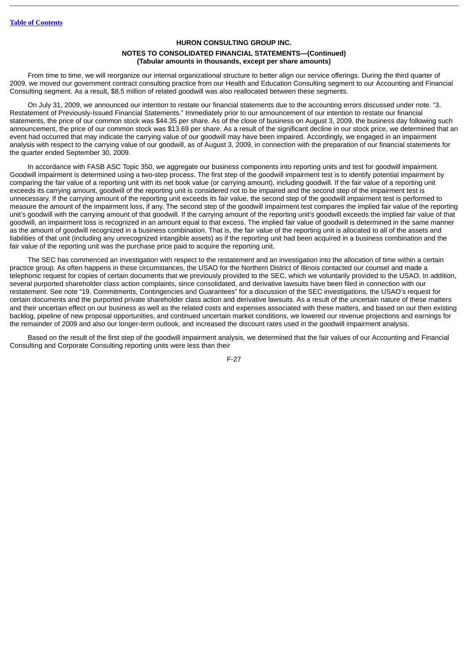## **NOTES TO CONSOLIDATED FINANCIAL STATEMENTS—(Continued) (Tabular amounts in thousands, except per share amounts)**

From time to time, we will reorganize our internal organizational structure to better align our service offerings. During the third quarter of 2009, we moved our government contract consulting practice from our Health and Education Consulting segment to our Accounting and Financial Consulting segment. As a result, \$8.5 million of related goodwill was also reallocated between these segments.

On July 31, 2009, we announced our intention to restate our financial statements due to the accounting errors discussed under note. "3. Restatement of Previously-Issued Financial Statements." Immediately prior to our announcement of our intention to restate our financial statements, the price of our common stock was \$44.35 per share. As of the close of business on August 3, 2009, the business day following such announcement, the price of our common stock was \$13.69 per share. As a result of the significant decline in our stock price, we determined that an event had occurred that may indicate the carrying value of our goodwill may have been impaired. Accordingly, we engaged in an impairment analysis with respect to the carrying value of our goodwill, as of August 3, 2009, in connection with the preparation of our financial statements for the quarter ended September 30, 2009.

In accordance with FASB ASC Topic 350, we aggregate our business components into reporting units and test for goodwill impairment. Goodwill impairment is determined using a two-step process. The first step of the goodwill impairment test is to identify potential impairment by comparing the fair value of a reporting unit with its net book value (or carrying amount), including goodwill. If the fair value of a reporting unit exceeds its carrying amount, goodwill of the reporting unit is considered not to be impaired and the second step of the impairment test is unnecessary. If the carrying amount of the reporting unit exceeds its fair value, the second step of the goodwill impairment test is performed to measure the amount of the impairment loss, if any. The second step of the goodwill impairment test compares the implied fair value of the reporting unit's goodwill with the carrying amount of that goodwill. If the carrying amount of the reporting unit's goodwill exceeds the implied fair value of that goodwill, an impairment loss is recognized in an amount equal to that excess. The implied fair value of goodwill is determined in the same manner as the amount of goodwill recognized in a business combination. That is, the fair value of the reporting unit is allocated to all of the assets and liabilities of that unit (including any unrecognized intangible assets) as if the reporting unit had been acquired in a business combination and the fair value of the reporting unit was the purchase price paid to acquire the reporting unit.

The SEC has commenced an investigation with respect to the restatement and an investigation into the allocation of time within a certain practice group. As often happens in these circumstances, the USAO for the Northern District of Illinois contacted our counsel and made a telephonic request for copies of certain documents that we previously provided to the SEC, which we voluntarily provided to the USAO. In addition, several purported shareholder class action complaints, since consolidated, and derivative lawsuits have been filed in connection with our restatement. See note "19. Commitments, Contingencies and Guarantees" for a discussion of the SEC investigations, the USAO's request for certain documents and the purported private shareholder class action and derivative lawsuits. As a result of the uncertain nature of these matters and their uncertain effect on our business as well as the related costs and expenses associated with these matters, and based on our then existing backlog, pipeline of new proposal opportunities, and continued uncertain market conditions, we lowered our revenue projections and earnings for the remainder of 2009 and also our longer-term outlook, and increased the discount rates used in the goodwill impairment analysis.

Based on the result of the first step of the goodwill impairment analysis, we determined that the fair values of our Accounting and Financial Consulting and Corporate Consulting reporting units were less than their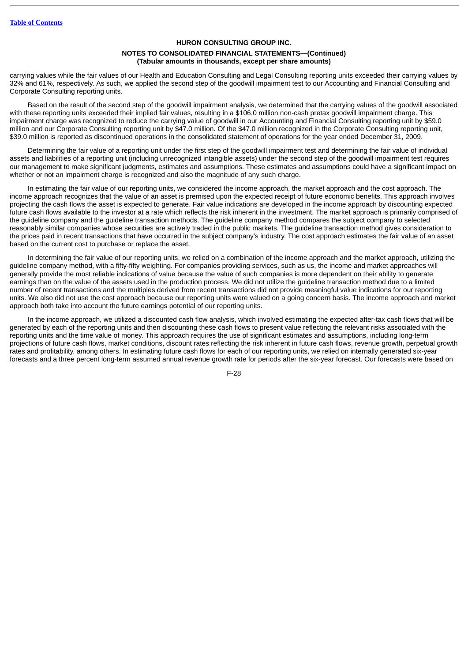# **NOTES TO CONSOLIDATED FINANCIAL STATEMENTS—(Continued) (Tabular amounts in thousands, except per share amounts)**

carrying values while the fair values of our Health and Education Consulting and Legal Consulting reporting units exceeded their carrying values by 32% and 61%, respectively. As such, we applied the second step of the goodwill impairment test to our Accounting and Financial Consulting and Corporate Consulting reporting units.

Based on the result of the second step of the goodwill impairment analysis, we determined that the carrying values of the goodwill associated with these reporting units exceeded their implied fair values, resulting in a \$106.0 million non-cash pretax goodwill impairment charge. This impairment charge was recognized to reduce the carrying value of goodwill in our Accounting and Financial Consulting reporting unit by \$59.0 million and our Corporate Consulting reporting unit by \$47.0 million. Of the \$47.0 million recognized in the Corporate Consulting reporting unit, \$39.0 million is reported as discontinued operations in the consolidated statement of operations for the year ended December 31, 2009.

Determining the fair value of a reporting unit under the first step of the goodwill impairment test and determining the fair value of individual assets and liabilities of a reporting unit (including unrecognized intangible assets) under the second step of the goodwill impairment test requires our management to make significant judgments, estimates and assumptions. These estimates and assumptions could have a significant impact on whether or not an impairment charge is recognized and also the magnitude of any such charge.

In estimating the fair value of our reporting units, we considered the income approach, the market approach and the cost approach. The income approach recognizes that the value of an asset is premised upon the expected receipt of future economic benefits. This approach involves projecting the cash flows the asset is expected to generate. Fair value indications are developed in the income approach by discounting expected future cash flows available to the investor at a rate which reflects the risk inherent in the investment. The market approach is primarily comprised of the guideline company and the guideline transaction methods. The guideline company method compares the subject company to selected reasonably similar companies whose securities are actively traded in the public markets. The guideline transaction method gives consideration to the prices paid in recent transactions that have occurred in the subject company's industry. The cost approach estimates the fair value of an asset based on the current cost to purchase or replace the asset.

In determining the fair value of our reporting units, we relied on a combination of the income approach and the market approach, utilizing the guideline company method, with a fifty-fifty weighting. For companies providing services, such as us, the income and market approaches will generally provide the most reliable indications of value because the value of such companies is more dependent on their ability to generate earnings than on the value of the assets used in the production process. We did not utilize the guideline transaction method due to a limited number of recent transactions and the multiples derived from recent transactions did not provide meaningful value indications for our reporting units. We also did not use the cost approach because our reporting units were valued on a going concern basis. The income approach and market approach both take into account the future earnings potential of our reporting units.

In the income approach, we utilized a discounted cash flow analysis, which involved estimating the expected after-tax cash flows that will be generated by each of the reporting units and then discounting these cash flows to present value reflecting the relevant risks associated with the reporting units and the time value of money. This approach requires the use of significant estimates and assumptions, including long-term projections of future cash flows, market conditions, discount rates reflecting the risk inherent in future cash flows, revenue growth, perpetual growth rates and profitability, among others. In estimating future cash flows for each of our reporting units, we relied on internally generated six-year forecasts and a three percent long-term assumed annual revenue growth rate for periods after the six-year forecast. Our forecasts were based on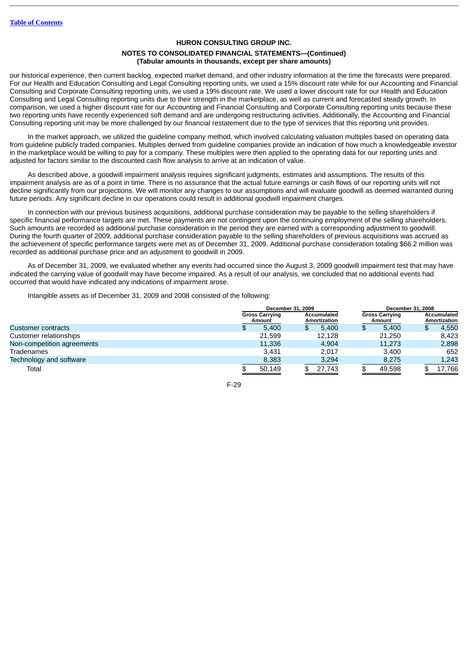# **NOTES TO CONSOLIDATED FINANCIAL STATEMENTS—(Continued) (Tabular amounts in thousands, except per share amounts)**

our historical experience, then current backlog, expected market demand, and other industry information at the time the forecasts were prepared. For our Health and Education Consulting and Legal Consulting reporting units, we used a 15% discount rate while for our Accounting and Financial Consulting and Corporate Consulting reporting units, we used a 19% discount rate. We used a lower discount rate for our Health and Education Consulting and Legal Consulting reporting units due to their strength in the marketplace, as well as current and forecasted steady growth. In comparison, we used a higher discount rate for our Accounting and Financial Consulting and Corporate Consulting reporting units because these two reporting units have recently experienced soft demand and are undergoing restructuring activities. Additionally, the Accounting and Financial Consulting reporting unit may be more challenged by our financial restatement due to the type of services that this reporting unit provides.

In the market approach, we utilized the guideline company method, which involved calculating valuation multiples based on operating data from guideline publicly traded companies. Multiples derived from guideline companies provide an indication of how much a knowledgeable investor in the marketplace would be willing to pay for a company. These multiples were then applied to the operating data for our reporting units and adjusted for factors similar to the discounted cash flow analysis to arrive at an indication of value.

As described above, a goodwill impairment analysis requires significant judgments, estimates and assumptions. The results of this impairment analysis are as of a point in time. There is no assurance that the actual future earnings or cash flows of our reporting units will not decline significantly from our projections. We will monitor any changes to our assumptions and will evaluate goodwill as deemed warranted during future periods. Any significant decline in our operations could result in additional goodwill impairment charges.

In connection with our previous business acquisitions, additional purchase consideration may be payable to the selling shareholders if specific financial performance targets are met. These payments are not contingent upon the continuing employment of the selling shareholders. Such amounts are recorded as additional purchase consideration in the period they are earned with a corresponding adjustment to goodwill. During the fourth quarter of 2009, additional purchase consideration payable to the selling shareholders of previous acquisitions was accrued as the achievement of specific performance targets were met as of December 31, 2009. Additional purchase consideration totaling \$66.2 million was recorded as additional purchase price and an adjustment to goodwill in 2009.

As of December 31, 2009, we evaluated whether any events had occurred since the August 3, 2009 goodwill impairment test that may have indicated the carrying value of goodwill may have become impaired. As a result of our analysis, we concluded that no additional events had occurred that would have indicated any indications of impairment arose.

Intangible assets as of December 31, 2009 and 2008 consisted of the following:

|                            |        | December 31, 2009                                    |        | December 31, 2008               |  |                                    |  |
|----------------------------|--------|------------------------------------------------------|--------|---------------------------------|--|------------------------------------|--|
|                            | Amount | <b>Gross Carrying</b><br>Accumulated<br>Amortization |        | <b>Gross Carrying</b><br>Amount |  | <b>Accumulated</b><br>Amortization |  |
| Customer contracts         | 5.400  | 5.400                                                | 5.400  | 4,550                           |  |                                    |  |
| Customer relationships     | 21.599 | 12,128                                               | 21,250 | 8,423                           |  |                                    |  |
| Non-competition agreements | 11,336 | 4.904                                                | 11,273 | 2,898                           |  |                                    |  |
| <b>Tradenames</b>          | 3.431  | 2.017                                                | 3.400  | 652                             |  |                                    |  |
| Technology and software    | 8,383  | 3,294                                                | 8,275  | 1,243                           |  |                                    |  |
| Total                      | 50,149 | 27,743                                               | 49,598 | 17,766                          |  |                                    |  |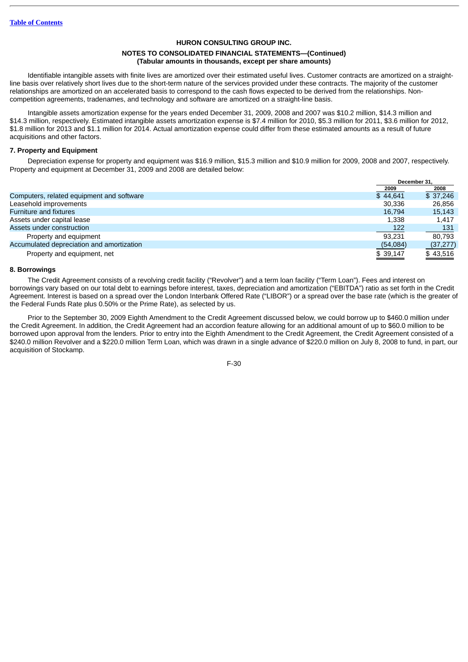## **NOTES TO CONSOLIDATED FINANCIAL STATEMENTS—(Continued) (Tabular amounts in thousands, except per share amounts)**

Identifiable intangible assets with finite lives are amortized over their estimated useful lives. Customer contracts are amortized on a straightline basis over relatively short lives due to the short-term nature of the services provided under these contracts. The majority of the customer relationships are amortized on an accelerated basis to correspond to the cash flows expected to be derived from the relationships. Noncompetition agreements, tradenames, and technology and software are amortized on a straight-line basis.

Intangible assets amortization expense for the years ended December 31, 2009, 2008 and 2007 was \$10.2 million, \$14.3 million and \$14.3 million, respectively. Estimated intangible assets amortization expense is \$7.4 million for 2010, \$5.3 million for 2011, \$3.6 million for 2012, \$1.8 million for 2013 and \$1.1 million for 2014. Actual amortization expense could differ from these estimated amounts as a result of future acquisitions and other factors.

## **7. Property and Equipment**

Depreciation expense for property and equipment was \$16.9 million, \$15.3 million and \$10.9 million for 2009, 2008 and 2007, respectively. Property and equipment at December 31, 2009 and 2008 are detailed below:

|                                           | December 31. |           |
|-------------------------------------------|--------------|-----------|
|                                           | 2009         | 2008      |
| Computers, related equipment and software | \$44.641     | \$37.246  |
| Leasehold improvements                    | 30.336       | 26,856    |
| <b>Furniture and fixtures</b>             | 16.794       | 15,143    |
| Assets under capital lease                | 1.338        | 1.417     |
| Assets under construction                 | 122          | 131       |
| Property and equipment                    | 93.231       | 80.793    |
| Accumulated depreciation and amortization | (54,084)     | (37, 277) |
| Property and equipment, net               | \$39,147     | \$43,516  |

## **8. Borrowings**

The Credit Agreement consists of a revolving credit facility ("Revolver") and a term loan facility ("Term Loan"). Fees and interest on borrowings vary based on our total debt to earnings before interest, taxes, depreciation and amortization ("EBITDA") ratio as set forth in the Credit Agreement. Interest is based on a spread over the London Interbank Offered Rate ("LIBOR") or a spread over the base rate (which is the greater of the Federal Funds Rate plus 0.50% or the Prime Rate), as selected by us.

Prior to the September 30, 2009 Eighth Amendment to the Credit Agreement discussed below, we could borrow up to \$460.0 million under the Credit Agreement. In addition, the Credit Agreement had an accordion feature allowing for an additional amount of up to \$60.0 million to be borrowed upon approval from the lenders. Prior to entry into the Eighth Amendment to the Credit Agreement, the Credit Agreement consisted of a \$240.0 million Revolver and a \$220.0 million Term Loan, which was drawn in a single advance of \$220.0 million on July 8, 2008 to fund, in part, our acquisition of Stockamp.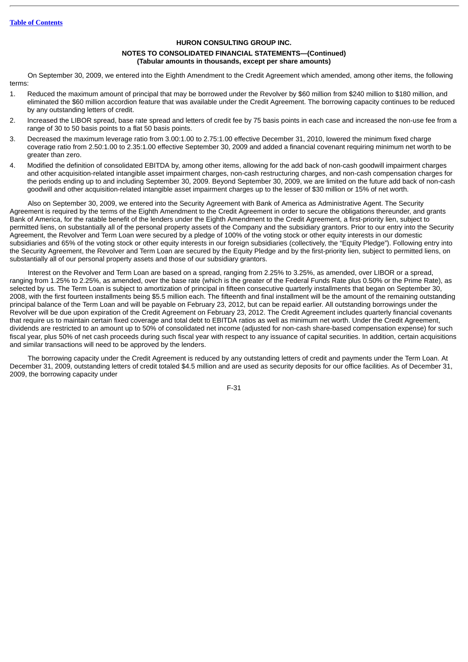# **NOTES TO CONSOLIDATED FINANCIAL STATEMENTS—(Continued) (Tabular amounts in thousands, except per share amounts)**

On September 30, 2009, we entered into the Eighth Amendment to the Credit Agreement which amended, among other items, the following terms:

- 1. Reduced the maximum amount of principal that may be borrowed under the Revolver by \$60 million from \$240 million to \$180 million, and eliminated the \$60 million accordion feature that was available under the Credit Agreement. The borrowing capacity continues to be reduced by any outstanding letters of credit.
- 2. Increased the LIBOR spread, base rate spread and letters of credit fee by 75 basis points in each case and increased the non-use fee from a range of 30 to 50 basis points to a flat 50 basis points.
- 3. Decreased the maximum leverage ratio from 3.00:1.00 to 2.75:1.00 effective December 31, 2010, lowered the minimum fixed charge coverage ratio from 2.50:1.00 to 2.35:1.00 effective September 30, 2009 and added a financial covenant requiring minimum net worth to be greater than zero.
- 4. Modified the definition of consolidated EBITDA by, among other items, allowing for the add back of non-cash goodwill impairment charges and other acquisition-related intangible asset impairment charges, non-cash restructuring charges, and non-cash compensation charges for the periods ending up to and including September 30, 2009. Beyond September 30, 2009, we are limited on the future add back of non-cash goodwill and other acquisition-related intangible asset impairment charges up to the lesser of \$30 million or 15% of net worth.

Also on September 30, 2009, we entered into the Security Agreement with Bank of America as Administrative Agent. The Security Agreement is required by the terms of the Eighth Amendment to the Credit Agreement in order to secure the obligations thereunder, and grants Bank of America, for the ratable benefit of the lenders under the Eighth Amendment to the Credit Agreement, a first-priority lien, subject to permitted liens, on substantially all of the personal property assets of the Company and the subsidiary grantors. Prior to our entry into the Security Agreement, the Revolver and Term Loan were secured by a pledge of 100% of the voting stock or other equity interests in our domestic subsidiaries and 65% of the voting stock or other equity interests in our foreign subsidiaries (collectively, the "Equity Pledge"). Following entry into the Security Agreement, the Revolver and Term Loan are secured by the Equity Pledge and by the first-priority lien, subject to permitted liens, on substantially all of our personal property assets and those of our subsidiary grantors.

Interest on the Revolver and Term Loan are based on a spread, ranging from 2.25% to 3.25%, as amended, over LIBOR or a spread, ranging from 1.25% to 2.25%, as amended, over the base rate (which is the greater of the Federal Funds Rate plus 0.50% or the Prime Rate), as selected by us. The Term Loan is subject to amortization of principal in fifteen consecutive quarterly installments that began on September 30, 2008, with the first fourteen installments being \$5.5 million each. The fifteenth and final installment will be the amount of the remaining outstanding principal balance of the Term Loan and will be payable on February 23, 2012, but can be repaid earlier. All outstanding borrowings under the Revolver will be due upon expiration of the Credit Agreement on February 23, 2012. The Credit Agreement includes quarterly financial covenants that require us to maintain certain fixed coverage and total debt to EBITDA ratios as well as minimum net worth. Under the Credit Agreement, dividends are restricted to an amount up to 50% of consolidated net income (adjusted for non-cash share-based compensation expense) for such fiscal year, plus 50% of net cash proceeds during such fiscal year with respect to any issuance of capital securities. In addition, certain acquisitions and similar transactions will need to be approved by the lenders.

The borrowing capacity under the Credit Agreement is reduced by any outstanding letters of credit and payments under the Term Loan. At December 31, 2009, outstanding letters of credit totaled \$4.5 million and are used as security deposits for our office facilities. As of December 31, 2009, the borrowing capacity under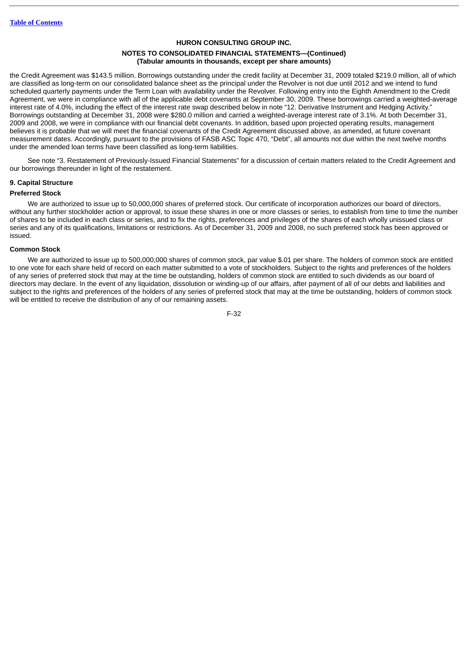# **NOTES TO CONSOLIDATED FINANCIAL STATEMENTS—(Continued) (Tabular amounts in thousands, except per share amounts)**

the Credit Agreement was \$143.5 million. Borrowings outstanding under the credit facility at December 31, 2009 totaled \$219.0 million, all of which are classified as long-term on our consolidated balance sheet as the principal under the Revolver is not due until 2012 and we intend to fund scheduled quarterly payments under the Term Loan with availability under the Revolver. Following entry into the Eighth Amendment to the Credit Agreement, we were in compliance with all of the applicable debt covenants at September 30, 2009. These borrowings carried a weighted-average interest rate of 4.0%, including the effect of the interest rate swap described below in note "12. Derivative Instrument and Hedging Activity." Borrowings outstanding at December 31, 2008 were \$280.0 million and carried a weighted-average interest rate of 3.1%. At both December 31, 2009 and 2008, we were in compliance with our financial debt covenants. In addition, based upon projected operating results, management believes it is probable that we will meet the financial covenants of the Credit Agreement discussed above, as amended, at future covenant measurement dates. Accordingly, pursuant to the provisions of FASB ASC Topic 470, "Debt", all amounts not due within the next twelve months under the amended loan terms have been classified as long-term liabilities.

See note "3. Restatement of Previously-Issued Financial Statements" for a discussion of certain matters related to the Credit Agreement and our borrowings thereunder in light of the restatement.

### **9. Capital Structure**

### **Preferred Stock**

We are authorized to issue up to 50,000,000 shares of preferred stock. Our certificate of incorporation authorizes our board of directors. without any further stockholder action or approval, to issue these shares in one or more classes or series, to establish from time to time the number of shares to be included in each class or series, and to fix the rights, preferences and privileges of the shares of each wholly unissued class or series and any of its qualifications, limitations or restrictions. As of December 31, 2009 and 2008, no such preferred stock has been approved or issued.

### **Common Stock**

We are authorized to issue up to 500,000,000 shares of common stock, par value \$.01 per share. The holders of common stock are entitled to one vote for each share held of record on each matter submitted to a vote of stockholders. Subject to the rights and preferences of the holders of any series of preferred stock that may at the time be outstanding, holders of common stock are entitled to such dividends as our board of directors may declare. In the event of any liquidation, dissolution or winding-up of our affairs, after payment of all of our debts and liabilities and subject to the rights and preferences of the holders of any series of preferred stock that may at the time be outstanding, holders of common stock will be entitled to receive the distribution of any of our remaining assets.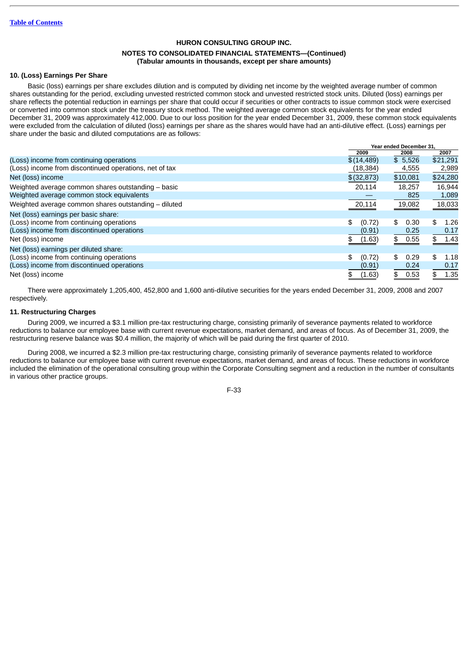# **HURON CONSULTING GROUP INC. NOTES TO CONSOLIDATED FINANCIAL STATEMENTS—(Continued) (Tabular amounts in thousands, except per share amounts)**

# **10. (Loss) Earnings Per Share**

Basic (loss) earnings per share excludes dilution and is computed by dividing net income by the weighted average number of common shares outstanding for the period, excluding unvested restricted common stock and unvested restricted stock units. Diluted (loss) earnings per share reflects the potential reduction in earnings per share that could occur if securities or other contracts to issue common stock were exercised or converted into common stock under the treasury stock method. The weighted average common stock equivalents for the year ended December 31, 2009 was approximately 412,000. Due to our loss position for the year ended December 31, 2009, these common stock equivalents were excluded from the calculation of diluted (loss) earnings per share as the shares would have had an anti-dilutive effect. (Loss) earnings per share under the basic and diluted computations are as follows:

|                                                        | Year ended December 31, |            |             |  |
|--------------------------------------------------------|-------------------------|------------|-------------|--|
|                                                        | 2009                    | 2008       | 2007        |  |
| (Loss) income from continuing operations               | \$(14, 489)             | \$5,526    | \$21,291    |  |
| (Loss) income from discontinued operations, net of tax | (18, 384)               | 4,555      | 2,989       |  |
| Net (loss) income                                      | $$$ (32,873)            | \$10,081   | \$24,280    |  |
| Weighted average common shares outstanding - basic     | 20,114                  | 18,257     | 16,944      |  |
| Weighted average common stock equivalents              |                         | 825        | 1,089       |  |
| Weighted average common shares outstanding - diluted   | 20,114                  | 19,082     | 18,033      |  |
| Net (loss) earnings per basic share:                   |                         |            |             |  |
| (Loss) income from continuing operations               | \$<br>(0.72)            | \$<br>0.30 | 1.26<br>\$. |  |
| (Loss) income from discontinued operations             | (0.91)                  | 0.25       | 0.17        |  |
| Net (loss) income                                      | (1.63)                  | \$0.55     | 1.43<br>\$. |  |
| Net (loss) earnings per diluted share:                 |                         |            |             |  |
| (Loss) income from continuing operations               | (0.72)<br>\$            | \$<br>0.29 | 1.18<br>\$  |  |
| (Loss) income from discontinued operations             | (0.91)                  | 0.24       | 0.17        |  |
| Net (loss) income                                      | (1.63)                  | 0.53<br>\$ | 1.35        |  |

There were approximately 1,205,400, 452,800 and 1,600 anti-dilutive securities for the years ended December 31, 2009, 2008 and 2007 respectively.

## **11. Restructuring Charges**

During 2009, we incurred a \$3.1 million pre-tax restructuring charge, consisting primarily of severance payments related to workforce reductions to balance our employee base with current revenue expectations, market demand, and areas of focus. As of December 31, 2009, the restructuring reserve balance was \$0.4 million, the majority of which will be paid during the first quarter of 2010.

During 2008, we incurred a \$2.3 million pre-tax restructuring charge, consisting primarily of severance payments related to workforce reductions to balance our employee base with current revenue expectations, market demand, and areas of focus. These reductions in workforce included the elimination of the operational consulting group within the Corporate Consulting segment and a reduction in the number of consultants in various other practice groups.

F-33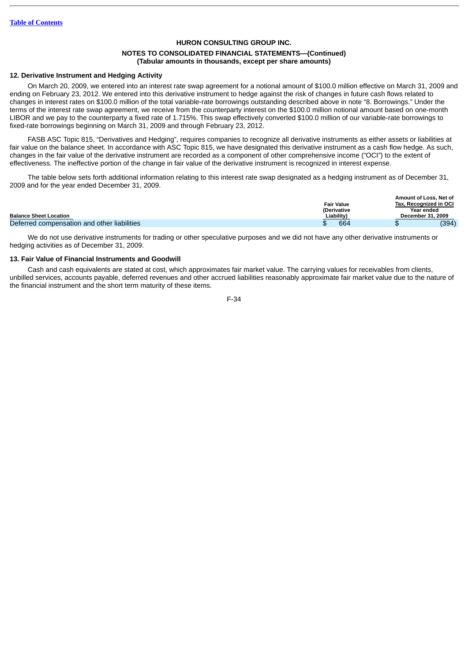### **NOTES TO CONSOLIDATED FINANCIAL STATEMENTS—(Continued) (Tabular amounts in thousands, except per share amounts)**

## **12. Derivative Instrument and Hedging Activity**

On March 20, 2009, we entered into an interest rate swap agreement for a notional amount of \$100.0 million effective on March 31, 2009 and ending on February 23, 2012. We entered into this derivative instrument to hedge against the risk of changes in future cash flows related to changes in interest rates on \$100.0 million of the total variable-rate borrowings outstanding described above in note "8. Borrowings." Under the terms of the interest rate swap agreement, we receive from the counterparty interest on the \$100.0 million notional amount based on one-month LIBOR and we pay to the counterparty a fixed rate of 1.715%. This swap effectively converted \$100.0 million of our variable-rate borrowings to fixed-rate borrowings beginning on March 31, 2009 and through February 23, 2012.

FASB ASC Topic 815, "Derivatives and Hedging", requires companies to recognize all derivative instruments as either assets or liabilities at fair value on the balance sheet. In accordance with ASC Topic 815, we have designated this derivative instrument as a cash flow hedge. As such, changes in the fair value of the derivative instrument are recorded as a component of other comprehensive income ("OCI") to the extent of effectiveness. The ineffective portion of the change in fair value of the derivative instrument is recognized in interest expense.

The table below sets forth additional information relating to this interest rate swap designated as a hedging instrument as of December 31, 2009 and for the year ended December 31, 2009.

|                                             |                   | Amount of Loss, Net of |
|---------------------------------------------|-------------------|------------------------|
|                                             | <b>Fair Value</b> | Tax. Recognized in OCI |
|                                             | (Derivative       | Year ended             |
| <b>Balance Sheet Location</b>               | Liability)        | December 31, 2009      |
| Deferred compensation and other liabilities | 664               | (394)                  |

We do not use derivative instruments for trading or other speculative purposes and we did not have any other derivative instruments or hedging activities as of December 31, 2009.

# **13. Fair Value of Financial Instruments and Goodwill**

Cash and cash equivalents are stated at cost, which approximates fair market value. The carrying values for receivables from clients, unbilled services, accounts payable, deferred revenues and other accrued liabilities reasonably approximate fair market value due to the nature of the financial instrument and the short term maturity of these items.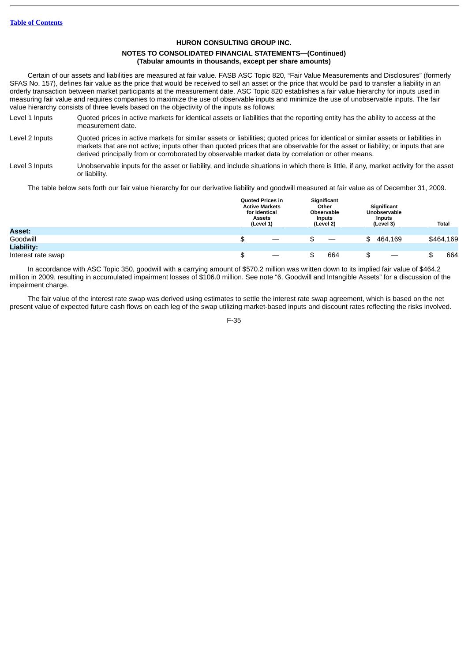# **NOTES TO CONSOLIDATED FINANCIAL STATEMENTS—(Continued) (Tabular amounts in thousands, except per share amounts)**

Certain of our assets and liabilities are measured at fair value. FASB ASC Topic 820, "Fair Value Measurements and Disclosures" (formerly SFAS No. 157), defines fair value as the price that would be received to sell an asset or the price that would be paid to transfer a liability in an orderly transaction between market participants at the measurement date. ASC Topic 820 establishes a fair value hierarchy for inputs used in measuring fair value and requires companies to maximize the use of observable inputs and minimize the use of unobservable inputs. The fair value hierarchy consists of three levels based on the objectivity of the inputs as follows:

- Level 1 Inputs Quoted prices in active markets for identical assets or liabilities that the reporting entity has the ability to access at the measurement date.
- Level 2 Inputs Quoted prices in active markets for similar assets or liabilities; quoted prices for identical or similar assets or liabilities in markets that are not active; inputs other than quoted prices that are observable for the asset or liability; or inputs that are derived principally from or corroborated by observable market data by correlation or other means.
- Level 3 Inputs Unobservable inputs for the asset or liability, and include situations in which there is little, if any, market activity for the asset or liability.

The table below sets forth our fair value hierarchy for our derivative liability and goodwill measured at fair value as of December 31, 2009.

|                    | <b>Quoted Prices in</b><br><b>Active Markets</b><br>for Identical<br><b>Assets</b> |                   | <b>Significant</b><br>Other<br><b>Observable</b><br><b>Inputs</b><br>(Level 1)<br>(Level 2) |                   |                         |           | <b>Significant</b><br>Unobservable<br>Inputs<br>(Level 3) |  | Total |  |
|--------------------|------------------------------------------------------------------------------------|-------------------|---------------------------------------------------------------------------------------------|-------------------|-------------------------|-----------|-----------------------------------------------------------|--|-------|--|
| <b>Asset:</b>      |                                                                                    |                   |                                                                                             |                   |                         |           |                                                           |  |       |  |
| Goodwill           | ሖ<br>จ                                                                             | $\hspace{0.05cm}$ | \$                                                                                          | $\hspace{0.05cm}$ | \$<br>464,169           | \$464,169 |                                                           |  |       |  |
| Liability:         |                                                                                    |                   |                                                                                             |                   |                         |           |                                                           |  |       |  |
| Interest rate swap | จ                                                                                  |                   | \$                                                                                          | 664               | \$<br>$\hspace{0.05cm}$ |           | 664                                                       |  |       |  |

In accordance with ASC Topic 350, goodwill with a carrying amount of \$570.2 million was written down to its implied fair value of \$464.2 million in 2009, resulting in accumulated impairment losses of \$106.0 million. See note "6. Goodwill and Intangible Assets" for a discussion of the impairment charge.

The fair value of the interest rate swap was derived using estimates to settle the interest rate swap agreement, which is based on the net present value of expected future cash flows on each leg of the swap utilizing market-based inputs and discount rates reflecting the risks involved.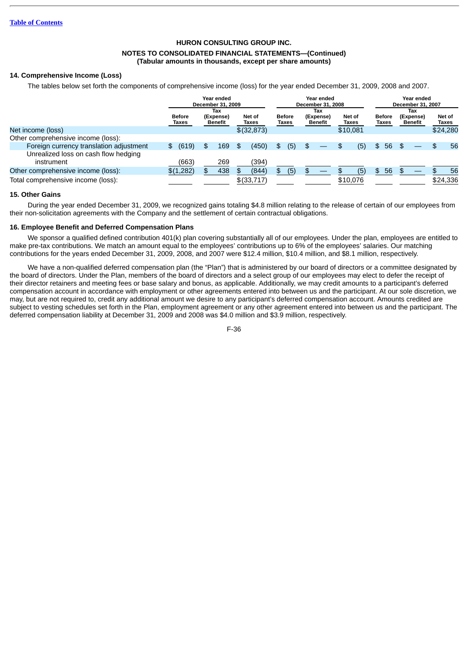# **HURON CONSULTING GROUP INC. NOTES TO CONSOLIDATED FINANCIAL STATEMENTS—(Continued) (Tabular amounts in thousands, except per share amounts)**

# **14. Comprehensive Income (Loss)**

The tables below set forth the components of comprehensive income (loss) for the year ended December 31, 2009, 2008 and 2007.

|                                         |                        | <b>Year ended</b><br>December 31, 2009 |     |                 |     |                               | Year ended<br>December 31, 2008    |                 |     |     |                        | Year ended<br>December 31, 2007    |                 |
|-----------------------------------------|------------------------|----------------------------------------|-----|-----------------|-----|-------------------------------|------------------------------------|-----------------|-----|-----|------------------------|------------------------------------|-----------------|
|                                         | <b>Before</b><br>Taxes | Tax<br>(Expense)<br><b>Benefit</b>     |     | Net of<br>Taxes |     | <b>Before</b><br><b>Taxes</b> | Tax<br>(Expense)<br><b>Benefit</b> | Net of<br>Taxes |     |     | <b>Before</b><br>Taxes | Tax<br>(Expense)<br><b>Benefit</b> | Net of<br>Taxes |
| Net income (loss)                       |                        |                                        |     | \$(32,873)      |     |                               |                                    | \$10,081        |     |     |                        |                                    | \$24,280        |
| Other comprehensive income (loss):      |                        |                                        |     |                 |     |                               |                                    |                 |     |     |                        |                                    |                 |
| Foreign currency translation adjustment | (619)<br>\$.           | 169                                    | \$. | (450)           | \$. | (5)                           | \$                                 |                 | (5) | SS. | 56                     |                                    | 56              |
| Unrealized loss on cash flow hedging    |                        |                                        |     |                 |     |                               |                                    |                 |     |     |                        |                                    |                 |
| instrument                              | (663)                  | 269                                    |     | (394)           |     |                               |                                    |                 |     |     |                        |                                    |                 |
| Other comprehensive income (loss):      | \$(1,282)              | 438                                    |     | (844)           |     | (5)                           |                                    |                 | (5) | \$. | 56                     |                                    | 56              |
| Total comprehensive income (loss):      |                        |                                        |     | $$$ (33,717)    |     |                               |                                    | \$10,076        |     |     |                        |                                    | \$24,336        |

# **15. Other Gains**

During the vear ended December 31, 2009, we recognized gains totaling \$4.8 million relating to the release of certain of our employees from their non-solicitation agreements with the Company and the settlement of certain contractual obligations.

### **16. Employee Benefit and Deferred Compensation Plans**

We sponsor a qualified defined contribution 401(k) plan covering substantially all of our employees. Under the plan, employees are entitled to make pre-tax contributions. We match an amount equal to the employees' contributions up to 6% of the employees' salaries. Our matching contributions for the years ended December 31, 2009, 2008, and 2007 were \$12.4 million, \$10.4 million, and \$8.1 million, respectively.

We have a non-qualified deferred compensation plan (the "Plan") that is administered by our board of directors or a committee designated by the board of directors. Under the Plan, members of the board of directors and a select group of our employees may elect to defer the receipt of their director retainers and meeting fees or base salary and bonus, as applicable. Additionally, we may credit amounts to a participant's deferred compensation account in accordance with employment or other agreements entered into between us and the participant. At our sole discretion, we may, but are not required to, credit any additional amount we desire to any participant's deferred compensation account. Amounts credited are subject to vesting schedules set forth in the Plan, employment agreement or any other agreement entered into between us and the participant. The deferred compensation liability at December 31, 2009 and 2008 was \$4.0 million and \$3.9 million, respectively.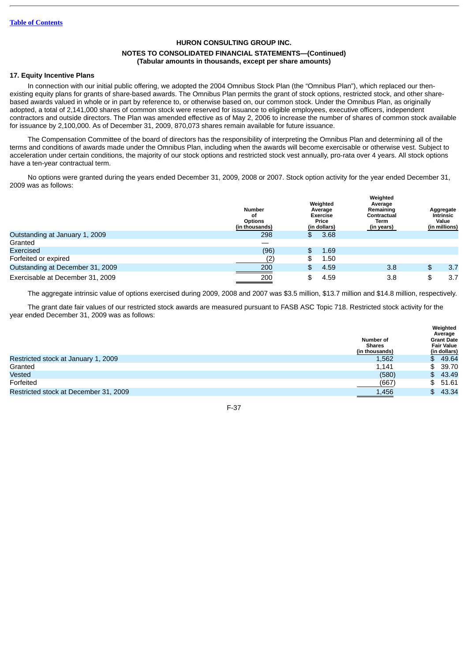# **NOTES TO CONSOLIDATED FINANCIAL STATEMENTS—(Continued) (Tabular amounts in thousands, except per share amounts)**

### **17. Equity Incentive Plans**

In connection with our initial public offering, we adopted the 2004 Omnibus Stock Plan (the "Omnibus Plan"), which replaced our thenexisting equity plans for grants of share-based awards. The Omnibus Plan permits the grant of stock options, restricted stock, and other sharebased awards valued in whole or in part by reference to, or otherwise based on, our common stock. Under the Omnibus Plan, as originally adopted, a total of 2,141,000 shares of common stock were reserved for issuance to eligible employees, executive officers, independent contractors and outside directors. The Plan was amended effective as of May 2, 2006 to increase the number of shares of common stock available for issuance by 2,100,000. As of December 31, 2009, 870,073 shares remain available for future issuance.

The Compensation Committee of the board of directors has the responsibility of interpreting the Omnibus Plan and determining all of the terms and conditions of awards made under the Omnibus Plan, including when the awards will become exercisable or otherwise vest. Subject to acceleration under certain conditions, the majority of our stock options and restricted stock vest annually, pro-rata over 4 years. All stock options have a ten-year contractual term.

No options were granted during the years ended December 31, 2009, 2008 or 2007. Stock option activity for the year ended December 31, 2009 was as follows:

|                                  | <b>Number</b><br>οf<br><b>Options</b><br>(in thousands) | Weighted<br>Average<br>Exercise<br>Price<br>(in dollars) | Weighted<br>Average<br>Remaining<br>Contractual<br>Term<br>(in years) | Aggregate<br><b>Intrinsic</b><br>Value<br>(in millions) |
|----------------------------------|---------------------------------------------------------|----------------------------------------------------------|-----------------------------------------------------------------------|---------------------------------------------------------|
| Outstanding at January 1, 2009   | 298                                                     | 3.68<br>\$                                               |                                                                       |                                                         |
| Granted                          |                                                         |                                                          |                                                                       |                                                         |
| Exercised                        | (96)                                                    | 1.69<br>\$                                               |                                                                       |                                                         |
| Forfeited or expired             |                                                         | 1.50<br>\$                                               |                                                                       |                                                         |
| Outstanding at December 31, 2009 | 200                                                     | 4.59<br>\$                                               | 3.8                                                                   | \$<br>3.7                                               |
| Exercisable at December 31, 2009 | 200                                                     | 4.59<br>\$                                               | 3.8                                                                   | \$<br>3.7                                               |

The aggregate intrinsic value of options exercised during 2009, 2008 and 2007 was \$3.5 million, \$13.7 million and \$14.8 million, respectively.

The grant date fair values of our restricted stock awards are measured pursuant to FASB ASC Topic 718. Restricted stock activity for the year ended December 31, 2009 was as follows:

|                                       | Number of<br><b>Shares</b><br>(in thousands) | Weighted<br>Average<br><b>Grant Date</b><br><b>Fair Value</b><br>(in dollars) |
|---------------------------------------|----------------------------------------------|-------------------------------------------------------------------------------|
| Restricted stock at January 1, 2009   | 1,562                                        | 49.64<br>S.                                                                   |
| Granted                               | 1,141                                        | \$39.70                                                                       |
| Vested                                | (580)                                        | 43.49<br>\$                                                                   |
| Forfeited                             | (667)                                        | \$51.61                                                                       |
| Restricted stock at December 31, 2009 | 1,456                                        | 43.34<br>\$.                                                                  |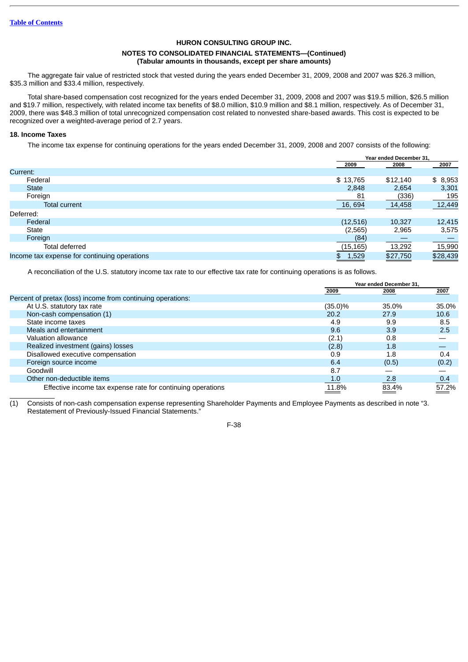# **NOTES TO CONSOLIDATED FINANCIAL STATEMENTS—(Continued) (Tabular amounts in thousands, except per share amounts)**

The aggregate fair value of restricted stock that vested during the years ended December 31, 2009, 2008 and 2007 was \$26.3 million, \$35.3 million and \$33.4 million, respectively.

Total share-based compensation cost recognized for the years ended December 31, 2009, 2008 and 2007 was \$19.5 million, \$26.5 million and \$19.7 million, respectively, with related income tax benefits of \$8.0 million, \$10.9 million and \$8.1 million, respectively. As of December 31, 2009, there was \$48.3 million of total unrecognized compensation cost related to nonvested share-based awards. This cost is expected to be recognized over a weighted-average period of 2.7 years.

# **18. Income Taxes**

The income tax expense for continuing operations for the years ended December 31, 2009, 2008 and 2007 consists of the following:

|                                              |             | Year ended December 31. |          |  |  |  |
|----------------------------------------------|-------------|-------------------------|----------|--|--|--|
|                                              | 2009        | 2008                    | 2007     |  |  |  |
| Current:                                     |             |                         |          |  |  |  |
| Federal                                      | \$13,765    | \$12,140                | \$8,953  |  |  |  |
| <b>State</b>                                 | 2,848       | 2,654                   | 3,301    |  |  |  |
| Foreign                                      | 81          | (336)                   | 195      |  |  |  |
| <b>Total current</b>                         | 16, 694     | 14,458                  | 12,449   |  |  |  |
| Deferred:                                    |             |                         |          |  |  |  |
| Federal                                      | (12, 516)   | 10,327                  | 12,415   |  |  |  |
| <b>State</b>                                 | (2,565)     | 2,965                   | 3,575    |  |  |  |
| Foreign                                      | (84)        |                         |          |  |  |  |
| Total deferred                               | (15, 165)   | 13,292                  | 15,990   |  |  |  |
| Income tax expense for continuing operations | 1,529<br>\$ | \$27,750                | \$28,439 |  |  |  |

A reconciliation of the U.S. statutory income tax rate to our effective tax rate for continuing operations is as follows.

|                                                             | Year ended December 31. |       |       |  |
|-------------------------------------------------------------|-------------------------|-------|-------|--|
|                                                             | 2009                    | 2008  | 2007  |  |
| Percent of pretax (loss) income from continuing operations: |                         |       |       |  |
| At U.S. statutory tax rate                                  | $(35.0)\%$              | 35.0% | 35.0% |  |
| Non-cash compensation (1)                                   | 20.2                    | 27.9  | 10.6  |  |
| State income taxes                                          | 4.9                     | 9.9   | 8.5   |  |
| Meals and entertainment                                     | 9.6                     | 3.9   | 2.5   |  |
| Valuation allowance                                         | (2.1)                   | 0.8   |       |  |
| Realized investment (gains) losses                          | (2.8)                   | 1.8   |       |  |
| Disallowed executive compensation                           | 0.9                     | 1.8   | 0.4   |  |
| Foreign source income                                       | 6.4                     | (0.5) | (0.2) |  |
| Goodwill                                                    | 8.7                     |       |       |  |
| Other non-deductible items                                  | 1.0                     | 2.8   | 0.4   |  |
| Effective income tax expense rate for continuing operations | 11.8%                   | 83.4% | 57.2% |  |

(1) Consists of non-cash compensation expense representing Shareholder Payments and Employee Payments as described in note "3. Restatement of Previously-Issued Financial Statements."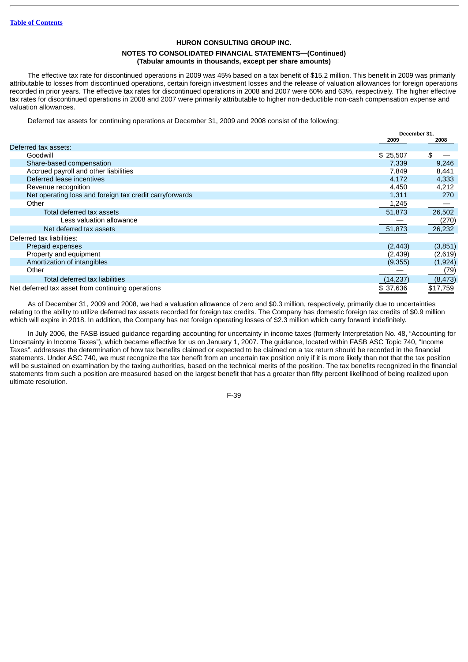## **NOTES TO CONSOLIDATED FINANCIAL STATEMENTS—(Continued) (Tabular amounts in thousands, except per share amounts)**

The effective tax rate for discontinued operations in 2009 was 45% based on a tax benefit of \$15.2 million. This benefit in 2009 was primarily attributable to losses from discontinued operations, certain foreign investment losses and the release of valuation allowances for foreign operations recorded in prior years. The effective tax rates for discontinued operations in 2008 and 2007 were 60% and 63%, respectively. The higher effective tax rates for discontinued operations in 2008 and 2007 were primarily attributable to higher non-deductible non-cash compensation expense and valuation allowances.

Deferred tax assets for continuing operations at December 31, 2009 and 2008 consist of the following:

|                                                         |           | December 31. |
|---------------------------------------------------------|-----------|--------------|
|                                                         | 2009      | 2008         |
| Deferred tax assets:                                    |           |              |
| Goodwill                                                | \$ 25,507 | \$           |
| Share-based compensation                                | 7,339     | 9,246        |
| Accrued payroll and other liabilities                   | 7,849     | 8,441        |
| Deferred lease incentives                               | 4,172     | 4,333        |
| Revenue recognition                                     | 4,450     | 4,212        |
| Net operating loss and foreign tax credit carryforwards | 1,311     | 270          |
| Other                                                   | 1,245     |              |
| Total deferred tax assets                               | 51,873    | 26,502       |
| Less valuation allowance                                |           | (270)        |
| Net deferred tax assets                                 | 51,873    | 26,232       |
| Deferred tax liabilities:                               |           |              |
| Prepaid expenses                                        | (2, 443)  | (3,851)      |
| Property and equipment                                  | (2,439)   | (2,619)      |
| Amortization of intangibles                             | (9,355)   | (1,924)      |
| Other                                                   |           | (79)         |
| Total deferred tax liabilities                          | (14, 237) | (8, 473)     |
| Net deferred tax asset from continuing operations       | \$37.636  | \$17.759     |

As of December 31, 2009 and 2008, we had a valuation allowance of zero and \$0.3 million, respectively, primarily due to uncertainties relating to the ability to utilize deferred tax assets recorded for foreign tax credits. The Company has domestic foreign tax credits of \$0.9 million which will expire in 2018. In addition, the Company has net foreign operating losses of \$2.3 million which carry forward indefinitely.

In July 2006, the FASB issued guidance regarding accounting for uncertainty in income taxes (formerly Interpretation No. 48, "Accounting for Uncertainty in Income Taxes"), which became effective for us on January 1, 2007. The guidance, located within FASB ASC Topic 740, "Income Taxes", addresses the determination of how tax benefits claimed or expected to be claimed on a tax return should be recorded in the financial statements. Under ASC 740, we must recognize the tax benefit from an uncertain tax position only if it is more likely than not that the tax position will be sustained on examination by the taxing authorities, based on the technical merits of the position. The tax benefits recognized in the financial statements from such a position are measured based on the largest benefit that has a greater than fifty percent likelihood of being realized upon ultimate resolution.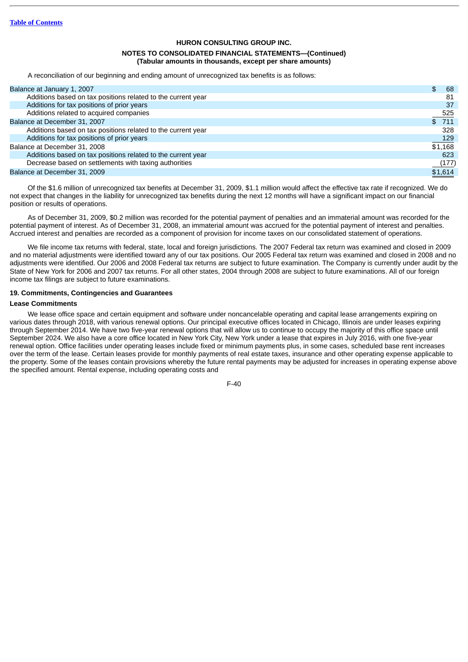### **NOTES TO CONSOLIDATED FINANCIAL STATEMENTS—(Continued) (Tabular amounts in thousands, except per share amounts)**

A reconciliation of our beginning and ending amount of unrecognized tax benefits is as follows:

| Balance at January 1, 2007                                   | \$. | 68                   |
|--------------------------------------------------------------|-----|----------------------|
| Additions based on tax positions related to the current year |     | 81                   |
| Additions for tax positions of prior years                   |     | 37                   |
| Additions related to acquired companies                      |     |                      |
| Balance at December 31, 2007                                 |     | $\frac{525}{\$}$     |
| Additions based on tax positions related to the current year |     | 328                  |
| Additions for tax positions of prior years                   |     |                      |
| Balance at December 31, 2008                                 |     | $\frac{129}{$1,168}$ |
| Additions based on tax positions related to the current year |     | 623                  |
| Decrease based on settlements with taxing authorities        |     | (177)                |
| Balance at December 31, 2009                                 |     | \$1,614              |

Of the \$1.6 million of unrecognized tax benefits at December 31, 2009, \$1.1 million would affect the effective tax rate if recognized. We do not expect that changes in the liability for unrecognized tax benefits during the next 12 months will have a significant impact on our financial position or results of operations.

As of December 31, 2009, \$0.2 million was recorded for the potential payment of penalties and an immaterial amount was recorded for the potential payment of interest. As of December 31, 2008, an immaterial amount was accrued for the potential payment of interest and penalties. Accrued interest and penalties are recorded as a component of provision for income taxes on our consolidated statement of operations.

We file income tax returns with federal, state, local and foreign jurisdictions. The 2007 Federal tax return was examined and closed in 2009 and no material adjustments were identified toward any of our tax positions. Our 2005 Federal tax return was examined and closed in 2008 and no adjustments were identified. Our 2006 and 2008 Federal tax returns are subject to future examination. The Company is currently under audit by the State of New York for 2006 and 2007 tax returns. For all other states, 2004 through 2008 are subject to future examinations. All of our foreign income tax filings are subject to future examinations.

#### **19. Commitments, Contingencies and Guarantees**

#### **Lease Commitments**

We lease office space and certain equipment and software under noncancelable operating and capital lease arrangements expiring on various dates through 2018, with various renewal options. Our principal executive offices located in Chicago, Illinois are under leases expiring through September 2014. We have two five-year renewal options that will allow us to continue to occupy the majority of this office space until September 2024. We also have a core office located in New York City, New York under a lease that expires in July 2016, with one five-year renewal option. Office facilities under operating leases include fixed or minimum payments plus, in some cases, scheduled base rent increases over the term of the lease. Certain leases provide for monthly payments of real estate taxes, insurance and other operating expense applicable to the property. Some of the leases contain provisions whereby the future rental payments may be adjusted for increases in operating expense above the specified amount. Rental expense, including operating costs and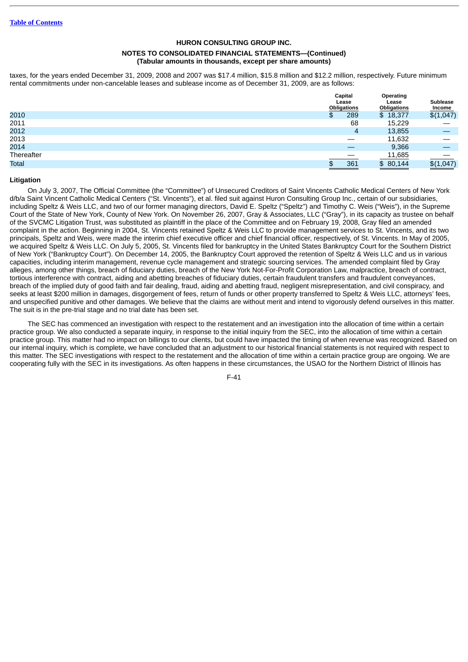## **HURON CONSULTING GROUP INC. NOTES TO CONSOLIDATED FINANCIAL STATEMENTS—(Continued) (Tabular amounts in thousands, except per share amounts)**

taxes, for the years ended December 31, 2009, 2008 and 2007 was \$17.4 million, \$15.8 million and \$12.2 million, respectively. Future minimum rental commitments under non-cancelable leases and sublease income as of December 31, 2009, are as follows:

|              |   | Capital<br>Lease<br>Obligations | Operating<br>Lease<br><b>Obligations</b> | <b>Sublease</b><br>Income |
|--------------|---|---------------------------------|------------------------------------------|---------------------------|
| 2010         | Ψ | 289                             | \$18,377                                 | \$(1,047)                 |
| 2011         |   | 68                              | 15,229                                   |                           |
| 2012         |   | 4                               | 13,855                                   |                           |
| 2013         |   |                                 | 11,632                                   |                           |
| 2014         |   |                                 | 9,366                                    |                           |
| Thereafter   |   |                                 | 11,685                                   |                           |
| <b>Total</b> |   | 361                             | \$80,144                                 | \$(1,047)                 |

#### **Litigation**

On July 3, 2007, The Official Committee (the "Committee") of Unsecured Creditors of Saint Vincents Catholic Medical Centers of New York d/b/a Saint Vincent Catholic Medical Centers ("St. Vincents"), et al. filed suit against Huron Consulting Group Inc., certain of our subsidiaries, including Speltz & Weis LLC, and two of our former managing directors, David E. Speltz ("Speltz") and Timothy C. Weis ("Weis"), in the Supreme Court of the State of New York, County of New York. On November 26, 2007, Gray & Associates, LLC ("Gray"), in its capacity as trustee on behalf of the SVCMC Litigation Trust, was substituted as plaintiff in the place of the Committee and on February 19, 2008, Gray filed an amended complaint in the action. Beginning in 2004, St. Vincents retained Speltz & Weis LLC to provide management services to St. Vincents, and its two principals, Speltz and Weis, were made the interim chief executive officer and chief financial officer, respectively, of St. Vincents. In May of 2005, we acquired Speltz & Weis LLC. On July 5, 2005, St. Vincents filed for bankruptcy in the United States Bankruptcy Court for the Southern District of New York ("Bankruptcy Court"). On December 14, 2005, the Bankruptcy Court approved the retention of Speltz & Weis LLC and us in various capacities, including interim management, revenue cycle management and strategic sourcing services. The amended complaint filed by Gray alleges, among other things, breach of fiduciary duties, breach of the New York Not-For-Profit Corporation Law, malpractice, breach of contract, tortious interference with contract, aiding and abetting breaches of fiduciary duties, certain fraudulent transfers and fraudulent conveyances, breach of the implied duty of good faith and fair dealing, fraud, aiding and abetting fraud, negligent misrepresentation, and civil conspiracy, and seeks at least \$200 million in damages, disgorgement of fees, return of funds or other property transferred to Speltz & Weis LLC, attorneys' fees, and unspecified punitive and other damages. We believe that the claims are without merit and intend to vigorously defend ourselves in this matter. The suit is in the pre-trial stage and no trial date has been set.

The SEC has commenced an investigation with respect to the restatement and an investigation into the allocation of time within a certain practice group. We also conducted a separate inquiry, in response to the initial inquiry from the SEC, into the allocation of time within a certain practice group. This matter had no impact on billings to our clients, but could have impacted the timing of when revenue was recognized. Based on our internal inquiry, which is complete, we have concluded that an adjustment to our historical financial statements is not required with respect to this matter. The SEC investigations with respect to the restatement and the allocation of time within a certain practice group are ongoing. We are cooperating fully with the SEC in its investigations. As often happens in these circumstances, the USAO for the Northern District of Illinois has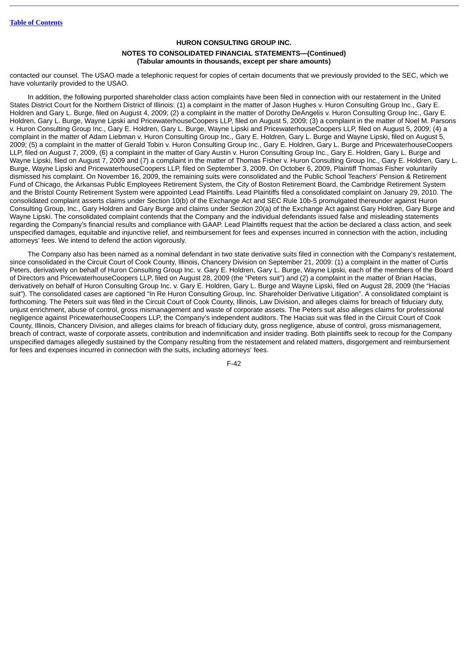## **HURON CONSULTING GROUP INC. NOTES TO CONSOLIDATED FINANCIAL STATEMENTS—(Continued) (Tabular amounts in thousands, except per share amounts)**

contacted our counsel. The USAO made a telephonic request for copies of certain documents that we previously provided to the SEC, which we have voluntarily provided to the USAO.

In addition, the following purported shareholder class action complaints have been filed in connection with our restatement in the United States District Court for the Northern District of Illinois: (1) a complaint in the matter of Jason Hughes v. Huron Consulting Group Inc., Gary E. Holdren and Gary L. Burge, filed on August 4, 2009; (2) a complaint in the matter of Dorothy DeAngelis v. Huron Consulting Group Inc., Gary E. Holdren, Gary L. Burge, Wayne Lipski and PricewaterhouseCoopers LLP, filed on August 5, 2009; (3) a complaint in the matter of Noel M. Parsons v. Huron Consulting Group Inc., Gary E. Holdren, Gary L. Burge, Wayne Lipski and PricewaterhouseCoopers LLP, filed on August 5, 2009; (4) a complaint in the matter of Adam Liebman v. Huron Consulting Group Inc., Gary E. Holdren, Gary L. Burge and Wayne Lipski, filed on August 5, 2009; (5) a complaint in the matter of Gerald Tobin v. Huron Consulting Group Inc., Gary E. Holdren, Gary L. Burge and PricewaterhouseCoopers LLP, filed on August 7, 2009, (6) a complaint in the matter of Gary Austin v. Huron Consulting Group Inc., Gary E. Holdren, Gary L. Burge and Wayne Lipski, filed on August 7, 2009 and (7) a complaint in the matter of Thomas Fisher v. Huron Consulting Group Inc., Gary E. Holdren, Gary L. Burge, Wayne Lipski and PricewaterhouseCoopers LLP, filed on September 3, 2009, On October 6, 2009, Plaintiff Thomas Fisher voluntarily dismissed his complaint. On November 16, 2009, the remaining suits were consolidated and the Public School Teachers' Pension & Retirement Fund of Chicago, the Arkansas Public Employees Retirement System, the City of Boston Retirement Board, the Cambridge Retirement System and the Bristol County Retirement System were appointed Lead Plaintiffs. Lead Plaintiffs filed a consolidated complaint on January 29, 2010. The consolidated complaint asserts claims under Section 10(b) of the Exchange Act and SEC Rule 10b-5 promulgated thereunder against Huron Consulting Group, Inc., Gary Holdren and Gary Burge and claims under Section 20(a) of the Exchange Act against Gary Holdren, Gary Burge and Wayne Lipski. The consolidated complaint contends that the Company and the individual defendants issued false and misleading statements regarding the Company's financial results and compliance with GAAP. Lead Plaintiffs request that the action be declared a class action, and seek unspecified damages, equitable and injunctive relief, and reimbursement for fees and expenses incurred in connection with the action, including attorneys' fees. We intend to defend the action vigorously.

The Company also has been named as a nominal defendant in two state derivative suits filed in connection with the Company's restatement, since consolidated in the Circuit Court of Cook County, Illinois, Chancery Division on September 21, 2009: (1) a complaint in the matter of Curtis Peters, derivatively on behalf of Huron Consulting Group Inc. v. Gary E. Holdren, Gary L. Burge, Wayne Lipski, each of the members of the Board of Directors and PricewaterhouseCoopers LLP, filed on August 28, 2009 (the "Peters suit") and (2) a complaint in the matter of Brian Hacias, derivatively on behalf of Huron Consulting Group Inc. v. Gary E. Holdren, Gary L. Burge and Wayne Lipski, filed on August 28, 2009 (the "Hacias suit"). The consolidated cases are captioned "In Re Huron Consulting Group, Inc. Shareholder Derivative Litigation". A consolidated complaint is forthcoming. The Peters suit was filed in the Circuit Court of Cook County, Illinois, Law Division, and alleges claims for breach of fiduciary duty, unjust enrichment, abuse of control, gross mismanagement and waste of corporate assets. The Peters suit also alleges claims for professional negligence against PricewaterhouseCoopers LLP, the Company's independent auditors. The Hacias suit was filed in the Circuit Court of Cook County, Illinois, Chancery Division, and alleges claims for breach of fiduciary duty, gross negligence, abuse of control, gross mismanagement, breach of contract, waste of corporate assets, contribution and indemnification and insider trading. Both plaintiffs seek to recoup for the Company unspecified damages allegedly sustained by the Company resulting from the restatement and related matters, disgorgement and reimbursement for fees and expenses incurred in connection with the suits, including attorneys' fees.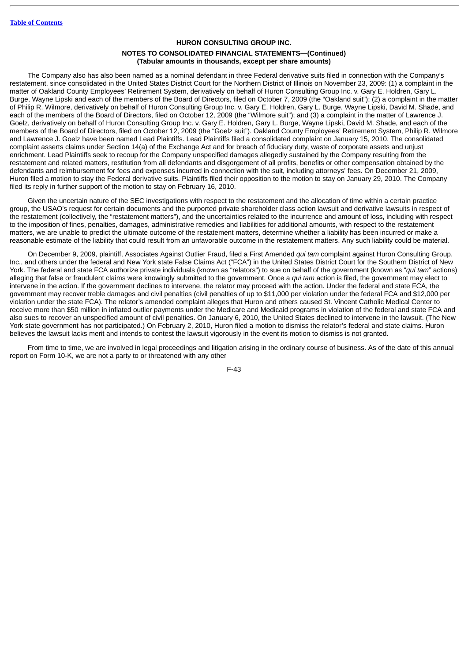### **NOTES TO CONSOLIDATED FINANCIAL STATEMENTS—(Continued) (Tabular amounts in thousands, except per share amounts)**

The Company also has also been named as a nominal defendant in three Federal derivative suits filed in connection with the Company's restatement, since consolidated in the United States District Court for the Northern District of Illinois on November 23, 2009: (1) a complaint in the matter of Oakland County Employees' Retirement System, derivatively on behalf of Huron Consulting Group Inc. v. Gary E. Holdren, Gary L. Burge, Wayne Lipski and each of the members of the Board of Directors, filed on October 7, 2009 (the "Oakland suit"); (2) a complaint in the matter of Philip R. Wilmore, derivatively on behalf of Huron Consulting Group Inc. v. Gary E. Holdren, Gary L. Burge, Wayne Lipski, David M. Shade, and each of the members of the Board of Directors, filed on October 12, 2009 (the "Wilmore suit"); and (3) a complaint in the matter of Lawrence J. Goelz, derivatively on behalf of Huron Consulting Group Inc. v. Gary E. Holdren, Gary L. Burge, Wayne Lipski, David M. Shade, and each of the members of the Board of Directors, filed on October 12, 2009 (the "Goelz suit"). Oakland County Employees' Retirement System, Philip R. Wilmore and Lawrence J. Goelz have been named Lead Plaintiffs. Lead Plaintiffs filed a consolidated complaint on January 15, 2010. The consolidated complaint asserts claims under Section 14(a) of the Exchange Act and for breach of fiduciary duty, waste of corporate assets and unjust enrichment. Lead Plaintiffs seek to recoup for the Company unspecified damages allegedly sustained by the Company resulting from the restatement and related matters, restitution from all defendants and disgorgement of all profits, benefits or other compensation obtained by the defendants and reimbursement for fees and expenses incurred in connection with the suit, including attorneys' fees. On December 21, 2009, Huron filed a motion to stay the Federal derivative suits. Plaintiffs filed their opposition to the motion to stay on January 29, 2010. The Company filed its reply in further support of the motion to stay on February 16, 2010.

Given the uncertain nature of the SEC investigations with respect to the restatement and the allocation of time within a certain practice group, the USAO's request for certain documents and the purported private shareholder class action lawsuit and derivative lawsuits in respect of the restatement (collectively, the "restatement matters"), and the uncertainties related to the incurrence and amount of loss, including with respect to the imposition of fines, penalties, damages, administrative remedies and liabilities for additional amounts, with respect to the restatement matters, we are unable to predict the ultimate outcome of the restatement matters, determine whether a liability has been incurred or make a reasonable estimate of the liability that could result from an unfavorable outcome in the restatement matters. Any such liability could be material.

On December 9, 2009, plaintiff, Associates Against Outlier Fraud, filed a First Amended *qui tam* complaint against Huron Consulting Group, Inc., and others under the federal and New York state False Claims Act ("FCA") in the United States District Court for the Southern District of New York. The federal and state FCA authorize private individuals (known as "relators") to sue on behalf of the government (known as "*qui tam*" actions) alleging that false or fraudulent claims were knowingly submitted to the government. Once a *qui tam* action is filed, the government may elect to intervene in the action. If the government declines to intervene, the relator may proceed with the action. Under the federal and state FCA, the government may recover treble damages and civil penalties (civil penalties of up to \$11,000 per violation under the federal FCA and \$12,000 per violation under the state FCA). The relator's amended complaint alleges that Huron and others caused St. Vincent Catholic Medical Center to receive more than \$50 million in inflated outlier payments under the Medicare and Medicaid programs in violation of the federal and state FCA and also sues to recover an unspecified amount of civil penalties. On January 6, 2010, the United States declined to intervene in the lawsuit. (The New York state government has not participated.) On February 2, 2010, Huron filed a motion to dismiss the relator's federal and state claims. Huron believes the lawsuit lacks merit and intends to contest the lawsuit vigorously in the event its motion to dismiss is not granted.

From time to time, we are involved in legal proceedings and litigation arising in the ordinary course of business. As of the date of this annual report on Form 10-K, we are not a party to or threatened with any other

 $F-A3$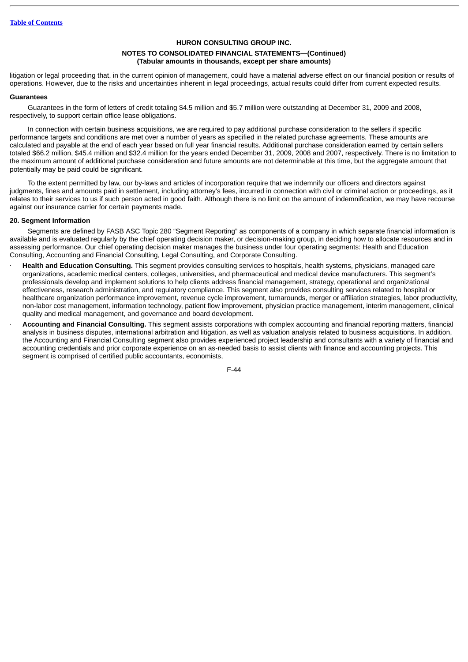### **NOTES TO CONSOLIDATED FINANCIAL STATEMENTS—(Continued) (Tabular amounts in thousands, except per share amounts)**

litigation or legal proceeding that, in the current opinion of management, could have a material adverse effect on our financial position or results of operations. However, due to the risks and uncertainties inherent in legal proceedings, actual results could differ from current expected results.

#### **Guarantees**

Guarantees in the form of letters of credit totaling \$4.5 million and \$5.7 million were outstanding at December 31, 2009 and 2008, respectively, to support certain office lease obligations.

In connection with certain business acquisitions, we are required to pay additional purchase consideration to the sellers if specific performance targets and conditions are met over a number of years as specified in the related purchase agreements. These amounts are calculated and payable at the end of each year based on full year financial results. Additional purchase consideration earned by certain sellers totaled \$66.2 million, \$45.4 million and \$32.4 million for the years ended December 31, 2009, 2008 and 2007, respectively. There is no limitation to the maximum amount of additional purchase consideration and future amounts are not determinable at this time, but the aggregate amount that potentially may be paid could be significant.

To the extent permitted by law, our by-laws and articles of incorporation require that we indemnify our officers and directors against judgments, fines and amounts paid in settlement, including attorney's fees, incurred in connection with civil or criminal action or proceedings, as it relates to their services to us if such person acted in good faith. Although there is no limit on the amount of indemnification, we may have recourse against our insurance carrier for certain payments made.

### **20. Segment Information**

Segments are defined by FASB ASC Topic 280 "Segment Reporting" as components of a company in which separate financial information is available and is evaluated regularly by the chief operating decision maker, or decision-making group, in deciding how to allocate resources and in assessing performance. Our chief operating decision maker manages the business under four operating segments: Health and Education Consulting, Accounting and Financial Consulting, Legal Consulting, and Corporate Consulting.

- · **Health and Education Consulting.** This segment provides consulting services to hospitals, health systems, physicians, managed care organizations, academic medical centers, colleges, universities, and pharmaceutical and medical device manufacturers. This segment's professionals develop and implement solutions to help clients address financial management, strategy, operational and organizational effectiveness, research administration, and regulatory compliance. This segment also provides consulting services related to hospital or healthcare organization performance improvement, revenue cycle improvement, turnarounds, merger or affiliation strategies, labor productivity, non-labor cost management, information technology, patient flow improvement, physician practice management, interim management, clinical quality and medical management, and governance and board development.
- · **Accounting and Financial Consulting.** This segment assists corporations with complex accounting and financial reporting matters, financial analysis in business disputes, international arbitration and litigation, as well as valuation analysis related to business acquisitions. In addition, the Accounting and Financial Consulting segment also provides experienced project leadership and consultants with a variety of financial and accounting credentials and prior corporate experience on an as-needed basis to assist clients with finance and accounting projects. This segment is comprised of certified public accountants, economists,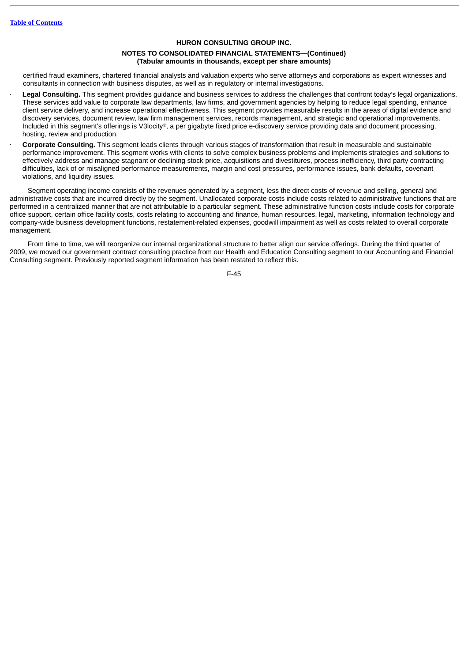### **NOTES TO CONSOLIDATED FINANCIAL STATEMENTS—(Continued) (Tabular amounts in thousands, except per share amounts)**

certified fraud examiners, chartered financial analysts and valuation experts who serve attorneys and corporations as expert witnesses and consultants in connection with business disputes, as well as in regulatory or internal investigations.

- Legal Consulting. This segment provides quidance and business services to address the challenges that confront today's legal organizations. These services add value to corporate law departments, law firms, and government agencies by helping to reduce legal spending, enhance client service delivery, and increase operational effectiveness. This segment provides measurable results in the areas of digital evidence and discovery services, document review, law firm management services, records management, and strategic and operational improvements. Included in this segment's offerings is V3locity®, a per gigabyte fixed price e-discovery service providing data and document processing, hosting, review and production.
- · **Corporate Consulting.** This segment leads clients through various stages of transformation that result in measurable and sustainable performance improvement. This segment works with clients to solve complex business problems and implements strategies and solutions to effectively address and manage stagnant or declining stock price, acquisitions and divestitures, process inefficiency, third party contracting difficulties, lack of or misaligned performance measurements, margin and cost pressures, performance issues, bank defaults, covenant violations, and liquidity issues.

Segment operating income consists of the revenues generated by a segment, less the direct costs of revenue and selling, general and administrative costs that are incurred directly by the segment. Unallocated corporate costs include costs related to administrative functions that are performed in a centralized manner that are not attributable to a particular segment. These administrative function costs include costs for corporate office support, certain office facility costs, costs relating to accounting and finance, human resources, legal, marketing, information technology and company-wide business development functions, restatement-related expenses, goodwill impairment as well as costs related to overall corporate management.

From time to time, we will reorganize our internal organizational structure to better align our service offerings. During the third quarter of 2009, we moved our government contract consulting practice from our Health and Education Consulting segment to our Accounting and Financial Consulting segment. Previously reported segment information has been restated to reflect this.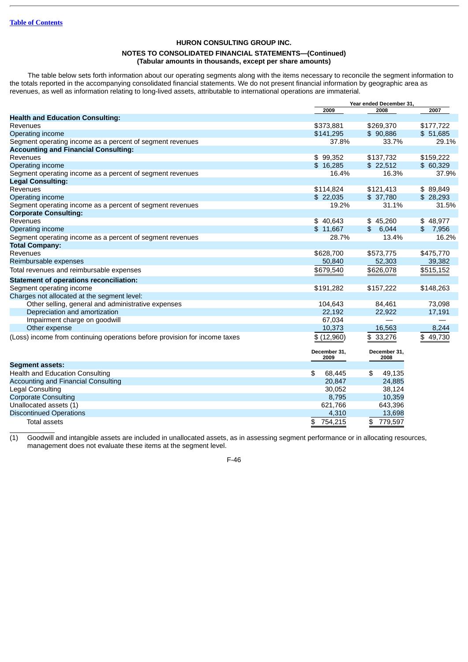### **NOTES TO CONSOLIDATED FINANCIAL STATEMENTS—(Continued) (Tabular amounts in thousands, except per share amounts)**

The table below sets forth information about our operating segments along with the items necessary to reconcile the segment information to the totals reported in the accompanying consolidated financial statements. We do not present financial information by geographic area as revenues, as well as information relating to long-lived assets, attributable to international operations are immaterial.

|                                                                            | Year ended December 31, |              |           |
|----------------------------------------------------------------------------|-------------------------|--------------|-----------|
|                                                                            | 2009                    | 2008         | 2007      |
| <b>Health and Education Consulting:</b>                                    |                         |              |           |
| Revenues                                                                   | \$373.881               | \$269,370    | \$177,722 |
| Operating income                                                           | \$141,295               | \$90,886     | \$51,685  |
| Segment operating income as a percent of segment revenues                  | 37.8%                   | 33.7%        | 29.1%     |
| <b>Accounting and Financial Consulting:</b>                                |                         |              |           |
| Revenues                                                                   | \$99,352                | \$137,732    | \$159,222 |
| Operating income                                                           | \$16,285                | \$22,512     | \$60,329  |
| Segment operating income as a percent of segment revenues                  | 16.4%                   | 16.3%        | 37.9%     |
| <b>Legal Consulting:</b>                                                   |                         |              |           |
| Revenues                                                                   | \$114,824               | \$121,413    | \$ 89,849 |
| Operating income                                                           | \$22,035                | \$37,780     | \$28,293  |
| Segment operating income as a percent of segment revenues                  | 19.2%                   | 31.1%        | 31.5%     |
| <b>Corporate Consulting:</b>                                               |                         |              |           |
| Revenues                                                                   | \$40,643                | \$45,260     | \$48,977  |
| Operating income                                                           | \$11,667                | \$6.044      | \$7,956   |
| Segment operating income as a percent of segment revenues                  | 28.7%                   | 13.4%        | 16.2%     |
| <b>Total Company:</b>                                                      |                         |              |           |
| Revenues                                                                   | \$628,700               | \$573,775    | \$475,770 |
| Reimbursable expenses                                                      | 50,840                  | 52,303       | 39,382    |
| Total revenues and reimbursable expenses                                   | \$679,540               | \$626,078    | \$515,152 |
| Statement of operations reconciliation:                                    |                         |              |           |
| Segment operating income                                                   | \$191,282               | \$157,222    | \$148,263 |
| Charges not allocated at the segment level:                                |                         |              |           |
| Other selling, general and administrative expenses                         | 104,643                 | 84,461       | 73,098    |
| Depreciation and amortization                                              | 22,192                  | 22,922       | 17,191    |
| Impairment charge on goodwill                                              | 67,034                  |              |           |
| Other expense                                                              | 10,373                  | 16,563       | 8,244     |
| (Loss) income from continuing operations before provision for income taxes | \$(12,960)              | \$33,276     | \$49,730  |
|                                                                            | December 31,            | December 31, |           |
|                                                                            | 2009                    | 2008         |           |
| <b>Segment assets:</b>                                                     |                         |              |           |
| <b>Health and Education Consulting</b>                                     | \$<br>68,445            | \$<br>49,135 |           |
| <b>Accounting and Financial Consulting</b>                                 | 20,847                  | 24,885       |           |
| <b>Legal Consulting</b>                                                    | 30,052                  | 38,124       |           |
| <b>Corporate Consulting</b>                                                | 8,795                   | 10,359       |           |
| Unallocated assets (1)                                                     | 621,766                 | 643,396      |           |
| <b>Discontinued Operations</b>                                             | 4,310                   | 13,698       |           |
| <b>Total assets</b>                                                        | 754,215<br>\$           | \$779.597    |           |

(1) Goodwill and intangible assets are included in unallocated assets, as in assessing segment performance or in allocating resources, management does not evaluate these items at the segment level.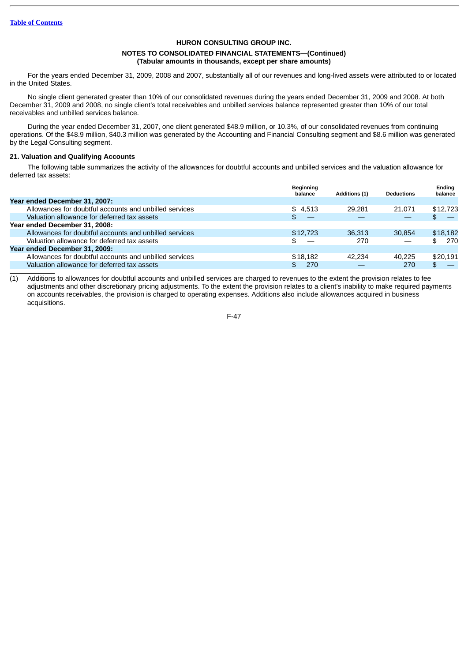### **NOTES TO CONSOLIDATED FINANCIAL STATEMENTS—(Continued) (Tabular amounts in thousands, except per share amounts)**

For the years ended December 31, 2009, 2008 and 2007, substantially all of our revenues and long-lived assets were attributed to or located in the United States.

No single client generated greater than 10% of our consolidated revenues during the years ended December 31, 2009 and 2008. At both December 31, 2009 and 2008, no single client's total receivables and unbilled services balance represented greater than 10% of our total receivables and unbilled services balance.

During the year ended December 31, 2007, one client generated \$48.9 million, or 10.3%, of our consolidated revenues from continuing operations. Of the \$48.9 million, \$40.3 million was generated by the Accounting and Financial Consulting segment and \$8.6 million was generated by the Legal Consulting segment.

### **21. Valuation and Qualifying Accounts**

The following table summarizes the activity of the allowances for doubtful accounts and unbilled services and the valuation allowance for deferred tax assets:

|                                                        | <b>Beginning</b><br>balance    | <b>Additions (1)</b> | <b>Deductions</b> | Ending<br>balance |
|--------------------------------------------------------|--------------------------------|----------------------|-------------------|-------------------|
| Year ended December 31, 2007:                          |                                |                      |                   |                   |
| Allowances for doubtful accounts and unbilled services | \$4.513                        | 29.281               | 21.071            | \$12,723          |
| Valuation allowance for deferred tax assets            | <b>Contract Contract State</b> |                      |                   |                   |
| Year ended December 31, 2008:                          |                                |                      |                   |                   |
| Allowances for doubtful accounts and unbilled services | \$12.723                       | 36.313               | 30.854            | \$18.182          |
| Valuation allowance for deferred tax assets            |                                | 270                  |                   | 270<br>\$.        |
| Year ended December 31, 2009:                          |                                |                      |                   |                   |
| Allowances for doubtful accounts and unbilled services | \$18.182                       | 42.234               | 40.225            | \$20.191          |
| Valuation allowance for deferred tax assets            | 270                            |                      | 270               |                   |

(1) Additions to allowances for doubtful accounts and unbilled services are charged to revenues to the extent the provision relates to fee adjustments and other discretionary pricing adjustments. To the extent the provision relates to a client's inability to make required payments on accounts receivables, the provision is charged to operating expenses. Additions also include allowances acquired in business acquisitions.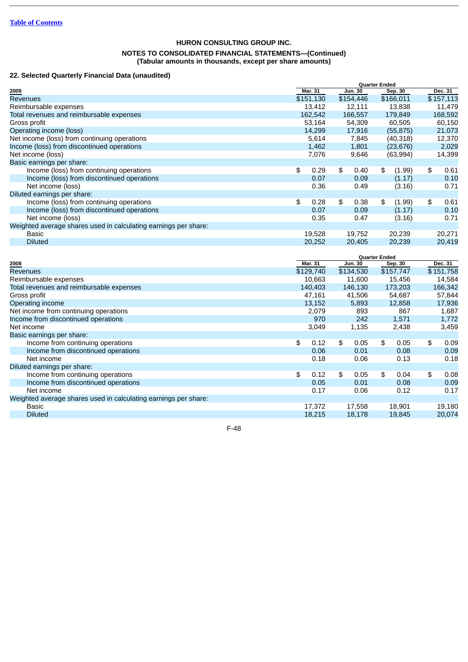# **HURON CONSULTING GROUP INC. NOTES TO CONSOLIDATED FINANCIAL STATEMENTS—(Continued) (Tabular amounts in thousands, except per share amounts)**

# **22. Selected Quarterly Financial Data (unaudited)**

|                                                                 | <b>Quarter Ended</b> |    |                |              |                |
|-----------------------------------------------------------------|----------------------|----|----------------|--------------|----------------|
| 2009                                                            | Mar. 31              |    | <b>Jun. 30</b> | Sep. 30      | <b>Dec. 31</b> |
| <b>Revenues</b>                                                 | \$151,130            |    | \$154,446      | \$166,011    | \$157,113      |
| Reimbursable expenses                                           | 13,412               |    | 12,111         | 13,838       | 11,479         |
| Total revenues and reimbursable expenses                        | 162,542              |    | 166,557        | 179,849      | 168,592        |
| Gross profit                                                    | 53,164               |    | 54,309         | 60,505       | 60,150         |
| Operating income (loss)                                         | 14,299               |    | 17,916         | (55, 875)    | 21,073         |
| Net income (loss) from continuing operations                    | 5,614                |    | 7,845          | (40,318)     | 12,370         |
| Income (loss) from discontinued operations                      | 1,462                |    | 1,801          | (23, 676)    | 2,029          |
| Net income (loss)                                               | 7,076                |    | 9,646          | (63,994)     | 14,399         |
| Basic earnings per share:                                       |                      |    |                |              |                |
| Income (loss) from continuing operations                        | \$<br>0.29           | \$ | 0.40           | (1.99)<br>\$ | \$<br>0.61     |
| Income (loss) from discontinued operations                      | 0.07                 |    | 0.09           | (1.17)       | 0.10           |
| Net income (loss)                                               | 0.36                 |    | 0.49           | (3.16)       | 0.71           |
| Diluted earnings per share:                                     |                      |    |                |              |                |
| Income (loss) from continuing operations                        | \$<br>0.28           | \$ | 0.38           | \$<br>(1.99) | \$<br>0.61     |
| Income (loss) from discontinued operations                      | 0.07                 |    | 0.09           | (1.17)       | 0.10           |
| Net income (loss)                                               | 0.35                 |    | 0.47           | (3.16)       | 0.71           |
| Weighted average shares used in calculating earnings per share: |                      |    |                |              |                |
| Basic                                                           | 19,528               |    | 19,752         | 20,239       | 20,271         |
| <b>Diluted</b>                                                  | 20.252               |    | 20.405         | 20.239       | 20.419         |

|                                                                 |            | <b>Quarter Ended</b> |            |            |
|-----------------------------------------------------------------|------------|----------------------|------------|------------|
| 2008                                                            | Mar. 31    | <b>Jun. 30</b>       | Sep. 30    | Dec. 31    |
| <b>Revenues</b>                                                 | \$129,740  | \$134,530            | \$157,747  | \$151,758  |
| Reimbursable expenses                                           | 10,663     | 11,600               | 15,456     | 14,584     |
| Total revenues and reimbursable expenses                        | 140,403    | 146,130              | 173,203    | 166,342    |
| Gross profit                                                    | 47,161     | 41,506               | 54,687     | 57,844     |
| Operating income                                                | 13,152     | 5,893                | 12,858     | 17,936     |
| Net income from continuing operations                           | 2,079      | 893                  | 867        | 1,687      |
| Income from discontinued operations                             | 970        | 242                  | 1,571      | 1,772      |
| Net income                                                      | 3,049      | 1,135                | 2,438      | 3,459      |
| Basic earnings per share:                                       |            |                      |            |            |
| Income from continuing operations                               | \$<br>0.12 | 0.05<br>\$           | \$<br>0.05 | \$<br>0.09 |
| Income from discontinued operations                             | 0.06       | 0.01                 | 0.08       | 0.09       |
| Net income                                                      | 0.18       | 0.06                 | 0.13       | 0.18       |
| Diluted earnings per share:                                     |            |                      |            |            |
| Income from continuing operations                               | \$<br>0.12 | \$<br>0.05           | \$<br>0.04 | \$<br>0.08 |
| Income from discontinued operations                             | 0.05       | 0.01                 | 0.08       | 0.09       |
| Net income                                                      | 0.17       | 0.06                 | 0.12       | 0.17       |
| Weighted average shares used in calculating earnings per share: |            |                      |            |            |
| <b>Basic</b>                                                    | 17,372     | 17,558               | 18,901     | 19,180     |
| <b>Diluted</b>                                                  | 18.215     | 18,178               | 19.845     | 20,074     |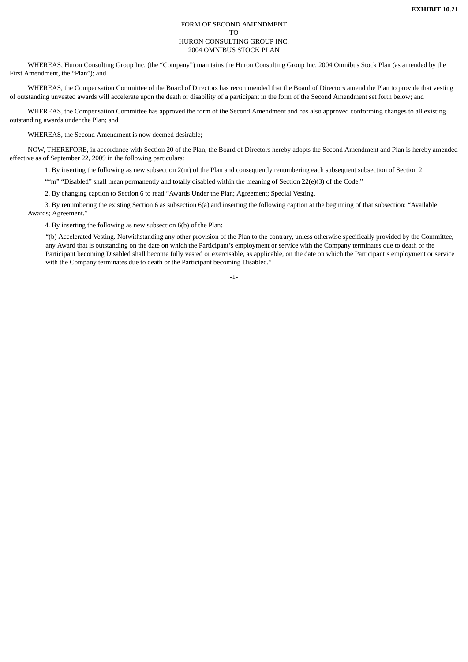### FORM OF SECOND AMENDMENT TO HURON CONSULTING GROUP INC. 2004 OMNIBUS STOCK PLAN

WHEREAS, Huron Consulting Group Inc. (the "Company") maintains the Huron Consulting Group Inc. 2004 Omnibus Stock Plan (as amended by the First Amendment, the "Plan"); and

WHEREAS, the Compensation Committee of the Board of Directors has recommended that the Board of Directors amend the Plan to provide that vesting of outstanding unvested awards will accelerate upon the death or disability of a participant in the form of the Second Amendment set forth below; and

WHEREAS, the Compensation Committee has approved the form of the Second Amendment and has also approved conforming changes to all existing outstanding awards under the Plan; and

WHEREAS, the Second Amendment is now deemed desirable;

NOW, THEREFORE, in accordance with Section 20 of the Plan, the Board of Directors hereby adopts the Second Amendment and Plan is hereby amended effective as of September 22, 2009 in the following particulars:

1. By inserting the following as new subsection 2(m) of the Plan and consequently renumbering each subsequent subsection of Section 2:

""m" "Disabled" shall mean permanently and totally disabled within the meaning of Section 22(e)(3) of the Code."

2. By changing caption to Section 6 to read "Awards Under the Plan; Agreement; Special Vesting.

3. By renumbering the existing Section 6 as subsection 6(a) and inserting the following caption at the beginning of that subsection: "Available Awards; Agreement."

4. By inserting the following as new subsection 6(b) of the Plan:

"(b) Accelerated Vesting. Notwithstanding any other provision of the Plan to the contrary, unless otherwise specifically provided by the Committee, any Award that is outstanding on the date on which the Participant's employment or service with the Company terminates due to death or the Participant becoming Disabled shall become fully vested or exercisable, as applicable, on the date on which the Participant's employment or service with the Company terminates due to death or the Participant becoming Disabled."

-1-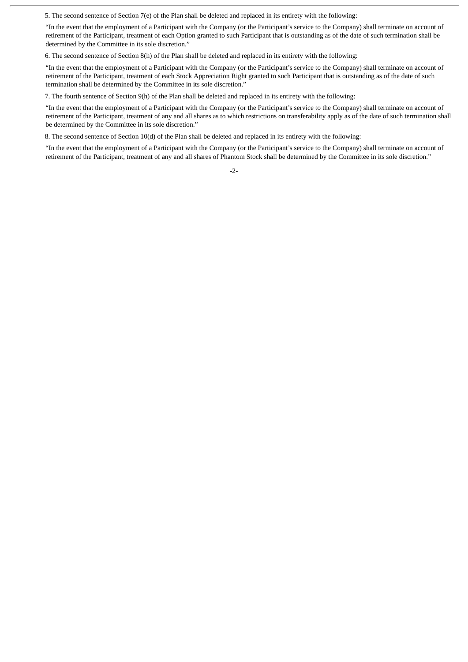5. The second sentence of Section 7(e) of the Plan shall be deleted and replaced in its entirety with the following:

"In the event that the employment of a Participant with the Company (or the Participant's service to the Company) shall terminate on account of retirement of the Participant, treatment of each Option granted to such Participant that is outstanding as of the date of such termination shall be determined by the Committee in its sole discretion."

6. The second sentence of Section 8(h) of the Plan shall be deleted and replaced in its entirety with the following:

"In the event that the employment of a Participant with the Company (or the Participant's service to the Company) shall terminate on account of retirement of the Participant, treatment of each Stock Appreciation Right granted to such Participant that is outstanding as of the date of such termination shall be determined by the Committee in its sole discretion."

7. The fourth sentence of Section 9(h) of the Plan shall be deleted and replaced in its entirety with the following:

"In the event that the employment of a Participant with the Company (or the Participant's service to the Company) shall terminate on account of retirement of the Participant, treatment of any and all shares as to which restrictions on transferability apply as of the date of such termination shall be determined by the Committee in its sole discretion."

8. The second sentence of Section 10(d) of the Plan shall be deleted and replaced in its entirety with the following:

"In the event that the employment of a Participant with the Company (or the Participant's service to the Company) shall terminate on account of retirement of the Participant, treatment of any and all shares of Phantom Stock shall be determined by the Committee in its sole discretion."

-2-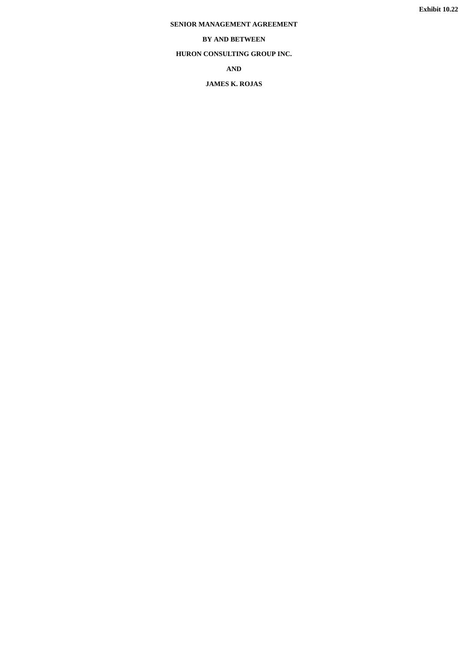# **SENIOR MANAGEMENT AGREEMENT**

# **BY AND BETWEEN**

**HURON CONSULTING GROUP INC.**

**AND**

# **JAMES K. ROJAS**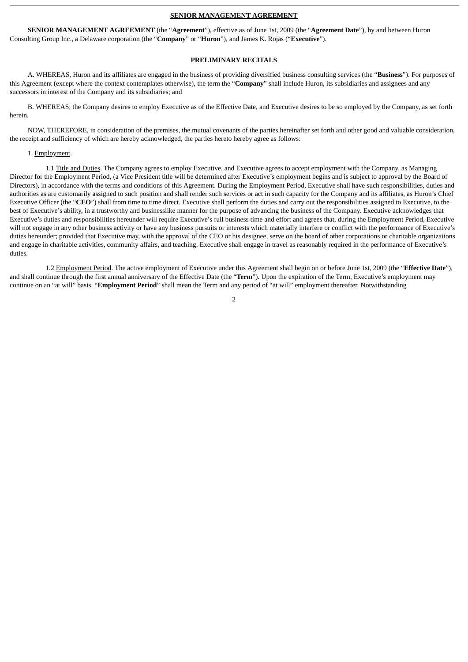#### **SENIOR MANAGEMENT AGREEMENT**

**SENIOR MANAGEMENT AGREEMENT** (the "**Agreement**"), effective as of June 1st, 2009 (the "**Agreement Date**"), by and between Huron Consulting Group Inc., a Delaware corporation (the "**Company**" or "**Huron**"), and James K. Rojas ("**Executive**").

### **PRELIMINARY RECITALS**

A. WHEREAS, Huron and its affiliates are engaged in the business of providing diversified business consulting services (the "**Business**"). For purposes of this Agreement (except where the context contemplates otherwise), the term the "**Company**" shall include Huron, its subsidiaries and assignees and any successors in interest of the Company and its subsidiaries; and

B. WHEREAS, the Company desires to employ Executive as of the Effective Date, and Executive desires to be so employed by the Company, as set forth herein.

NOW, THEREFORE, in consideration of the premises, the mutual covenants of the parties hereinafter set forth and other good and valuable consideration, the receipt and sufficiency of which are hereby acknowledged, the parties hereto hereby agree as follows:

#### 1. Employment.

1.1 Title and Duties. The Company agrees to employ Executive, and Executive agrees to accept employment with the Company, as Managing Director for the Employment Period, (a Vice President title will be determined after Executive's employment begins and is subject to approval by the Board of Directors), in accordance with the terms and conditions of this Agreement. During the Employment Period, Executive shall have such responsibilities, duties and authorities as are customarily assigned to such position and shall render such services or act in such capacity for the Company and its affiliates, as Huron's Chief Executive Officer (the "**CEO**") shall from time to time direct. Executive shall perform the duties and carry out the responsibilities assigned to Executive, to the best of Executive's ability, in a trustworthy and businesslike manner for the purpose of advancing the business of the Company. Executive acknowledges that Executive's duties and responsibilities hereunder will require Executive's full business time and effort and agrees that, during the Employment Period, Executive will not engage in any other business activity or have any business pursuits or interests which materially interfere or conflict with the performance of Executive's duties hereunder; provided that Executive may, with the approval of the CEO or his designee, serve on the board of other corporations or charitable organizations and engage in charitable activities, community affairs, and teaching. Executive shall engage in travel as reasonably required in the performance of Executive's duties.

1.2 Employment Period. The active employment of Executive under this Agreement shall begin on or before June 1st, 2009 (the "**Effective Date**"), and shall continue through the first annual anniversary of the Effective Date (the "**Term**"). Upon the expiration of the Term, Executive's employment may continue on an "at will" basis. "**Employment Period**" shall mean the Term and any period of "at will" employment thereafter. Notwithstanding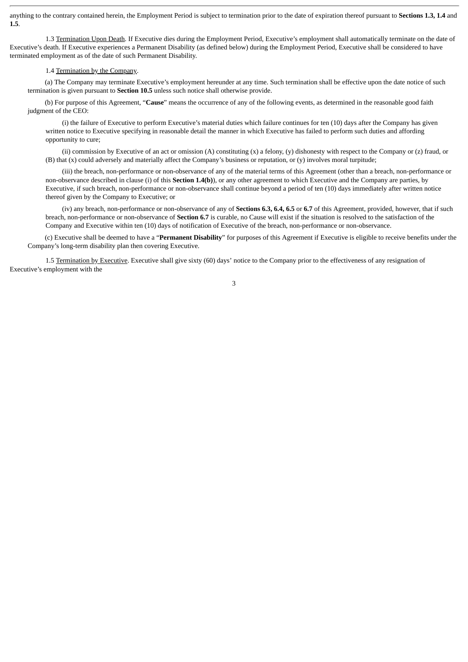anything to the contrary contained herein, the Employment Period is subject to termination prior to the date of expiration thereof pursuant to **Sections 1.3, 1.4** and **1.5**.

1.3 Termination Upon Death. If Executive dies during the Employment Period, Executive's employment shall automatically terminate on the date of Executive's death. If Executive experiences a Permanent Disability (as defined below) during the Employment Period, Executive shall be considered to have terminated employment as of the date of such Permanent Disability.

#### 1.4 Termination by the Company.

(a) The Company may terminate Executive's employment hereunder at any time. Such termination shall be effective upon the date notice of such termination is given pursuant to **Section 10.5** unless such notice shall otherwise provide.

(b) For purpose of this Agreement, "**Cause**" means the occurrence of any of the following events, as determined in the reasonable good faith judgment of the CEO:

(i) the failure of Executive to perform Executive's material duties which failure continues for ten (10) days after the Company has given written notice to Executive specifying in reasonable detail the manner in which Executive has failed to perform such duties and affording opportunity to cure;

(ii) commission by Executive of an act or omission (A) constituting (x) a felony, (y) dishonesty with respect to the Company or (z) fraud, or (B) that (x) could adversely and materially affect the Company's business or reputation, or (y) involves moral turpitude;

(iii) the breach, non-performance or non-observance of any of the material terms of this Agreement (other than a breach, non-performance or non-observance described in clause (i) of this **Section 1.4(b)**), or any other agreement to which Executive and the Company are parties, by Executive, if such breach, non-performance or non-observance shall continue beyond a period of ten (10) days immediately after written notice thereof given by the Company to Executive; or

(iv) any breach, non-performance or non-observance of any of **Sections 6.3, 6.4, 6.5** or **6.7** of this Agreement, provided, however, that if such breach, non-performance or non-observance of **Section 6.7** is curable, no Cause will exist if the situation is resolved to the satisfaction of the Company and Executive within ten (10) days of notification of Executive of the breach, non-performance or non-observance.

(c) Executive shall be deemed to have a "**Permanent Disability**" for purposes of this Agreement if Executive is eligible to receive benefits under the Company's long-term disability plan then covering Executive.

1.5 Termination by Executive. Executive shall give sixty (60) days' notice to the Company prior to the effectiveness of any resignation of Executive's employment with the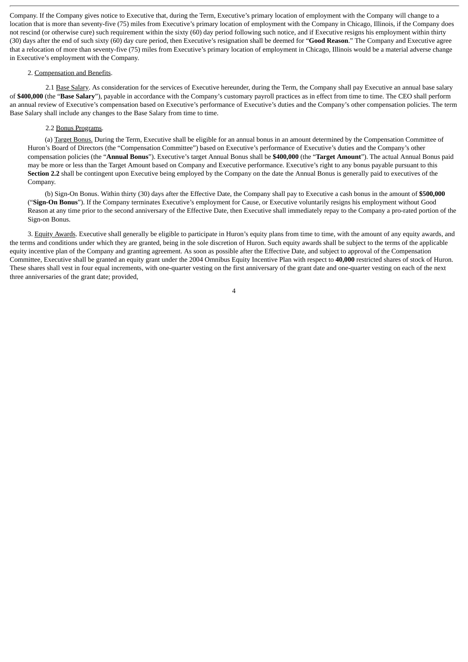Company. If the Company gives notice to Executive that, during the Term, Executive's primary location of employment with the Company will change to a location that is more than seventy-five (75) miles from Executive's primary location of employment with the Company in Chicago, Illinois, if the Company does not rescind (or otherwise cure) such requirement within the sixty (60) day period following such notice, and if Executive resigns his employment within thirty (30) days after the end of such sixty (60) day cure period, then Executive's resignation shall be deemed for "**Good Reason**." The Company and Executive agree that a relocation of more than seventy-five (75) miles from Executive's primary location of employment in Chicago, Illinois would be a material adverse change in Executive's employment with the Company.

### 2. Compensation and Benefits.

2.1 Base Salary. As consideration for the services of Executive hereunder, during the Term, the Company shall pay Executive an annual base salary of **\$400,000** (the "**Base Salary**"), payable in accordance with the Company's customary payroll practices as in effect from time to time. The CEO shall perform an annual review of Executive's compensation based on Executive's performance of Executive's duties and the Company's other compensation policies. The term Base Salary shall include any changes to the Base Salary from time to time.

### 2.2 Bonus Programs.

(a) Target Bonus. During the Term, Executive shall be eligible for an annual bonus in an amount determined by the Compensation Committee of Huron's Board of Directors (the "Compensation Committee") based on Executive's performance of Executive's duties and the Company's other compensation policies (the "**Annual Bonus**"). Executive's target Annual Bonus shall be **\$400,000** (the "**Target Amount**"). The actual Annual Bonus paid may be more or less than the Target Amount based on Company and Executive performance. Executive's right to any bonus payable pursuant to this **Section 2.2** shall be contingent upon Executive being employed by the Company on the date the Annual Bonus is generally paid to executives of the Company.

(b) Sign-On Bonus. Within thirty (30) days after the Effective Date, the Company shall pay to Executive a cash bonus in the amount of **\$500,000** ("**Sign-On Bonus**"). If the Company terminates Executive's employment for Cause, or Executive voluntarily resigns his employment without Good Reason at any time prior to the second anniversary of the Effective Date, then Executive shall immediately repay to the Company a pro-rated portion of the Sign-on Bonus.

3. Equity Awards. Executive shall generally be eligible to participate in Huron's equity plans from time to time, with the amount of any equity awards, and the terms and conditions under which they are granted, being in the sole discretion of Huron. Such equity awards shall be subject to the terms of the applicable equity incentive plan of the Company and granting agreement. As soon as possible after the Effective Date, and subject to approval of the Compensation Committee, Executive shall be granted an equity grant under the 2004 Omnibus Equity Incentive Plan with respect to **40,000** restricted shares of stock of Huron. These shares shall vest in four equal increments, with one-quarter vesting on the first anniversary of the grant date and one-quarter vesting on each of the next three anniversaries of the grant date; provided,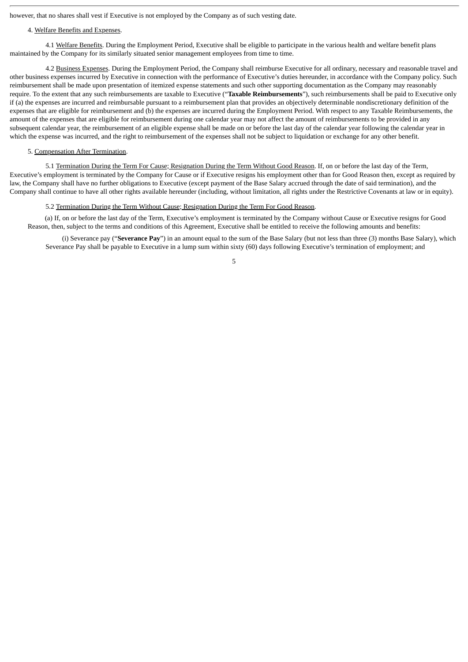however, that no shares shall vest if Executive is not employed by the Company as of such vesting date.

### 4. Welfare Benefits and Expenses.

4.1 Welfare Benefits. During the Employment Period, Executive shall be eligible to participate in the various health and welfare benefit plans maintained by the Company for its similarly situated senior management employees from time to time.

4.2 Business Expenses. During the Employment Period, the Company shall reimburse Executive for all ordinary, necessary and reasonable travel and other business expenses incurred by Executive in connection with the performance of Executive's duties hereunder, in accordance with the Company policy. Such reimbursement shall be made upon presentation of itemized expense statements and such other supporting documentation as the Company may reasonably require. To the extent that any such reimbursements are taxable to Executive ("**Taxable Reimbursements**"), such reimbursements shall be paid to Executive only if (a) the expenses are incurred and reimbursable pursuant to a reimbursement plan that provides an objectively determinable nondiscretionary definition of the expenses that are eligible for reimbursement and (b) the expenses are incurred during the Employment Period. With respect to any Taxable Reimbursements, the amount of the expenses that are eligible for reimbursement during one calendar year may not affect the amount of reimbursements to be provided in any subsequent calendar year, the reimbursement of an eligible expense shall be made on or before the last day of the calendar year following the calendar year in which the expense was incurred, and the right to reimbursement of the expenses shall not be subject to liquidation or exchange for any other benefit.

### 5. Compensation After Termination.

5.1 Termination During the Term For Cause; Resignation During the Term Without Good Reason. If, on or before the last day of the Term, Executive's employment is terminated by the Company for Cause or if Executive resigns his employment other than for Good Reason then, except as required by law, the Company shall have no further obligations to Executive (except payment of the Base Salary accrued through the date of said termination), and the Company shall continue to have all other rights available hereunder (including, without limitation, all rights under the Restrictive Covenants at law or in equity).

### 5.2 Termination During the Term Without Cause; Resignation During the Term For Good Reason.

(a) If, on or before the last day of the Term, Executive's employment is terminated by the Company without Cause or Executive resigns for Good Reason, then, subject to the terms and conditions of this Agreement, Executive shall be entitled to receive the following amounts and benefits:

(i) Severance pay ("**Severance Pay**") in an amount equal to the sum of the Base Salary (but not less than three (3) months Base Salary), which Severance Pay shall be payable to Executive in a lump sum within sixty (60) days following Executive's termination of employment; and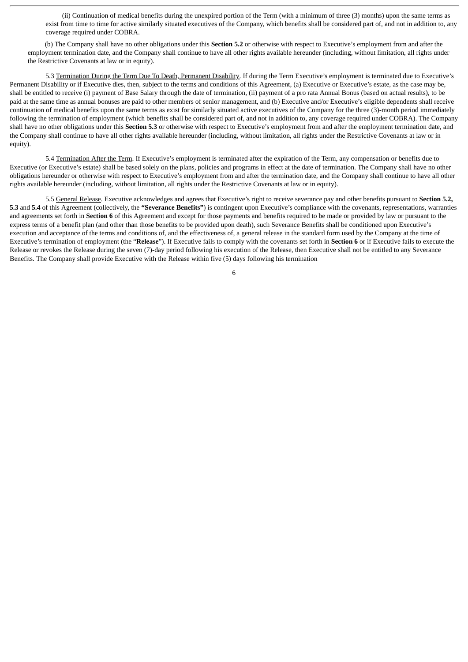(ii) Continuation of medical benefits during the unexpired portion of the Term (with a minimum of three (3) months) upon the same terms as exist from time to time for active similarly situated executives of the Company, which benefits shall be considered part of, and not in addition to, any coverage required under COBRA.

(b) The Company shall have no other obligations under this **Section 5.2** or otherwise with respect to Executive's employment from and after the employment termination date, and the Company shall continue to have all other rights available hereunder (including, without limitation, all rights under the Restrictive Covenants at law or in equity).

5.3 Termination During the Term Due To Death, Permanent Disability. If during the Term Executive's employment is terminated due to Executive's Permanent Disability or if Executive dies, then, subject to the terms and conditions of this Agreement, (a) Executive or Executive's estate, as the case may be, shall be entitled to receive (i) payment of Base Salary through the date of termination, (ii) payment of a pro rata Annual Bonus (based on actual results), to be paid at the same time as annual bonuses are paid to other members of senior management, and (b) Executive and/or Executive's eligible dependents shall receive continuation of medical benefits upon the same terms as exist for similarly situated active executives of the Company for the three (3)-month period immediately following the termination of employment (which benefits shall be considered part of, and not in addition to, any coverage required under COBRA). The Company shall have no other obligations under this **Section 5.3** or otherwise with respect to Executive's employment from and after the employment termination date, and the Company shall continue to have all other rights available hereunder (including, without limitation, all rights under the Restrictive Covenants at law or in equity).

5.4 Termination After the Term. If Executive's employment is terminated after the expiration of the Term, any compensation or benefits due to Executive (or Executive's estate) shall be based solely on the plans, policies and programs in effect at the date of termination. The Company shall have no other obligations hereunder or otherwise with respect to Executive's employment from and after the termination date, and the Company shall continue to have all other rights available hereunder (including, without limitation, all rights under the Restrictive Covenants at law or in equity).

5.5 General Release. Executive acknowledges and agrees that Executive's right to receive severance pay and other benefits pursuant to **Section 5.2, 5.3** and **5.4** of this Agreement (collectively, the **"Severance Benefits"**) is contingent upon Executive's compliance with the covenants, representations, warranties and agreements set forth in **Section 6** of this Agreement and except for those payments and benefits required to be made or provided by law or pursuant to the express terms of a benefit plan (and other than those benefits to be provided upon death), such Severance Benefits shall be conditioned upon Executive's execution and acceptance of the terms and conditions of, and the effectiveness of, a general release in the standard form used by the Company at the time of Executive's termination of employment (the "**Release**"). If Executive fails to comply with the covenants set forth in **Section 6** or if Executive fails to execute the Release or revokes the Release during the seven (7)-day period following his execution of the Release, then Executive shall not be entitled to any Severance Benefits. The Company shall provide Executive with the Release within five (5) days following his termination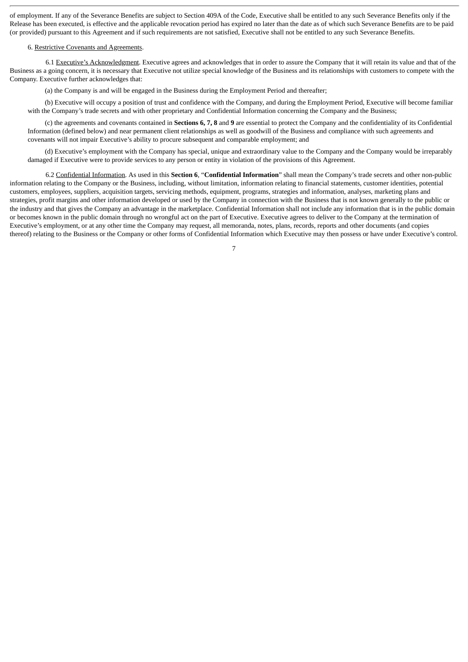of employment. If any of the Severance Benefits are subject to Section 409A of the Code, Executive shall be entitled to any such Severance Benefits only if the Release has been executed, is effective and the applicable revocation period has expired no later than the date as of which such Severance Benefits are to be paid (or provided) pursuant to this Agreement and if such requirements are not satisfied, Executive shall not be entitled to any such Severance Benefits.

### 6. Restrictive Covenants and Agreements.

6.1 Executive's Acknowledgment. Executive agrees and acknowledges that in order to assure the Company that it will retain its value and that of the Business as a going concern, it is necessary that Executive not utilize special knowledge of the Business and its relationships with customers to compete with the Company. Executive further acknowledges that:

(a) the Company is and will be engaged in the Business during the Employment Period and thereafter;

(b) Executive will occupy a position of trust and confidence with the Company, and during the Employment Period, Executive will become familiar with the Company's trade secrets and with other proprietary and Confidential Information concerning the Company and the Business;

(c) the agreements and covenants contained in **Sections 6, 7, 8** and **9** are essential to protect the Company and the confidentiality of its Confidential Information (defined below) and near permanent client relationships as well as goodwill of the Business and compliance with such agreements and covenants will not impair Executive's ability to procure subsequent and comparable employment; and

(d) Executive's employment with the Company has special, unique and extraordinary value to the Company and the Company would be irreparably damaged if Executive were to provide services to any person or entity in violation of the provisions of this Agreement.

6.2 Confidential Information. As used in this **Section 6**, "**Confidential Information**" shall mean the Company's trade secrets and other non-public information relating to the Company or the Business, including, without limitation, information relating to financial statements, customer identities, potential customers, employees, suppliers, acquisition targets, servicing methods, equipment, programs, strategies and information, analyses, marketing plans and strategies, profit margins and other information developed or used by the Company in connection with the Business that is not known generally to the public or the industry and that gives the Company an advantage in the marketplace. Confidential Information shall not include any information that is in the public domain or becomes known in the public domain through no wrongful act on the part of Executive. Executive agrees to deliver to the Company at the termination of Executive's employment, or at any other time the Company may request, all memoranda, notes, plans, records, reports and other documents (and copies thereof) relating to the Business or the Company or other forms of Confidential Information which Executive may then possess or have under Executive's control.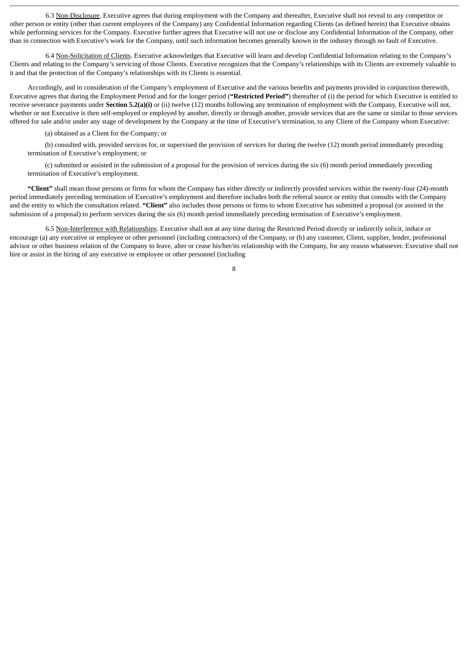6.3 Non-Disclosure. Executive agrees that during employment with the Company and thereafter, Executive shall not reveal to any competitor or other person or entity (other than current employees of the Company) any Confidential Information regarding Clients (as defined herein) that Executive obtains while performing services for the Company. Executive further agrees that Executive will not use or disclose any Confidential Information of the Company, other than in connection with Executive's work for the Company, until such information becomes generally known in the industry through no fault of Executive.

6.4 Non-Solicitation of Clients. Executive acknowledges that Executive will learn and develop Confidential Information relating to the Company's Clients and relating to the Company's servicing of those Clients. Executive recognizes that the Company's relationships with its Clients are extremely valuable to it and that the protection of the Company's relationships with its Clients is essential.

Accordingly, and in consideration of the Company's employment of Executive and the various benefits and payments provided in conjunction therewith, Executive agrees that during the Employment Period and for the longer period (**"Restricted Period"**) thereafter of (i) the period for which Executive is entitled to receive severance payments under **Section 5.2(a)(i)** or (ii) twelve (12) months following any termination of employment with the Company, Executive will not, whether or not Executive is then self-employed or employed by another, directly or through another, provide services that are the same or similar to those services offered for sale and/or under any stage of development by the Company at the time of Executive's termination, to any Client of the Company whom Executive:

(a) obtained as a Client for the Company; or

(b) consulted with, provided services for, or supervised the provision of services for during the twelve (12) month period immediately preceding termination of Executive's employment; or

(c) submitted or assisted in the submission of a proposal for the provision of services during the six (6) month period immediately preceding termination of Executive's employment.

**"Client"** shall mean those persons or firms for whom the Company has either directly or indirectly provided services within the twenty-four (24)-month period immediately preceding termination of Executive's employment and therefore includes both the referral source or entity that consults with the Company and the entity to which the consultation related. **"Client"** also includes those persons or firms to whom Executive has submitted a proposal (or assisted in the submission of a proposal) to perform services during the six (6) month period immediately preceding termination of Executive's employment.

6.5 Non-Interference with Relationships. Executive shall not at any time during the Restricted Period directly or indirectly solicit, induce or encourage (a) any executive or employee or other personnel (including contractors) of the Company, or (b) any customer, Client, supplier, lender, professional advisor or other business relation of the Company to leave, alter or cease his/her/its relationship with the Company, for any reason whatsoever. Executive shall not hire or assist in the hiring of any executive or employee or other personnel (including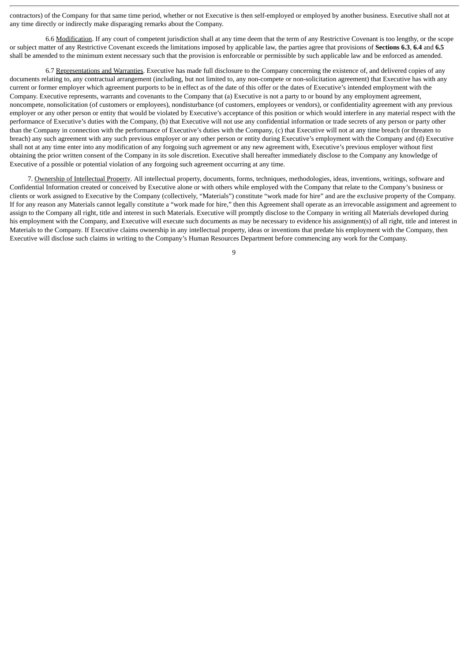contractors) of the Company for that same time period, whether or not Executive is then self-employed or employed by another business. Executive shall not at any time directly or indirectly make disparaging remarks about the Company.

6.6 Modification. If any court of competent jurisdiction shall at any time deem that the term of any Restrictive Covenant is too lengthy, or the scope or subject matter of any Restrictive Covenant exceeds the limitations imposed by applicable law, the parties agree that provisions of **Sections 6.3**, **6.4** and **6.5** shall be amended to the minimum extent necessary such that the provision is enforceable or permissible by such applicable law and be enforced as amended.

6.7 Representations and Warranties. Executive has made full disclosure to the Company concerning the existence of, and delivered copies of any documents relating to, any contractual arrangement (including, but not limited to, any non-compete or non-solicitation agreement) that Executive has with any current or former employer which agreement purports to be in effect as of the date of this offer or the dates of Executive's intended employment with the Company. Executive represents, warrants and covenants to the Company that (a) Executive is not a party to or bound by any employment agreement, noncompete, nonsolicitation (of customers or employees), nondisturbance (of customers, employees or vendors), or confidentiality agreement with any previous employer or any other person or entity that would be violated by Executive's acceptance of this position or which would interfere in any material respect with the performance of Executive's duties with the Company, (b) that Executive will not use any confidential information or trade secrets of any person or party other than the Company in connection with the performance of Executive's duties with the Company, (c) that Executive will not at any time breach (or threaten to breach) any such agreement with any such previous employer or any other person or entity during Executive's employment with the Company and (d) Executive shall not at any time enter into any modification of any forgoing such agreement or any new agreement with, Executive's previous employer without first obtaining the prior written consent of the Company in its sole discretion. Executive shall hereafter immediately disclose to the Company any knowledge of Executive of a possible or potential violation of any forgoing such agreement occurring at any time.

7. Ownership of Intellectual Property. All intellectual property, documents, forms, techniques, methodologies, ideas, inventions, writings, software and Confidential Information created or conceived by Executive alone or with others while employed with the Company that relate to the Company's business or clients or work assigned to Executive by the Company (collectively, "Materials") constitute "work made for hire" and are the exclusive property of the Company. If for any reason any Materials cannot legally constitute a "work made for hire," then this Agreement shall operate as an irrevocable assignment and agreement to assign to the Company all right, title and interest in such Materials. Executive will promptly disclose to the Company in writing all Materials developed during his employment with the Company, and Executive will execute such documents as may be necessary to evidence his assignment(s) of all right, title and interest in Materials to the Company. If Executive claims ownership in any intellectual property, ideas or inventions that predate his employment with the Company, then Executive will disclose such claims in writing to the Company's Human Resources Department before commencing any work for the Company.

 $\overline{q}$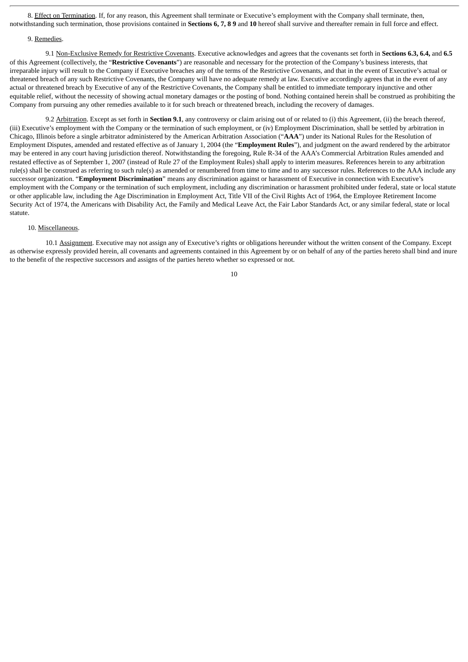8. Effect on Termination. If, for any reason, this Agreement shall terminate or Executive's employment with the Company shall terminate, then, notwithstanding such termination, those provisions contained in **Sections 6, 7, 8 9** and **10** hereof shall survive and thereafter remain in full force and effect.

### 9. Remedies.

9.1 Non-Exclusive Remedy for Restrictive Covenants. Executive acknowledges and agrees that the covenants set forth in **Sections 6.3, 6.4,** and **6.5** of this Agreement (collectively, the "**Restrictive Covenants**") are reasonable and necessary for the protection of the Company's business interests, that irreparable injury will result to the Company if Executive breaches any of the terms of the Restrictive Covenants, and that in the event of Executive's actual or threatened breach of any such Restrictive Covenants, the Company will have no adequate remedy at law. Executive accordingly agrees that in the event of any actual or threatened breach by Executive of any of the Restrictive Covenants, the Company shall be entitled to immediate temporary injunctive and other equitable relief, without the necessity of showing actual monetary damages or the posting of bond. Nothing contained herein shall be construed as prohibiting the Company from pursuing any other remedies available to it for such breach or threatened breach, including the recovery of damages.

9.2 Arbitration. Except as set forth in **Section 9.1**, any controversy or claim arising out of or related to (i) this Agreement, (ii) the breach thereof, (iii) Executive's employment with the Company or the termination of such employment, or (iv) Employment Discrimination, shall be settled by arbitration in Chicago, Illinois before a single arbitrator administered by the American Arbitration Association ("**AAA**") under its National Rules for the Resolution of Employment Disputes, amended and restated effective as of January 1, 2004 (the "**Employment Rules**"), and judgment on the award rendered by the arbitrator may be entered in any court having jurisdiction thereof. Notwithstanding the foregoing, Rule R-34 of the AAA's Commercial Arbitration Rules amended and restated effective as of September 1, 2007 (instead of Rule 27 of the Employment Rules) shall apply to interim measures. References herein to any arbitration rule(s) shall be construed as referring to such rule(s) as amended or renumbered from time to time and to any successor rules. References to the AAA include any successor organization. "**Employment Discrimination**" means any discrimination against or harassment of Executive in connection with Executive's employment with the Company or the termination of such employment, including any discrimination or harassment prohibited under federal, state or local statute or other applicable law, including the Age Discrimination in Employment Act, Title VII of the Civil Rights Act of 1964, the Employee Retirement Income Security Act of 1974, the Americans with Disability Act, the Family and Medical Leave Act, the Fair Labor Standards Act, or any similar federal, state or local statute.

#### 10. Miscellaneous.

10.1 Assignment. Executive may not assign any of Executive's rights or obligations hereunder without the written consent of the Company. Except as otherwise expressly provided herein, all covenants and agreements contained in this Agreement by or on behalf of any of the parties hereto shall bind and inure to the benefit of the respective successors and assigns of the parties hereto whether so expressed or not.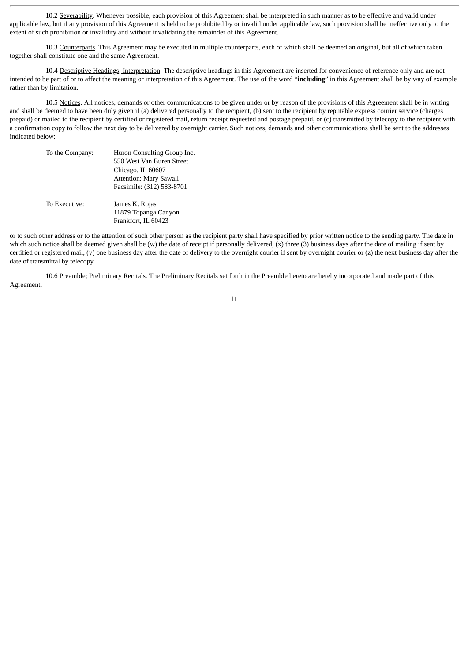10.2 Severability. Whenever possible, each provision of this Agreement shall be interpreted in such manner as to be effective and valid under applicable law, but if any provision of this Agreement is held to be prohibited by or invalid under applicable law, such provision shall be ineffective only to the extent of such prohibition or invalidity and without invalidating the remainder of this Agreement.

10.3 Counterparts. This Agreement may be executed in multiple counterparts, each of which shall be deemed an original, but all of which taken together shall constitute one and the same Agreement.

10.4 Descriptive Headings; Interpretation. The descriptive headings in this Agreement are inserted for convenience of reference only and are not intended to be part of or to affect the meaning or interpretation of this Agreement. The use of the word "**including**" in this Agreement shall be by way of example rather than by limitation.

10.5 Notices. All notices, demands or other communications to be given under or by reason of the provisions of this Agreement shall be in writing and shall be deemed to have been duly given if (a) delivered personally to the recipient, (b) sent to the recipient by reputable express courier service (charges prepaid) or mailed to the recipient by certified or registered mail, return receipt requested and postage prepaid, or (c) transmitted by telecopy to the recipient with a confirmation copy to follow the next day to be delivered by overnight carrier. Such notices, demands and other communications shall be sent to the addresses indicated below:

| To the Company: | Huron Consulting Group Inc.   |
|-----------------|-------------------------------|
|                 | 550 West Van Buren Street     |
|                 | Chicago, IL 60607             |
|                 | <b>Attention: Mary Sawall</b> |
|                 | Facsimile: (312) 583-8701     |
| To Executive:   | James K. Rojas                |
|                 | 11879 Topanga Canyon          |
|                 | Frankfort, IL 60423           |

or to such other address or to the attention of such other person as the recipient party shall have specified by prior written notice to the sending party. The date in which such notice shall be deemed given shall be (w) the date of receipt if personally delivered, (x) three (3) business days after the date of mailing if sent by certified or registered mail, (y) one business day after the date of delivery to the overnight courier if sent by overnight courier or (z) the next business day after the date of transmittal by telecopy.

10.6 Preamble; Preliminary Recitals. The Preliminary Recitals set forth in the Preamble hereto are hereby incorporated and made part of this Agreement.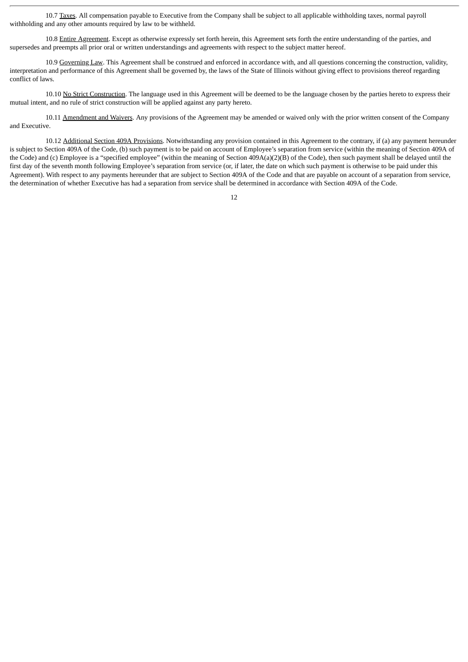10.7 Taxes. All compensation payable to Executive from the Company shall be subject to all applicable withholding taxes, normal payroll withholding and any other amounts required by law to be withheld.

10.8 Entire Agreement. Except as otherwise expressly set forth herein, this Agreement sets forth the entire understanding of the parties, and supersedes and preempts all prior oral or written understandings and agreements with respect to the subject matter hereof.

10.9 Governing Law. This Agreement shall be construed and enforced in accordance with, and all questions concerning the construction, validity, interpretation and performance of this Agreement shall be governed by, the laws of the State of Illinois without giving effect to provisions thereof regarding conflict of laws.

10.10 No Strict Construction. The language used in this Agreement will be deemed to be the language chosen by the parties hereto to express their mutual intent, and no rule of strict construction will be applied against any party hereto.

10.11 Amendment and Waivers. Any provisions of the Agreement may be amended or waived only with the prior written consent of the Company and Executive.

10.12 Additional Section 409A Provisions. Notwithstanding any provision contained in this Agreement to the contrary, if (a) any payment hereunder is subject to Section 409A of the Code, (b) such payment is to be paid on account of Employee's separation from service (within the meaning of Section 409A of the Code) and (c) Employee is a "specified employee" (within the meaning of Section  $409A(a)(2)(B)$  of the Code), then such payment shall be delayed until the first day of the seventh month following Employee's separation from service (or, if later, the date on which such payment is otherwise to be paid under this Agreement). With respect to any payments hereunder that are subject to Section 409A of the Code and that are payable on account of a separation from service, the determination of whether Executive has had a separation from service shall be determined in accordance with Section 409A of the Code.

<sup>12</sup>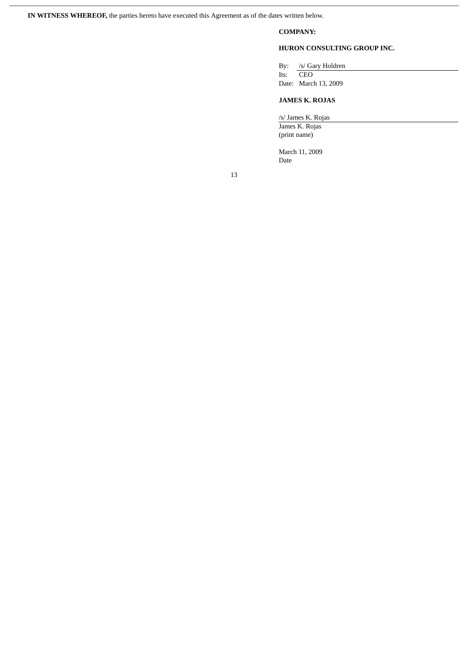**IN WITNESS WHEREOF,** the parties hereto have executed this Agreement as of the dates written below.

# **COMPANY:**

## **HURON CONSULTING GROUP INC.**

|      | By: /s/ Gary Holdren |
|------|----------------------|
| Its: | - CEO                |
|      | Date: March 13, 2009 |

# **JAMES K. ROJAS**

/s/ James K. Rojas

James K. Rojas (print name)

March 11, 2009 Date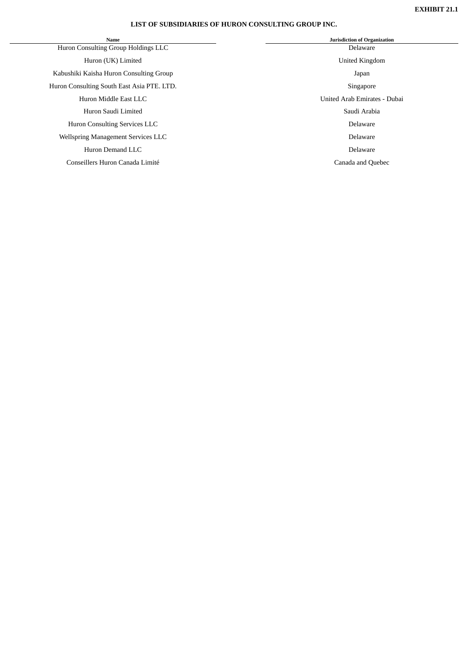# **LIST OF SUBSIDIARIES OF HURON CONSULTING GROUP INC.**

| Name                                       | <b>Jurisdiction of Organization</b> |
|--------------------------------------------|-------------------------------------|
| Huron Consulting Group Holdings LLC        | Delaware                            |
| Huron (UK) Limited                         | United Kingdom                      |
| Kabushiki Kaisha Huron Consulting Group    | Japan                               |
| Huron Consulting South East Asia PTE, LTD. | Singapore                           |
| Huron Middle East LLC                      | United Arab Emirates - Dubai        |
| Huron Saudi Limited                        | Saudi Arabia                        |
| Huron Consulting Services LLC              | Delaware                            |
| Wellspring Management Services LLC         | Delaware                            |
| Huron Demand LLC                           | Delaware                            |
| Conseillers Huron Canada Limité            | Canada and Quebec                   |
|                                            |                                     |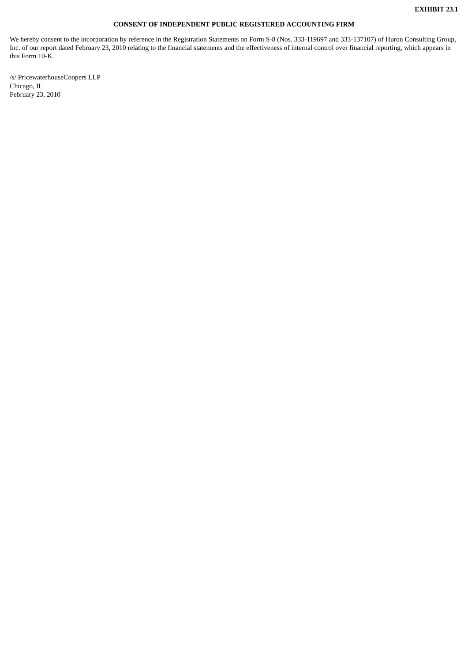# **CONSENT OF INDEPENDENT PUBLIC REGISTERED ACCOUNTING FIRM**

We hereby consent to the incorporation by reference in the Registration Statements on Form S-8 (Nos. 333-119697 and 333-137107) of Huron Consulting Group, Inc. of our report dated February 23, 2010 relating to the financial statements and the effectiveness of internal control over financial reporting, which appears in this Form 10-K.

/s/ PricewaterhouseCoopers LLP Chicago, IL February 23, 2010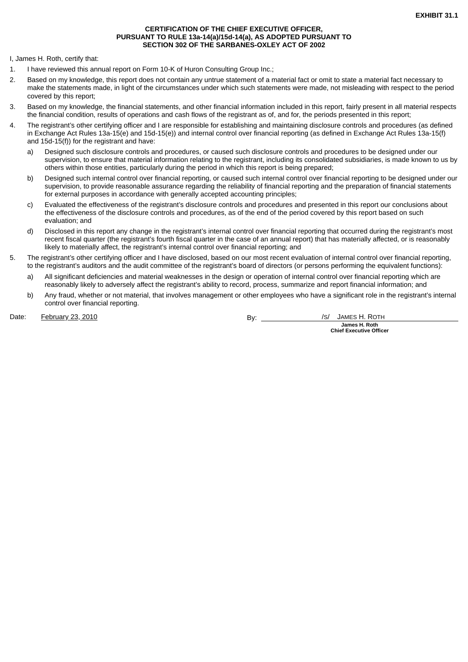### **CERTIFICATION OF THE CHIEF EXECUTIVE OFFICER, PURSUANT TO RULE 13a-14(a)/15d-14(a), AS ADOPTED PURSUANT TO SECTION 302 OF THE SARBANES-OXLEY ACT OF 2002**

I, James H. Roth, certify that:

- 1. I have reviewed this annual report on Form 10-K of Huron Consulting Group Inc.;
- 2. Based on my knowledge, this report does not contain any untrue statement of a material fact or omit to state a material fact necessary to make the statements made, in light of the circumstances under which such statements were made, not misleading with respect to the period covered by this report;
- 3. Based on my knowledge, the financial statements, and other financial information included in this report, fairly present in all material respects the financial condition, results of operations and cash flows of the registrant as of, and for, the periods presented in this report;
- 4. The registrant's other certifying officer and I are responsible for establishing and maintaining disclosure controls and procedures (as defined in Exchange Act Rules 13a-15(e) and 15d-15(e)) and internal control over financial reporting (as defined in Exchange Act Rules 13a-15(f) and 15d-15(f)) for the registrant and have:
	- a) Designed such disclosure controls and procedures, or caused such disclosure controls and procedures to be designed under our supervision, to ensure that material information relating to the registrant, including its consolidated subsidiaries, is made known to us by others within those entities, particularly during the period in which this report is being prepared;
	- b) Designed such internal control over financial reporting, or caused such internal control over financial reporting to be designed under our supervision, to provide reasonable assurance regarding the reliability of financial reporting and the preparation of financial statements for external purposes in accordance with generally accepted accounting principles;
	- c) Evaluated the effectiveness of the registrant's disclosure controls and procedures and presented in this report our conclusions about the effectiveness of the disclosure controls and procedures, as of the end of the period covered by this report based on such evaluation; and
	- d) Disclosed in this report any change in the registrant's internal control over financial reporting that occurred during the registrant's most recent fiscal quarter (the registrant's fourth fiscal quarter in the case of an annual report) that has materially affected, or is reasonably likely to materially affect, the registrant's internal control over financial reporting; and
- 5. The registrant's other certifying officer and I have disclosed, based on our most recent evaluation of internal control over financial reporting, to the registrant's auditors and the audit committee of the registrant's board of directors (or persons performing the equivalent functions):
	- a) All significant deficiencies and material weaknesses in the design or operation of internal control over financial reporting which are reasonably likely to adversely affect the registrant's ability to record, process, summarize and report financial information; and
	- b) Any fraud, whether or not material, that involves management or other employees who have a significant role in the registrant's internal control over financial reporting.

Date: February 23, 2010 Contract Contract Contract Contract Contract Contract Contract Contract Contract Contract Contract Contract Contract Contract Contract Contract Contract Contract Contract Contract Contract Contract **James H. Roth**

**Chief Executive Officer**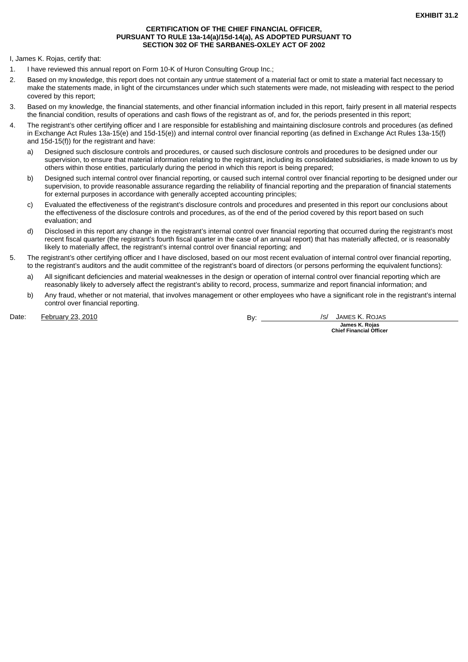### **CERTIFICATION OF THE CHIEF FINANCIAL OFFICER, PURSUANT TO RULE 13a-14(a)/15d-14(a), AS ADOPTED PURSUANT TO SECTION 302 OF THE SARBANES-OXLEY ACT OF 2002**

I, James K. Rojas, certify that:

- 1. I have reviewed this annual report on Form 10-K of Huron Consulting Group Inc.;
- 2. Based on my knowledge, this report does not contain any untrue statement of a material fact or omit to state a material fact necessary to make the statements made, in light of the circumstances under which such statements were made, not misleading with respect to the period covered by this report;
- 3. Based on my knowledge, the financial statements, and other financial information included in this report, fairly present in all material respects the financial condition, results of operations and cash flows of the registrant as of, and for, the periods presented in this report;
- 4. The registrant's other certifying officer and I are responsible for establishing and maintaining disclosure controls and procedures (as defined in Exchange Act Rules 13a-15(e) and 15d-15(e)) and internal control over financial reporting (as defined in Exchange Act Rules 13a-15(f) and 15d-15(f)) for the registrant and have:
	- a) Designed such disclosure controls and procedures, or caused such disclosure controls and procedures to be designed under our supervision, to ensure that material information relating to the registrant, including its consolidated subsidiaries, is made known to us by others within those entities, particularly during the period in which this report is being prepared;
	- b) Designed such internal control over financial reporting, or caused such internal control over financial reporting to be designed under our supervision, to provide reasonable assurance regarding the reliability of financial reporting and the preparation of financial statements for external purposes in accordance with generally accepted accounting principles;
	- c) Evaluated the effectiveness of the registrant's disclosure controls and procedures and presented in this report our conclusions about the effectiveness of the disclosure controls and procedures, as of the end of the period covered by this report based on such evaluation; and
	- d) Disclosed in this report any change in the registrant's internal control over financial reporting that occurred during the registrant's most recent fiscal quarter (the registrant's fourth fiscal quarter in the case of an annual report) that has materially affected, or is reasonably likely to materially affect, the registrant's internal control over financial reporting; and
- 5. The registrant's other certifying officer and I have disclosed, based on our most recent evaluation of internal control over financial reporting, to the registrant's auditors and the audit committee of the registrant's board of directors (or persons performing the equivalent functions):
	- a) All significant deficiencies and material weaknesses in the design or operation of internal control over financial reporting which are reasonably likely to adversely affect the registrant's ability to record, process, summarize and report financial information; and
	- b) Any fraud, whether or not material, that involves management or other employees who have a significant role in the registrant's internal control over financial reporting.

Date: February 23, 2010 Contract Contract Contract Contract Contract Contract Contract Contract Contract Contract Contract Contract Contract Contract Contract Contract Contract Contract Contract Contract Contract Contract **James K. Rojas**

**Chief Financial Officer**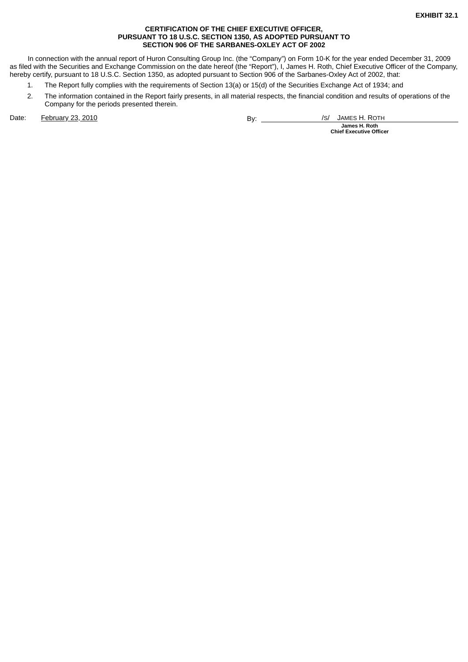### **CERTIFICATION OF THE CHIEF EXECUTIVE OFFICER, PURSUANT TO 18 U.S.C. SECTION 1350, AS ADOPTED PURSUANT TO SECTION 906 OF THE SARBANES-OXLEY ACT OF 2002**

In connection with the annual report of Huron Consulting Group Inc. (the "Company") on Form 10-K for the year ended December 31, 2009 as filed with the Securities and Exchange Commission on the date hereof (the "Report"), I, James H. Roth, Chief Executive Officer of the Company, hereby certify, pursuant to 18 U.S.C. Section 1350, as adopted pursuant to Section 906 of the Sarbanes-Oxley Act of 2002, that:

- 1. The Report fully complies with the requirements of Section 13(a) or 15(d) of the Securities Exchange Act of 1934; and
- 2. The information contained in the Report fairly presents, in all material respects, the financial condition and results of operations of the Company for the periods presented therein.

Date: February 23, 2010 **By:** By: Same By: **All American Hammad By:** By: **AMES H. ROTH** 

**James H. Roth Chief Executive Officer**